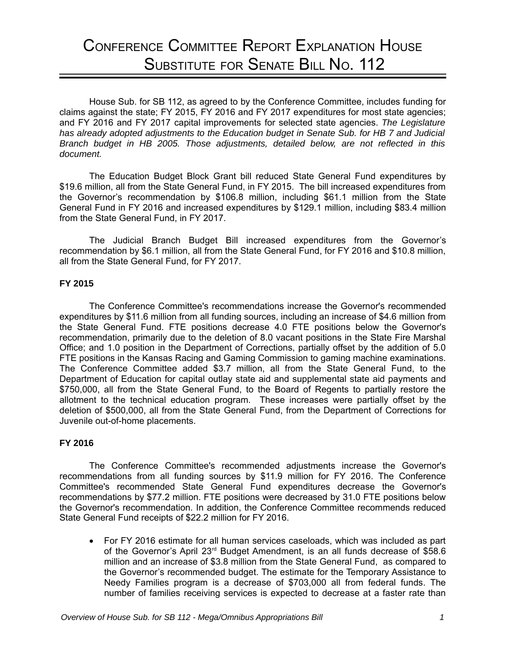# CONFERENCE COMMITTEE REPORT EXPLANATION HOUSE SUBSTITUTE FOR SENATE BILL NO. 112

House Sub. for SB 112, as agreed to by the Conference Committee, includes funding for claims against the state; FY 2015, FY 2016 and FY 2017 expenditures for most state agencies; and FY 2016 and FY 2017 capital improvements for selected state agencies. *The Legislature has already adopted adjustments to the Education budget in Senate Sub. for HB 7 and Judicial Branch budget in HB 2005. Those adjustments, detailed below, are not reflected in this document.*

The Education Budget Block Grant bill reduced State General Fund expenditures by \$19.6 million, all from the State General Fund, in FY 2015. The bill increased expenditures from the Governor's recommendation by \$106.8 million, including \$61.1 million from the State General Fund in FY 2016 and increased expenditures by \$129.1 million, including \$83.4 million from the State General Fund, in FY 2017.

The Judicial Branch Budget Bill increased expenditures from the Governor's recommendation by \$6.1 million, all from the State General Fund, for FY 2016 and \$10.8 million, all from the State General Fund, for FY 2017.

## **FY 2015**

The Conference Committee's recommendations increase the Governor's recommended expenditures by \$11.6 million from all funding sources, including an increase of \$4.6 million from the State General Fund. FTE positions decrease 4.0 FTE positions below the Governor's recommendation, primarily due to the deletion of 8.0 vacant positions in the State Fire Marshal Office; and 1.0 position in the Department of Corrections, partially offset by the addition of 5.0 FTE positions in the Kansas Racing and Gaming Commission to gaming machine examinations. The Conference Committee added \$3.7 million, all from the State General Fund, to the Department of Education for capital outlay state aid and supplemental state aid payments and \$750,000, all from the State General Fund, to the Board of Regents to partially restore the allotment to the technical education program. These increases were partially offset by the deletion of \$500,000, all from the State General Fund, from the Department of Corrections for Juvenile out-of-home placements.

## **FY 2016**

The Conference Committee's recommended adjustments increase the Governor's recommendations from all funding sources by \$11.9 million for FY 2016. The Conference Committee's recommended State General Fund expenditures decrease the Governor's recommendations by \$77.2 million. FTE positions were decreased by 31.0 FTE positions below the Governor's recommendation. In addition, the Conference Committee recommends reduced State General Fund receipts of \$22.2 million for FY 2016.

 For FY 2016 estimate for all human services caseloads, which was included as part of the Governor's April  $23<sup>rd</sup>$  Budget Amendment, is an all funds decrease of \$58.6 million and an increase of \$3.8 million from the State General Fund, as compared to the Governor's recommended budget. The estimate for the Temporary Assistance to Needy Families program is a decrease of \$703,000 all from federal funds. The number of families receiving services is expected to decrease at a faster rate than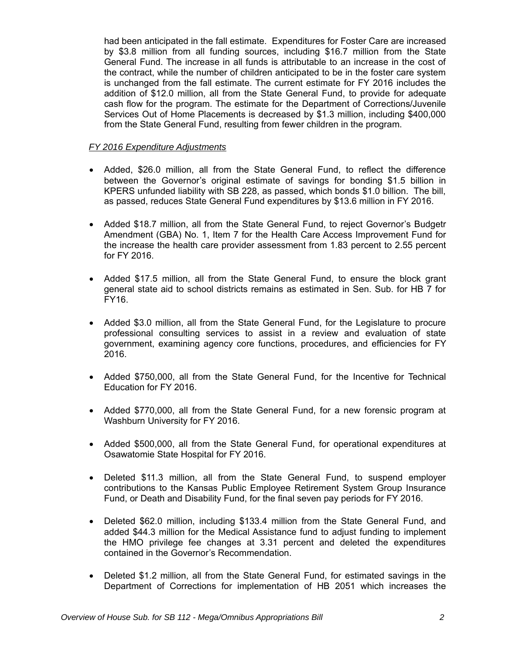had been anticipated in the fall estimate. Expenditures for Foster Care are increased by \$3.8 million from all funding sources, including \$16.7 million from the State General Fund. The increase in all funds is attributable to an increase in the cost of the contract, while the number of children anticipated to be in the foster care system is unchanged from the fall estimate. The current estimate for FY 2016 includes the addition of \$12.0 million, all from the State General Fund, to provide for adequate cash flow for the program. The estimate for the Department of Corrections/Juvenile Services Out of Home Placements is decreased by \$1.3 million, including \$400,000 from the State General Fund, resulting from fewer children in the program.

## *FY 2016 Expenditure Adjustments*

- Added, \$26.0 million, all from the State General Fund, to reflect the difference between the Governor's original estimate of savings for bonding \$1.5 billion in KPERS unfunded liability with SB 228, as passed, which bonds \$1.0 billion. The bill, as passed, reduces State General Fund expenditures by \$13.6 million in FY 2016.
- Added \$18.7 million, all from the State General Fund, to reject Governor's Budgetr Amendment (GBA) No. 1, Item 7 for the Health Care Access Improvement Fund for the increase the health care provider assessment from 1.83 percent to 2.55 percent for FY 2016.
- Added \$17.5 million, all from the State General Fund, to ensure the block grant general state aid to school districts remains as estimated in Sen. Sub. for HB 7 for FY16.
- Added \$3.0 million, all from the State General Fund, for the Legislature to procure professional consulting services to assist in a review and evaluation of state government, examining agency core functions, procedures, and efficiencies for FY 2016.
- Added \$750,000, all from the State General Fund, for the Incentive for Technical Education for FY 2016.
- Added \$770,000, all from the State General Fund, for a new forensic program at Washburn University for FY 2016.
- Added \$500,000, all from the State General Fund, for operational expenditures at Osawatomie State Hospital for FY 2016.
- Deleted \$11.3 million, all from the State General Fund, to suspend employer contributions to the Kansas Public Employee Retirement System Group Insurance Fund, or Death and Disability Fund, for the final seven pay periods for FY 2016.
- Deleted \$62.0 million, including \$133.4 million from the State General Fund, and added \$44.3 million for the Medical Assistance fund to adjust funding to implement the HMO privilege fee changes at 3.31 percent and deleted the expenditures contained in the Governor's Recommendation.
- Deleted \$1.2 million, all from the State General Fund, for estimated savings in the Department of Corrections for implementation of HB 2051 which increases the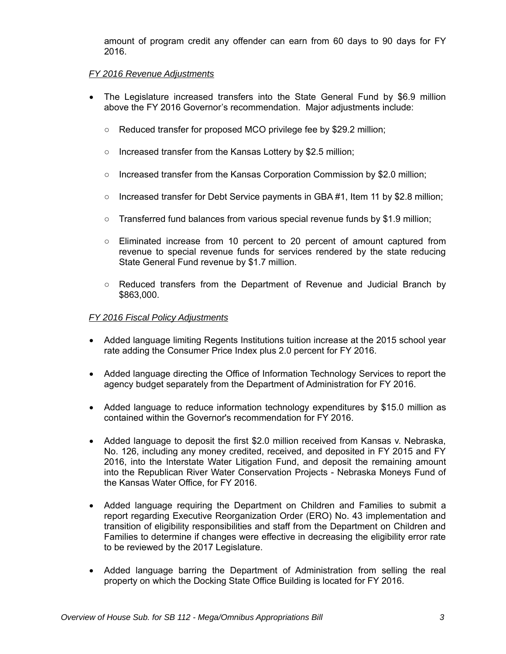amount of program credit any offender can earn from 60 days to 90 days for FY 2016.

## *FY 2016 Revenue Adjustments*

- The Legislature increased transfers into the State General Fund by \$6.9 million above the FY 2016 Governor's recommendation. Major adjustments include:
	- Reduced transfer for proposed MCO privilege fee by \$29.2 million;
	- Increased transfer from the Kansas Lottery by \$2.5 million;
	- Increased transfer from the Kansas Corporation Commission by \$2.0 million;
	- Increased transfer for Debt Service payments in GBA #1, Item 11 by \$2.8 million;
	- Transferred fund balances from various special revenue funds by \$1.9 million;
	- Eliminated increase from 10 percent to 20 percent of amount captured from revenue to special revenue funds for services rendered by the state reducing State General Fund revenue by \$1.7 million.
	- Reduced transfers from the Department of Revenue and Judicial Branch by \$863,000.

## *FY 2016 Fiscal Policy Adjustments*

- Added language limiting Regents Institutions tuition increase at the 2015 school year rate adding the Consumer Price Index plus 2.0 percent for FY 2016.
- Added language directing the Office of Information Technology Services to report the agency budget separately from the Department of Administration for FY 2016.
- Added language to reduce information technology expenditures by \$15.0 million as contained within the Governor's recommendation for FY 2016.
- Added language to deposit the first \$2.0 million received from Kansas v. Nebraska, No. 126, including any money credited, received, and deposited in FY 2015 and FY 2016, into the Interstate Water Litigation Fund, and deposit the remaining amount into the Republican River Water Conservation Projects - Nebraska Moneys Fund of the Kansas Water Office, for FY 2016.
- Added language requiring the Department on Children and Families to submit a report regarding Executive Reorganization Order (ERO) No. 43 implementation and transition of eligibility responsibilities and staff from the Department on Children and Families to determine if changes were effective in decreasing the eligibility error rate to be reviewed by the 2017 Legislature.
- Added language barring the Department of Administration from selling the real property on which the Docking State Office Building is located for FY 2016.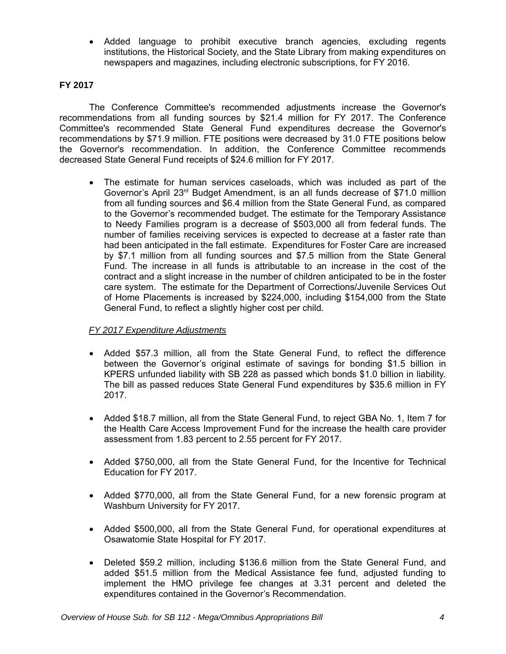Added language to prohibit executive branch agencies, excluding regents institutions, the Historical Society, and the State Library from making expenditures on newspapers and magazines, including electronic subscriptions, for FY 2016.

## **FY 2017**

The Conference Committee's recommended adjustments increase the Governor's recommendations from all funding sources by \$21.4 million for FY 2017. The Conference Committee's recommended State General Fund expenditures decrease the Governor's recommendations by \$71.9 million. FTE positions were decreased by 31.0 FTE positions below the Governor's recommendation. In addition, the Conference Committee recommends decreased State General Fund receipts of \$24.6 million for FY 2017.

 The estimate for human services caseloads, which was included as part of the Governor's April 23<sup>rd</sup> Budget Amendment, is an all funds decrease of \$71.0 million from all funding sources and \$6.4 million from the State General Fund, as compared to the Governor's recommended budget. The estimate for the Temporary Assistance to Needy Families program is a decrease of \$503,000 all from federal funds. The number of families receiving services is expected to decrease at a faster rate than had been anticipated in the fall estimate. Expenditures for Foster Care are increased by \$7.1 million from all funding sources and \$7.5 million from the State General Fund. The increase in all funds is attributable to an increase in the cost of the contract and a slight increase in the number of children anticipated to be in the foster care system. The estimate for the Department of Corrections/Juvenile Services Out of Home Placements is increased by \$224,000, including \$154,000 from the State General Fund, to reflect a slightly higher cost per child.

## *FY 2017 Expenditure Adjustments*

- Added \$57.3 million, all from the State General Fund, to reflect the difference between the Governor's original estimate of savings for bonding \$1.5 billion in KPERS unfunded liability with SB 228 as passed which bonds \$1.0 billion in liability. The bill as passed reduces State General Fund expenditures by \$35.6 million in FY 2017.
- Added \$18.7 million, all from the State General Fund, to reject GBA No. 1, Item 7 for the Health Care Access Improvement Fund for the increase the health care provider assessment from 1.83 percent to 2.55 percent for FY 2017.
- Added \$750,000, all from the State General Fund, for the Incentive for Technical Education for FY 2017.
- Added \$770,000, all from the State General Fund, for a new forensic program at Washburn University for FY 2017.
- Added \$500,000, all from the State General Fund, for operational expenditures at Osawatomie State Hospital for FY 2017.
- Deleted \$59.2 million, including \$136.6 million from the State General Fund, and added \$51.5 million from the Medical Assistance fee fund, adjusted funding to implement the HMO privilege fee changes at 3.31 percent and deleted the expenditures contained in the Governor's Recommendation.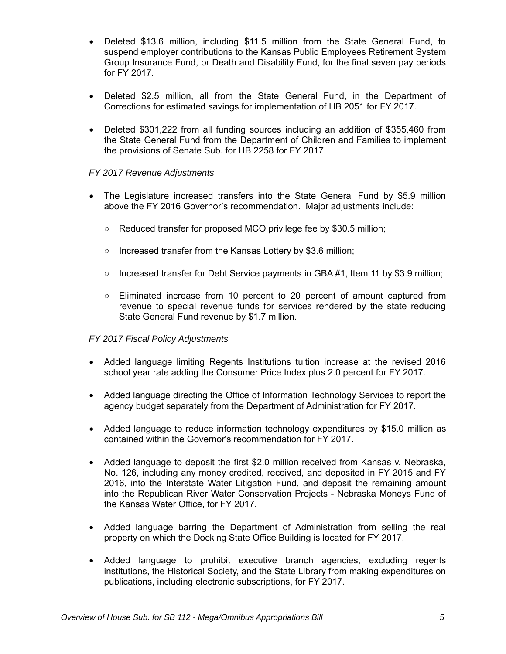- Deleted \$13.6 million, including \$11.5 million from the State General Fund, to suspend employer contributions to the Kansas Public Employees Retirement System Group Insurance Fund, or Death and Disability Fund, for the final seven pay periods for FY 2017.
- Deleted \$2.5 million, all from the State General Fund, in the Department of Corrections for estimated savings for implementation of HB 2051 for FY 2017.
- Deleted \$301,222 from all funding sources including an addition of \$355,460 from the State General Fund from the Department of Children and Families to implement the provisions of Senate Sub. for HB 2258 for FY 2017.

## *FY 2017 Revenue Adjustments*

- The Legislature increased transfers into the State General Fund by \$5.9 million above the FY 2016 Governor's recommendation. Major adjustments include:
	- Reduced transfer for proposed MCO privilege fee by \$30.5 million;
	- Increased transfer from the Kansas Lottery by \$3.6 million;
	- Increased transfer for Debt Service payments in GBA #1, Item 11 by \$3.9 million;
	- Eliminated increase from 10 percent to 20 percent of amount captured from revenue to special revenue funds for services rendered by the state reducing State General Fund revenue by \$1.7 million.

## *FY 2017 Fiscal Policy Adjustments*

- Added language limiting Regents Institutions tuition increase at the revised 2016 school year rate adding the Consumer Price Index plus 2.0 percent for FY 2017.
- Added language directing the Office of Information Technology Services to report the agency budget separately from the Department of Administration for FY 2017.
- Added language to reduce information technology expenditures by \$15.0 million as contained within the Governor's recommendation for FY 2017.
- Added language to deposit the first \$2.0 million received from Kansas v. Nebraska, No. 126, including any money credited, received, and deposited in FY 2015 and FY 2016, into the Interstate Water Litigation Fund, and deposit the remaining amount into the Republican River Water Conservation Projects - Nebraska Moneys Fund of the Kansas Water Office, for FY 2017.
- Added language barring the Department of Administration from selling the real property on which the Docking State Office Building is located for FY 2017.
- Added language to prohibit executive branch agencies, excluding regents institutions, the Historical Society, and the State Library from making expenditures on publications, including electronic subscriptions, for FY 2017.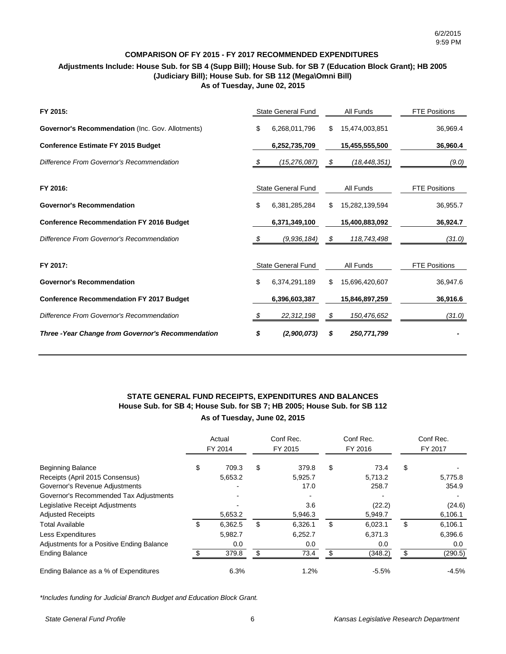## **COMPARISON OF FY 2015 - FY 2017 RECOMMENDED EXPENDITURES**

## **Adjustments Include: House Sub. for SB 4 (Supp Bill); House Sub. for SB 7 (Education Block Grant); HB 2005 (Judiciary Bill); House Sub. for SB 112 (Mega\Omni Bill) As of Tuesday, June 02, 2015**

| FY 2015:                                           |    | <b>State General Fund</b> |     | All Funds      | <b>FTE Positions</b> |
|----------------------------------------------------|----|---------------------------|-----|----------------|----------------------|
| Governor's Recommendation (Inc. Gov. Allotments)   | \$ | 6,268,011,796             | S   | 15,474,003,851 | 36,969.4             |
| <b>Conference Estimate FY 2015 Budget</b>          |    | 6,252,735,709             |     | 15,455,555,500 | 36,960.4             |
| Difference From Governor's Recommendation          | \$ | (15,276,087)              | \$  | (18, 448, 351) | (9.0)                |
|                                                    |    |                           |     |                |                      |
| FY 2016:                                           |    | State General Fund        |     | All Funds      | <b>FTE Positions</b> |
| <b>Governor's Recommendation</b>                   | \$ | 6,381,285,284             | \$. | 15,282,139,594 | 36,955.7             |
| <b>Conference Recommendation FY 2016 Budget</b>    |    | 6,371,349,100             |     | 15,400,883,092 | 36,924.7             |
| Difference From Governor's Recommendation          | S. | (9,936,184)               | \$  | 118,743,498    | (31.0)               |
| FY 2017:                                           |    | <b>State General Fund</b> |     | All Funds      | <b>FTE Positions</b> |
|                                                    |    |                           |     |                |                      |
| <b>Governor's Recommendation</b>                   | \$ | 6,374,291,189             | S   | 15,696,420,607 | 36,947.6             |
| <b>Conference Recommendation FY 2017 Budget</b>    |    | 6,396,603,387             |     | 15,846,897,259 | 36,916.6             |
| Difference From Governor's Recommendation          | S  | 22,312,198                | \$  | 150,476,652    | (31.0)               |
| Three - Year Change from Governor's Recommendation | \$ | (2,900,073)               | S   | 250,771,799    |                      |

## **As of Tuesday, June 02, 2015 STATE GENERAL FUND RECEIPTS, EXPENDITURES AND BALANCES House Sub. for SB 4; House Sub. for SB 7; HB 2005; House Sub. for SB 112**

|                                           | Actual<br>FY 2014 |     | Conf Rec.<br>FY 2015 | Conf Rec.<br>FY 2016 |     | Conf Rec.<br>FY 2017 |
|-------------------------------------------|-------------------|-----|----------------------|----------------------|-----|----------------------|
| <b>Beginning Balance</b>                  | \$<br>709.3       | \$  | 379.8                | \$<br>73.4           | \$  |                      |
| Receipts (April 2015 Consensus)           | 5,653.2           |     | 5,925.7              | 5,713.2              |     | 5,775.8              |
| Governor's Revenue Adjustments            |                   |     | 17.0                 | 258.7                |     | 354.9                |
| Governor's Recommended Tax Adjustments    |                   |     |                      |                      |     |                      |
| Legislative Receipt Adjustments           |                   |     | 3.6                  | (22.2)               |     | (24.6)               |
| <b>Adjusted Receipts</b>                  | 5,653.2           |     | 5,946.3              | 5,949.7              |     | 6,106.1              |
| <b>Total Available</b>                    | \$<br>6,362.5     | \$  | 6,326.1              | \$<br>6,023.1        | \$  | 6,106.1              |
| Less Expenditures                         | 5,982.7           |     | 6,252.7              | 6,371.3              |     | 6,396.6              |
| Adjustments for a Positive Ending Balance | 0.0               |     | 0.0                  | 0.0                  |     | 0.0                  |
| <b>Ending Balance</b>                     | 379.8             | \$. | 73.4                 | (348.2)              | \$. | (290.5)              |
| Ending Balance as a % of Expenditures     | 6.3%              |     | 1.2%                 | $-5.5%$              |     | $-4.5\%$             |

*\*Includes funding for Judicial Branch Budget and Education Block Grant.*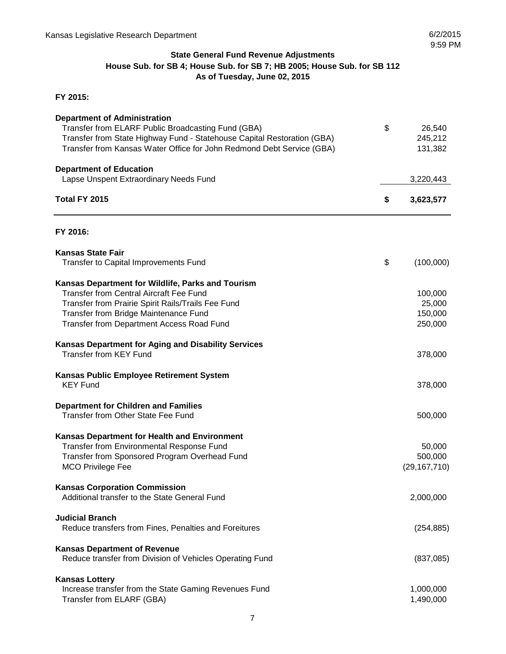## **State General Fund Revenue Adjustments House Sub. for SB 4; House Sub. for SB 7; HB 2005; House Sub. for SB 112 As of Tuesday, June 02, 2015**

## **FY 2015:**

| <b>Department of Administration</b><br>Transfer from ELARF Public Broadcasting Fund (GBA)<br>Transfer from State Highway Fund - Statehouse Capital Restoration (GBA) | \$<br>26,540<br>245,212 |
|----------------------------------------------------------------------------------------------------------------------------------------------------------------------|-------------------------|
| Transfer from Kansas Water Office for John Redmond Debt Service (GBA)                                                                                                | 131,382                 |
| <b>Department of Education</b><br>Lapse Unspent Extraordinary Needs Fund                                                                                             | 3,220,443               |
| Total FY 2015                                                                                                                                                        | \$<br>3,623,577         |
| FY 2016:                                                                                                                                                             |                         |
| <b>Kansas State Fair</b><br><b>Transfer to Capital Improvements Fund</b>                                                                                             | \$<br>(100,000)         |
| Kansas Department for Wildlife, Parks and Tourism<br><b>Transfer from Central Aircraft Fee Fund</b>                                                                  | 100,000                 |
| Transfer from Prairie Spirit Rails/Trails Fee Fund                                                                                                                   | 25,000                  |
| Transfer from Bridge Maintenance Fund                                                                                                                                | 150,000                 |
| Transfer from Department Access Road Fund                                                                                                                            | 250,000                 |
| <b>Kansas Department for Aging and Disability Services</b><br><b>Transfer from KEY Fund</b>                                                                          | 378,000                 |
| Kansas Public Employee Retirement System<br><b>KEY Fund</b>                                                                                                          | 378,000                 |
| <b>Department for Children and Families</b><br><b>Transfer from Other State Fee Fund</b>                                                                             | 500,000                 |
| Kansas Department for Health and Environment                                                                                                                         |                         |
| Transfer from Environmental Response Fund                                                                                                                            | 50,000                  |
| Transfer from Sponsored Program Overhead Fund                                                                                                                        | 500,000                 |
| <b>MCO Privilege Fee</b>                                                                                                                                             | (29, 167, 710)          |
| <b>Kansas Corporation Commission</b><br>Additional transfer to the State General Fund                                                                                | 2,000,000               |
| <b>Judicial Branch</b><br>Reduce transfers from Fines, Penalties and Foreitures                                                                                      | (254, 885)              |
| <b>Kansas Department of Revenue</b><br>Reduce transfer from Division of Vehicles Operating Fund                                                                      | (837,085)               |
| <b>Kansas Lottery</b>                                                                                                                                                |                         |
| Increase transfer from the State Gaming Revenues Fund                                                                                                                | 1,000,000               |
| Transfer from ELARF (GBA)                                                                                                                                            | 1,490,000               |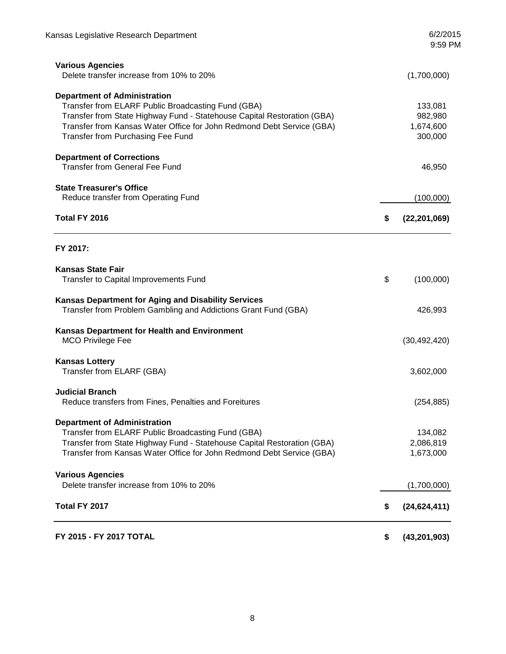| FY 2015 - FY 2017 TOTAL                                                                                                                                                                                                                                                            | \$<br>(43, 201, 903)                       |
|------------------------------------------------------------------------------------------------------------------------------------------------------------------------------------------------------------------------------------------------------------------------------------|--------------------------------------------|
| Total FY 2017                                                                                                                                                                                                                                                                      | \$<br>(24, 624, 411)                       |
| <b>Various Agencies</b><br>Delete transfer increase from 10% to 20%                                                                                                                                                                                                                | (1,700,000)                                |
| <b>Department of Administration</b><br>Transfer from ELARF Public Broadcasting Fund (GBA)<br>Transfer from State Highway Fund - Statehouse Capital Restoration (GBA)<br>Transfer from Kansas Water Office for John Redmond Debt Service (GBA)                                      | 134,082<br>2,086,819<br>1,673,000          |
| <b>Judicial Branch</b><br>Reduce transfers from Fines, Penalties and Foreitures                                                                                                                                                                                                    | (254, 885)                                 |
| <b>Kansas Lottery</b><br>Transfer from ELARF (GBA)                                                                                                                                                                                                                                 | 3,602,000                                  |
| <b>Kansas Department for Health and Environment</b><br><b>MCO Privilege Fee</b>                                                                                                                                                                                                    | (30, 492, 420)                             |
| <b>Kansas Department for Aging and Disability Services</b><br>Transfer from Problem Gambling and Addictions Grant Fund (GBA)                                                                                                                                                       | 426,993                                    |
| <b>Kansas State Fair</b><br>Transfer to Capital Improvements Fund                                                                                                                                                                                                                  | \$<br>(100,000)                            |
| FY 2017:                                                                                                                                                                                                                                                                           |                                            |
| Total FY 2016                                                                                                                                                                                                                                                                      | \$<br>(22, 201, 069)                       |
| <b>State Treasurer's Office</b><br>Reduce transfer from Operating Fund                                                                                                                                                                                                             | (100,000)                                  |
| <b>Department of Corrections</b><br><b>Transfer from General Fee Fund</b>                                                                                                                                                                                                          | 46,950                                     |
| <b>Department of Administration</b><br>Transfer from ELARF Public Broadcasting Fund (GBA)<br>Transfer from State Highway Fund - Statehouse Capital Restoration (GBA)<br>Transfer from Kansas Water Office for John Redmond Debt Service (GBA)<br>Transfer from Purchasing Fee Fund | 133,081<br>982,980<br>1,674,600<br>300,000 |
| <b>Various Agencies</b><br>Delete transfer increase from 10% to 20%                                                                                                                                                                                                                | (1,700,000)                                |
| Kansas Legislative Research Department                                                                                                                                                                                                                                             | 6/2/2015<br>9:59 PM                        |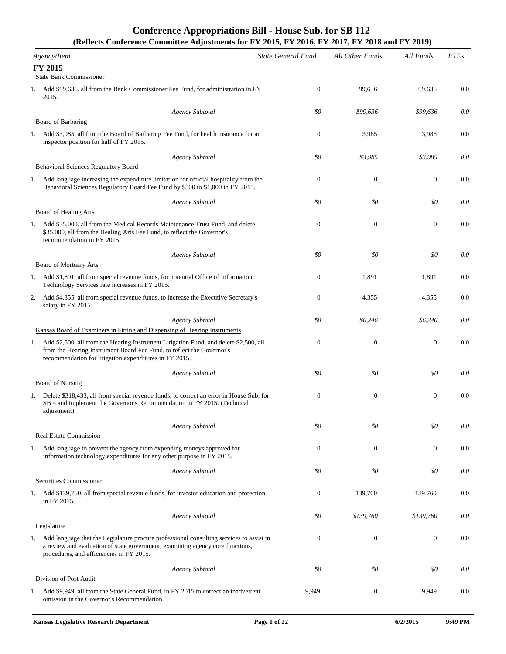## **Conference Appropriations Bill - House Sub. for SB 112 (Reflects Conference Committee Adjustments for FY 2015, FY 2016, FY 2017, FY 2018 and FY 2019)**

|    | Agency/Item                                                                                                                                                                                                                 | <b>State General Fund</b> | All Other Funds  | All Funds        | <b>FTEs</b> |
|----|-----------------------------------------------------------------------------------------------------------------------------------------------------------------------------------------------------------------------------|---------------------------|------------------|------------------|-------------|
|    | <b>FY 2015</b>                                                                                                                                                                                                              |                           |                  |                  |             |
|    | <b>State Bank Commissioner</b><br>1. Add \$99,636, all from the Bank Commissioner Fee Fund, for administration in FY<br>2015.                                                                                               | $\overline{0}$            | 99,636           | 99,636           | 0.0         |
|    |                                                                                                                                                                                                                             |                           |                  |                  |             |
|    | <b>Agency Subtotal</b><br>Board of Barbering                                                                                                                                                                                | \$0                       | \$99,636         | \$99,636         | 0.0         |
| 1. | Add \$3,985, all from the Board of Barbering Fee Fund, for health insurance for an<br>inspector position for half of FY 2015.                                                                                               | $\mathbf{0}$              | 3,985            | 3,985            | 0.0         |
|    | <b>Agency Subtotal</b><br><b>Behavioral Sciences Regulatory Board</b>                                                                                                                                                       | \$0                       | \$3,985          | \$3,985          | 0.0         |
|    | 1. Add language increasing the expenditure limitation for official hospitality from the<br>Behavioral Sciences Regulatory Board Fee Fund by \$500 to \$1,000 in FY 2015.                                                    | $\mathbf{0}$              | $\mathbf{0}$     | $\mathbf{0}$     | 0.0         |
|    |                                                                                                                                                                                                                             |                           |                  |                  |             |
|    | <b>Agency Subtotal</b><br><b>Board of Healing Arts</b>                                                                                                                                                                      | \$0                       | \$0              | \$0              | 0.0         |
|    | 1. Add \$35,000, all from the Medical Records Maintenance Trust Fund, and delete<br>\$35,000, all from the Healing Arts Fee Fund, to reflect the Governor's<br>recommendation in FY 2015.                                   | $\mathbf{0}$              | $\mathbf{0}$     | $\mathbf{0}$     | 0.0         |
|    | Agency Subtotal                                                                                                                                                                                                             | \$0                       | \$0              | \$0              | 0.0         |
|    | Board of Mortuary Arts                                                                                                                                                                                                      |                           |                  |                  |             |
|    | 1. Add \$1,891, all from special revenue funds, for potential Office of Information<br>Technology Services rate increases in FY 2015.                                                                                       | $\overline{0}$            | 1,891            | 1,891            | 0.0         |
| 2. | Add \$4,355, all from special revenue funds, to increase the Executive Secretary's<br>salary in FY 2015.                                                                                                                    | $\Omega$                  | 4,355            | 4,355            | 0.0         |
|    | <b>Agency Subtotal</b>                                                                                                                                                                                                      | \$0                       | \$6,246          | \$6,246          | 0.0         |
|    | Kansas Board of Examiners in Fitting and Dispensing of Hearing Instruments                                                                                                                                                  |                           |                  |                  |             |
|    | 1. Add \$2,500, all from the Hearing Instrument Litigation Fund, and delete \$2,500, all<br>from the Hearing Instrument Board Fee Fund, to reflect the Governor's<br>recommendation for litigation expenditures in FY 2015. | $\mathbf{0}$              | $\mathbf{0}$     | $\boldsymbol{0}$ | 0.0         |
|    | <b>Agency Subtotal</b>                                                                                                                                                                                                      | \$0                       | \$0              | \$0              | 0.0         |
|    | <b>Board of Nursing</b><br>1. Delete \$318,433, all from special revenue funds, to correct an error in House Sub. for<br>SB 4 and implement the Governor's Recommendation in FY 2015. (Technical<br>adjustment)             | $\boldsymbol{0}$          | $\mathbf{0}$     | $\mathbf{0}$     | 0.0         |
|    | <b>Agency Subtotal</b>                                                                                                                                                                                                      | \$0                       | \$0              | \$0              | 0.0         |
|    | Real Estate Commission                                                                                                                                                                                                      |                           |                  |                  |             |
|    | 1. Add language to prevent the agency from expending moneys approved for<br>information technology expenditures for any other purpose in FY 2015.                                                                           | $\overline{0}$            | $\theta$         | $\mathbf{0}$     | 0.0         |
|    | <b>Agency Subtotal</b>                                                                                                                                                                                                      | \$0                       | \$0              | \$0              | 0.0         |
|    | Securities Commissioner                                                                                                                                                                                                     |                           |                  |                  |             |
| 1. | Add \$139,760, all from special revenue funds, for investor education and protection<br>in FY 2015.                                                                                                                         | $\overline{0}$            | 139,760          | 139,760          | 0.0         |
|    | <b>Agency Subtotal</b><br>Legislature                                                                                                                                                                                       | \$0                       | \$139,760        | \$139,760        | 0.0         |
|    | 1. Add language that the Legislature procure professional consulting services to assist in<br>a review and evaluation of state government, examining agency core functions,<br>procedures, and efficiencies in FY 2015.     | $\boldsymbol{0}$          | $\boldsymbol{0}$ | $\mathbf{0}$     | 0.0         |
|    | <b>Agency Subtotal</b>                                                                                                                                                                                                      | \$0                       | \$0              | \$0              | 0.0         |
|    | <b>Division of Post Audit</b>                                                                                                                                                                                               |                           |                  |                  |             |
| 1. | Add \$9,949, all from the State General Fund, in FY 2015 to correct an inadvertent<br>omission in the Governor's Recommendation.                                                                                            | 9,949                     | $\mathbf{0}$     | 9,949            | 0.0         |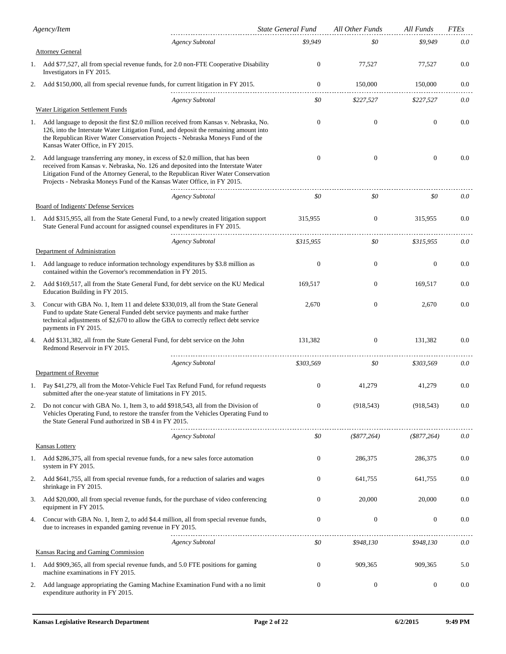|    | Agency/Item                                                                                                                                                                                                                                                                                                                           | State General Fund | All Other Funds  | All Funds         | <b>FTEs</b> |
|----|---------------------------------------------------------------------------------------------------------------------------------------------------------------------------------------------------------------------------------------------------------------------------------------------------------------------------------------|--------------------|------------------|-------------------|-------------|
|    | <b>Agency Subtotal</b>                                                                                                                                                                                                                                                                                                                | \$9,949            | \$0              | \$9,949           | 0.0         |
|    | <b>Attorney General</b>                                                                                                                                                                                                                                                                                                               |                    |                  |                   |             |
|    | 1. Add \$77,527, all from special revenue funds, for 2.0 non-FTE Cooperative Disability<br>Investigators in FY 2015.                                                                                                                                                                                                                  | $\boldsymbol{0}$   | 77,527           | 77,527            | 0.0         |
| 2. | Add \$150,000, all from special revenue funds, for current litigation in FY 2015.                                                                                                                                                                                                                                                     | $\boldsymbol{0}$   | 150,000          | 150,000           | 0.0         |
|    | <b>Agency Subtotal</b>                                                                                                                                                                                                                                                                                                                | \$0                | \$227,527        | \$227,527         | 0.0         |
|    | <b>Water Litigation Settlement Funds</b>                                                                                                                                                                                                                                                                                              |                    |                  |                   |             |
| 1. | Add language to deposit the first \$2.0 million received from Kansas v. Nebraska, No.<br>126, into the Interstate Water Litigation Fund, and deposit the remaining amount into<br>the Republican River Water Conservation Projects - Nebraska Moneys Fund of the<br>Kansas Water Office, in FY 2015.                                  | $\mathbf{0}$       | $\boldsymbol{0}$ | $\mathbf{0}$      | 0.0         |
| 2. | Add language transferring any money, in excess of \$2.0 million, that has been<br>received from Kansas v. Nebraska, No. 126 and deposited into the Interstate Water<br>Litigation Fund of the Attorney General, to the Republican River Water Conservation<br>Projects - Nebraska Moneys Fund of the Kansas Water Office, in FY 2015. | $\mathbf{0}$       | $\mathbf{0}$     | $\mathbf{0}$      | 0.0         |
|    | <b>Agency Subtotal</b>                                                                                                                                                                                                                                                                                                                | \$0                | \$0              | \$0               | 0.0         |
|    | <b>Board of Indigents' Defense Services</b>                                                                                                                                                                                                                                                                                           |                    |                  |                   |             |
|    | 1. Add \$315,955, all from the State General Fund, to a newly created litigation support<br>State General Fund account for assigned counsel expenditures in FY 2015.                                                                                                                                                                  | 315,955            | $\boldsymbol{0}$ | 315,955           | 0.0         |
|    | <b>Agency Subtotal</b>                                                                                                                                                                                                                                                                                                                | \$315,955          | \$0              | \$315,955         | 0.0         |
|    | Department of Administration                                                                                                                                                                                                                                                                                                          |                    |                  |                   |             |
|    | 1. Add language to reduce information technology expenditures by \$3.8 million as<br>contained within the Governor's recommendation in FY 2015.                                                                                                                                                                                       | $\mathbf{0}$       | $\boldsymbol{0}$ | $\mathbf{0}$      | 0.0         |
| 2. | Add \$169,517, all from the State General Fund, for debt service on the KU Medical<br>Education Building in FY 2015.                                                                                                                                                                                                                  | 169,517            | $\mathbf{0}$     | 169,517           | 0.0         |
| 3. | Concur with GBA No. 1, Item 11 and delete \$330,019, all from the State General<br>Fund to update State General Funded debt service payments and make further<br>technical adjustments of \$2,670 to allow the GBA to correctly reflect debt service<br>payments in FY 2015.                                                          | 2,670              | $\boldsymbol{0}$ | 2,670             | 0.0         |
| 4. | Add \$131,382, all from the State General Fund, for debt service on the John<br>Redmond Reservoir in FY 2015.                                                                                                                                                                                                                         | 131,382            | $\mathbf{0}$     | 131,382           | 0.0         |
|    | <b>Agency Subtotal</b>                                                                                                                                                                                                                                                                                                                | \$303.569          | \$0              | \$303,569         | 0.0         |
|    | Department of Revenue                                                                                                                                                                                                                                                                                                                 |                    |                  |                   |             |
|    | Pay \$41,279, all from the Motor-Vehicle Fuel Tax Refund Fund, for refund requests<br>submitted after the one-year statute of limitations in FY 2015.                                                                                                                                                                                 | $\boldsymbol{0}$   | 41,279           | 41,279            | 0.0         |
| 2. | Do not concur with GBA No. 1, Item 3, to add \$918,543, all from the Division of<br>Vehicles Operating Fund, to restore the transfer from the Vehicles Operating Fund to<br>the State General Fund authorized in SB 4 in FY 2015.                                                                                                     | $\boldsymbol{0}$   | (918, 543)       | (918, 543)        | 0.0         |
|    | <b>Agency Subtotal</b>                                                                                                                                                                                                                                                                                                                | \$0                | (\$877,264)      | $($ \$877,264 $)$ | 0.0         |
|    | Kansas Lottery                                                                                                                                                                                                                                                                                                                        |                    |                  |                   |             |
| 1. | Add \$286,375, all from special revenue funds, for a new sales force automation<br>system in FY 2015.                                                                                                                                                                                                                                 | $\boldsymbol{0}$   | 286,375          | 286,375           | 0.0         |
| 2. | Add \$641,755, all from special revenue funds, for a reduction of salaries and wages<br>shrinkage in FY 2015.                                                                                                                                                                                                                         | $\boldsymbol{0}$   | 641,755          | 641,755           | 0.0         |
| 3. | Add \$20,000, all from special revenue funds, for the purchase of video conferencing<br>equipment in FY 2015.                                                                                                                                                                                                                         | $\boldsymbol{0}$   | 20,000           | 20,000            | 0.0         |
| 4. | Concur with GBA No. 1, Item 2, to add \$4.4 million, all from special revenue funds,<br>due to increases in expanded gaming revenue in FY 2015.                                                                                                                                                                                       | $\mathbf{0}$       | $\boldsymbol{0}$ | $\mathbf{0}$      | 0.0         |
|    | <b>Agency Subtotal</b>                                                                                                                                                                                                                                                                                                                | \$0                | \$948,130        | \$948,130         | 0.0         |
|    | Kansas Racing and Gaming Commission                                                                                                                                                                                                                                                                                                   |                    |                  |                   |             |
|    | 1. Add \$909,365, all from special revenue funds, and 5.0 FTE positions for gaming<br>machine examinations in FY 2015.                                                                                                                                                                                                                | $\boldsymbol{0}$   | 909,365          | 909,365           | 5.0         |
| 2. | Add language appropriating the Gaming Machine Examination Fund with a no limit<br>expenditure authority in FY 2015.                                                                                                                                                                                                                   | 0                  | $\boldsymbol{0}$ | $\mathbf{0}$      | 0.0         |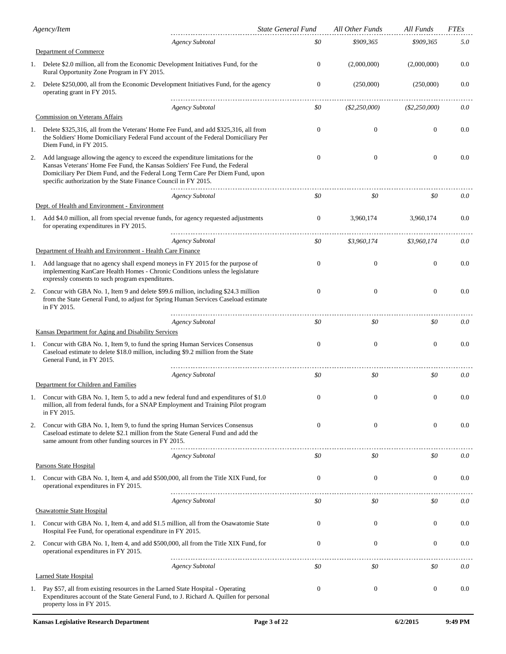|    | Agency/Item                                                                                                                                                                                                                                                                                                      |                        | <b>State General Fund</b> | All Other Funds  | All Funds       | <b>FTEs</b> |
|----|------------------------------------------------------------------------------------------------------------------------------------------------------------------------------------------------------------------------------------------------------------------------------------------------------------------|------------------------|---------------------------|------------------|-----------------|-------------|
|    |                                                                                                                                                                                                                                                                                                                  | <b>Agency Subtotal</b> | \$0                       | \$909,365        | \$909,365       | 5.0         |
|    | Department of Commerce                                                                                                                                                                                                                                                                                           |                        |                           |                  |                 |             |
|    | 1. Delete \$2.0 million, all from the Economic Development Initiatives Fund, for the<br>Rural Opportunity Zone Program in FY 2015.                                                                                                                                                                               |                        | $\overline{0}$            | (2,000,000)      | (2,000,000)     | 0.0         |
| 2. | Delete \$250,000, all from the Economic Development Initiatives Fund, for the agency<br>operating grant in FY 2015.                                                                                                                                                                                              |                        | $\boldsymbol{0}$          | (250,000)        | (250,000)       | 0.0         |
|    |                                                                                                                                                                                                                                                                                                                  | <b>Agency Subtotal</b> | \$0                       | $(\$2,250,000)$  | $(\$2,250,000)$ | 0.0         |
|    | Commission on Veterans Affairs                                                                                                                                                                                                                                                                                   |                        |                           |                  |                 |             |
| 1. | Delete \$325,316, all from the Veterans' Home Fee Fund, and add \$325,316, all from<br>the Soldiers' Home Domiciliary Federal Fund account of the Federal Domiciliary Per<br>Diem Fund, in FY 2015.                                                                                                              |                        | $\mathbf{0}$              | $\mathbf{0}$     | $\overline{0}$  | 0.0         |
| 2. | Add language allowing the agency to exceed the expenditure limitations for the<br>Kansas Veterans' Home Fee Fund, the Kansas Soldiers' Fee Fund, the Federal<br>Domiciliary Per Diem Fund, and the Federal Long Term Care Per Diem Fund, upon<br>specific authorization by the State Finance Council in FY 2015. |                        | $\mathbf{0}$              | $\mathbf{0}$     | $\overline{0}$  | 0.0         |
|    | Dept. of Health and Environment - Environment                                                                                                                                                                                                                                                                    | <b>Agency Subtotal</b> | \$0                       | \$0              | \$0             | 0.0         |
| 1. | Add \$4.0 million, all from special revenue funds, for agency requested adjustments<br>for operating expenditures in FY 2015.                                                                                                                                                                                    |                        | $\mathbf{0}$              | 3,960,174        | 3,960,174       | 0.0         |
|    |                                                                                                                                                                                                                                                                                                                  | <b>Agency Subtotal</b> | \$0                       | \$3,960,174      | \$3,960,174     | 0.0         |
|    | Department of Health and Environment - Health Care Finance                                                                                                                                                                                                                                                       |                        |                           |                  |                 |             |
|    | 1. Add language that no agency shall expend moneys in FY 2015 for the purpose of<br>implementing KanCare Health Homes - Chronic Conditions unless the legislature<br>expressly consents to such program expenditures.                                                                                            |                        | $\mathbf{0}$              | $\boldsymbol{0}$ | $\mathbf{0}$    | 0.0         |
| 2. | Concur with GBA No. 1, Item 9 and delete \$99.6 million, including \$24.3 million<br>from the State General Fund, to adjust for Spring Human Services Caseload estimate<br>in FY 2015.                                                                                                                           |                        | $\mathbf{0}$              | $\theta$         | $\mathbf{0}$    | 0.0         |
|    |                                                                                                                                                                                                                                                                                                                  | <b>Agency Subtotal</b> | \$0                       | \$0              | \$0             | 0.0         |
|    | Kansas Department for Aging and Disability Services                                                                                                                                                                                                                                                              |                        |                           |                  |                 |             |
| 1. | Concur with GBA No. 1, Item 9, to fund the spring Human Services Consensus<br>Caseload estimate to delete \$18.0 million, including \$9.2 million from the State<br>General Fund, in FY 2015.                                                                                                                    |                        | $\mathbf{0}$              | $\theta$         | $\mathbf{0}$    | 0.0         |
|    |                                                                                                                                                                                                                                                                                                                  | <b>Agency Subtotal</b> | \$0                       | \$0              | \$0             | 0.0         |
|    | Department for Children and Families                                                                                                                                                                                                                                                                             |                        |                           |                  |                 |             |
| 1. | Concur with GBA No. 1, Item 5, to add a new federal fund and expenditures of \$1.0<br>million, all from federal funds, for a SNAP Employment and Training Pilot program<br>in FY 2015.                                                                                                                           |                        | $\mathbf{0}$              | $\theta$         | $\theta$        | 0.0         |
| 2. | Concur with GBA No. 1, Item 9, to fund the spring Human Services Consensus<br>Caseload estimate to delete \$2.1 million from the State General Fund and add the<br>same amount from other funding sources in FY 2015.                                                                                            |                        | $\boldsymbol{0}$          | $\boldsymbol{0}$ | $\mathbf{0}$    | 0.0         |
|    |                                                                                                                                                                                                                                                                                                                  | <b>Agency Subtotal</b> | \$0                       | \$0              | \$0             | 0.0         |
|    | Parsons State Hospital                                                                                                                                                                                                                                                                                           |                        |                           |                  |                 |             |
|    | 1. Concur with GBA No. 1, Item 4, and add \$500,000, all from the Title XIX Fund, for<br>operational expenditures in FY 2015.                                                                                                                                                                                    |                        | $\mathbf{0}$              | $\mathbf{0}$     | $\mathbf{0}$    | 0.0         |
|    | Osawatomie State Hospital                                                                                                                                                                                                                                                                                        | <b>Agency Subtotal</b> | \$0                       | \$0              | \$0             | 0.0         |
| 1. | Concur with GBA No. 1, Item 4, and add \$1.5 million, all from the Osawatomie State<br>Hospital Fee Fund, for operational expenditure in FY 2015.                                                                                                                                                                |                        | $\mathbf{0}$              | $\mathbf{0}$     | $\theta$        | 0.0         |
| 2. | Concur with GBA No. 1, Item 4, and add \$500,000, all from the Title XIX Fund, for<br>operational expenditures in FY 2015.                                                                                                                                                                                       |                        | $\boldsymbol{0}$          | $\mathbf{0}$     | $\mathbf{0}$    | 0.0         |
|    |                                                                                                                                                                                                                                                                                                                  | <b>Agency Subtotal</b> | \$0                       | \$0              | \$0             | 0.0         |
|    | <b>Larned State Hospital</b>                                                                                                                                                                                                                                                                                     |                        |                           |                  |                 |             |
|    | 1. Pay \$57, all from existing resources in the Larned State Hospital - Operating<br>Expenditures account of the State General Fund, to J. Richard A. Quillen for personal<br>property loss in FY 2015.                                                                                                          |                        | $\boldsymbol{0}$          | $\mathbf{0}$     | $\mathbf{0}$    | 0.0         |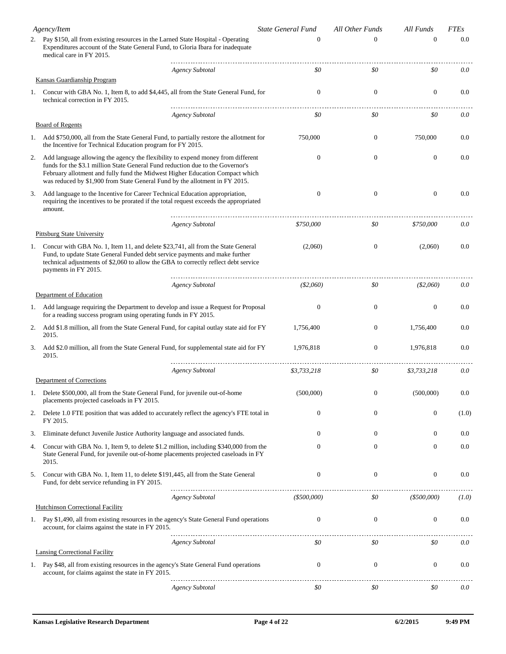|    | Agency/Item                                                                                                                                                                                                                                                                                                                      | <b>State General Fund</b> | All Other Funds  | All Funds        | <b>FTEs</b> |
|----|----------------------------------------------------------------------------------------------------------------------------------------------------------------------------------------------------------------------------------------------------------------------------------------------------------------------------------|---------------------------|------------------|------------------|-------------|
|    | 2. Pay \$150, all from existing resources in the Larned State Hospital - Operating<br>Expenditures account of the State General Fund, to Gloria Ibara for inadequate<br>medical care in FY 2015.                                                                                                                                 | $\Omega$                  | $\Omega$         | $\mathbf{0}$     | 0.0         |
|    | <b>Agency Subtotal</b>                                                                                                                                                                                                                                                                                                           | \$0                       | \$0              | \$0              | 0.0         |
|    | Kansas Guardianship Program                                                                                                                                                                                                                                                                                                      |                           |                  |                  |             |
|    | 1. Concur with GBA No. 1, Item 8, to add \$4,445, all from the State General Fund, for<br>technical correction in FY 2015.                                                                                                                                                                                                       | $\theta$                  | $\boldsymbol{0}$ | $\boldsymbol{0}$ | 0.0         |
|    | <b>Agency Subtotal</b><br><b>Board of Regents</b>                                                                                                                                                                                                                                                                                | \$0                       | \$0              | \$0              | 0.0         |
|    | 1. Add \$750,000, all from the State General Fund, to partially restore the allotment for                                                                                                                                                                                                                                        | 750,000                   | $\mathbf{0}$     | 750,000          | 0.0         |
|    | the Incentive for Technical Education program for FY 2015.                                                                                                                                                                                                                                                                       |                           |                  |                  |             |
| 2. | Add language allowing the agency the flexibility to expend money from different<br>funds for the \$3.1 million State General Fund reduction due to the Governor's<br>February allotment and fully fund the Midwest Higher Education Compact which<br>was reduced by \$1,900 from State General Fund by the allotment in FY 2015. | $\theta$                  | $\boldsymbol{0}$ | $\boldsymbol{0}$ | 0.0         |
| 3. | Add language to the Incentive for Career Technical Education appropriation,<br>requiring the incentives to be prorated if the total request exceeds the appropriated<br>amount.                                                                                                                                                  | $\mathbf{0}$              | $\boldsymbol{0}$ | $\boldsymbol{0}$ | 0.0         |
|    | <b>Agency Subtotal</b>                                                                                                                                                                                                                                                                                                           | \$750,000                 | \$0              | \$750,000        | 0.0         |
|    | <b>Pittsburg State University</b>                                                                                                                                                                                                                                                                                                |                           |                  |                  |             |
| 1. | Concur with GBA No. 1, Item 11, and delete \$23,741, all from the State General<br>Fund, to update State General Funded debt service payments and make further<br>technical adjustments of \$2,060 to allow the GBA to correctly reflect debt service<br>payments in FY 2015.                                                    | (2,060)                   | $\mathbf{0}$     | (2,060)          | 0.0         |
|    | <b>Agency Subtotal</b>                                                                                                                                                                                                                                                                                                           | ( \$2,060)                | \$0              | ( \$2,060)       | 0.0         |
|    | Department of Education                                                                                                                                                                                                                                                                                                          |                           |                  |                  |             |
|    | 1. Add language requiring the Department to develop and issue a Request for Proposal<br>for a reading success program using operating funds in FY 2015.                                                                                                                                                                          | $\theta$                  | $\mathbf{0}$     | $\boldsymbol{0}$ | 0.0         |
| 2. | Add \$1.8 million, all from the State General Fund, for capital outlay state aid for FY<br>2015.                                                                                                                                                                                                                                 | 1,756,400                 | $\boldsymbol{0}$ | 1,756,400        | 0.0         |
| 3. | Add \$2.0 million, all from the State General Fund, for supplemental state aid for FY<br>2015.                                                                                                                                                                                                                                   | 1,976,818                 | $\boldsymbol{0}$ | 1,976,818        | 0.0         |
|    | <b>Agency Subtotal</b>                                                                                                                                                                                                                                                                                                           | \$3,733,218               | \$0              | \$3,733,218      | 0.0         |
|    | Department of Corrections                                                                                                                                                                                                                                                                                                        |                           |                  |                  |             |
|    | 1. Delete \$500,000, all from the State General Fund, for juvenile out-of-home<br>placements projected caseloads in FY 2015.                                                                                                                                                                                                     | (500,000)                 | $\boldsymbol{0}$ | (500,000)        | 0.0         |
| 2. | Delete 1.0 FTE position that was added to accurately reflect the agency's FTE total in<br>FY 2015.                                                                                                                                                                                                                               | $\mathbf{0}$              | $\mathbf{0}$     | $\boldsymbol{0}$ | (1.0)       |
| 3. | Eliminate defunct Juvenile Justice Authority language and associated funds.                                                                                                                                                                                                                                                      | $\theta$                  | $\mathbf{0}$     | $\theta$         | 0.0         |
| 4. | Concur with GBA No. 1, Item 9, to delete \$1.2 million, including \$340,000 from the<br>State General Fund, for juvenile out-of-home placements projected caseloads in FY<br>2015.                                                                                                                                               | 0                         | 0                | $\mathbf{0}$     | 0.0         |
| 5. | Concur with GBA No. 1, Item 11, to delete \$191,445, all from the State General<br>Fund, for debt service refunding in FY 2015.                                                                                                                                                                                                  | $\mathbf{0}$              | $\boldsymbol{0}$ | $\boldsymbol{0}$ | 0.0         |
|    | <b>Agency Subtotal</b>                                                                                                                                                                                                                                                                                                           | $($ \$500,000)            | \$0              | $($ \$500,000)   | (1.0)       |
|    | <b>Hutchinson Correctional Facility</b>                                                                                                                                                                                                                                                                                          |                           |                  |                  |             |
|    | 1. Pay \$1,490, all from existing resources in the agency's State General Fund operations<br>account, for claims against the state in FY 2015.                                                                                                                                                                                   | $\overline{0}$            | $\boldsymbol{0}$ | $\boldsymbol{0}$ | 0.0         |
|    | <b>Agency Subtotal</b>                                                                                                                                                                                                                                                                                                           | \$0                       | \$0              | \$0              | 0.0         |
|    | <b>Lansing Correctional Facility</b>                                                                                                                                                                                                                                                                                             |                           |                  |                  |             |
|    | 1. Pay \$48, all from existing resources in the agency's State General Fund operations<br>account, for claims against the state in FY 2015.                                                                                                                                                                                      | $\mathbf{0}$              | $\boldsymbol{0}$ | $\boldsymbol{0}$ | 0.0         |
|    | <b>Agency Subtotal</b>                                                                                                                                                                                                                                                                                                           | \$0                       | \$0              | \$0              | 0.0         |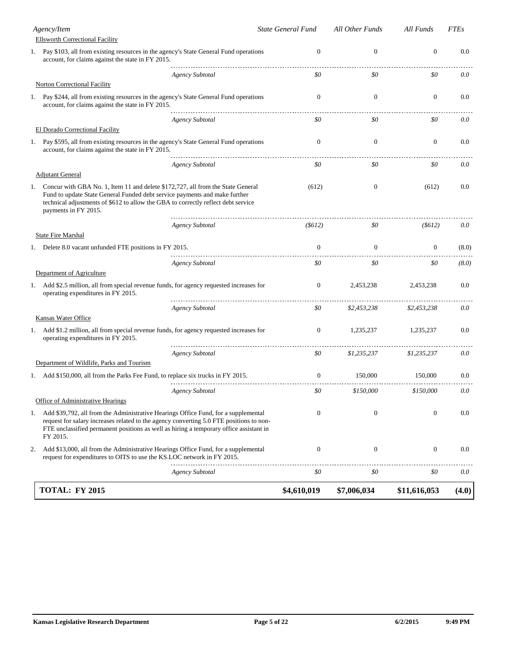|    | <b>TOTAL: FY 2015</b>                                                                                                                                                                                                                                                               |                        | \$4,610,019        | \$7,006,034              | \$11,616,053             | (4.0)       |
|----|-------------------------------------------------------------------------------------------------------------------------------------------------------------------------------------------------------------------------------------------------------------------------------------|------------------------|--------------------|--------------------------|--------------------------|-------------|
|    |                                                                                                                                                                                                                                                                                     | <b>Agency Subtotal</b> | \$0                | \$0                      | \$0                      | 0.0         |
| 2. | Add \$13,000, all from the Administrative Hearings Office Fund, for a supplemental<br>request for expenditures to OITS to use the KS.LOC network in FY 2015.                                                                                                                        |                        | $\boldsymbol{0}$   | $\boldsymbol{0}$         | $\mathbf{0}$             | 0.0         |
| 1. | Add \$39,792, all from the Administrative Hearings Office Fund, for a supplemental<br>request for salary increases related to the agency converting 5.0 FTE positions to non-<br>FTE unclassified permanent positions as well as hiring a temporary office assistant in<br>FY 2015. |                        | $\mathbf{0}$       | $\boldsymbol{0}$         | $\boldsymbol{0}$         | 0.0         |
|    | Office of Administrative Hearings                                                                                                                                                                                                                                                   | Agency Subtotal        | \$0                | \$150,000                | \$150,000                | 0.0         |
|    | Add \$150,000, all from the Parks Fee Fund, to replace six trucks in FY 2015.                                                                                                                                                                                                       |                        | $\theta$           | 150,000                  | 150,000                  | $0.0\,$     |
|    | Department of Wildlife, Parks and Tourism                                                                                                                                                                                                                                           |                        |                    |                          |                          |             |
| 1. | Add \$1.2 million, all from special revenue funds, for agency requested increases for<br>operating expenditures in FY 2015.                                                                                                                                                         | <b>Agency Subtotal</b> | 0<br>\$0           | 1,235,237<br>\$1,235,237 | 1,235,237<br>\$1,235,237 | 0.0<br>0.0  |
|    | Kansas Water Office                                                                                                                                                                                                                                                                 |                        |                    |                          |                          |             |
|    |                                                                                                                                                                                                                                                                                     | <b>Agency Subtotal</b> | \$0                | \$2,453,238              | \$2,453,238              | 0.0         |
| 1. | Add \$2.5 million, all from special revenue funds, for agency requested increases for<br>operating expenditures in FY 2015.                                                                                                                                                         |                        | $\mathbf{0}$       | 2,453,238                | 2,453,238                | 0.0         |
|    | Department of Agriculture                                                                                                                                                                                                                                                           | <b>Agency Subtotal</b> | \$0                | \$0                      | \$0                      | (8.0)       |
|    | 1. Delete 8.0 vacant unfunded FTE positions in FY 2015.                                                                                                                                                                                                                             |                        | $\Omega$           | $\Omega$                 | $\overline{0}$           | (8.0)       |
|    | <b>State Fire Marshal</b>                                                                                                                                                                                                                                                           | <b>Agency Subtotal</b> | $($ \$612)         | \$0                      | $($ \$612)               | 0.0         |
| 1. | Concur with GBA No. 1, Item 11 and delete \$172,727, all from the State General<br>Fund to update State General Funded debt service payments and make further<br>technical adjustments of \$612 to allow the GBA to correctly reflect debt service<br>payments in FY 2015.          |                        | (612)              | $\mathbf{0}$             | (612)                    | 0.0         |
|    | <b>Adjutant General</b>                                                                                                                                                                                                                                                             |                        |                    |                          |                          |             |
|    | account, for claims against the state in FY 2015.                                                                                                                                                                                                                                   | <b>Agency Subtotal</b> | \$0                | \$0                      | \$0                      | 0.0         |
| 1. | Pay \$595, all from existing resources in the agency's State General Fund operations                                                                                                                                                                                                |                        | $\boldsymbol{0}$   | $\boldsymbol{0}$         | $\mathbf{0}$             | 0.0         |
|    | El Dorado Correctional Facility                                                                                                                                                                                                                                                     | <b>Agency Subtotal</b> | \$0                | \$0                      | \$0                      | 0.0         |
| Ι. | Pay \$244, all from existing resources in the agency's State General Fund operations<br>account, for claims against the state in FY 2015.                                                                                                                                           |                        | $\mathbf{0}$       | $\mathbf{0}$             | $\mathbf{0}$             | 0.0         |
|    | <b>Norton Correctional Facility</b>                                                                                                                                                                                                                                                 | <b>Agency Subtotal</b> | \$0                | \$0                      | \$0                      | 0.0         |
|    | 1. Pay \$103, all from existing resources in the agency's State General Fund operations<br>account, for claims against the state in FY 2015.                                                                                                                                        |                        | $\mathbf{0}$       | $\boldsymbol{0}$         | $\boldsymbol{0}$         | 0.0         |
|    | Agency/Item<br><b>Ellsworth Correctional Facility</b>                                                                                                                                                                                                                               |                        | State General Fund | All Other Funds          | All Funds                | <b>FTEs</b> |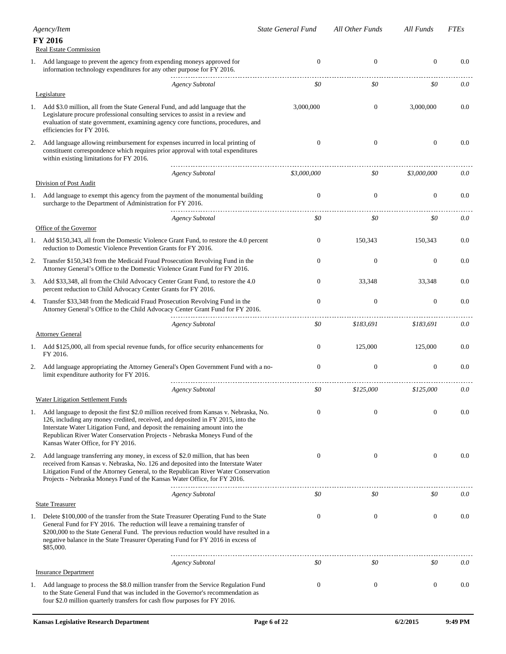|    | Agency/Item                                                                                                                                                                                                                                                                                                                                                                | <b>State General Fund</b> | All Other Funds  | All Funds        | <i>FTEs</i> |
|----|----------------------------------------------------------------------------------------------------------------------------------------------------------------------------------------------------------------------------------------------------------------------------------------------------------------------------------------------------------------------------|---------------------------|------------------|------------------|-------------|
|    | FY 2016<br><b>Real Estate Commission</b>                                                                                                                                                                                                                                                                                                                                   |                           |                  |                  |             |
| 1. | Add language to prevent the agency from expending moneys approved for<br>information technology expenditures for any other purpose for FY 2016.                                                                                                                                                                                                                            | $\mathbf{0}$              | $\boldsymbol{0}$ | $\mathbf{0}$     | 0.0         |
|    | <b>Agency Subtotal</b><br>Legislature                                                                                                                                                                                                                                                                                                                                      | \$0                       | \$0              | \$0              | 0.0         |
| 1. | Add \$3.0 million, all from the State General Fund, and add language that the<br>Legislature procure professional consulting services to assist in a review and<br>evaluation of state government, examining agency core functions, procedures, and<br>efficiencies for FY 2016.                                                                                           | 3,000,000                 | $\mathbf{0}$     | 3,000,000        | 0.0         |
| 2. | Add language allowing reimbursement for expenses incurred in local printing of<br>constituent correspondence which requires prior approval with total expenditures<br>within existing limitations for FY 2016.                                                                                                                                                             | $\mathbf{0}$              | $\boldsymbol{0}$ | $\mathbf{0}$     | 0.0         |
|    | <b>Agency Subtotal</b>                                                                                                                                                                                                                                                                                                                                                     | \$3,000,000               | \$0              | \$3,000,000      | 0.0         |
|    | Division of Post Audit                                                                                                                                                                                                                                                                                                                                                     |                           |                  |                  |             |
| 1. | Add language to exempt this agency from the payment of the monumental building<br>surcharge to the Department of Administration for FY 2016.                                                                                                                                                                                                                               | $\mathbf{0}$              | $\boldsymbol{0}$ | $\mathbf{0}$     | 0.0         |
|    | <b>Agency Subtotal</b>                                                                                                                                                                                                                                                                                                                                                     | \$0                       | \$0              | \$0              | 0.0         |
| 1. | Office of the Governor<br>Add \$150,343, all from the Domestic Violence Grant Fund, to restore the 4.0 percent<br>reduction to Domestic Violence Prevention Grants for FY 2016.                                                                                                                                                                                            | $\boldsymbol{0}$          | 150.343          | 150.343          | 0.0         |
| 2. | Transfer \$150,343 from the Medicaid Fraud Prosecution Revolving Fund in the<br>Attorney General's Office to the Domestic Violence Grant Fund for FY 2016.                                                                                                                                                                                                                 | $\mathbf{0}$              | $\boldsymbol{0}$ | $\boldsymbol{0}$ | 0.0         |
| 3. | Add \$33,348, all from the Child Advocacy Center Grant Fund, to restore the 4.0<br>percent reduction to Child Advocacy Center Grants for FY 2016.                                                                                                                                                                                                                          | $\boldsymbol{0}$          | 33,348           | 33,348           | 0.0         |
| 4. | Transfer \$33,348 from the Medicaid Fraud Prosecution Revolving Fund in the<br>Attorney General's Office to the Child Advocacy Center Grant Fund for FY 2016.                                                                                                                                                                                                              | $\mathbf{0}$              | $\boldsymbol{0}$ | $\boldsymbol{0}$ | 0.0         |
|    | <b>Agency Subtotal</b>                                                                                                                                                                                                                                                                                                                                                     | \$0                       | \$183,691        | \$183,691        | 0.0         |
|    | <b>Attorney General</b>                                                                                                                                                                                                                                                                                                                                                    |                           |                  |                  |             |
| 1. | Add \$125,000, all from special revenue funds, for office security enhancements for<br>FY 2016.                                                                                                                                                                                                                                                                            | $\overline{0}$            | 125,000          | 125,000          | 0.0         |
| 2. | Add language appropriating the Attorney General's Open Government Fund with a no-<br>limit expenditure authority for FY 2016.                                                                                                                                                                                                                                              | $\mathbf{0}$              | $\boldsymbol{0}$ | $\mathbf{0}$     | 0.0         |
|    | <b>Agency Subtotal</b><br><b>Water Litigation Settlement Funds</b>                                                                                                                                                                                                                                                                                                         | \$0                       | \$125,000        | \$125,000        | 0.0         |
| 1. | Add language to deposit the first \$2.0 million received from Kansas v. Nebraska, No.<br>126, including any money credited, received, and deposited in FY 2015, into the<br>Interstate Water Litigation Fund, and deposit the remaining amount into the<br>Republican River Water Conservation Projects - Nebraska Moneys Fund of the<br>Kansas Water Office, for FY 2016. | $\Omega$                  | $\boldsymbol{0}$ | $\mathbf{0}$     | 0.0         |
| 2. | Add language transferring any money, in excess of \$2.0 million, that has been<br>received from Kansas v. Nebraska, No. 126 and deposited into the Interstate Water<br>Litigation Fund of the Attorney General, to the Republican River Water Conservation<br>Projects - Nebraska Moneys Fund of the Kansas Water Office, for FY 2016.                                     | $\mathbf{0}$              | $\boldsymbol{0}$ | $\boldsymbol{0}$ | 0.0         |
|    | <b>Agency Subtotal</b>                                                                                                                                                                                                                                                                                                                                                     | \$0                       | \$0              | \$0              | 0.0         |
|    | <b>State Treasurer</b>                                                                                                                                                                                                                                                                                                                                                     |                           |                  |                  |             |
|    | 1. Delete \$100,000 of the transfer from the State Treasurer Operating Fund to the State<br>General Fund for FY 2016. The reduction will leave a remaining transfer of<br>\$200,000 to the State General Fund. The previous reduction would have resulted in a<br>negative balance in the State Treasurer Operating Fund for FY 2016 in excess of<br>\$85,000.             | $\mathbf{0}$              | $\boldsymbol{0}$ | $\boldsymbol{0}$ | 0.0         |
|    | <b>Agency Subtotal</b>                                                                                                                                                                                                                                                                                                                                                     | \$0                       | \$0              | \$0              | 0.0         |
|    | <b>Insurance Department</b>                                                                                                                                                                                                                                                                                                                                                |                           |                  |                  |             |
|    | 1. Add language to process the \$8.0 million transfer from the Service Regulation Fund<br>to the State General Fund that was included in the Governor's recommendation as<br>four \$2.0 million quarterly transfers for cash flow purposes for FY 2016.                                                                                                                    | $\mathbf{0}$              | $\mathbf{0}$     | $\mathbf{0}$     | 0.0         |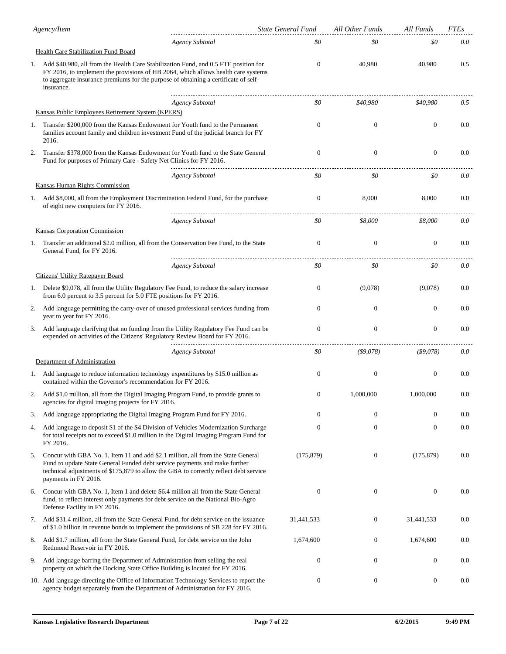|    | Agency/Item                                                                                                                                                                                                                                                                     | <b>State General Fund</b> | All Other Funds  | All Funds        | <b>FTEs</b> |
|----|---------------------------------------------------------------------------------------------------------------------------------------------------------------------------------------------------------------------------------------------------------------------------------|---------------------------|------------------|------------------|-------------|
|    | <b>Agency Subtotal</b>                                                                                                                                                                                                                                                          | \$0                       | \$0              | \$0              | 0.0         |
|    | Health Care Stabilization Fund Board                                                                                                                                                                                                                                            |                           |                  |                  |             |
| 1. | Add \$40,980, all from the Health Care Stabilization Fund, and 0.5 FTE position for<br>FY 2016, to implement the provisions of HB 2064, which allows health care systems<br>to aggregate insurance premiums for the purpose of obtaining a certificate of self-<br>insurance.   | 0                         | 40,980           | 40,980           | 0.5         |
|    | <b>Agency Subtotal</b><br>Kansas Public Employees Retirement System (KPERS)                                                                                                                                                                                                     | \$0                       | \$40,980         | \$40,980         | 0.5         |
|    |                                                                                                                                                                                                                                                                                 |                           |                  |                  |             |
| 1. | Transfer \$200,000 from the Kansas Endowment for Youth fund to the Permanent<br>families account family and children investment Fund of the judicial branch for FY<br>2016.                                                                                                     | 0                         | $\mathbf{0}$     | $\mathbf{0}$     | 0.0         |
| 2. | Transfer \$378,000 from the Kansas Endowment for Youth fund to the State General<br>Fund for purposes of Primary Care - Safety Net Clinics for FY 2016.                                                                                                                         | $\mathbf{0}$              | $\mathbf{0}$     | $\mathbf{0}$     | 0.0         |
|    | <b>Agency Subtotal</b>                                                                                                                                                                                                                                                          | \$0                       | \$0              | \$0              | 0.0         |
|    | Kansas Human Rights Commission                                                                                                                                                                                                                                                  |                           |                  |                  |             |
| ı. | Add \$8,000, all from the Employment Discrimination Federal Fund, for the purchase<br>of eight new computers for FY 2016.                                                                                                                                                       | $\mathbf{0}$              | 8,000            | 8,000            | 0.0         |
|    | <b>Agency Subtotal</b>                                                                                                                                                                                                                                                          | \$0                       | \$8,000          | \$8,000          | 0.0         |
|    | Kansas Corporation Commission                                                                                                                                                                                                                                                   |                           |                  |                  |             |
| 1. | Transfer an additional \$2.0 million, all from the Conservation Fee Fund, to the State<br>General Fund, for FY 2016.                                                                                                                                                            | $\boldsymbol{0}$          | $\mathbf{0}$     | $\mathbf{0}$     | 0.0         |
|    | <b>Agency Subtotal</b>                                                                                                                                                                                                                                                          | \$0                       | \$0              | \$0              | 0.0         |
|    | Citizens' Utility Ratepayer Board                                                                                                                                                                                                                                               |                           |                  |                  |             |
| 1. | Delete \$9,078, all from the Utility Regulatory Fee Fund, to reduce the salary increase<br>from 6.0 percent to 3.5 percent for 5.0 FTE positions for FY 2016.                                                                                                                   | $\overline{0}$            | (9,078)          | (9,078)          | 0.0         |
| 2. | Add language permitting the carry-over of unused professional services funding from<br>year to year for FY 2016.                                                                                                                                                                | $\overline{0}$            | $\theta$         | $\theta$         | 0.0         |
| 3. | Add language clarifying that no funding from the Utility Regulatory Fee Fund can be<br>expended on activities of the Citizens' Regulatory Review Board for FY 2016.                                                                                                             | $\mathbf{0}$              | $\boldsymbol{0}$ | $\overline{0}$   | 0.0         |
|    | <b>Agency Subtotal</b>                                                                                                                                                                                                                                                          | \$0                       | $($ \$9,078)     | $($ \$9,078)     | 0.0         |
|    | Department of Administration                                                                                                                                                                                                                                                    |                           |                  |                  |             |
|    | 1. Add language to reduce information technology expenditures by \$15.0 million as<br>contained within the Governor's recommendation for FY 2016.                                                                                                                               | $\Omega$                  | $\mathbf{0}$     | $\overline{0}$   | 0.0         |
|    | Add \$1.0 million, all from the Digital Imaging Program Fund, to provide grants to<br>agencies for digital imaging projects for FY 2016.                                                                                                                                        | $\Omega$                  | 1,000,000        | 1,000,000        | 0.0         |
| 3. | Add language appropriating the Digital Imaging Program Fund for FY 2016.                                                                                                                                                                                                        | $\overline{0}$            | $\boldsymbol{0}$ | $\overline{0}$   | 0.0         |
| 4. | Add language to deposit \$1 of the \$4 Division of Vehicles Modernization Surcharge<br>for total receipts not to exceed \$1.0 million in the Digital Imaging Program Fund for<br>FY 2016.                                                                                       | $\mathbf{0}$              | $\boldsymbol{0}$ | $\mathbf{0}$     | 0.0         |
| 5. | Concur with GBA No. 1, Item 11 and add \$2.1 million, all from the State General<br>Fund to update State General Funded debt service payments and make further<br>technical adjustments of \$175,879 to allow the GBA to correctly reflect debt service<br>payments in FY 2016. | (175, 879)                | $\boldsymbol{0}$ | (175, 879)       | 0.0         |
| 6. | Concur with GBA No. 1, Item 1 and delete \$6.4 million all from the State General<br>fund, to reflect interest only payments for debt service on the National Bio-Agro<br>Defense Facility in FY 2016.                                                                          | $\boldsymbol{0}$          | $\boldsymbol{0}$ | $\mathbf{0}$     | 0.0         |
| 7. | Add \$31.4 million, all from the State General Fund, for debt service on the issuance<br>of \$1.0 billion in revenue bonds to implement the provisions of SB 228 for FY 2016.                                                                                                   | 31,441,533                | $\boldsymbol{0}$ | 31,441,533       | 0.0         |
| 8. | Add \$1.7 million, all from the State General Fund, for debt service on the John<br>Redmond Reservoir in FY 2016.                                                                                                                                                               | 1,674,600                 | $\boldsymbol{0}$ | 1,674,600        | 0.0         |
| 9. | Add language barring the Department of Administration from selling the real<br>property on which the Docking State Office Building is located for FY 2016.                                                                                                                      | 0                         | $\boldsymbol{0}$ | $\boldsymbol{0}$ | 0.0         |
|    | 10. Add language directing the Office of Information Technology Services to report the<br>agency budget separately from the Department of Administration for FY 2016.                                                                                                           | 0                         | $\boldsymbol{0}$ | $\boldsymbol{0}$ | 0.0         |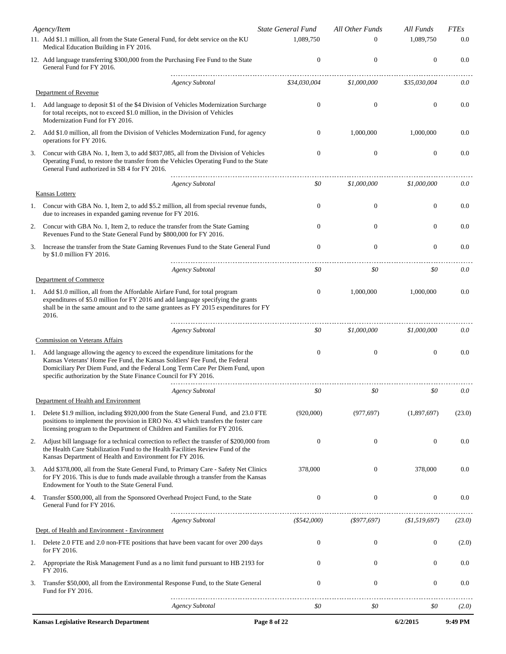|    | Agency/Item                                                                                                                                                                                                                                                                                                          | <b>State General Fund</b> | All Other Funds  | All Funds        | <b>FTEs</b> |
|----|----------------------------------------------------------------------------------------------------------------------------------------------------------------------------------------------------------------------------------------------------------------------------------------------------------------------|---------------------------|------------------|------------------|-------------|
|    | 11. Add \$1.1 million, all from the State General Fund, for debt service on the KU<br>Medical Education Building in FY 2016.                                                                                                                                                                                         | 1.089.750                 | $\Omega$         | 1,089,750        | 0.0         |
|    | 12. Add language transferring \$300,000 from the Purchasing Fee Fund to the State<br>General Fund for FY 2016.                                                                                                                                                                                                       | $\theta$                  | $\mathbf{0}$     | $\boldsymbol{0}$ | 0.0         |
|    | <b>Agency Subtotal</b>                                                                                                                                                                                                                                                                                               | \$34,030,004              | \$1,000,000      | \$35,030,004     | 0.0         |
|    | Department of Revenue                                                                                                                                                                                                                                                                                                |                           |                  |                  |             |
|    | 1. Add language to deposit \$1 of the \$4 Division of Vehicles Modernization Surcharge<br>for total receipts, not to exceed \$1.0 million, in the Division of Vehicles<br>Modernization Fund for FY 2016.                                                                                                            | $\theta$                  | $\mathbf{0}$     | $\mathbf{0}$     | 0.0         |
| 2. | Add \$1.0 million, all from the Division of Vehicles Modernization Fund, for agency<br>operations for FY 2016.                                                                                                                                                                                                       | $\theta$                  | 1,000,000        | 1,000,000        | 0.0         |
| 3. | Concur with GBA No. 1, Item 3, to add \$837,085, all from the Division of Vehicles<br>Operating Fund, to restore the transfer from the Vehicles Operating Fund to the State<br>General Fund authorized in SB 4 for FY 2016.                                                                                          | $\mathbf{0}$              | $\boldsymbol{0}$ | $\boldsymbol{0}$ | 0.0         |
|    | <b>Agency Subtotal</b><br>Kansas Lottery                                                                                                                                                                                                                                                                             | \$0                       | \$1,000,000      | \$1,000,000      | 0.0         |
|    | 1. Concur with GBA No. 1, Item 2, to add \$5.2 million, all from special revenue funds,<br>due to increases in expanded gaming revenue for FY 2016.                                                                                                                                                                  | $\theta$                  | $\mathbf{0}$     | $\mathbf{0}$     | 0.0         |
| 2. | Concur with GBA No. 1, Item 2, to reduce the transfer from the State Gaming<br>Revenues Fund to the State General Fund by \$800,000 for FY 2016.                                                                                                                                                                     | $\Omega$                  | $\mathbf{0}$     | $\mathbf{0}$     | 0.0         |
| 3. | Increase the transfer from the State Gaming Revenues Fund to the State General Fund<br>by \$1.0 million FY 2016.                                                                                                                                                                                                     | $\mathbf{0}$              | $\boldsymbol{0}$ | $\mathbf{0}$     | 0.0         |
|    | Agency Subtotal                                                                                                                                                                                                                                                                                                      | \$0                       | \$0              | \$0              | 0.0         |
|    | Department of Commerce                                                                                                                                                                                                                                                                                               |                           |                  |                  |             |
|    | 1. Add \$1.0 million, all from the Affordable Airfare Fund, for total program<br>expenditures of \$5.0 million for FY 2016 and add language specifying the grants<br>shall be in the same amount and to the same grantees as FY 2015 expenditures for FY<br>2016.                                                    | $\mathbf{0}$              | 1,000,000        | 1,000,000        | 0.0         |
|    | <b>Agency Subtotal</b>                                                                                                                                                                                                                                                                                               | \$0                       | \$1,000,000      | \$1,000,000      | 0.0         |
|    | <b>Commission on Veterans Affairs</b>                                                                                                                                                                                                                                                                                |                           |                  |                  |             |
|    | 1. Add language allowing the agency to exceed the expenditure limitations for the<br>Kansas Veterans' Home Fee Fund, the Kansas Soldiers' Fee Fund, the Federal<br>Domiciliary Per Diem Fund, and the Federal Long Term Care Per Diem Fund, upon<br>specific authorization by the State Finance Council for FY 2016. | $\theta$                  | $\mathbf{0}$     | $\mathbf{0}$     | 0.0         |
|    | <b>Agency Subtotal</b>                                                                                                                                                                                                                                                                                               | \$0                       | \$0              | \$0              | 0.0         |
|    | Department of Health and Environment                                                                                                                                                                                                                                                                                 |                           |                  |                  |             |
|    | 1. Delete \$1.9 million, including \$920,000 from the State General Fund, and 23.0 FTE<br>positions to implement the provision in ERO No. 43 which transfers the foster care<br>licensing program to the Department of Children and Families for FY 2016.                                                            | (920,000)                 | (977, 697)       | (1,897,697)      | (23.0)      |
| 2. | Adjust bill language for a technical correction to reflect the transfer of \$200,000 from<br>the Health Care Stabilization Fund to the Health Facilities Review Fund of the<br>Kansas Department of Health and Environment for FY 2016.                                                                              | $\theta$                  | $\boldsymbol{0}$ | $\mathbf{0}$     | 0.0         |
| 3. | Add \$378,000, all from the State General Fund, to Primary Care - Safety Net Clinics<br>for FY 2016. This is due to funds made available through a transfer from the Kansas<br>Endowment for Youth to the State General Fund.                                                                                        | 378,000                   | $\mathbf{0}$     | 378,000          | 0.0         |
| 4. | Transfer \$500,000, all from the Sponsored Overhead Project Fund, to the State<br>General Fund for FY 2016.                                                                                                                                                                                                          | $\theta$                  | $\boldsymbol{0}$ | $\mathbf{0}$     | 0.0         |
|    | <b>Agency Subtotal</b>                                                                                                                                                                                                                                                                                               | (\$542,000)               | $($ \$977,697)   | (\$1,519,697)    | (23.0)      |
|    | Dept. of Health and Environment - Environment                                                                                                                                                                                                                                                                        |                           |                  |                  |             |
|    | 1. Delete 2.0 FTE and 2.0 non-FTE positions that have been vacant for over 200 days<br>for FY 2016.                                                                                                                                                                                                                  | $\theta$                  | 0                | $\boldsymbol{0}$ | (2.0)       |
| 2. | Appropriate the Risk Management Fund as a no limit fund pursuant to HB 2193 for<br>FY 2016.                                                                                                                                                                                                                          | $\mathbf{0}$              | $\boldsymbol{0}$ | $\mathbf{0}$     | 0.0         |
| 3. | Transfer \$50,000, all from the Environmental Response Fund, to the State General<br>Fund for FY 2016.                                                                                                                                                                                                               | $\mathbf{0}$              | $\boldsymbol{0}$ | $\boldsymbol{0}$ | 0.0         |
|    | <b>Agency Subtotal</b>                                                                                                                                                                                                                                                                                               | \$0                       | \$0              | \$0              | (2.0)       |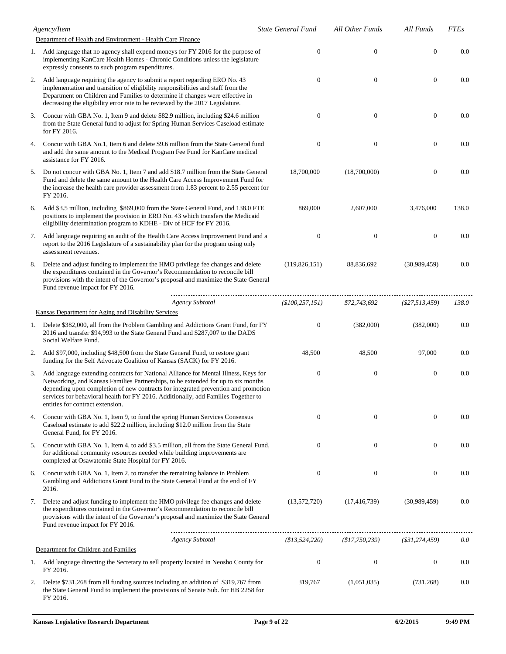|    | Agency/Item                                                                                                                                                                                                                                                                                                                                                                              | <b>State General Fund</b> | All Other Funds  | All Funds        | <b>FTEs</b> |
|----|------------------------------------------------------------------------------------------------------------------------------------------------------------------------------------------------------------------------------------------------------------------------------------------------------------------------------------------------------------------------------------------|---------------------------|------------------|------------------|-------------|
|    | Department of Health and Environment - Health Care Finance                                                                                                                                                                                                                                                                                                                               |                           |                  |                  |             |
|    | 1. Add language that no agency shall expend moneys for FY 2016 for the purpose of<br>implementing KanCare Health Homes - Chronic Conditions unless the legislature<br>expressly consents to such program expenditures.                                                                                                                                                                   | $\mathbf{0}$              | $\mathbf{0}$     | $\theta$         | 0.0         |
| 2. | Add language requiring the agency to submit a report regarding ERO No. 43<br>implementation and transition of eligibility responsibilities and staff from the<br>Department on Children and Families to determine if changes were effective in<br>decreasing the eligibility error rate to be reviewed by the 2017 Legislature.                                                          | $\mathbf{0}$              | $\boldsymbol{0}$ | $\theta$         | 0.0         |
| 3. | Concur with GBA No. 1, Item 9 and delete \$82.9 million, including \$24.6 million<br>from the State General fund to adjust for Spring Human Services Caseload estimate<br>for FY 2016.                                                                                                                                                                                                   | $\mathbf{0}$              | $\boldsymbol{0}$ | $\theta$         | 0.0         |
| 4. | Concur with GBA No.1, Item 6 and delete \$9.6 million from the State General fund<br>and add the same amount to the Medical Program Fee Fund for KanCare medical<br>assistance for FY 2016.                                                                                                                                                                                              | $\mathbf{0}$              | $\mathbf{0}$     | $\mathbf{0}$     | 0.0         |
| 5. | Do not concur with GBA No. 1, Item 7 and add \$18.7 million from the State General<br>Fund and delete the same amount to the Health Care Access Improvement Fund for<br>the increase the health care provider assessment from 1.83 percent to 2.55 percent for<br>FY 2016.                                                                                                               | 18,700,000                | (18,700,000)     | $\theta$         | 0.0         |
| 6. | Add \$3.5 million, including \$869,000 from the State General Fund, and 138.0 FTE<br>positions to implement the provision in ERO No. 43 which transfers the Medicaid<br>eligibility determination program to KDHE - Div of HCF for FY 2016.                                                                                                                                              | 869,000                   | 2,607,000        | 3,476,000        | 138.0       |
| 7. | Add language requiring an audit of the Health Care Access Improvement Fund and a<br>report to the 2016 Legislature of a sustainability plan for the program using only<br>assessment revenues.                                                                                                                                                                                           | $\mathbf{0}$              | $\boldsymbol{0}$ | $\theta$         | 0.0         |
| 8. | Delete and adjust funding to implement the HMO privilege fee changes and delete<br>the expenditures contained in the Governor's Recommendation to reconcile bill<br>provisions with the intent of the Governor's proposal and maximize the State General<br>Fund revenue impact for FY 2016.                                                                                             | (119, 826, 151)           | 88,836,692       | (30,989,459)     | 0.0         |
|    | <b>Agency Subtotal</b>                                                                                                                                                                                                                                                                                                                                                                   | (\$100, 257, 151)         | \$72,743,692     | $(\$27,513,459)$ | 138.0       |
|    | Kansas Department for Aging and Disability Services                                                                                                                                                                                                                                                                                                                                      |                           |                  |                  |             |
|    | 1. Delete \$382,000, all from the Problem Gambling and Addictions Grant Fund, for FY<br>2016 and transfer \$94,993 to the State General Fund and \$287,007 to the DADS<br>Social Welfare Fund.                                                                                                                                                                                           | $\boldsymbol{0}$          | (382,000)        | (382,000)        | 0.0         |
| 2. | Add \$97,000, including \$48,500 from the State General Fund, to restore grant<br>funding for the Self Advocate Coalition of Kansas (SACK) for FY 2016.                                                                                                                                                                                                                                  | 48,500                    | 48,500           | 97,000           | 0.0         |
| 3. | Add language extending contracts for National Alliance for Mental Illness, Keys for<br>Networking, and Kansas Families Partnerships, to be extended for up to six months<br>depending upon completion of new contracts for integrated prevention and promotion<br>services for behavioral health for FY 2016. Additionally, add Families Together to<br>entities for contract extension. | $\mathbf{0}$              | $\boldsymbol{0}$ | $\boldsymbol{0}$ | 0.0         |
| 4. | Concur with GBA No. 1, Item 9, to fund the spring Human Services Consensus<br>Caseload estimate to add \$22.2 million, including \$12.0 million from the State<br>General Fund, for FY 2016.                                                                                                                                                                                             | $\mathbf{0}$              | $\mathbf{0}$     | $\theta$         | 0.0         |
| 5. | Concur with GBA No. 1, Item 4, to add \$3.5 million, all from the State General Fund,<br>for additional community resources needed while building improvements are<br>completed at Osawatomie State Hospital for FY 2016.                                                                                                                                                                | $\boldsymbol{0}$          | $\boldsymbol{0}$ | $\mathbf{0}$     | 0.0         |
| 6. | Concur with GBA No. 1, Item 2, to transfer the remaining balance in Problem<br>Gambling and Addictions Grant Fund to the State General Fund at the end of FY<br>2016.                                                                                                                                                                                                                    | $\mathbf{0}$              | $\boldsymbol{0}$ | $\mathbf{0}$     | 0.0         |
| 7. | Delete and adjust funding to implement the HMO privilege fee changes and delete<br>the expenditures contained in the Governor's Recommendation to reconcile bill<br>provisions with the intent of the Governor's proposal and maximize the State General<br>Fund revenue impact for FY 2016.                                                                                             | (13,572,720)              | (17, 416, 739)   | (30,989,459)     | 0.0         |
|    | <b>Agency Subtotal</b>                                                                                                                                                                                                                                                                                                                                                                   | (\$13,524,220)            | (\$17,750,239)   | $(*31,274,459)$  | 0.0         |
|    | Department for Children and Families                                                                                                                                                                                                                                                                                                                                                     |                           |                  |                  |             |
|    | 1. Add language directing the Secretary to sell property located in Neosho County for<br>FY 2016.                                                                                                                                                                                                                                                                                        | $\boldsymbol{0}$          | $\boldsymbol{0}$ | $\mathbf{0}$     | 0.0         |
| 2. | Delete \$731,268 from all funding sources including an addition of \$319,767 from<br>the State General Fund to implement the provisions of Senate Sub. for HB 2258 for<br>FY 2016.                                                                                                                                                                                                       | 319,767                   | (1,051,035)      | (731, 268)       | 0.0         |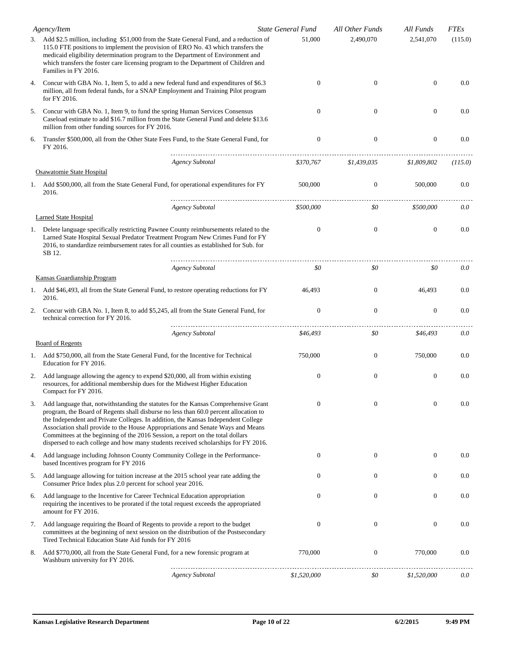|    | Agency/Item                                                                                                                                                                                                                                                                                                                                                                                                                                                                                                                | <b>State General Fund</b> | All Other Funds  | All Funds        | <b>FTEs</b> |
|----|----------------------------------------------------------------------------------------------------------------------------------------------------------------------------------------------------------------------------------------------------------------------------------------------------------------------------------------------------------------------------------------------------------------------------------------------------------------------------------------------------------------------------|---------------------------|------------------|------------------|-------------|
|    | 3. Add \$2.5 million, including \$51,000 from the State General Fund, and a reduction of<br>115.0 FTE positions to implement the provision of ERO No. 43 which transfers the<br>medicaid eligibility determination program to the Department of Environment and<br>which transfers the foster care licensing program to the Department of Children and<br>Families in FY 2016.                                                                                                                                             | 51,000                    | 2,490,070        | 2,541,070        | (115.0)     |
| 4. | Concur with GBA No. 1, Item 5, to add a new federal fund and expenditures of \$6.3<br>million, all from federal funds, for a SNAP Employment and Training Pilot program<br>for FY 2016.                                                                                                                                                                                                                                                                                                                                    | $\mathbf{0}$              | $\boldsymbol{0}$ | $\mathbf{0}$     | 0.0         |
| 5. | Concur with GBA No. 1, Item 9, to fund the spring Human Services Consensus<br>Caseload estimate to add \$16.7 million from the State General Fund and delete \$13.6<br>million from other funding sources for FY 2016.                                                                                                                                                                                                                                                                                                     | $\Omega$                  | $\mathbf{0}$     | $\mathbf{0}$     | 0.0         |
| 6. | Transfer \$500,000, all from the Other State Fees Fund, to the State General Fund, for<br>FY 2016.                                                                                                                                                                                                                                                                                                                                                                                                                         | $\mathbf{0}$              | $\boldsymbol{0}$ | $\boldsymbol{0}$ | 0.0         |
|    | <b>Agency Subtotal</b>                                                                                                                                                                                                                                                                                                                                                                                                                                                                                                     | \$370,767                 | \$1,439,035      | \$1,809,802      | (115.0)     |
|    | Osawatomie State Hospital                                                                                                                                                                                                                                                                                                                                                                                                                                                                                                  |                           |                  |                  |             |
|    | 1. Add \$500,000, all from the State General Fund, for operational expenditures for FY<br>2016.                                                                                                                                                                                                                                                                                                                                                                                                                            | 500,000                   | $\mathbf{0}$     | 500,000          | 0.0         |
|    | <b>Agency Subtotal</b>                                                                                                                                                                                                                                                                                                                                                                                                                                                                                                     | \$500,000                 | \$0              | \$500,000        | 0.0         |
|    | Larned State Hospital                                                                                                                                                                                                                                                                                                                                                                                                                                                                                                      |                           |                  |                  |             |
|    | 1. Delete language specifically restricting Pawnee County reimbursements related to the<br>Larned State Hospital Sexual Predator Treatment Program New Crimes Fund for FY<br>2016, to standardize reimbursement rates for all counties as established for Sub. for<br>SB 12.                                                                                                                                                                                                                                               | $\theta$                  | $\boldsymbol{0}$ | $\mathbf{0}$     | 0.0         |
|    | <b>Agency Subtotal</b>                                                                                                                                                                                                                                                                                                                                                                                                                                                                                                     | \$0                       | \$0              | \$0              | 0.0         |
|    | Kansas Guardianship Program                                                                                                                                                                                                                                                                                                                                                                                                                                                                                                |                           |                  |                  |             |
| 1. | Add \$46,493, all from the State General Fund, to restore operating reductions for FY<br>2016.                                                                                                                                                                                                                                                                                                                                                                                                                             | 46,493                    | $\mathbf{0}$     | 46,493           | 0.0         |
| 2. | Concur with GBA No. 1, Item 8, to add \$5,245, all from the State General Fund, for<br>technical correction for FY 2016.                                                                                                                                                                                                                                                                                                                                                                                                   | $\mathbf{0}$              | $\boldsymbol{0}$ | $\boldsymbol{0}$ | 0.0         |
|    | <b>Agency Subtotal</b>                                                                                                                                                                                                                                                                                                                                                                                                                                                                                                     | \$46,493                  | \$0              | \$46,493         | 0.0         |
|    | <b>Board of Regents</b>                                                                                                                                                                                                                                                                                                                                                                                                                                                                                                    |                           |                  |                  |             |
| 1. | Add \$750,000, all from the State General Fund, for the Incentive for Technical<br>Education for FY 2016.                                                                                                                                                                                                                                                                                                                                                                                                                  | 750,000                   | $\mathbf{0}$     | 750,000          | 0.0         |
| 2. | Add language allowing the agency to expend \$20,000, all from within existing<br>resources, for additional membership dues for the Midwest Higher Education<br>Compact for FY 2016.                                                                                                                                                                                                                                                                                                                                        | $\mathbf{0}$              | $\boldsymbol{0}$ | $\boldsymbol{0}$ | 0.0         |
| 3. | Add language that, notwithstanding the statutes for the Kansas Comprehensive Grant<br>program, the Board of Regents shall disburse no less than 60.0 percent allocation to<br>the Independent and Private Colleges. In addition, the Kansas Independent College<br>Association shall provide to the House Appropriations and Senate Ways and Means<br>Committees at the beginning of the 2016 Session, a report on the total dollars<br>dispersed to each college and how many students received scholarships for FY 2016. | $\mathbf{0}$              | $\boldsymbol{0}$ | $\mathbf{0}$     | 0.0         |
| 4. | Add language including Johnson County Community College in the Performance-<br>based Incentives program for FY 2016                                                                                                                                                                                                                                                                                                                                                                                                        | $\mathbf{0}$              | $\boldsymbol{0}$ | $\boldsymbol{0}$ | 0.0         |
| 5. | Add language allowing for tuition increase at the 2015 school year rate adding the<br>Consumer Price Index plus 2.0 percent for school year 2016.                                                                                                                                                                                                                                                                                                                                                                          | $\boldsymbol{0}$          | $\boldsymbol{0}$ | $\boldsymbol{0}$ | 0.0         |
| 6. | Add language to the Incentive for Career Technical Education appropriation<br>requiring the incentives to be prorated if the total request exceeds the appropriated<br>amount for FY 2016.                                                                                                                                                                                                                                                                                                                                 | $\mathbf{0}$              | $\boldsymbol{0}$ | $\boldsymbol{0}$ | 0.0         |
| 7. | Add language requiring the Board of Regents to provide a report to the budget<br>committees at the beginning of next session on the distribution of the Postsecondary<br>Tired Technical Education State Aid funds for FY 2016                                                                                                                                                                                                                                                                                             | $\mathbf{0}$              | $\boldsymbol{0}$ | $\boldsymbol{0}$ | 0.0         |
| 8. | Add \$770,000, all from the State General Fund, for a new forensic program at<br>Washburn university for FY 2016.                                                                                                                                                                                                                                                                                                                                                                                                          | 770,000                   | $\boldsymbol{0}$ | 770,000          | 0.0         |
|    | <b>Agency Subtotal</b>                                                                                                                                                                                                                                                                                                                                                                                                                                                                                                     | \$1,520,000               | \$0              | \$1,520,000      | 0.0         |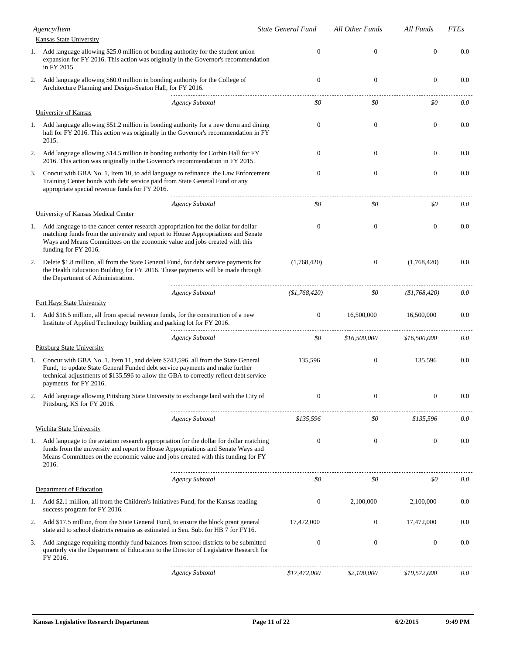|    | Agency/Item<br>Kansas State University                                                                                                                                                                                                                                            |                        | State General Fund | All Other Funds  | All Funds        | <b>FTEs</b> |
|----|-----------------------------------------------------------------------------------------------------------------------------------------------------------------------------------------------------------------------------------------------------------------------------------|------------------------|--------------------|------------------|------------------|-------------|
|    | 1. Add language allowing \$25.0 million of bonding authority for the student union<br>expansion for FY 2016. This action was originally in the Governor's recommendation<br>in FY 2015.                                                                                           |                        | 0                  | $\boldsymbol{0}$ | $\boldsymbol{0}$ | 0.0         |
| 2. | Add language allowing \$60.0 million in bonding authority for the College of<br>Architecture Planning and Design-Seaton Hall, for FY 2016.                                                                                                                                        |                        | $\theta$           | $\mathbf{0}$     | $\boldsymbol{0}$ | 0.0         |
|    |                                                                                                                                                                                                                                                                                   | <b>Agency Subtotal</b> | \$0                | \$0              | \$0              | 0.0         |
|    | <b>University of Kansas</b>                                                                                                                                                                                                                                                       |                        |                    |                  |                  |             |
|    | 1. Add language allowing \$51.2 million in bonding authority for a new dorm and dining<br>hall for FY 2016. This action was originally in the Governor's recommendation in FY<br>2015.                                                                                            |                        | $\theta$           | $\mathbf{0}$     | $\boldsymbol{0}$ | 0.0         |
| 2. | Add language allowing \$14.5 million in bonding authority for Corbin Hall for FY<br>2016. This action was originally in the Governor's recommendation in FY 2015.                                                                                                                 |                        | $\theta$           | $\boldsymbol{0}$ | $\boldsymbol{0}$ | 0.0         |
| 3. | Concur with GBA No. 1, Item 10, to add language to refinance the Law Enforcement<br>Training Center bonds with debt service paid from State General Fund or any<br>appropriate special revenue funds for FY 2016.                                                                 |                        | $\mathbf{0}$       | $\boldsymbol{0}$ | $\boldsymbol{0}$ | 0.0         |
|    |                                                                                                                                                                                                                                                                                   | <b>Agency Subtotal</b> | \$0                | \$0              | \$0              | 0.0         |
|    | University of Kansas Medical Center                                                                                                                                                                                                                                               |                        |                    |                  |                  |             |
| 1. | Add language to the cancer center research appropriation for the dollar for dollar<br>matching funds from the university and report to House Appropriations and Senate<br>Ways and Means Committees on the economic value and jobs created with this<br>funding for FY 2016.      |                        | $\theta$           | $\boldsymbol{0}$ | $\mathbf{0}$     | 0.0         |
| 2. | Delete \$1.8 million, all from the State General Fund, for debt service payments for<br>the Health Education Building for FY 2016. These payments will be made through<br>the Department of Administration.                                                                       |                        | (1,768,420)        | $\boldsymbol{0}$ | (1,768,420)      | 0.0         |
|    |                                                                                                                                                                                                                                                                                   | <b>Agency Subtotal</b> | (\$1,768,420)      | \$0              | (\$1,768,420)    | 0.0         |
|    | Fort Hays State University                                                                                                                                                                                                                                                        |                        |                    |                  |                  |             |
|    | 1. Add \$16.5 million, all from special revenue funds, for the construction of a new<br>Institute of Applied Technology building and parking lot for FY 2016.                                                                                                                     |                        | $\mathbf{0}$       | 16,500,000       | 16,500,000       | 0.0         |
|    | <b>Pittsburg State University</b>                                                                                                                                                                                                                                                 | <b>Agency Subtotal</b> | \$0                | \$16,500,000     | \$16,500,000     | 0.0         |
| 1. | Concur with GBA No. 1, Item 11, and delete \$243,596, all from the State General<br>Fund, to update State General Funded debt service payments and make further<br>technical adjustments of \$135,596 to allow the GBA to correctly reflect debt service<br>payments for FY 2016. |                        | 135,596            | $\boldsymbol{0}$ | 135,596          | 0.0         |
| 2. | Add language allowing Pittsburg State University to exchange land with the City of<br>Pittsburg, KS for FY 2016.                                                                                                                                                                  |                        | $\mathbf{0}$       | $\boldsymbol{0}$ | $\boldsymbol{0}$ | 0.0         |
|    | Wichita State University                                                                                                                                                                                                                                                          | <b>Agency Subtotal</b> | \$135,596          | \$0              | \$135,596        | 0.0         |
|    | 1. Add language to the aviation research appropriation for the dollar for dollar matching<br>funds from the university and report to House Appropriations and Senate Ways and<br>Means Committees on the economic value and jobs created with this funding for FY<br>2016.        |                        | $\theta$           | $\boldsymbol{0}$ | $\boldsymbol{0}$ | 0.0         |
|    | Department of Education                                                                                                                                                                                                                                                           | <b>Agency Subtotal</b> | \$0                | \$0              | \$0              | 0.0         |
| 1. | Add \$2.1 million, all from the Children's Initiatives Fund, for the Kansas reading<br>success program for FY 2016.                                                                                                                                                               |                        | $\mathbf{0}$       | 2,100,000        | 2,100,000        | 0.0         |
| 2. | Add \$17.5 million, from the State General Fund, to ensure the block grant general<br>state aid to school districts remains as estimated in Sen. Sub. for HB 7 for FY16.                                                                                                          |                        | 17,472,000         | $\boldsymbol{0}$ | 17,472,000       | 0.0         |
| 3. | Add language requiring monthly fund balances from school districts to be submitted<br>quarterly via the Department of Education to the Director of Legislative Research for<br>FY 2016.                                                                                           |                        | $\mathbf{0}$       | $\boldsymbol{0}$ | $\boldsymbol{0}$ | 0.0         |
|    |                                                                                                                                                                                                                                                                                   | <b>Agency Subtotal</b> | \$17,472,000       | \$2,100,000      | \$19,572,000     | 0.0         |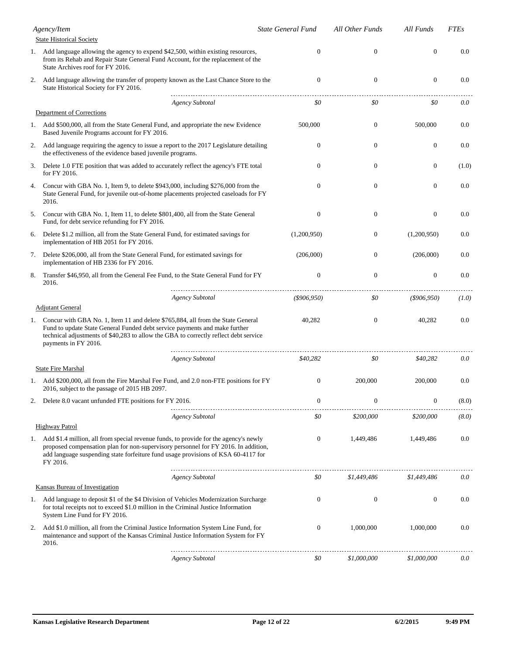|    | Agency/Item<br><b>State Historical Society</b>                                                                                                                                                                                                                                | <b>State General Fund</b> | All Other Funds  | All Funds        | <b>FTEs</b> |
|----|-------------------------------------------------------------------------------------------------------------------------------------------------------------------------------------------------------------------------------------------------------------------------------|---------------------------|------------------|------------------|-------------|
|    | 1. Add language allowing the agency to expend \$42,500, within existing resources,                                                                                                                                                                                            | 0                         | $\boldsymbol{0}$ | $\boldsymbol{0}$ | 0.0         |
|    | from its Rehab and Repair State General Fund Account, for the replacement of the<br>State Archives roof for FY 2016.                                                                                                                                                          |                           |                  |                  |             |
| 2. | Add language allowing the transfer of property known as the Last Chance Store to the<br>State Historical Society for FY 2016.                                                                                                                                                 | $\theta$                  | $\mathbf{0}$     | $\mathbf{0}$     | 0.0         |
|    | <b>Agency Subtotal</b>                                                                                                                                                                                                                                                        | \$0                       | \$0              | \$0              | 0.0         |
|    | Department of Corrections                                                                                                                                                                                                                                                     |                           |                  |                  |             |
|    | 1. Add \$500,000, all from the State General Fund, and appropriate the new Evidence<br>Based Juvenile Programs account for FY 2016.                                                                                                                                           | 500,000                   | $\mathbf{0}$     | 500,000          | 0.0         |
| 2. | Add language requiring the agency to issue a report to the 2017 Legislature detailing<br>the effectiveness of the evidence based juvenile programs.                                                                                                                           | $\mathbf{0}$              | $\boldsymbol{0}$ | $\boldsymbol{0}$ | 0.0         |
| 3. | Delete 1.0 FTE position that was added to accurately reflect the agency's FTE total<br>for FY 2016.                                                                                                                                                                           | $\mathbf{0}$              | $\boldsymbol{0}$ | $\boldsymbol{0}$ | (1.0)       |
| 4. | Concur with GBA No. 1, Item 9, to delete \$943,000, including \$276,000 from the<br>State General Fund, for juvenile out-of-home placements projected caseloads for FY<br>2016.                                                                                               | $\mathbf{0}$              | $\mathbf{0}$     | $\mathbf{0}$     | 0.0         |
| 5. | Concur with GBA No. 1, Item 11, to delete \$801,400, all from the State General<br>Fund, for debt service refunding for FY 2016.                                                                                                                                              | $\theta$                  | $\boldsymbol{0}$ | $\boldsymbol{0}$ | 0.0         |
| 6. | Delete \$1.2 million, all from the State General Fund, for estimated savings for<br>implementation of HB 2051 for FY 2016.                                                                                                                                                    | (1,200,950)               | $\boldsymbol{0}$ | (1,200,950)      | 0.0         |
| 7. | Delete \$206,000, all from the State General Fund, for estimated savings for<br>implementation of HB 2336 for FY 2016.                                                                                                                                                        | (206,000)                 | $\boldsymbol{0}$ | (206,000)        | 0.0         |
| 8. | Transfer \$46,950, all from the General Fee Fund, to the State General Fund for FY<br>2016.                                                                                                                                                                                   | $\mathbf{0}$              | $\overline{0}$   | $\boldsymbol{0}$ | 0.0         |
|    | <b>Agency Subtotal</b>                                                                                                                                                                                                                                                        | $($ \$906,950)            | \$0              | $($ \$906,950)   | (1.0)       |
|    | <b>Adjutant General</b>                                                                                                                                                                                                                                                       |                           |                  |                  |             |
| 1. | Concur with GBA No. 1, Item 11 and delete \$765,884, all from the State General<br>Fund to update State General Funded debt service payments and make further<br>technical adjustments of \$40,283 to allow the GBA to correctly reflect debt service<br>payments in FY 2016. | 40,282                    | $\mathbf{0}$     | 40,282           | 0.0         |
|    | <b>Agency Subtotal</b>                                                                                                                                                                                                                                                        | \$40,282                  | \$0              | \$40,282         | 0.0         |
|    | <b>State Fire Marshal</b>                                                                                                                                                                                                                                                     |                           |                  |                  |             |
| 1. | Add \$200,000, all from the Fire Marshal Fee Fund, and 2.0 non-FTE positions for FY<br>2016, subject to the passage of 2015 HB 2097.                                                                                                                                          | $\mathbf{0}$              | 200,000          | 200,000          | 0.0         |
| 2. | Delete 8.0 vacant unfunded FTE positions for FY 2016.                                                                                                                                                                                                                         | $\mathbf{0}$              | $\mathbf{0}$     | $\mathbf{0}$     | (8.0)       |
|    | <b>Agency Subtotal</b>                                                                                                                                                                                                                                                        | \$0                       | \$200,000        | \$200,000        | (8.0)       |
|    | <b>Highway Patrol</b>                                                                                                                                                                                                                                                         |                           |                  |                  |             |
| 1. | Add \$1.4 million, all from special revenue funds, to provide for the agency's newly<br>proposed compensation plan for non-supervisory personnel for FY 2016. In addition,<br>add language suspending state forfeiture fund usage provisions of KSA 60-4117 for<br>FY 2016.   | $\mathbf{0}$              | 1,449,486        | 1,449,486        | 0.0         |
|    | <b>Agency Subtotal</b>                                                                                                                                                                                                                                                        | \$0                       | \$1,449,486      | \$1,449,486      | 0.0         |
|    | <b>Kansas Bureau of Investigation</b>                                                                                                                                                                                                                                         |                           |                  |                  |             |
| 1. | Add language to deposit \$1 of the \$4 Division of Vehicles Modernization Surcharge<br>for total receipts not to exceed \$1.0 million in the Criminal Justice Information<br>System Line Fund for FY 2016.                                                                    | $\mathbf{0}$              | $\boldsymbol{0}$ | $\boldsymbol{0}$ | 0.0         |
| 2. | Add \$1.0 million, all from the Criminal Justice Information System Line Fund, for<br>maintenance and support of the Kansas Criminal Justice Information System for FY<br>2016.                                                                                               | $\boldsymbol{0}$          | 1,000,000        | 1,000,000        | 0.0         |
|    | <b>Agency Subtotal</b>                                                                                                                                                                                                                                                        | \$0                       | \$1,000,000      | \$1,000,000      | 0.0         |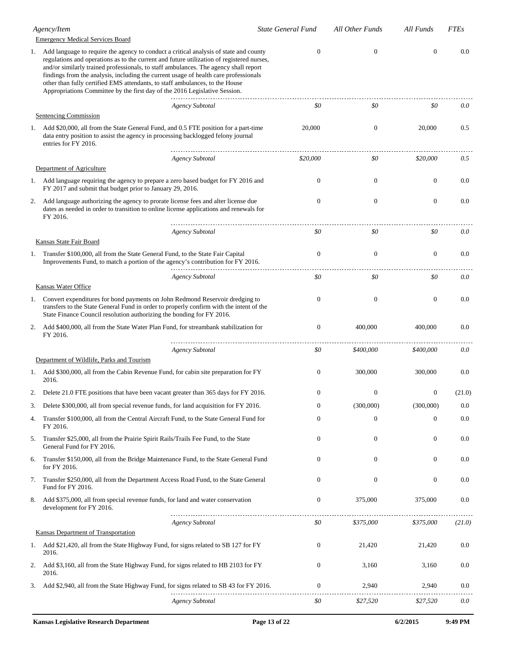|    | Agency/Item                                                                                                                                                                                                                                                                                                                                                                                                                                                                                                                      | <b>State General Fund</b> | All Other Funds  | All Funds        | <b>FTEs</b> |
|----|----------------------------------------------------------------------------------------------------------------------------------------------------------------------------------------------------------------------------------------------------------------------------------------------------------------------------------------------------------------------------------------------------------------------------------------------------------------------------------------------------------------------------------|---------------------------|------------------|------------------|-------------|
|    | <b>Emergency Medical Services Board</b>                                                                                                                                                                                                                                                                                                                                                                                                                                                                                          |                           |                  |                  |             |
| 1. | Add language to require the agency to conduct a critical analysis of state and county<br>regulations and operations as to the current and future utilization of registered nurses,<br>and/or similarly trained professionals, to staff ambulances. The agency shall report<br>findings from the analysis, including the current usage of health care professionals<br>other than fully certified EMS attendants, to staff ambulances, to the House<br>Appropriations Committee by the first day of the 2016 Legislative Session. | $\Omega$                  | $\mathbf{0}$     | $\mathbf{0}$     | 0.0         |
|    | <b>Agency Subtotal</b>                                                                                                                                                                                                                                                                                                                                                                                                                                                                                                           | \$0                       | \$0              | \$0              | 0.0         |
|    | Sentencing Commission                                                                                                                                                                                                                                                                                                                                                                                                                                                                                                            |                           |                  |                  |             |
| 1. | Add \$20,000, all from the State General Fund, and 0.5 FTE position for a part-time<br>data entry position to assist the agency in processing backlogged felony journal<br>entries for FY 2016.                                                                                                                                                                                                                                                                                                                                  | 20,000                    | $\boldsymbol{0}$ | 20,000           | 0.5         |
|    | <b>Agency Subtotal</b><br>Department of Agriculture                                                                                                                                                                                                                                                                                                                                                                                                                                                                              | \$20,000                  | \$0              | \$20,000         | 0.5         |
|    | 1. Add language requiring the agency to prepare a zero based budget for FY 2016 and<br>FY 2017 and submit that budget prior to January 29, 2016.                                                                                                                                                                                                                                                                                                                                                                                 | $\mathbf{0}$              | $\boldsymbol{0}$ | $\mathbf{0}$     | 0.0         |
| 2. | Add language authorizing the agency to prorate license fees and alter license due<br>dates as needed in order to transition to online license applications and renewals for<br>FY 2016.                                                                                                                                                                                                                                                                                                                                          | $\mathbf{0}$              | $\boldsymbol{0}$ | $\boldsymbol{0}$ | 0.0         |
|    | <b>Agency Subtotal</b><br>Kansas State Fair Board                                                                                                                                                                                                                                                                                                                                                                                                                                                                                | \$0                       | \$0              | \$0              | 0.0         |
| 1. | Transfer \$100,000, all from the State General Fund, to the State Fair Capital<br>Improvements Fund, to match a portion of the agency's contribution for FY 2016.                                                                                                                                                                                                                                                                                                                                                                | $\Omega$                  | $\mathbf{0}$     | $\mathbf{0}$     | 0.0         |
|    | <b>Agency Subtotal</b>                                                                                                                                                                                                                                                                                                                                                                                                                                                                                                           | \$0                       | \$0              | \$0              | 0.0         |
|    | Kansas Water Office                                                                                                                                                                                                                                                                                                                                                                                                                                                                                                              |                           |                  |                  |             |
|    | 1. Convert expenditures for bond payments on John Redmond Reservoir dredging to<br>transfers to the State General Fund in order to properly confirm with the intent of the<br>State Finance Council resolution authorizing the bonding for FY 2016.                                                                                                                                                                                                                                                                              | $\Omega$                  | $\boldsymbol{0}$ | $\boldsymbol{0}$ | 0.0         |
| 2. | Add \$400,000, all from the State Water Plan Fund, for streambank stabilization for<br>FY 2016.                                                                                                                                                                                                                                                                                                                                                                                                                                  | $\theta$                  | 400,000          | 400,000          | 0.0         |
|    | <b>Agency Subtotal</b>                                                                                                                                                                                                                                                                                                                                                                                                                                                                                                           | \$0                       | \$400,000        | \$400,000        | 0.0         |
|    | Department of Wildlife, Parks and Tourism                                                                                                                                                                                                                                                                                                                                                                                                                                                                                        |                           |                  |                  |             |
|    | 1. Add \$300,000, all from the Cabin Revenue Fund, for cabin site preparation for FY<br>2016.                                                                                                                                                                                                                                                                                                                                                                                                                                    | $\Omega$                  | 300,000          | 300,000          | 0.0         |
|    | Delete 21.0 FTE positions that have been vacant greater than 365 days for FY 2016.                                                                                                                                                                                                                                                                                                                                                                                                                                               | $\Omega$                  | $\Omega$         | $\Omega$         | (21.0)      |
| 3. | Delete \$300,000, all from special revenue funds, for land acquisition for FY 2016.                                                                                                                                                                                                                                                                                                                                                                                                                                              | $\mathbf{0}$              | (300,000)        | (300,000)        | 0.0         |
| 4. | Transfer \$100,000, all from the Central Aircraft Fund, to the State General Fund for<br>FY 2016.                                                                                                                                                                                                                                                                                                                                                                                                                                | $\mathbf{0}$              | $\mathbf{0}$     | $\mathbf{0}$     | 0.0         |
| 5. | Transfer \$25,000, all from the Prairie Spirit Rails/Trails Fee Fund, to the State<br>General Fund for FY 2016.                                                                                                                                                                                                                                                                                                                                                                                                                  | $\boldsymbol{0}$          | $\mathbf{0}$     | $\boldsymbol{0}$ | 0.0         |
| 6. | Transfer \$150,000, all from the Bridge Maintenance Fund, to the State General Fund<br>for FY 2016.                                                                                                                                                                                                                                                                                                                                                                                                                              | $\boldsymbol{0}$          | $\mathbf{0}$     | $\boldsymbol{0}$ | 0.0         |
| 7. | Transfer \$250,000, all from the Department Access Road Fund, to the State General<br>Fund for FY 2016.                                                                                                                                                                                                                                                                                                                                                                                                                          | $\boldsymbol{0}$          | $\boldsymbol{0}$ | $\boldsymbol{0}$ | 0.0         |
| 8. | Add \$375,000, all from special revenue funds, for land and water conservation<br>development for FY 2016.                                                                                                                                                                                                                                                                                                                                                                                                                       | $\mathbf{0}$              | 375,000          | 375,000          | 0.0         |
|    | <b>Agency Subtotal</b>                                                                                                                                                                                                                                                                                                                                                                                                                                                                                                           | \$0                       | \$375,000        | \$375,000        | (21.0)      |
|    | <b>Kansas Department of Transportation</b>                                                                                                                                                                                                                                                                                                                                                                                                                                                                                       |                           |                  |                  |             |
|    | 1. Add \$21,420, all from the State Highway Fund, for signs related to SB 127 for FY<br>2016.                                                                                                                                                                                                                                                                                                                                                                                                                                    | $\boldsymbol{0}$          | 21,420           | 21,420           | 0.0         |
| 2. | Add \$3,160, all from the State Highway Fund, for signs related to HB 2103 for FY<br>2016.                                                                                                                                                                                                                                                                                                                                                                                                                                       | $\mathbf{0}$              | 3,160            | 3,160            | 0.0         |
| 3. | Add \$2,940, all from the State Highway Fund, for signs related to SB 43 for FY 2016.                                                                                                                                                                                                                                                                                                                                                                                                                                            | $\overline{0}$            | 2,940            | 2,940            | 0.0         |
|    | <b>Agency Subtotal</b>                                                                                                                                                                                                                                                                                                                                                                                                                                                                                                           | \$0                       | \$27,520         | \$27,520         | 0.0         |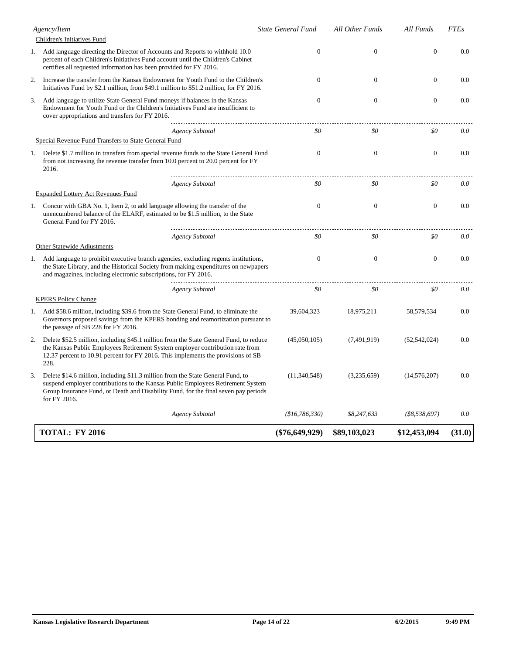|    | Agency/Item                                                                                                                                                                                                                                                               | <b>State General Fund</b> | <b>All Other Funds</b> | All Funds        | <b>FTEs</b> |
|----|---------------------------------------------------------------------------------------------------------------------------------------------------------------------------------------------------------------------------------------------------------------------------|---------------------------|------------------------|------------------|-------------|
|    | Children's Initiatives Fund                                                                                                                                                                                                                                               |                           |                        |                  |             |
|    | 1. Add language directing the Director of Accounts and Reports to withhold 10.0<br>percent of each Children's Initiatives Fund account until the Children's Cabinet<br>certifies all requested information has been provided for FY 2016.                                 | $\overline{0}$            | $\mathbf{0}$           | $\overline{0}$   | 0.0         |
| 2. | Increase the transfer from the Kansas Endowment for Youth Fund to the Children's<br>Initiatives Fund by \$2.1 million, from \$49.1 million to \$51.2 million, for FY 2016.                                                                                                | $\Omega$                  | $\mathbf{0}$           | $\mathbf{0}$     | 0.0         |
| 3. | Add language to utilize State General Fund moneys if balances in the Kansas<br>Endowment for Youth Fund or the Children's Initiatives Fund are insufficient to<br>cover appropriations and transfers for FY 2016.                                                         | $\overline{0}$            | $\overline{0}$         | $\overline{0}$   | 0.0         |
|    | <b>Agency Subtotal</b>                                                                                                                                                                                                                                                    | \$0                       | \$0                    | \$0              | 0.0         |
|    | Special Revenue Fund Transfers to State General Fund                                                                                                                                                                                                                      |                           |                        |                  |             |
| 1. | Delete \$1.7 million in transfers from special revenue funds to the State General Fund<br>from not increasing the revenue transfer from 10.0 percent to 20.0 percent for FY<br>2016.                                                                                      | $\overline{0}$            | $\overline{0}$         | $\mathbf{0}$     | 0.0         |
|    | <b>Agency Subtotal</b>                                                                                                                                                                                                                                                    | \$0                       | \$0                    | \$0              | 0.0         |
|    | <b>Expanded Lottery Act Revenues Fund</b>                                                                                                                                                                                                                                 |                           |                        |                  |             |
|    | 1. Concur with GBA No. 1, Item 2, to add language allowing the transfer of the<br>unencumbered balance of the ELARF, estimated to be \$1.5 million, to the State<br>General Fund for FY 2016.                                                                             | $\overline{0}$            | $\mathbf{0}$           | $\mathbf{0}$     | 0.0         |
|    | <b>Agency Subtotal</b>                                                                                                                                                                                                                                                    | \$0                       | \$0                    | \$0              | 0.0         |
|    | Other Statewide Adjustments                                                                                                                                                                                                                                               |                           |                        |                  |             |
|    | 1. Add language to prohibit executive branch agencies, excluding regents institutions,<br>the State Library, and the Historical Society from making expenditures on newpapers<br>and magazines, including electronic subscriptions, for FY 2016.                          | $\overline{0}$            | $\overline{0}$         | $\mathbf{0}$     | 0.0         |
|    | <b>Agency Subtotal</b>                                                                                                                                                                                                                                                    | \$0                       | \$0                    | \$0              | 0.0         |
|    | <b>KPERS Policy Change</b>                                                                                                                                                                                                                                                |                           |                        |                  |             |
|    | 1. Add \$58.6 million, including \$39.6 from the State General Fund, to eliminate the<br>Governors proposed savings from the KPERS bonding and reamortization pursuant to<br>the passage of SB 228 for FY 2016.                                                           | 39,604,323                | 18,975,211             | 58, 579, 534     | 0.0         |
| 2. | Delete \$52.5 million, including \$45.1 million from the State General Fund, to reduce<br>the Kansas Public Employees Retirement System employer contribution rate from<br>12.37 percent to 10.91 percent for FY 2016. This implements the provisions of SB<br>228.       | (45,050,105)              | (7,491,919)            | (52, 542, 024)   | 0.0         |
| 3. | Delete \$14.6 million, including \$11.3 million from the State General Fund, to<br>suspend employer contributions to the Kansas Public Employees Retirement System<br>Group Insurance Fund, or Death and Disability Fund, for the final seven pay periods<br>for FY 2016. | (11,340,548)              | (3,235,659)            | (14, 576, 207)   | 0.0         |
|    | <b>Agency Subtotal</b>                                                                                                                                                                                                                                                    | (\$16,786,330)            | \$8,247,633            | $($ \$8,538,697) | 0.0         |
|    | <b>TOTAL: FY 2016</b>                                                                                                                                                                                                                                                     | $(\$76,649,929)$          | \$89,103,023           | \$12,453,094     | (31.0)      |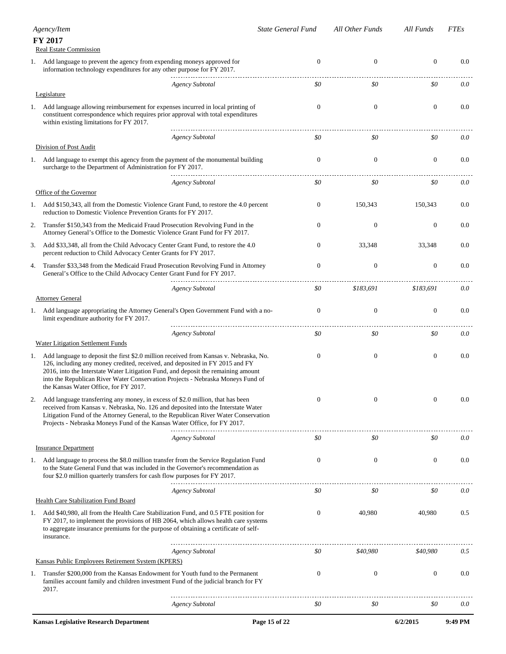|    | Agency/Item                                                                                                                                                                                                                                                                                                                                                                            | <b>State General Fund</b> | All Other Funds  | All Funds        | <b>FTEs</b> |
|----|----------------------------------------------------------------------------------------------------------------------------------------------------------------------------------------------------------------------------------------------------------------------------------------------------------------------------------------------------------------------------------------|---------------------------|------------------|------------------|-------------|
|    | FY 2017<br>Real Estate Commission                                                                                                                                                                                                                                                                                                                                                      |                           |                  |                  |             |
| 1. | Add language to prevent the agency from expending moneys approved for<br>information technology expenditures for any other purpose for FY 2017.                                                                                                                                                                                                                                        | $\mathbf{0}$              | $\mathbf{0}$     | $\boldsymbol{0}$ | 0.0         |
|    | <b>Agency Subtotal</b>                                                                                                                                                                                                                                                                                                                                                                 | \$0                       | \$0              | \$0              | 0.0         |
|    | Legislature                                                                                                                                                                                                                                                                                                                                                                            |                           |                  |                  |             |
| 1. | Add language allowing reimbursement for expenses incurred in local printing of<br>constituent correspondence which requires prior approval with total expenditures<br>within existing limitations for FY 2017.                                                                                                                                                                         | $\theta$                  | $\mathbf{0}$     | $\boldsymbol{0}$ | 0.0         |
|    | Agency Subtotal                                                                                                                                                                                                                                                                                                                                                                        | \$0                       | \$0              | \$0              | 0.0         |
|    | Division of Post Audit                                                                                                                                                                                                                                                                                                                                                                 |                           |                  |                  |             |
| 1. | Add language to exempt this agency from the payment of the monumental building<br>surcharge to the Department of Administration for FY 2017.                                                                                                                                                                                                                                           | $\theta$                  | $\mathbf{0}$     | $\boldsymbol{0}$ | 0.0         |
|    | <b>Agency Subtotal</b>                                                                                                                                                                                                                                                                                                                                                                 | \$0                       | \$0              | \$0              | 0.0         |
|    | Office of the Governor                                                                                                                                                                                                                                                                                                                                                                 |                           |                  |                  |             |
|    | 1. Add \$150,343, all from the Domestic Violence Grant Fund, to restore the 4.0 percent<br>reduction to Domestic Violence Prevention Grants for FY 2017.                                                                                                                                                                                                                               | $\mathbf{0}$              | 150,343          | 150,343          | 0.0         |
| 2. | Transfer \$150,343 from the Medicaid Fraud Prosecution Revolving Fund in the<br>Attorney General's Office to the Domestic Violence Grant Fund for FY 2017.                                                                                                                                                                                                                             | $\Omega$                  | $\boldsymbol{0}$ | $\mathbf{0}$     | 0.0         |
| 3. | Add \$33,348, all from the Child Advocacy Center Grant Fund, to restore the 4.0<br>percent reduction to Child Advocacy Center Grants for FY 2017.                                                                                                                                                                                                                                      | $\mathbf{0}$              | 33,348           | 33,348           | 0.0         |
| 4. | Transfer \$33,348 from the Medicaid Fraud Prosecution Revolving Fund in Attorney<br>General's Office to the Child Advocacy Center Grant Fund for FY 2017.                                                                                                                                                                                                                              | $\mathbf{0}$              | $\boldsymbol{0}$ | $\boldsymbol{0}$ | 0.0         |
|    | <b>Agency Subtotal</b>                                                                                                                                                                                                                                                                                                                                                                 | \$0                       | \$183,691        | \$183,691        | 0.0         |
|    | <b>Attorney General</b>                                                                                                                                                                                                                                                                                                                                                                |                           |                  |                  |             |
| 1. | Add language appropriating the Attorney General's Open Government Fund with a no-<br>limit expenditure authority for FY 2017.                                                                                                                                                                                                                                                          | $\mathbf{0}$              | $\boldsymbol{0}$ | $\boldsymbol{0}$ | 0.0         |
|    | <b>Agency Subtotal</b>                                                                                                                                                                                                                                                                                                                                                                 | \$0                       | \$0              | \$0              | 0.0         |
|    | Water Litigation Settlement Funds                                                                                                                                                                                                                                                                                                                                                      |                           |                  |                  |             |
| 1. | Add language to deposit the first \$2.0 million received from Kansas v. Nebraska, No.<br>126, including any money credited, received, and deposited in FY 2015 and FY<br>2016, into the Interstate Water Litigation Fund, and deposit the remaining amount<br>into the Republican River Water Conservation Projects - Nebraska Moneys Fund of<br>the Kansas Water Office, for FY 2017. | $\mathbf{0}$              | $\boldsymbol{0}$ | $\boldsymbol{0}$ | 0.0         |
| 2. | Add language transferring any money, in excess of \$2.0 million, that has been<br>received from Kansas v. Nebraska, No. 126 and deposited into the Interstate Water<br>Litigation Fund of the Attorney General, to the Republican River Water Conservation<br>Projects - Nebraska Moneys Fund of the Kansas Water Office, for FY 2017.                                                 | $\boldsymbol{0}$          | $\boldsymbol{0}$ | $\boldsymbol{0}$ | 0.0         |
|    | <b>Agency Subtotal</b>                                                                                                                                                                                                                                                                                                                                                                 | \$0                       | \$0              | \$0              | 0.0         |
|    | <b>Insurance Department</b>                                                                                                                                                                                                                                                                                                                                                            |                           |                  |                  |             |
| 1. | Add language to process the \$8.0 million transfer from the Service Regulation Fund<br>to the State General Fund that was included in the Governor's recommendation as<br>four \$2.0 million quarterly transfers for cash flow purposes for FY 2017.                                                                                                                                   | $\mathbf{0}$              | $\mathbf{0}$     | $\boldsymbol{0}$ | 0.0         |
|    | <b>Agency Subtotal</b>                                                                                                                                                                                                                                                                                                                                                                 | \$0                       | \$0              | \$0              | 0.0         |
|    | Health Care Stabilization Fund Board                                                                                                                                                                                                                                                                                                                                                   |                           |                  |                  |             |
| 1. | Add \$40,980, all from the Health Care Stabilization Fund, and 0.5 FTE position for<br>FY 2017, to implement the provisions of HB 2064, which allows health care systems<br>to aggregate insurance premiums for the purpose of obtaining a certificate of self-<br>insurance.                                                                                                          | $\mathbf{0}$              | 40,980           | 40,980           | 0.5         |
|    | <b>Agency Subtotal</b>                                                                                                                                                                                                                                                                                                                                                                 | \$0                       | \$40,980         | \$40,980         | 0.5         |
|    | Kansas Public Employees Retirement System (KPERS)                                                                                                                                                                                                                                                                                                                                      |                           |                  |                  |             |
| 1. | Transfer \$200,000 from the Kansas Endowment for Youth fund to the Permanent<br>families account family and children investment Fund of the judicial branch for FY<br>2017.                                                                                                                                                                                                            | $\mathbf{0}$              | $\boldsymbol{0}$ | $\boldsymbol{0}$ | 0.0         |
|    | <b>Agency Subtotal</b>                                                                                                                                                                                                                                                                                                                                                                 | \$0                       | \$0              | \$0              | 0.0         |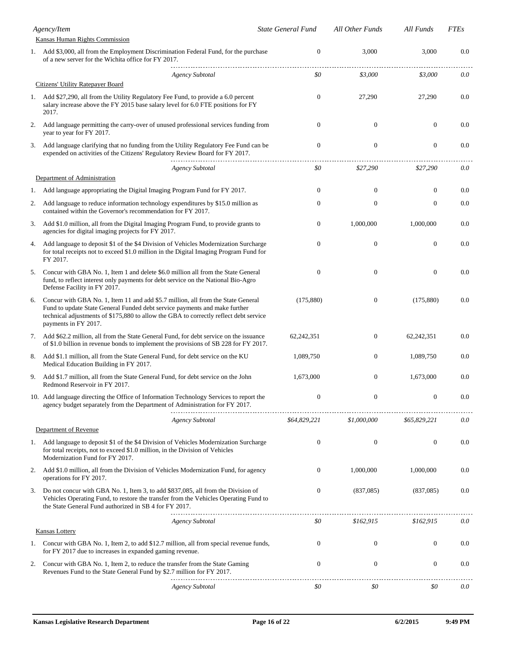|    | Agency/Item                                                                                                                                                                                                                                                                     | <b>State General Fund</b> | All Other Funds  | All Funds        | <b>FTEs</b> |
|----|---------------------------------------------------------------------------------------------------------------------------------------------------------------------------------------------------------------------------------------------------------------------------------|---------------------------|------------------|------------------|-------------|
|    | Kansas Human Rights Commission                                                                                                                                                                                                                                                  |                           |                  |                  |             |
|    | 1. Add \$3,000, all from the Employment Discrimination Federal Fund, for the purchase<br>of a new server for the Wichita office for FY 2017.                                                                                                                                    | $\overline{0}$            | 3,000            | 3,000            | 0.0         |
|    | <b>Agency Subtotal</b>                                                                                                                                                                                                                                                          | \$0                       | \$3,000          | \$3,000          | 0.0         |
|    | Citizens' Utility Ratepayer Board                                                                                                                                                                                                                                               |                           |                  |                  |             |
| 1. | Add \$27,290, all from the Utility Regulatory Fee Fund, to provide a 6.0 percent<br>salary increase above the FY 2015 base salary level for 6.0 FTE positions for FY<br>2017.                                                                                                   | $\overline{0}$            | 27,290           | 27,290           | 0.0         |
| 2. | Add language permitting the carry-over of unused professional services funding from<br>year to year for FY 2017.                                                                                                                                                                | $\mathbf{0}$              | $\boldsymbol{0}$ | $\mathbf{0}$     | 0.0         |
| 3. | Add language clarifying that no funding from the Utility Regulatory Fee Fund can be<br>expended on activities of the Citizens' Regulatory Review Board for FY 2017.                                                                                                             | $\boldsymbol{0}$          | $\boldsymbol{0}$ | $\boldsymbol{0}$ | 0.0         |
|    | <b>Agency Subtotal</b>                                                                                                                                                                                                                                                          | \$0                       | \$27,290         | \$27,290         | 0.0         |
|    | Department of Administration                                                                                                                                                                                                                                                    |                           |                  |                  |             |
| 1. | Add language appropriating the Digital Imaging Program Fund for FY 2017.                                                                                                                                                                                                        | $\overline{0}$            | $\mathbf{0}$     | $\mathbf{0}$     | 0.0         |
| 2. | Add language to reduce information technology expenditures by \$15.0 million as<br>contained within the Governor's recommendation for FY 2017.                                                                                                                                  | $\mathbf{0}$              | $\boldsymbol{0}$ | $\boldsymbol{0}$ | 0.0         |
| 3. | Add \$1.0 million, all from the Digital Imaging Program Fund, to provide grants to<br>agencies for digital imaging projects for FY 2017.                                                                                                                                        | $\overline{0}$            | 1,000,000        | 1,000,000        | 0.0         |
| 4. | Add language to deposit \$1 of the \$4 Division of Vehicles Modernization Surcharge<br>for total receipts not to exceed \$1.0 million in the Digital Imaging Program Fund for<br>FY 2017.                                                                                       | $\mathbf{0}$              | $\boldsymbol{0}$ | $\boldsymbol{0}$ | 0.0         |
| 5. | Concur with GBA No. 1, Item 1 and delete \$6.0 million all from the State General<br>fund, to reflect interest only payments for debt service on the National Bio-Agro<br>Defense Facility in FY 2017.                                                                          | $\mathbf{0}$              | $\boldsymbol{0}$ | $\mathbf{0}$     | 0.0         |
| 6. | Concur with GBA No. 1, Item 11 and add \$5.7 million, all from the State General<br>Fund to update State General Funded debt service payments and make further<br>technical adjustments of \$175,880 to allow the GBA to correctly reflect debt service<br>payments in FY 2017. | (175, 880)                | $\boldsymbol{0}$ | (175,880)        | 0.0         |
| 7. | Add \$62.2 million, all from the State General Fund, for debt service on the issuance<br>of \$1.0 billion in revenue bonds to implement the provisions of SB 228 for FY 2017.                                                                                                   | 62,242,351                | $\boldsymbol{0}$ | 62,242,351       | 0.0         |
| 8. | Add \$1.1 million, all from the State General Fund, for debt service on the KU<br>Medical Education Building in FY 2017.                                                                                                                                                        | 1,089,750                 | $\boldsymbol{0}$ | 1,089,750        | 0.0         |
| 9. | Add \$1.7 million, all from the State General Fund, for debt service on the John<br>Redmond Reservoir in FY 2017.                                                                                                                                                               | 1,673,000                 | $\boldsymbol{0}$ | 1,673,000        | 0.0         |
|    | 10. Add language directing the Office of Information Technology Services to report the<br>agency budget separately from the Department of Administration for FY 2017.                                                                                                           | $\boldsymbol{0}$          | $\boldsymbol{0}$ | $\boldsymbol{0}$ | 0.0         |
|    | <b>Agency Subtotal</b>                                                                                                                                                                                                                                                          | \$64,829,221              | \$1,000,000      | \$65,829,221     | 0.0         |
|    | Department of Revenue                                                                                                                                                                                                                                                           |                           |                  |                  |             |
| 1. | Add language to deposit \$1 of the \$4 Division of Vehicles Modernization Surcharge<br>for total receipts, not to exceed \$1.0 million, in the Division of Vehicles<br>Modernization Fund for FY 2017.                                                                          | $\boldsymbol{0}$          | $\boldsymbol{0}$ | $\boldsymbol{0}$ | 0.0         |
| 2. | Add \$1.0 million, all from the Division of Vehicles Modernization Fund, for agency<br>operations for FY 2017.                                                                                                                                                                  | $\overline{0}$            | 1,000,000        | 1,000,000        | 0.0         |
| 3. | Do not concur with GBA No. 1, Item 3, to add \$837,085, all from the Division of<br>Vehicles Operating Fund, to restore the transfer from the Vehicles Operating Fund to<br>the State General Fund authorized in SB 4 for FY 2017.                                              | 0                         | (837,085)        | (837,085)        | 0.0         |
|    | <b>Agency Subtotal</b>                                                                                                                                                                                                                                                          | \$0                       | \$162,915        | \$162,915        | 0.0         |
|    | <b>Kansas Lottery</b>                                                                                                                                                                                                                                                           |                           |                  |                  |             |
|    | 1. Concur with GBA No. 1, Item 2, to add \$12.7 million, all from special revenue funds,<br>for FY 2017 due to increases in expanded gaming revenue.                                                                                                                            | 0                         | $\boldsymbol{0}$ | $\boldsymbol{0}$ | 0.0         |
| 2. | Concur with GBA No. 1, Item 2, to reduce the transfer from the State Gaming<br>Revenues Fund to the State General Fund by \$2.7 million for FY 2017.                                                                                                                            | $\boldsymbol{0}$          | $\boldsymbol{0}$ | $\boldsymbol{0}$ | 0.0         |
|    | <b>Agency Subtotal</b>                                                                                                                                                                                                                                                          | \$0                       | \$0              | \$0              | 0.0         |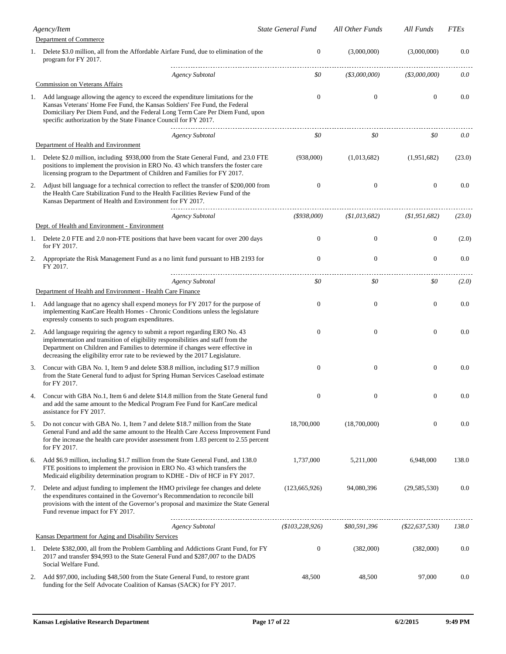| Agency/Item |                                                                                                                                                                                                                                                                                                                                 | State General Fund | All Other Funds     | All Funds           | <b>FTEs</b> |
|-------------|---------------------------------------------------------------------------------------------------------------------------------------------------------------------------------------------------------------------------------------------------------------------------------------------------------------------------------|--------------------|---------------------|---------------------|-------------|
|             | Department of Commerce                                                                                                                                                                                                                                                                                                          |                    |                     |                     |             |
|             | 1. Delete \$3.0 million, all from the Affordable Airfare Fund, due to elimination of the<br>program for FY 2017.                                                                                                                                                                                                                | $\theta$           | (3,000,000)         | (3,000,000)         | 0.0         |
|             | <b>Agency Subtotal</b>                                                                                                                                                                                                                                                                                                          | \$0                | $($ \$3,000,000 $)$ | $($ \$3,000,000 $)$ | 0.0         |
|             | <b>Commission on Veterans Affairs</b>                                                                                                                                                                                                                                                                                           |                    |                     |                     |             |
| 1.          | Add language allowing the agency to exceed the expenditure limitations for the<br>Kansas Veterans' Home Fee Fund, the Kansas Soldiers' Fee Fund, the Federal<br>Domiciliary Per Diem Fund, and the Federal Long Term Care Per Diem Fund, upon<br>specific authorization by the State Finance Council for FY 2017.               | $\theta$           | $\mathbf{0}$        | $\mathbf{0}$        | 0.0         |
|             | <b>Agency Subtotal</b>                                                                                                                                                                                                                                                                                                          | \$0                | \$0                 | \$0                 | 0.0         |
|             | Department of Health and Environment                                                                                                                                                                                                                                                                                            |                    |                     |                     |             |
|             | 1. Delete \$2.0 million, including \$938,000 from the State General Fund, and 23.0 FTE<br>positions to implement the provision in ERO No. 43 which transfers the foster care<br>licensing program to the Department of Children and Families for FY 2017.                                                                       | (938,000)          | (1,013,682)         | (1,951,682)         | (23.0)      |
| 2.          | Adjust bill language for a technical correction to reflect the transfer of \$200,000 from<br>the Health Care Stabilization Fund to the Health Facilities Review Fund of the<br>Kansas Department of Health and Environment for FY 2017.                                                                                         | $\mathbf{0}$       | $\mathbf{0}$        | $\boldsymbol{0}$    | 0.0         |
|             | <b>Agency Subtotal</b>                                                                                                                                                                                                                                                                                                          | $($ \$938,000)     | (S1, 013, 682)      | (S1, 951, 682)      | (23.0)      |
|             | Dept. of Health and Environment - Environment                                                                                                                                                                                                                                                                                   |                    |                     |                     |             |
|             | 1. Delete 2.0 FTE and 2.0 non-FTE positions that have been vacant for over 200 days<br>for FY 2017.                                                                                                                                                                                                                             | $\theta$           | $\boldsymbol{0}$    | $\boldsymbol{0}$    | (2.0)       |
| 2.          | Appropriate the Risk Management Fund as a no limit fund pursuant to HB 2193 for<br>FY 2017.                                                                                                                                                                                                                                     | $\theta$           | $\boldsymbol{0}$    | $\boldsymbol{0}$    | 0.0         |
|             | <b>Agency Subtotal</b>                                                                                                                                                                                                                                                                                                          | \$0                | \$0                 | \$0                 | (2.0)       |
|             | Department of Health and Environment - Health Care Finance                                                                                                                                                                                                                                                                      |                    |                     |                     |             |
|             | 1. Add language that no agency shall expend moneys for FY 2017 for the purpose of<br>implementing KanCare Health Homes - Chronic Conditions unless the legislature<br>expressly consents to such program expenditures.                                                                                                          | $\theta$           | $\mathbf{0}$        | $\mathbf{0}$        | 0.0         |
| 2.          | Add language requiring the agency to submit a report regarding ERO No. 43<br>implementation and transition of eligibility responsibilities and staff from the<br>Department on Children and Families to determine if changes were effective in<br>decreasing the eligibility error rate to be reviewed by the 2017 Legislature. | $\theta$           | $\mathbf{0}$        | $\mathbf{0}$        | 0.0         |
| 3.          | Concur with GBA No. 1, Item 9 and delete \$38.8 million, including \$17.9 million<br>from the State General fund to adjust for Spring Human Services Caseload estimate<br>for FY 2017.                                                                                                                                          | $\theta$           | $\boldsymbol{0}$    | $\boldsymbol{0}$    | 0.0         |
| 4.          | Concur with GBA No.1, Item 6 and delete \$14.8 million from the State General fund<br>and add the same amount to the Medical Program Fee Fund for KanCare medical<br>assistance for FY 2017.                                                                                                                                    | $\boldsymbol{0}$   | 0                   | $\boldsymbol{0}$    | 0.0         |
| 5.          | Do not concur with GBA No. 1, Item 7 and delete \$18.7 million from the State<br>General Fund and add the same amount to the Health Care Access Improvement Fund<br>for the increase the health care provider assessment from 1.83 percent to 2.55 percent<br>for FY 2017.                                                      | 18,700,000         | (18,700,000)        | $\boldsymbol{0}$    | 0.0         |
| 6.          | Add \$6.9 million, including \$1.7 million from the State General Fund, and 138.0<br>FTE positions to implement the provision in ERO No. 43 which transfers the<br>Medicaid eligibility determination program to KDHE - Div of HCF in FY 2017.                                                                                  | 1,737,000          | 5,211,000           | 6,948,000           | 138.0       |
| 7.          | Delete and adjust funding to implement the HMO privilege fee changes and delete<br>the expenditures contained in the Governor's Recommendation to reconcile bill<br>provisions with the intent of the Governor's proposal and maximize the State General<br>Fund revenue impact for FY 2017.                                    | (123, 665, 926)    | 94,080,396          | (29, 585, 530)      | 0.0         |
|             | <b>Agency Subtotal</b>                                                                                                                                                                                                                                                                                                          | (\$103, 228, 926)  | \$80,591,396        | $($ \$22,637,530)   | 138.0       |
|             | Kansas Department for Aging and Disability Services                                                                                                                                                                                                                                                                             |                    |                     |                     |             |
| 1.          | Delete \$382,000, all from the Problem Gambling and Addictions Grant Fund, for FY<br>2017 and transfer \$94,993 to the State General Fund and \$287,007 to the DADS<br>Social Welfare Fund.                                                                                                                                     | $\mathbf{0}$       | (382,000)           | (382,000)           | 0.0         |
| 2.          | Add \$97,000, including \$48,500 from the State General Fund, to restore grant<br>funding for the Self Advocate Coalition of Kansas (SACK) for FY 2017.                                                                                                                                                                         | 48,500             | 48,500              | 97,000              | 0.0         |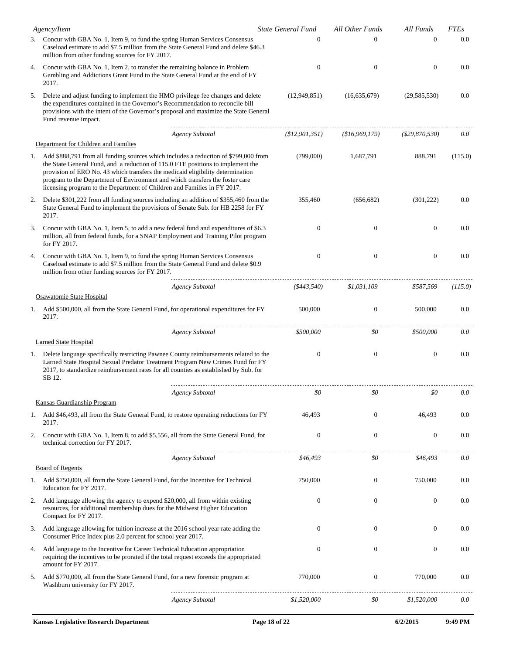|    | Agency/Item                                                                                                                                                                                                                                                                                                                                                                                                             |  | <b>State General Fund</b> | All Other Funds  | All Funds        | <b>FTEs</b> |
|----|-------------------------------------------------------------------------------------------------------------------------------------------------------------------------------------------------------------------------------------------------------------------------------------------------------------------------------------------------------------------------------------------------------------------------|--|---------------------------|------------------|------------------|-------------|
|    | 3. Concur with GBA No. 1, Item 9, to fund the spring Human Services Consensus<br>Caseload estimate to add \$7.5 million from the State General Fund and delete \$46.3<br>million from other funding sources for FY 2017.                                                                                                                                                                                                |  | $\Omega$                  | $\Omega$         | $\Omega$         | 0.0         |
| 4. | Concur with GBA No. 1, Item 2, to transfer the remaining balance in Problem<br>Gambling and Addictions Grant Fund to the State General Fund at the end of FY<br>2017.                                                                                                                                                                                                                                                   |  | $\mathbf{0}$              | $\mathbf{0}$     | $\mathbf{0}$     | 0.0         |
| 5. | Delete and adjust funding to implement the HMO privilege fee changes and delete<br>the expenditures contained in the Governor's Recommendation to reconcile bill<br>provisions with the intent of the Governor's proposal and maximize the State General<br>Fund revenue impact.                                                                                                                                        |  | (12,949,851)              | (16,635,679)     | (29, 585, 530)   | 0.0         |
|    | <b>Agency Subtotal</b>                                                                                                                                                                                                                                                                                                                                                                                                  |  | (\$12,901,351)            | (\$16,969,179)   | $(\$29,870,530)$ | 0.0         |
|    | Department for Children and Families                                                                                                                                                                                                                                                                                                                                                                                    |  |                           |                  |                  |             |
|    | 1. Add \$888,791 from all funding sources which includes a reduction of \$799,000 from<br>the State General Fund, and a reduction of 115.0 FTE positions to implement the<br>provision of ERO No. 43 which transfers the medicaid eligibility determination<br>program to the Department of Environment and which transfers the foster care<br>licensing program to the Department of Children and Families in FY 2017. |  | (799,000)                 | 1,687,791        | 888,791          | (115.0)     |
| 2. | Delete \$301,222 from all funding sources including an addition of \$355,460 from the<br>State General Fund to implement the provisions of Senate Sub. for HB 2258 for FY<br>2017.                                                                                                                                                                                                                                      |  | 355,460                   | (656, 682)       | (301, 222)       | 0.0         |
| 3. | Concur with GBA No. 1, Item 5, to add a new federal fund and expenditures of \$6.3<br>million, all from federal funds, for a SNAP Employment and Training Pilot program<br>for FY 2017.                                                                                                                                                                                                                                 |  | $\mathbf{0}$              | $\boldsymbol{0}$ | $\mathbf{0}$     | 0.0         |
| 4. | Concur with GBA No. 1, Item 9, to fund the spring Human Services Consensus<br>Caseload estimate to add \$7.5 million from the State General Fund and delete \$0.9<br>million from other funding sources for FY 2017.                                                                                                                                                                                                    |  | $\boldsymbol{0}$          | $\boldsymbol{0}$ | $\boldsymbol{0}$ | 0.0         |
|    | <b>Agency Subtotal</b>                                                                                                                                                                                                                                                                                                                                                                                                  |  | ( \$443, 540)             | \$1,031,109      | \$587,569        | (115.0)     |
|    | Osawatomie State Hospital                                                                                                                                                                                                                                                                                                                                                                                               |  |                           |                  |                  |             |
|    | 1. Add \$500,000, all from the State General Fund, for operational expenditures for FY<br>2017.                                                                                                                                                                                                                                                                                                                         |  | 500,000                   | $\boldsymbol{0}$ | 500,000          | 0.0         |
|    | <b>Agency Subtotal</b>                                                                                                                                                                                                                                                                                                                                                                                                  |  | \$500,000                 | \$0              | \$500,000        | 0.0         |
|    | <b>Larned State Hospital</b>                                                                                                                                                                                                                                                                                                                                                                                            |  |                           |                  |                  |             |
|    | 1. Delete language specifically restricting Pawnee County reimbursements related to the<br>Larned State Hospital Sexual Predator Treatment Program New Crimes Fund for FY<br>2017, to standardize reimbursement rates for all counties as established by Sub. for<br>SB 12.                                                                                                                                             |  | $\mathbf{0}$              | $\boldsymbol{0}$ | $\boldsymbol{0}$ | 0.0         |
|    | <b>Agency Subtotal</b>                                                                                                                                                                                                                                                                                                                                                                                                  |  | \$0                       | \$0              | \$0              | 0.0         |
|    | Kansas Guardianship Program                                                                                                                                                                                                                                                                                                                                                                                             |  |                           |                  |                  |             |
| 1. | Add \$46,493, all from the State General Fund, to restore operating reductions for FY<br>2017.                                                                                                                                                                                                                                                                                                                          |  | 46,493                    | $\mathbf{0}$     | 46,493           | 0.0         |
| 2. | Concur with GBA No. 1, Item 8, to add \$5,556, all from the State General Fund, for<br>technical correction for FY 2017.                                                                                                                                                                                                                                                                                                |  | $\theta$                  | $\boldsymbol{0}$ | $\boldsymbol{0}$ | 0.0         |
|    | <b>Agency Subtotal</b>                                                                                                                                                                                                                                                                                                                                                                                                  |  | \$46,493                  | \$0              | \$46,493         | 0.0         |
|    | <b>Board of Regents</b>                                                                                                                                                                                                                                                                                                                                                                                                 |  |                           |                  |                  |             |
| 1. | Add \$750,000, all from the State General Fund, for the Incentive for Technical<br>Education for FY 2017.                                                                                                                                                                                                                                                                                                               |  | 750,000                   | $\boldsymbol{0}$ | 750,000          | 0.0         |
| 2. | Add language allowing the agency to expend \$20,000, all from within existing<br>resources, for additional membership dues for the Midwest Higher Education<br>Compact for FY 2017.                                                                                                                                                                                                                                     |  | $\mathbf{0}$              | $\boldsymbol{0}$ | $\boldsymbol{0}$ | 0.0         |
| 3. | Add language allowing for tuition increase at the 2016 school year rate adding the<br>Consumer Price Index plus 2.0 percent for school year 2017.                                                                                                                                                                                                                                                                       |  | $\Omega$                  | $\boldsymbol{0}$ | $\mathbf{0}$     | 0.0         |
| 4. | Add language to the Incentive for Career Technical Education appropriation<br>requiring the incentives to be prorated if the total request exceeds the appropriated<br>amount for FY 2017.                                                                                                                                                                                                                              |  | $\mathbf{0}$              | $\boldsymbol{0}$ | $\boldsymbol{0}$ | 0.0         |
| 5. | Add \$770,000, all from the State General Fund, for a new forensic program at<br>Washburn university for FY 2017.                                                                                                                                                                                                                                                                                                       |  | 770,000                   | $\mathbf{0}$     | 770,000          | 0.0         |
|    | <b>Agency Subtotal</b>                                                                                                                                                                                                                                                                                                                                                                                                  |  | \$1,520,000               | \$0              | \$1,520,000      | 0.0         |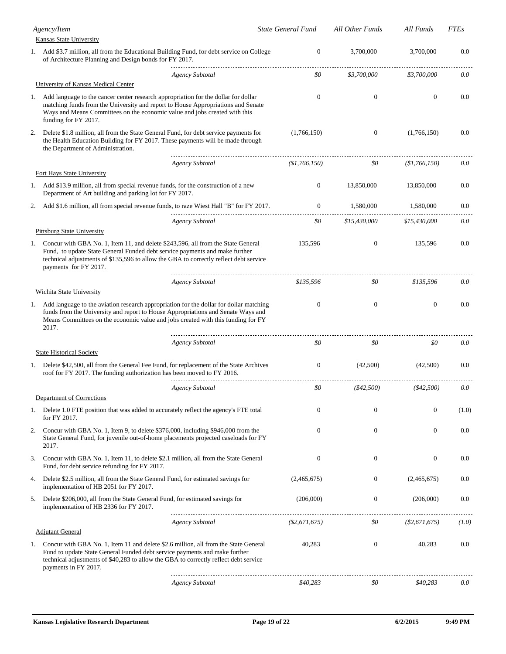|    | Agency/Item<br><b>Kansas State University</b>                                                                                                                                                                                                                                        |                        | <b>State General Fund</b> | All Other Funds  | All Funds        | <b>FTEs</b> |
|----|--------------------------------------------------------------------------------------------------------------------------------------------------------------------------------------------------------------------------------------------------------------------------------------|------------------------|---------------------------|------------------|------------------|-------------|
|    | 1. Add \$3.7 million, all from the Educational Building Fund, for debt service on College<br>of Architecture Planning and Design bonds for FY 2017.                                                                                                                                  |                        | 0                         | 3,700,000        | 3,700,000        | 0.0         |
|    |                                                                                                                                                                                                                                                                                      | <b>Agency Subtotal</b> | \$0                       | \$3,700,000      | \$3,700,000      | 0.0         |
|    | University of Kansas Medical Center                                                                                                                                                                                                                                                  |                        |                           |                  |                  |             |
| 1. | Add language to the cancer center research appropriation for the dollar for dollar<br>matching funds from the University and report to House Appropriations and Senate<br>Ways and Means Committees on the economic value and jobs created with this<br>funding for FY 2017.         |                        | $\mathbf{0}$              | $\mathbf{0}$     | $\boldsymbol{0}$ | 0.0         |
| 2. | Delete \$1.8 million, all from the State General Fund, for debt service payments for<br>the Health Education Building for FY 2017. These payments will be made through<br>the Department of Administration.                                                                          |                        | (1,766,150)               | $\mathbf{0}$     | (1,766,150)      | 0.0         |
|    |                                                                                                                                                                                                                                                                                      | <b>Agency Subtotal</b> | (\$1,766,150)             | \$0              | (\$1,766,150)    | 0.0         |
|    | Fort Hays State University                                                                                                                                                                                                                                                           |                        |                           |                  |                  |             |
|    | 1. Add \$13.9 million, all from special revenue funds, for the construction of a new<br>Department of Art building and parking lot for FY 2017.                                                                                                                                      |                        | $\overline{0}$            | 13,850,000       | 13,850,000       | 0.0         |
| 2. | Add \$1.6 million, all from special revenue funds, to raze Wiest Hall "B" for FY 2017.                                                                                                                                                                                               |                        | $\mathbf{0}$              | 1,580,000        | 1,580,000        | 0.0         |
|    |                                                                                                                                                                                                                                                                                      | <b>Agency Subtotal</b> | \$0                       | \$15,430,000     | \$15,430,000     | 0.0         |
|    | <b>Pittsburg State University</b>                                                                                                                                                                                                                                                    |                        |                           |                  |                  |             |
| 1. | Concur with GBA No. 1, Item 11, and delete \$243,596, all from the State General<br>Fund, to update State General Funded debt service payments and make further<br>technical adjustments of \$135,596 to allow the GBA to correctly reflect debt service<br>payments for FY 2017.    |                        | 135,596                   | $\mathbf{0}$     | 135,596          | 0.0         |
|    |                                                                                                                                                                                                                                                                                      | <b>Agency Subtotal</b> | \$135,596                 | \$0              | \$135,596        | 0.0         |
|    | Wichita State University                                                                                                                                                                                                                                                             |                        |                           |                  |                  |             |
|    | 1. Add language to the aviation research appropriation for the dollar for dollar matching<br>funds from the University and report to House Appropriations and Senate Ways and<br>Means Committees on the economic value and jobs created with this funding for FY<br>2017.           |                        | $\mathbf{0}$              | $\mathbf{0}$     | $\mathbf{0}$     | 0.0         |
|    | <b>State Historical Society</b>                                                                                                                                                                                                                                                      | <b>Agency Subtotal</b> | \$0                       | \$0              | \$0              | 0.0         |
| 1. | Delete \$42,500, all from the General Fee Fund, for replacement of the State Archives<br>roof for FY 2017. The funding authorization has been moved to FY 2016.                                                                                                                      |                        | $\mathbf{0}$              | (42,500)         | (42,500)         | 0.0         |
|    |                                                                                                                                                                                                                                                                                      | <b>Agency Subtotal</b> | \$0                       | ( \$42,500)      | ( \$42,500)      | 0.0         |
|    | Department of Corrections                                                                                                                                                                                                                                                            |                        |                           |                  |                  |             |
| 1. | Delete 1.0 FTE position that was added to accurately reflect the agency's FTE total<br>for FY 2017.                                                                                                                                                                                  |                        | $\mathbf{0}$              | $\boldsymbol{0}$ | $\boldsymbol{0}$ | (1.0)       |
| 2. | Concur with GBA No. 1, Item 9, to delete \$376,000, including \$946,000 from the<br>State General Fund, for juvenile out-of-home placements projected caseloads for FY<br>2017.                                                                                                      |                        | $\mathbf{0}$              | $\mathbf{0}$     | $\boldsymbol{0}$ | 0.0         |
| 3. | Concur with GBA No. 1, Item 11, to delete \$2.1 million, all from the State General<br>Fund, for debt service refunding for FY 2017.                                                                                                                                                 |                        | $\mathbf{0}$              | $\boldsymbol{0}$ | $\boldsymbol{0}$ | 0.0         |
| 4. | Delete \$2.5 million, all from the State General Fund, for estimated savings for<br>implementation of HB 2051 for FY 2017.                                                                                                                                                           |                        | (2,465,675)               | $\boldsymbol{0}$ | (2,465,675)      | 0.0         |
| 5. | Delete \$206,000, all from the State General Fund, for estimated savings for<br>implementation of HB 2336 for FY 2017.                                                                                                                                                               |                        | (206,000)                 | $\boldsymbol{0}$ | (206,000)        | 0.0         |
|    | <b>Adjutant General</b>                                                                                                                                                                                                                                                              | <b>Agency Subtotal</b> | ( \$2,671,675)            | \$0              | $(\$2,671,675)$  | (1.0)       |
|    | 1. Concur with GBA No. 1, Item 11 and delete \$2.6 million, all from the State General<br>Fund to update State General Funded debt service payments and make further<br>technical adjustments of \$40,283 to allow the GBA to correctly reflect debt service<br>payments in FY 2017. |                        | 40,283                    | $\boldsymbol{0}$ | 40,283           | 0.0         |
|    |                                                                                                                                                                                                                                                                                      | <b>Agency Subtotal</b> | \$40,283                  | \$0              | \$40,283         | 0.0         |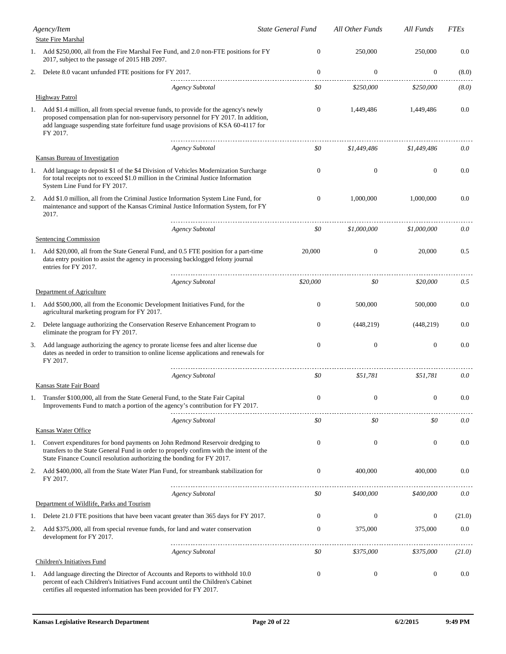|    | Agency/Item                                                                                                                                                                                                                                                                 | <b>State General Fund</b> | All Other Funds  | All Funds        | <b>FTEs</b> |
|----|-----------------------------------------------------------------------------------------------------------------------------------------------------------------------------------------------------------------------------------------------------------------------------|---------------------------|------------------|------------------|-------------|
|    | <b>State Fire Marshal</b>                                                                                                                                                                                                                                                   |                           |                  |                  |             |
| 1. | Add \$250,000, all from the Fire Marshal Fee Fund, and 2.0 non-FTE positions for FY<br>2017, subject to the passage of 2015 HB 2097.                                                                                                                                        | $\mathbf{0}$              | 250,000          | 250,000          | 0.0         |
| 2. | Delete 8.0 vacant unfunded FTE positions for FY 2017.                                                                                                                                                                                                                       | $\mathbf{0}$              | $\mathbf{0}$     | $\mathbf{0}$     | (8.0)       |
|    | <b>Agency Subtotal</b>                                                                                                                                                                                                                                                      | \$0                       | \$250,000        | \$250,000        | (8.0)       |
|    | <b>Highway Patrol</b>                                                                                                                                                                                                                                                       |                           |                  |                  |             |
| 1. | Add \$1.4 million, all from special revenue funds, to provide for the agency's newly<br>proposed compensation plan for non-supervisory personnel for FY 2017. In addition,<br>add language suspending state forfeiture fund usage provisions of KSA 60-4117 for<br>FY 2017. | $\Omega$                  | 1,449,486        | 1,449,486        | 0.0         |
|    | <b>Agency Subtotal</b>                                                                                                                                                                                                                                                      | \$0                       | \$1,449,486      | \$1,449,486      | 0.0         |
|    | <b>Kansas Bureau of Investigation</b>                                                                                                                                                                                                                                       |                           |                  |                  |             |
| 1. | Add language to deposit \$1 of the \$4 Division of Vehicles Modernization Surcharge<br>for total receipts not to exceed \$1.0 million in the Criminal Justice Information<br>System Line Fund for FY 2017.                                                                  | $\Omega$                  | $\boldsymbol{0}$ | $\boldsymbol{0}$ | 0.0         |
| 2. | Add \$1.0 million, all from the Criminal Justice Information System Line Fund, for<br>maintenance and support of the Kansas Criminal Justice Information System, for FY<br>2017.                                                                                            | $\theta$                  | 1,000,000        | 1,000,000        | 0.0         |
|    | <b>Agency Subtotal</b><br>Sentencing Commission                                                                                                                                                                                                                             | \$0                       | \$1,000,000      | \$1,000,000      | 0.0         |
|    | 1. Add \$20,000, all from the State General Fund, and 0.5 FTE position for a part-time<br>data entry position to assist the agency in processing backlogged felony journal<br>entries for FY 2017.                                                                          | 20,000                    | $\mathbf{0}$     | 20,000           | 0.5         |
|    | <b>Agency Subtotal</b>                                                                                                                                                                                                                                                      | \$20,000                  | \$0              | \$20,000         | 0.5         |
|    | Department of Agriculture                                                                                                                                                                                                                                                   |                           |                  |                  |             |
|    | 1. Add \$500,000, all from the Economic Development Initiatives Fund, for the<br>agricultural marketing program for FY 2017.                                                                                                                                                | $\Omega$                  | 500,000          | 500,000          | 0.0         |
| 2. | Delete language authorizing the Conservation Reserve Enhancement Program to<br>eliminate the program for FY 2017.                                                                                                                                                           | $\mathbf{0}$              | (448, 219)       | (448, 219)       | 0.0         |
| 3. | Add language authorizing the agency to prorate license fees and alter license due<br>dates as needed in order to transition to online license applications and renewals for<br>FY 2017.                                                                                     | $\mathbf{0}$              | $\boldsymbol{0}$ | $\mathbf{0}$     | 0.0         |
|    | <b>Agency Subtotal</b>                                                                                                                                                                                                                                                      | \$0                       | \$51,781         | \$51,781         | 0.0         |
|    | Kansas State Fair Board                                                                                                                                                                                                                                                     |                           |                  |                  |             |
| 1. | Transfer \$100,000, all from the State General Fund, to the State Fair Capital<br>Improvements Fund to match a portion of the agency's contribution for FY 2017.                                                                                                            | $\boldsymbol{0}$          | $\boldsymbol{0}$ | $\boldsymbol{0}$ | 0.0         |
|    | <b>Agency Subtotal</b><br>Kansas Water Office                                                                                                                                                                                                                               | \$0                       | \$0              | \$0              | 0.0         |
| 1. | Convert expenditures for bond payments on John Redmond Reservoir dredging to<br>transfers to the State General Fund in order to properly confirm with the intent of the<br>State Finance Council resolution authorizing the bonding for FY 2017.                            | $\theta$                  | $\boldsymbol{0}$ | $\boldsymbol{0}$ | 0.0         |
| 2. | Add \$400,000, all from the State Water Plan Fund, for streambank stabilization for<br>FY 2017.                                                                                                                                                                             | $\theta$                  | 400,000          | 400,000          | 0.0         |
|    | <b>Agency Subtotal</b>                                                                                                                                                                                                                                                      | \$0                       | \$400,000        | \$400,000        | 0.0         |
|    | Department of Wildlife, Parks and Tourism                                                                                                                                                                                                                                   |                           |                  |                  |             |
| 1. | Delete 21.0 FTE positions that have been vacant greater than 365 days for FY 2017.                                                                                                                                                                                          | $\theta$                  | 0                | $\mathbf{0}$     | (21.0)      |
| 2. | Add \$375,000, all from special revenue funds, for land and water conservation<br>development for FY 2017.                                                                                                                                                                  | $\mathbf{0}$              | 375,000          | 375,000          | 0.0         |
|    | <b>Agency Subtotal</b>                                                                                                                                                                                                                                                      | \$0                       | \$375,000        | \$375,000        | (21.0)      |
|    | Children's Initiatives Fund                                                                                                                                                                                                                                                 |                           |                  |                  |             |
| 1. | Add language directing the Director of Accounts and Reports to withhold 10.0<br>percent of each Children's Initiatives Fund account until the Children's Cabinet<br>certifies all requested information has been provided for FY 2017.                                      | $\boldsymbol{0}$          | $\boldsymbol{0}$ | $\boldsymbol{0}$ | 0.0         |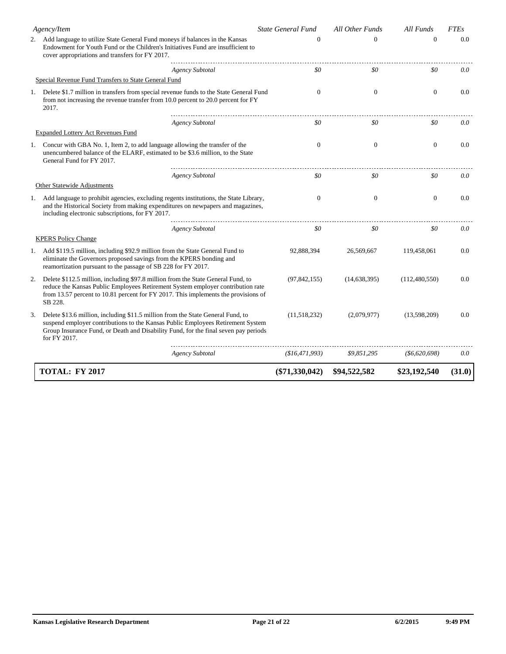|    | Agency/Item                                                                                                                                                                                                                                                               | <b>State General Fund</b> | All Other Funds | All Funds        | <b>FTEs</b> |
|----|---------------------------------------------------------------------------------------------------------------------------------------------------------------------------------------------------------------------------------------------------------------------------|---------------------------|-----------------|------------------|-------------|
|    | 2. Add language to utilize State General Fund moneys if balances in the Kansas<br>Endowment for Youth Fund or the Children's Initiatives Fund are insufficient to<br>cover appropriations and transfers for FY 2017.                                                      | $\Omega$                  | $\Omega$        | $\Omega$         | 0.0         |
|    | <b>Agency Subtotal</b>                                                                                                                                                                                                                                                    | \$0                       | \$0             | \$0              | 0.0         |
|    | Special Revenue Fund Transfers to State General Fund                                                                                                                                                                                                                      |                           |                 |                  |             |
| 1. | Delete \$1.7 million in transfers from special revenue funds to the State General Fund<br>from not increasing the revenue transfer from 10.0 percent to 20.0 percent for FY<br>2017.                                                                                      | $\mathbf{0}$              | $\mathbf{0}$    | $\mathbf{0}$     | 0.0         |
|    | <b>Agency Subtotal</b>                                                                                                                                                                                                                                                    | \$0                       | \$0             | \$0              | 0.0         |
|    | <b>Expanded Lottery Act Revenues Fund</b>                                                                                                                                                                                                                                 |                           |                 |                  |             |
|    | 1. Concur with GBA No. 1, Item 2, to add language allowing the transfer of the<br>unencumbered balance of the ELARF, estimated to be \$3.6 million, to the State<br>General Fund for FY 2017.                                                                             | $\theta$                  | $\mathbf{0}$    | $\mathbf{0}$     | 0.0         |
|    | <b>Agency Subtotal</b>                                                                                                                                                                                                                                                    | \$0                       | \$0             | \$0              | 0.0         |
|    | Other Statewide Adjustments                                                                                                                                                                                                                                               |                           |                 |                  |             |
|    | 1. Add language to prohibit agencies, excluding regents institutions, the State Library,<br>and the Historical Society from making expenditures on newpapers and magazines,<br>including electronic subscriptions, for FY 2017.                                           | $\theta$                  | $\mathbf{0}$    | $\theta$         | 0.0         |
|    | <b>Agency Subtotal</b>                                                                                                                                                                                                                                                    | \$0                       | \$0             | \$0              | 0.0         |
|    | <b>KPERS Policy Change</b>                                                                                                                                                                                                                                                |                           |                 |                  |             |
|    | 1. Add \$119.5 million, including \$92.9 million from the State General Fund to<br>eliminate the Governors proposed savings from the KPERS bonding and<br>reamortization pursuant to the passage of SB 228 for FY 2017.                                                   | 92,888,394                | 26,569,667      | 119,458,061      | 0.0         |
| 2. | Delete \$112.5 million, including \$97.8 million from the State General Fund, to<br>reduce the Kansas Public Employees Retirement System employer contribution rate<br>from 13.57 percent to 10.81 percent for FY 2017. This implements the provisions of<br>SB 228.      | (97, 842, 155)            | (14, 638, 395)  | (112,480,550)    | 0.0         |
| 3. | Delete \$13.6 million, including \$11.5 million from the State General Fund, to<br>suspend employer contributions to the Kansas Public Employees Retirement System<br>Group Insurance Fund, or Death and Disability Fund, for the final seven pay periods<br>for FY 2017. | (11,518,232)              | (2,079,977)     | (13,598,209)     | 0.0         |
|    | <b>Agency Subtotal</b>                                                                                                                                                                                                                                                    | (\$16,471,993)            | \$9,851,295     | $($ \$6,620,698) | 0.0         |
|    | <b>TOTAL: FY 2017</b>                                                                                                                                                                                                                                                     | $(\$71,330,042)$          | \$94,522,582    | \$23,192,540     | (31.0)      |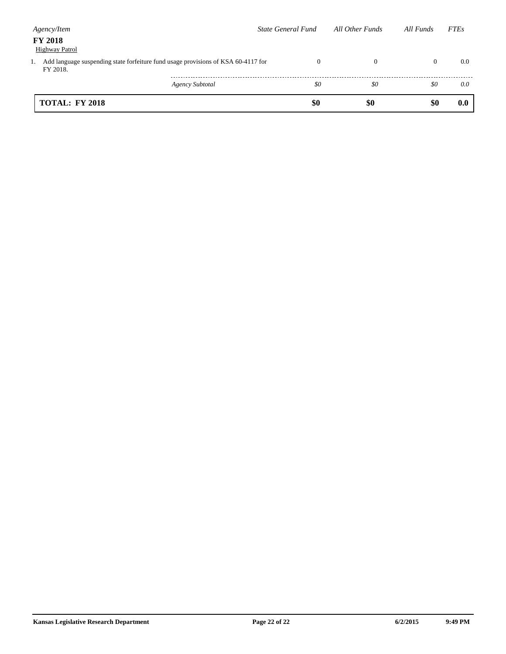| Agency/Item                                                                                       | State General Fund | All Other Funds | All Funds    | <b>FTEs</b> |
|---------------------------------------------------------------------------------------------------|--------------------|-----------------|--------------|-------------|
| <b>FY 2018</b><br><b>Highway Patrol</b>                                                           |                    |                 |              |             |
| 1. Add language suspending state for feiture fund usage provisions of KSA 60-4117 for<br>FY 2018. | $\Omega$           | $\theta$        | $\mathbf{0}$ | 0.0         |
| Agency Subtotal                                                                                   | \$0                | \$0             | \$0          | 0.0         |
| <b>TOTAL: FY 2018</b>                                                                             | \$0                | \$0             | \$0          | 0.0         |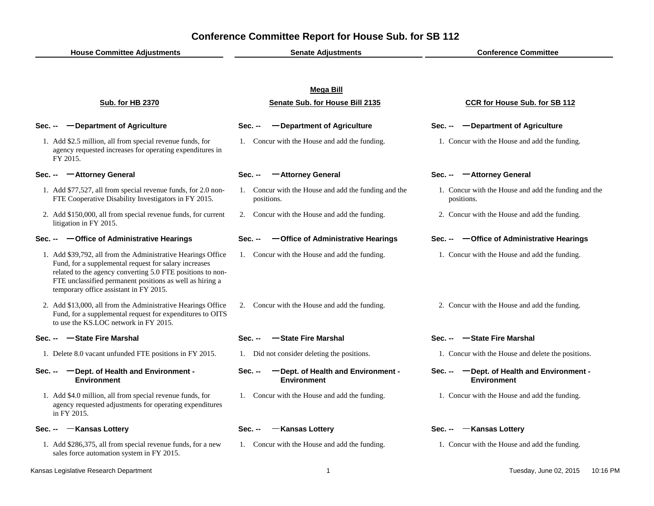| <b>House Committee Adjustments</b>                                                                                                                                                                                                                                                        | <b>Senate Adjustments</b>                                           | <b>Conference Committee</b>                                         |  |
|-------------------------------------------------------------------------------------------------------------------------------------------------------------------------------------------------------------------------------------------------------------------------------------------|---------------------------------------------------------------------|---------------------------------------------------------------------|--|
|                                                                                                                                                                                                                                                                                           |                                                                     |                                                                     |  |
|                                                                                                                                                                                                                                                                                           | <b>Mega Bill</b>                                                    |                                                                     |  |
| <b>Sub. for HB 2370</b>                                                                                                                                                                                                                                                                   | Senate Sub. for House Bill 2135                                     | <b>CCR for House Sub. for SB 112</b>                                |  |
| -Department of Agriculture<br>Sec. --                                                                                                                                                                                                                                                     | -Department of Agriculture<br>Sec. --                               | -Department of Agriculture<br><b>Sec. --</b>                        |  |
| 1. Add \$2.5 million, all from special revenue funds, for<br>agency requested increases for operating expenditures in<br>FY 2015.                                                                                                                                                         | 1. Concur with the House and add the funding.                       | 1. Concur with the House and add the funding.                       |  |
| -Attorney General<br>Sec. --                                                                                                                                                                                                                                                              | -Attorney General<br>Sec. --                                        | -Attorney General<br>Sec. --                                        |  |
| 1. Add \$77,527, all from special revenue funds, for 2.0 non-<br>FTE Cooperative Disability Investigators in FY 2015.                                                                                                                                                                     | 1. Concur with the House and add the funding and the<br>positions.  | 1. Concur with the House and add the funding and the<br>positions.  |  |
| 2. Add \$150,000, all from special revenue funds, for current<br>litigation in FY 2015.                                                                                                                                                                                                   | 2. Concur with the House and add the funding.                       | 2. Concur with the House and add the funding.                       |  |
| Sec. -- - - Office of Administrative Hearings                                                                                                                                                                                                                                             | Sec. --<br>-Office of Administrative Hearings                       | Sec. -- - - Office of Administrative Hearings                       |  |
| 1. Add \$39,792, all from the Administrative Hearings Office<br>Fund, for a supplemental request for salary increases<br>related to the agency converting 5.0 FTE positions to non-<br>FTE unclassified permanent positions as well as hiring a<br>temporary office assistant in FY 2015. | 1. Concur with the House and add the funding.                       | 1. Concur with the House and add the funding.                       |  |
| 2. Add \$13,000, all from the Administrative Hearings Office<br>Fund, for a supplemental request for expenditures to OITS<br>to use the KS.LOC network in FY 2015.                                                                                                                        | 2. Concur with the House and add the funding.                       | 2. Concur with the House and add the funding.                       |  |
| Sec. --  State Fire Marshal                                                                                                                                                                                                                                                               | -State Fire Marshal<br>Sec. --                                      | —State Fire Marshal<br><b>Sec. --</b>                               |  |
| 1. Delete 8.0 vacant unfunded FTE positions in FY 2015.                                                                                                                                                                                                                                   | 1. Did not consider deleting the positions.                         | 1. Concur with the House and delete the positions.                  |  |
| - Dept. of Health and Environment -<br>Sec. --<br><b>Environment</b>                                                                                                                                                                                                                      | -Dept. of Health and Environment -<br>Sec. --<br><b>Environment</b> | Sec. -- - - Dept. of Health and Environment -<br><b>Environment</b> |  |
| 1. Add \$4.0 million, all from special revenue funds, for<br>agency requested adjustments for operating expenditures<br>in FY 2015.                                                                                                                                                       | 1. Concur with the House and add the funding.                       | 1. Concur with the House and add the funding.                       |  |
| Sec. --  - Kansas Lottery                                                                                                                                                                                                                                                                 | -Kansas Lottery<br><b>Sec. --</b>                                   | -Kansas Lottery<br>$Sec. -$                                         |  |
| 1. Add \$286,375, all from special revenue funds, for a new<br>sales force automation system in FY 2015.                                                                                                                                                                                  | 1. Concur with the House and add the funding.                       | 1. Concur with the House and add the funding.                       |  |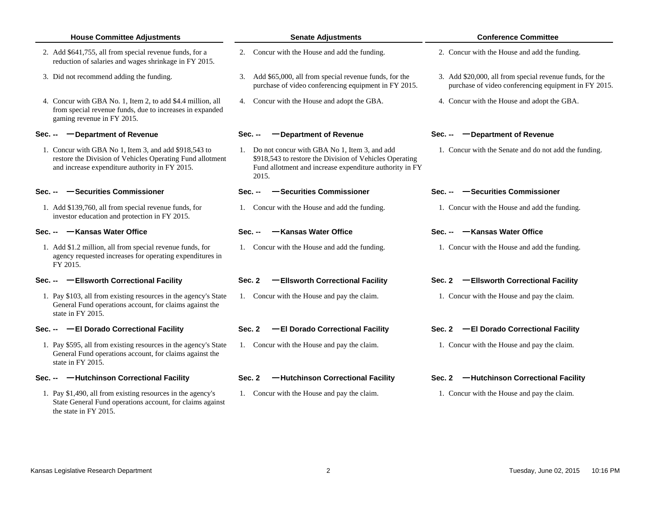| <b>House Committee Adjustments</b> |  |
|------------------------------------|--|
|------------------------------------|--|

- 2. Add \$641,755, all from special revenue funds, for a 2. Concur with the House and add the funding. 2. Concur with the House and add the funding. reduction of salaries and wages shrinkage in FY 2015.
- 3. Did not recommend adding the funding.
- 4. Concur with GBA No. 1, Item 2, to add \$4.4 million, all 4. Concur with the House and adopt the GBA. 4. Concur with the House and adopt the GBA. from special revenue funds, due to increases in expanded gaming revenue in FY 2015.

### **Sec. --**

1. Concur with GBA No 1, Item 3, and add \$918,543 to restore the Division of Vehicles Operating Fund allotment and increase expenditure authority in FY 2015.

### **Sec. -- Securities Commissioner**

1. Add \$139,760, all from special revenue funds, for 1. Concur with the House and add the funding. 1. Concur with the House and add the funding. investor education and protection in FY 2015.

### **Sec. -- Kansas Water Office**

1. Add \$1.2 million, all from special revenue funds, for 1. Concur with the House and add the funding. 1. Concur with the House and add the funding. agency requested increases for operating expenditures in FY 2015.

### **Sec. --**

1. Pay \$103, all from existing resources in the agency's State 1. Concur with the House and pay the claim. 1. Concur with the House and pay the claim. General Fund operations account, for claims against the state in FY 2015.

### **Sec. --**

1. Pay \$595, all from existing resources in the agency's State 1. Concur with the House and pay the claim. 1. Concur with the House and pay the claim. General Fund operations account, for claims against the state in FY 2015.

1. Pay \$1,490, all from existing resources in the agency's 1. Concur with the House and pay the claim. The House and pay the claim. State General Fund operations account, for claims against the state in FY 2015.

- 
- Did not recommend adding the funding. The state of the 3. Add \$20,000, all from special revenue funds, for the 3. Add \$20,000, all from special revenue funds, for the purchase of video conferencing equipment in FY 2015.
	-

### **Department of Revenue Sec. -- Department of Revenue Sec. -- Department of Revenue**

Do not concur with GBA No 1, Item 3, and add \$918,543 to restore the Division of Vehicles Operating Fund allotment and increase expenditure authority in FY 2015.

- 
- 
- 

### **Ellsworth Correctional Facility Sec. 2 Ellsworth Correctional Facility Sec. 2 Ellsworth Correctional Facility**

#### **House Committee Adjustments Senate Adjustments Conference Committee**

- 
- purchase of video conferencing equipment in FY 2015.
- 

1. Concur with the Senate and do not add the funding.

### **Sec. -- Securities Commissioner Sec. -- Securities Commissioner**

### **Sec. -- Kansas Water Office Sec. -- Kansas Water Office**

### **El Dorado Correctional Facility Sec. 2 El Dorado Correctional Facility Sec. 2 El Dorado Correctional Facility**

### **Sec. -- Hutchinson Correctional Facility Sec. 2 Hutchinson Correctional Facility Sec. 2 Hutchinson Correctional Facility**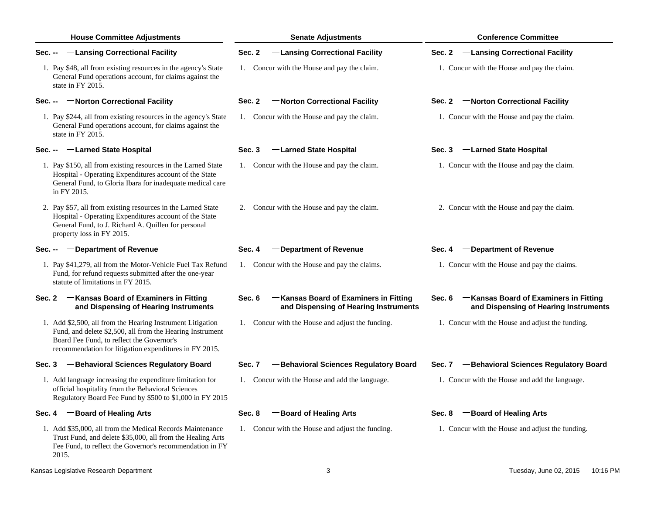| <b>House Committee Adjustments</b>                                                                                                                                                                                             | <b>Senate Adjustments</b>                                                                | <b>Conference Committee</b>                                                              |
|--------------------------------------------------------------------------------------------------------------------------------------------------------------------------------------------------------------------------------|------------------------------------------------------------------------------------------|------------------------------------------------------------------------------------------|
| -Lansing Correctional Facility<br>Sec. --                                                                                                                                                                                      | Sec. 2<br>-Lansing Correctional Facility                                                 | -Lansing Correctional Facility<br>Sec. 2                                                 |
| 1. Pay \$48, all from existing resources in the agency's State<br>General Fund operations account, for claims against the<br>state in FY 2015.                                                                                 | 1. Concur with the House and pay the claim.                                              | 1. Concur with the House and pay the claim.                                              |
| -Norton Correctional Facility<br>Sec. --                                                                                                                                                                                       | Sec. 2<br>-Norton Correctional Facility                                                  | Sec. 2 -Norton Correctional Facility                                                     |
| 1. Pay \$244, all from existing resources in the agency's State<br>General Fund operations account, for claims against the<br>state in FY 2015.                                                                                | 1. Concur with the House and pay the claim.                                              | 1. Concur with the House and pay the claim.                                              |
| Sec. -- - Larned State Hospital                                                                                                                                                                                                | -Larned State Hospital<br>Sec. 3                                                         | -Larned State Hospital<br>Sec. 3                                                         |
| 1. Pay \$150, all from existing resources in the Larned State<br>Hospital - Operating Expenditures account of the State<br>General Fund, to Gloria Ibara for inadequate medical care<br>in FY 2015.                            | 1. Concur with the House and pay the claim.                                              | 1. Concur with the House and pay the claim.                                              |
| 2. Pay \$57, all from existing resources in the Larned State<br>Hospital - Operating Expenditures account of the State<br>General Fund, to J. Richard A. Quillen for personal<br>property loss in FY 2015.                     | 2. Concur with the House and pay the claim.                                              | 2. Concur with the House and pay the claim.                                              |
| -Department of Revenue<br>Sec. --                                                                                                                                                                                              | -Department of Revenue<br>Sec. 4                                                         | -Department of Revenue<br>Sec. 4                                                         |
| 1. Pay \$41,279, all from the Motor-Vehicle Fuel Tax Refund<br>Fund, for refund requests submitted after the one-year<br>statute of limitations in FY 2015.                                                                    | 1. Concur with the House and pay the claims.                                             | 1. Concur with the House and pay the claims.                                             |
| Sec. 2 - Kansas Board of Examiners in Fitting<br>and Dispensing of Hearing Instruments                                                                                                                                         | -Kansas Board of Examiners in Fitting<br>Sec. 6<br>and Dispensing of Hearing Instruments | -Kansas Board of Examiners in Fitting<br>Sec. 6<br>and Dispensing of Hearing Instruments |
| 1. Add \$2,500, all from the Hearing Instrument Litigation<br>Fund, and delete \$2,500, all from the Hearing Instrument<br>Board Fee Fund, to reflect the Governor's<br>recommendation for litigation expenditures in FY 2015. | 1. Concur with the House and adjust the funding.                                         | 1. Concur with the House and adjust the funding.                                         |
| -Behavioral Sciences Regulatory Board<br>Sec. 3                                                                                                                                                                                | -Behavioral Sciences Regulatory Board<br>Sec. 7                                          | -Behavioral Sciences Regulatory Board<br>Sec. 7                                          |
| 1. Add language increasing the expenditure limitation for<br>official hospitality from the Behavioral Sciences<br>Regulatory Board Fee Fund by \$500 to \$1,000 in FY 2015                                                     | 1. Concur with the House and add the language.                                           | 1. Concur with the House and add the language.                                           |
| Sec. 4 - Board of Healing Arts                                                                                                                                                                                                 | -Board of Healing Arts<br>Sec. 8                                                         | -Board of Healing Arts<br>Sec. 8                                                         |
| 1. Add \$35,000, all from the Medical Records Maintenance<br>Trust Fund, and delete \$35,000, all from the Healing Arts<br>Fee Fund, to reflect the Governor's recommendation in FY<br>2015.                                   | 1. Concur with the House and adjust the funding.                                         | 1. Concur with the House and adjust the funding.                                         |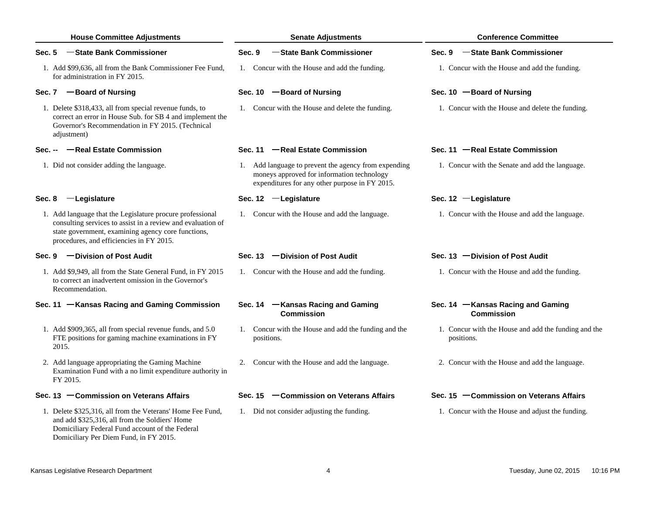| <b>House Committee Adjustments</b>                                                                                                                                                                                         | <b>Senate Adjustments</b>                                                                                                                            | <b>Conference Committee</b>                                        |
|----------------------------------------------------------------------------------------------------------------------------------------------------------------------------------------------------------------------------|------------------------------------------------------------------------------------------------------------------------------------------------------|--------------------------------------------------------------------|
| -State Bank Commissioner<br>Sec. 5                                                                                                                                                                                         | -State Bank Commissioner<br>Sec. 9                                                                                                                   | -State Bank Commissioner<br>Sec. 9                                 |
| 1. Add \$99,636, all from the Bank Commissioner Fee Fund,<br>for administration in FY 2015.                                                                                                                                | 1. Concur with the House and add the funding.                                                                                                        | 1. Concur with the House and add the funding.                      |
| Sec. 7 - Board of Nursing                                                                                                                                                                                                  | Sec. 10 $-$ Board of Nursing                                                                                                                         | Sec. 10 $-$ Board of Nursing                                       |
| 1. Delete \$318,433, all from special revenue funds, to<br>correct an error in House Sub. for SB 4 and implement the<br>Governor's Recommendation in FY 2015. (Technical<br>adjustment)                                    | 1. Concur with the House and delete the funding.                                                                                                     | 1. Concur with the House and delete the funding.                   |
| Sec. --  Real Estate Commission                                                                                                                                                                                            | Sec. 11 - Real Estate Commission                                                                                                                     | Sec. 11 - Real Estate Commission                                   |
| 1. Did not consider adding the language.                                                                                                                                                                                   | 1. Add language to prevent the agency from expending<br>moneys approved for information technology<br>expenditures for any other purpose in FY 2015. | 1. Concur with the Senate and add the language.                    |
| -Legislature<br>Sec. 8                                                                                                                                                                                                     | Sec. $12$ - Legislature                                                                                                                              | Sec. 12 - Legislature                                              |
| 1. Add language that the Legislature procure professional<br>consulting services to assist in a review and evaluation of<br>state government, examining agency core functions,<br>procedures, and efficiencies in FY 2015. | 1. Concur with the House and add the language.                                                                                                       | 1. Concur with the House and add the language.                     |
| -Division of Post Audit<br>Sec. 9                                                                                                                                                                                          | Sec. 13 - Division of Post Audit                                                                                                                     | Sec. 13 - Division of Post Audit                                   |
| 1. Add \$9,949, all from the State General Fund, in FY 2015<br>to correct an inadvertent omission in the Governor's<br>Recommendation.                                                                                     | 1. Concur with the House and add the funding.                                                                                                        | 1. Concur with the House and add the funding.                      |
| Sec. 11 - Kansas Racing and Gaming Commission                                                                                                                                                                              | Sec. 14 - Kansas Racing and Gaming<br><b>Commission</b>                                                                                              | Sec. 14 - Kansas Racing and Gaming<br><b>Commission</b>            |
| 1. Add \$909,365, all from special revenue funds, and 5.0<br>FTE positions for gaming machine examinations in FY<br>2015.                                                                                                  | 1. Concur with the House and add the funding and the<br>positions.                                                                                   | 1. Concur with the House and add the funding and the<br>positions. |
| 2. Add language appropriating the Gaming Machine<br>Examination Fund with a no limit expenditure authority in<br>FY 2015.                                                                                                  | Concur with the House and add the language.<br>2.                                                                                                    | 2. Concur with the House and add the language.                     |
| Sec. 13 - Commission on Veterans Affairs                                                                                                                                                                                   | Sec. 15 - Commission on Veterans Affairs                                                                                                             | Sec. 15 - Commission on Veterans Affairs                           |
| 1. Delete \$325,316, all from the Veterans' Home Fee Fund,<br>and add \$325,316, all from the Soldiers' Home<br>Domiciliary Federal Fund account of the Federal<br>Domiciliary Per Diem Fund, in FY 2015.                  | 1. Did not consider adjusting the funding.                                                                                                           | 1. Concur with the House and adjust the funding.                   |
| Kansas Legislative Research Department                                                                                                                                                                                     | 4                                                                                                                                                    | Tuesday, June 02, 2015<br>10:16 PM                                 |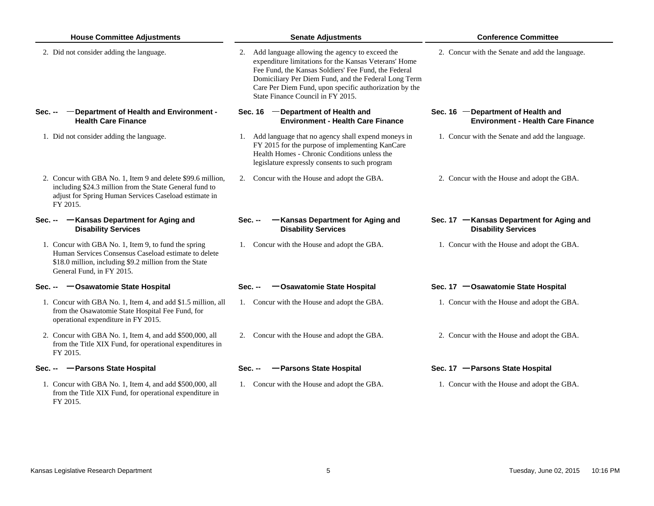| <b>House Committee Adjustments</b>                                                                                                                                                                  | <b>Senate Adjustments</b>                                                                                                                                                                                                                                                                                                 | <b>Conference Committee</b>                                                    |
|-----------------------------------------------------------------------------------------------------------------------------------------------------------------------------------------------------|---------------------------------------------------------------------------------------------------------------------------------------------------------------------------------------------------------------------------------------------------------------------------------------------------------------------------|--------------------------------------------------------------------------------|
| 2. Did not consider adding the language.                                                                                                                                                            | 2. Add language allowing the agency to exceed the<br>expenditure limitations for the Kansas Veterans' Home<br>Fee Fund, the Kansas Soldiers' Fee Fund, the Federal<br>Domiciliary Per Diem Fund, and the Federal Long Term<br>Care Per Diem Fund, upon specific authorization by the<br>State Finance Council in FY 2015. | 2. Concur with the Senate and add the language.                                |
| - Department of Health and Environment -<br>Sec. --<br><b>Health Care Finance</b>                                                                                                                   | Sec. 16 - Department of Health and<br><b>Environment - Health Care Finance</b>                                                                                                                                                                                                                                            | Sec. 16 - Department of Health and<br><b>Environment - Health Care Finance</b> |
| 1. Did not consider adding the language.                                                                                                                                                            | 1. Add language that no agency shall expend moneys in<br>FY 2015 for the purpose of implementing KanCare<br>Health Homes - Chronic Conditions unless the<br>legislature expressly consents to such program                                                                                                                | 1. Concur with the Senate and add the language.                                |
| 2. Concur with GBA No. 1, Item 9 and delete \$99.6 million,<br>including \$24.3 million from the State General fund to<br>adjust for Spring Human Services Caseload estimate in<br>FY 2015.         | 2. Concur with the House and adopt the GBA.                                                                                                                                                                                                                                                                               | 2. Concur with the House and adopt the GBA.                                    |
| Sec. -- - Kansas Department for Aging and<br><b>Disability Services</b>                                                                                                                             | -Kansas Department for Aging and<br>Sec. --<br><b>Disability Services</b>                                                                                                                                                                                                                                                 | Sec. 17 - Kansas Department for Aging and<br><b>Disability Services</b>        |
| 1. Concur with GBA No. 1, Item 9, to fund the spring<br>Human Services Consensus Caseload estimate to delete<br>\$18.0 million, including \$9.2 million from the State<br>General Fund, in FY 2015. | 1. Concur with the House and adopt the GBA.                                                                                                                                                                                                                                                                               | 1. Concur with the House and adopt the GBA.                                    |
| <b>-Osawatomie State Hospital</b><br>Sec. --                                                                                                                                                        | -Osawatomie State Hospital<br>$Sec. -$                                                                                                                                                                                                                                                                                    | Sec. 17 - Osawatomie State Hospital                                            |
| 1. Concur with GBA No. 1, Item 4, and add \$1.5 million, all<br>from the Osawatomie State Hospital Fee Fund, for<br>operational expenditure in FY 2015.                                             | 1. Concur with the House and adopt the GBA.                                                                                                                                                                                                                                                                               | 1. Concur with the House and adopt the GBA.                                    |
| 2. Concur with GBA No. 1, Item 4, and add \$500,000, all<br>from the Title XIX Fund, for operational expenditures in<br>FY 2015.                                                                    | Concur with the House and adopt the GBA.<br>2.                                                                                                                                                                                                                                                                            | 2. Concur with the House and adopt the GBA.                                    |
| Sec. -- - - Parsons State Hospital                                                                                                                                                                  | -Parsons State Hospital<br>Sec. --                                                                                                                                                                                                                                                                                        | Sec. 17 - Parsons State Hospital                                               |
| 1. Concur with GBA No. 1, Item 4, and add \$500,000, all<br>from the Title XIX Fund, for operational expenditure in<br>FY 2015.                                                                     | 1. Concur with the House and adopt the GBA.                                                                                                                                                                                                                                                                               | 1. Concur with the House and adopt the GBA.                                    |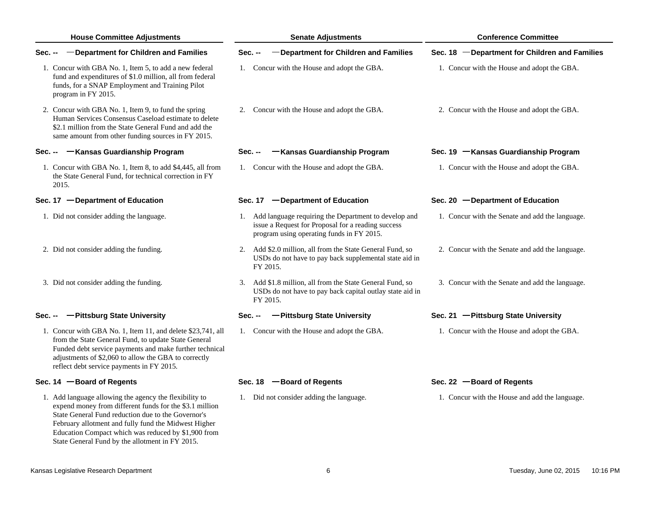| <b>House Committee Adjustments</b>                                                                                                                                                                                                                                                  | <b>Senate Adjustments</b>                                                                                                                                  | <b>Conference Committee</b>                     |
|-------------------------------------------------------------------------------------------------------------------------------------------------------------------------------------------------------------------------------------------------------------------------------------|------------------------------------------------------------------------------------------------------------------------------------------------------------|-------------------------------------------------|
| -Department for Children and Families<br>Sec. --                                                                                                                                                                                                                                    | -Department for Children and Families<br>Sec. --                                                                                                           | Sec. 18 - Department for Children and Families  |
| 1. Concur with GBA No. 1, Item 5, to add a new federal<br>fund and expenditures of \$1.0 million, all from federal<br>funds, for a SNAP Employment and Training Pilot<br>program in FY 2015.                                                                                        | 1. Concur with the House and adopt the GBA.                                                                                                                | 1. Concur with the House and adopt the GBA.     |
| 2. Concur with GBA No. 1, Item 9, to fund the spring<br>Human Services Consensus Caseload estimate to delete<br>\$2.1 million from the State General Fund and add the<br>same amount from other funding sources in FY 2015.                                                         | 2. Concur with the House and adopt the GBA.                                                                                                                | 2. Concur with the House and adopt the GBA.     |
| -Kansas Guardianship Program<br>Sec. --                                                                                                                                                                                                                                             | -Kansas Guardianship Program<br>Sec. --                                                                                                                    | Sec. 19 - Kansas Guardianship Program           |
| 1. Concur with GBA No. 1, Item 8, to add \$4,445, all from<br>the State General Fund, for technical correction in FY<br>2015.                                                                                                                                                       | 1. Concur with the House and adopt the GBA.                                                                                                                | 1. Concur with the House and adopt the GBA.     |
| Sec. 17 - Department of Education                                                                                                                                                                                                                                                   | Sec. 17 - Department of Education                                                                                                                          | Sec. 20 - Department of Education               |
| 1. Did not consider adding the language.                                                                                                                                                                                                                                            | 1. Add language requiring the Department to develop and<br>issue a Request for Proposal for a reading success<br>program using operating funds in FY 2015. | 1. Concur with the Senate and add the language. |
| 2. Did not consider adding the funding.                                                                                                                                                                                                                                             | 2. Add \$2.0 million, all from the State General Fund, so<br>USDs do not have to pay back supplemental state aid in<br>FY 2015.                            | 2. Concur with the Senate and add the language. |
| 3. Did not consider adding the funding.                                                                                                                                                                                                                                             | 3. Add \$1.8 million, all from the State General Fund, so<br>USDs do not have to pay back capital outlay state aid in<br>FY 2015.                          | 3. Concur with the Senate and add the language. |
| Sec. -- - Pittsburg State University                                                                                                                                                                                                                                                | -Pittsburg State University<br>Sec. --                                                                                                                     | Sec. 21 - Pittsburg State University            |
| 1. Concur with GBA No. 1, Item 11, and delete \$23,741, all<br>from the State General Fund, to update State General<br>Funded debt service payments and make further technical<br>adjustments of \$2,060 to allow the GBA to correctly<br>reflect debt service payments in FY 2015. | 1. Concur with the House and adopt the GBA.                                                                                                                | 1. Concur with the House and adopt the GBA.     |
| Sec. 14 - Board of Regents                                                                                                                                                                                                                                                          | Sec. 18 - Board of Regents                                                                                                                                 | Sec. 22 - Board of Regents                      |
| 1. Add language allowing the agency the flexibility to<br>expend money from different funds for the \$3.1 million<br>State General Fund reduction due to the Governor's<br>February allotment and fully fund the Midwest Higher                                                     | 1. Did not consider adding the language.                                                                                                                   | 1. Concur with the House and add the language.  |

Education Compact which was reduced by \$1,900 from State General Fund by the allotment in FY 2015.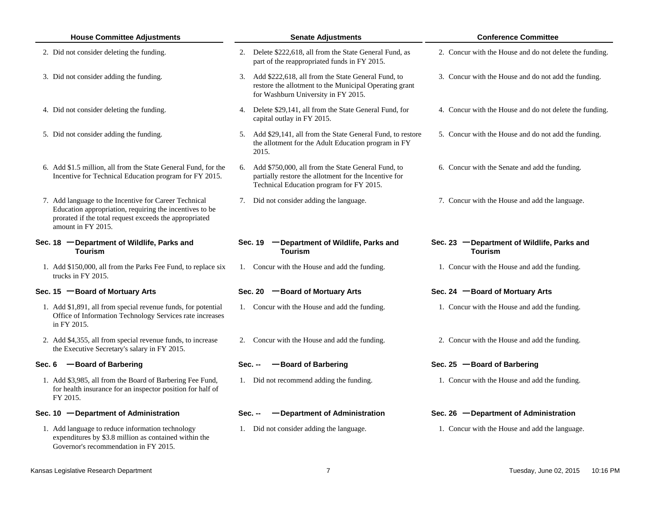|        | <b>House Committee Adjustments</b>                                                                                                                                                               |         | <b>Senate Adjustments</b>                                                                                                                                  | <b>Conference Committee</b>                                   |
|--------|--------------------------------------------------------------------------------------------------------------------------------------------------------------------------------------------------|---------|------------------------------------------------------------------------------------------------------------------------------------------------------------|---------------------------------------------------------------|
|        | 2. Did not consider deleting the funding.                                                                                                                                                        | 2.      | Delete \$222,618, all from the State General Fund, as<br>part of the reappropriated funds in FY 2015.                                                      | 2. Concur with the House and do not delete the funding.       |
|        | 3. Did not consider adding the funding.                                                                                                                                                          |         | 3. Add \$222,618, all from the State General Fund, to<br>restore the allotment to the Municipal Operating grant<br>for Washburn University in FY 2015.     | 3. Concur with the House and do not add the funding.          |
|        | 4. Did not consider deleting the funding.                                                                                                                                                        |         | 4. Delete \$29,141, all from the State General Fund, for<br>capital outlay in FY 2015.                                                                     | 4. Concur with the House and do not delete the funding.       |
|        | 5. Did not consider adding the funding.                                                                                                                                                          |         | 5. Add \$29,141, all from the State General Fund, to restore<br>the allotment for the Adult Education program in FY<br>2015.                               | 5. Concur with the House and do not add the funding.          |
|        | 6. Add \$1.5 million, all from the State General Fund, for the<br>Incentive for Technical Education program for FY 2015.                                                                         |         | 6. Add \$750,000, all from the State General Fund, to<br>partially restore the allotment for the Incentive for<br>Technical Education program for FY 2015. | 6. Concur with the Senate and add the funding.                |
|        | 7. Add language to the Incentive for Career Technical<br>Education appropriation, requiring the incentives to be<br>prorated if the total request exceeds the appropriated<br>amount in FY 2015. |         | 7. Did not consider adding the language.                                                                                                                   | 7. Concur with the House and add the language.                |
|        | Sec. 18 - Department of Wildlife, Parks and<br><b>Tourism</b>                                                                                                                                    |         | Sec. 19 - Department of Wildlife, Parks and<br><b>Tourism</b>                                                                                              | Sec. 23 - Department of Wildlife, Parks and<br><b>Tourism</b> |
|        | 1. Add \$150,000, all from the Parks Fee Fund, to replace six<br>trucks in FY 2015.                                                                                                              |         | 1. Concur with the House and add the funding.                                                                                                              | 1. Concur with the House and add the funding.                 |
|        | Sec. 15 - Board of Mortuary Arts                                                                                                                                                                 |         | -Board of Mortuary Arts<br><b>Sec. 20</b>                                                                                                                  | Sec. 24 - Board of Mortuary Arts                              |
|        | 1. Add \$1,891, all from special revenue funds, for potential<br>Office of Information Technology Services rate increases<br>in FY 2015.                                                         |         | 1. Concur with the House and add the funding.                                                                                                              | 1. Concur with the House and add the funding.                 |
|        | 2. Add \$4,355, all from special revenue funds, to increase<br>the Executive Secretary's salary in FY 2015.                                                                                      |         | 2. Concur with the House and add the funding.                                                                                                              | 2. Concur with the House and add the funding.                 |
| Sec. 6 | -Board of Barbering                                                                                                                                                                              |         | -Board of Barbering<br>$Sec. -$                                                                                                                            | Sec. 25 $-$ Board of Barbering                                |
|        | 1. Add \$3,985, all from the Board of Barbering Fee Fund,<br>for health insurance for an inspector position for half of<br>FY 2015.                                                              |         | 1. Did not recommend adding the funding.                                                                                                                   | 1. Concur with the House and add the funding.                 |
|        | Sec. 10 - Department of Administration                                                                                                                                                           | Sec. -- | -Department of Administration                                                                                                                              | Sec. 26 - Department of Administration                        |
|        | 1. Add language to reduce information technology<br>expenditures by \$3.8 million as contained within the<br>Governor's recommendation in FY 2015.                                               |         | 1. Did not consider adding the language.                                                                                                                   | 1. Concur with the House and add the language.                |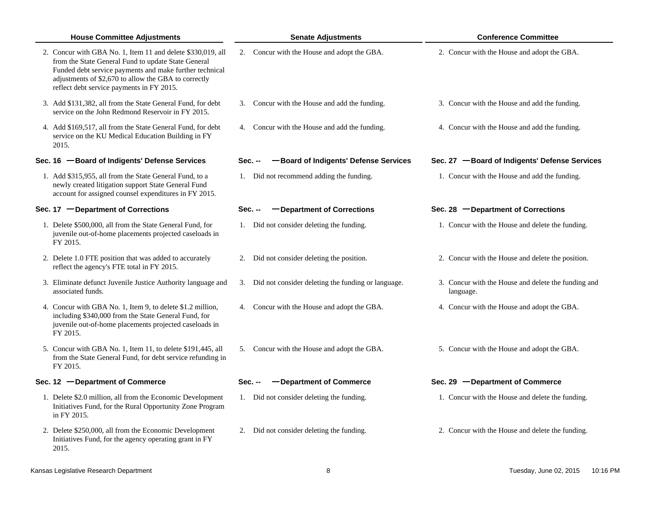| <b>House Committee Adjustments</b>                                                                                                                                                                                                                                                 |         | <b>Senate Adjustments</b>                             | <b>Conference Committee</b>                                      |
|------------------------------------------------------------------------------------------------------------------------------------------------------------------------------------------------------------------------------------------------------------------------------------|---------|-------------------------------------------------------|------------------------------------------------------------------|
| 2. Concur with GBA No. 1, Item 11 and delete \$330,019, all<br>from the State General Fund to update State General<br>Funded debt service payments and make further technical<br>adjustments of \$2,670 to allow the GBA to correctly<br>reflect debt service payments in FY 2015. | 2.      | Concur with the House and adopt the GBA.              | 2. Concur with the House and adopt the GBA.                      |
| 3. Add \$131,382, all from the State General Fund, for debt<br>service on the John Redmond Reservoir in FY 2015.                                                                                                                                                                   | 3.      | Concur with the House and add the funding.            | 3. Concur with the House and add the funding.                    |
| 4. Add \$169,517, all from the State General Fund, for debt<br>service on the KU Medical Education Building in FY<br>2015.                                                                                                                                                         |         | 4. Concur with the House and add the funding.         | 4. Concur with the House and add the funding.                    |
| Sec. 16 -Board of Indigents' Defense Services                                                                                                                                                                                                                                      | Sec. -- | -Board of Indigents' Defense Services                 | Sec. 27 - Board of Indigents' Defense Services                   |
| 1. Add \$315,955, all from the State General Fund, to a<br>newly created litigation support State General Fund<br>account for assigned counsel expenditures in FY 2015.                                                                                                            |         | 1. Did not recommend adding the funding.              | 1. Concur with the House and add the funding.                    |
| Sec. 17 - Department of Corrections                                                                                                                                                                                                                                                | Sec. -- | -Department of Corrections                            | Sec. 28 - Department of Corrections                              |
| 1. Delete \$500,000, all from the State General Fund, for<br>juvenile out-of-home placements projected caseloads in<br>FY 2015.                                                                                                                                                    |         | 1. Did not consider deleting the funding.             | 1. Concur with the House and delete the funding.                 |
| 2. Delete 1.0 FTE position that was added to accurately<br>reflect the agency's FTE total in FY 2015.                                                                                                                                                                              | 2.      | Did not consider deleting the position.               | 2. Concur with the House and delete the position.                |
| 3. Eliminate defunct Juvenile Justice Authority language and<br>associated funds.                                                                                                                                                                                                  |         | 3. Did not consider deleting the funding or language. | 3. Concur with the House and delete the funding and<br>language. |
| 4. Concur with GBA No. 1, Item 9, to delete \$1.2 million,<br>including \$340,000 from the State General Fund, for<br>juvenile out-of-home placements projected caseloads in<br>FY 2015.                                                                                           | 4.      | Concur with the House and adopt the GBA.              | 4. Concur with the House and adopt the GBA.                      |
| 5. Concur with GBA No. 1, Item 11, to delete \$191,445, all<br>from the State General Fund, for debt service refunding in<br>FY 2015.                                                                                                                                              |         | 5. Concur with the House and adopt the GBA.           | 5. Concur with the House and adopt the GBA.                      |
| Sec. 12 - Department of Commerce                                                                                                                                                                                                                                                   | Sec. -- | -Department of Commerce                               | Sec. 29 - Department of Commerce                                 |
| 1. Delete \$2.0 million, all from the Economic Development<br>Initiatives Fund, for the Rural Opportunity Zone Program<br>in FY 2015.                                                                                                                                              |         | 1. Did not consider deleting the funding.             | 1. Concur with the House and delete the funding.                 |
| 2. Delete \$250,000, all from the Economic Development<br>Initiatives Fund, for the agency operating grant in FY<br>2015.                                                                                                                                                          |         | 2. Did not consider deleting the funding.             | 2. Concur with the House and delete the funding.                 |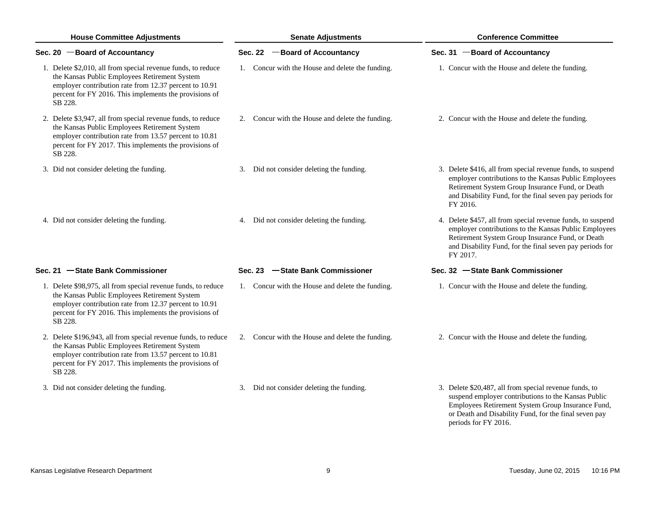| <b>House Committee Adjustments</b>                                                                                                                                                                                                             | <b>Senate Adjustments</b>                        | <b>Conference Committee</b>                                                                                                                                                                                                                      |  |  |
|------------------------------------------------------------------------------------------------------------------------------------------------------------------------------------------------------------------------------------------------|--------------------------------------------------|--------------------------------------------------------------------------------------------------------------------------------------------------------------------------------------------------------------------------------------------------|--|--|
| Sec. 20 - Board of Accountancy                                                                                                                                                                                                                 | Sec. 22 - Board of Accountancy                   | Sec. 31 - Board of Accountancy                                                                                                                                                                                                                   |  |  |
| 1. Delete \$2,010, all from special revenue funds, to reduce<br>the Kansas Public Employees Retirement System<br>employer contribution rate from 12.37 percent to 10.91<br>percent for FY 2016. This implements the provisions of<br>SB 228.   | 1. Concur with the House and delete the funding. | 1. Concur with the House and delete the funding.                                                                                                                                                                                                 |  |  |
| 2. Delete \$3,947, all from special revenue funds, to reduce<br>the Kansas Public Employees Retirement System<br>employer contribution rate from 13.57 percent to 10.81<br>percent for FY 2017. This implements the provisions of<br>SB 228.   | 2. Concur with the House and delete the funding. | 2. Concur with the House and delete the funding.                                                                                                                                                                                                 |  |  |
| 3. Did not consider deleting the funding.                                                                                                                                                                                                      | 3. Did not consider deleting the funding.        | 3. Delete \$416, all from special revenue funds, to suspend<br>employer contributions to the Kansas Public Employees<br>Retirement System Group Insurance Fund, or Death<br>and Disability Fund, for the final seven pay periods for<br>FY 2016. |  |  |
| 4. Did not consider deleting the funding.                                                                                                                                                                                                      | 4. Did not consider deleting the funding.        | 4. Delete \$457, all from special revenue funds, to suspend<br>employer contributions to the Kansas Public Employees<br>Retirement System Group Insurance Fund, or Death<br>and Disability Fund, for the final seven pay periods for<br>FY 2017. |  |  |
| Sec. 21 - State Bank Commissioner                                                                                                                                                                                                              | Sec. 23 -State Bank Commissioner                 | Sec. 32 - State Bank Commissioner                                                                                                                                                                                                                |  |  |
| 1. Delete \$98,975, all from special revenue funds, to reduce<br>the Kansas Public Employees Retirement System<br>employer contribution rate from 12.37 percent to 10.91<br>percent for FY 2016. This implements the provisions of<br>SB 228.  | 1. Concur with the House and delete the funding. | 1. Concur with the House and delete the funding.                                                                                                                                                                                                 |  |  |
| 2. Delete \$196,943, all from special revenue funds, to reduce<br>the Kansas Public Employees Retirement System<br>employer contribution rate from 13.57 percent to 10.81<br>percent for FY 2017. This implements the provisions of<br>SB 228. | 2. Concur with the House and delete the funding. | 2. Concur with the House and delete the funding.                                                                                                                                                                                                 |  |  |
| 3. Did not consider deleting the funding.                                                                                                                                                                                                      | 3. Did not consider deleting the funding.        | 3. Delete \$20,487, all from special revenue funds, to<br>suspend employer contributions to the Kansas Public<br>Employees Retirement System Group Insurance Fund,<br>or Death and Disability Fund, for the final seven pay                      |  |  |

periods for FY 2016.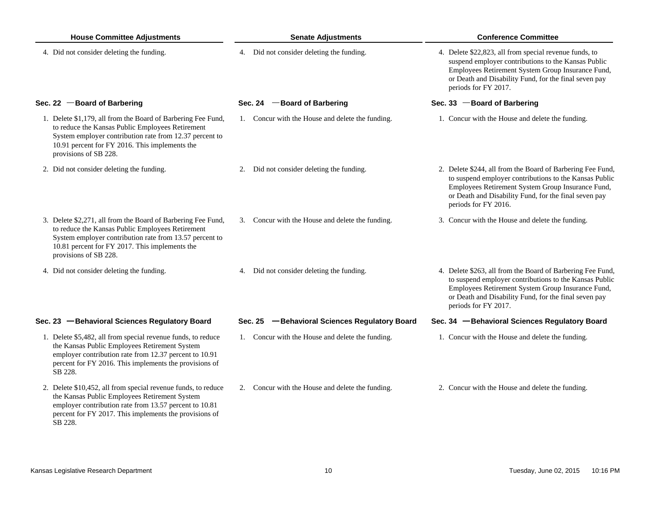| <b>House Committee Adjustments</b>                                                                                                                                                                                                                     | <b>Senate Adjustments</b>                        | <b>Conference Committee</b>                                                                                                                                                                                                                                |  |  |
|--------------------------------------------------------------------------------------------------------------------------------------------------------------------------------------------------------------------------------------------------------|--------------------------------------------------|------------------------------------------------------------------------------------------------------------------------------------------------------------------------------------------------------------------------------------------------------------|--|--|
| 4. Did not consider deleting the funding.                                                                                                                                                                                                              | 4. Did not consider deleting the funding.        | 4. Delete \$22,823, all from special revenue funds, to<br>suspend employer contributions to the Kansas Public<br>Employees Retirement System Group Insurance Fund,<br>or Death and Disability Fund, for the final seven pay<br>periods for FY 2017.        |  |  |
| Sec. 22 - Board of Barbering                                                                                                                                                                                                                           | Sec. 24 - Board of Barbering                     | Sec. 33 $-$ Board of Barbering                                                                                                                                                                                                                             |  |  |
| 1. Delete \$1,179, all from the Board of Barbering Fee Fund,<br>to reduce the Kansas Public Employees Retirement<br>System employer contribution rate from 12.37 percent to<br>10.91 percent for FY 2016. This implements the<br>provisions of SB 228. | 1. Concur with the House and delete the funding. | 1. Concur with the House and delete the funding.                                                                                                                                                                                                           |  |  |
| 2. Did not consider deleting the funding.                                                                                                                                                                                                              | 2. Did not consider deleting the funding.        | 2. Delete \$244, all from the Board of Barbering Fee Fund,<br>to suspend employer contributions to the Kansas Public<br>Employees Retirement System Group Insurance Fund,<br>or Death and Disability Fund, for the final seven pay<br>periods for FY 2016. |  |  |
| 3. Delete \$2,271, all from the Board of Barbering Fee Fund,<br>to reduce the Kansas Public Employees Retirement<br>System employer contribution rate from 13.57 percent to<br>10.81 percent for FY 2017. This implements the<br>provisions of SB 228. | 3. Concur with the House and delete the funding. | 3. Concur with the House and delete the funding.                                                                                                                                                                                                           |  |  |
| 4. Did not consider deleting the funding.                                                                                                                                                                                                              | 4. Did not consider deleting the funding.        | 4. Delete \$263, all from the Board of Barbering Fee Fund,<br>to suspend employer contributions to the Kansas Public<br>Employees Retirement System Group Insurance Fund,<br>or Death and Disability Fund, for the final seven pay<br>periods for FY 2017. |  |  |
| Sec. 23 - Behavioral Sciences Regulatory Board                                                                                                                                                                                                         | Sec. 25 - Behavioral Sciences Regulatory Board   | Sec. 34 - Behavioral Sciences Regulatory Board                                                                                                                                                                                                             |  |  |
| 1. Delete \$5,482, all from special revenue funds, to reduce<br>the Kansas Public Employees Retirement System<br>employer contribution rate from 12.37 percent to 10.91<br>percent for FY 2016. This implements the provisions of<br>SB 228.           | 1. Concur with the House and delete the funding. | 1. Concur with the House and delete the funding.                                                                                                                                                                                                           |  |  |
| 2. Delete \$10,452, all from special revenue funds, to reduce<br>the Kansas Public Employees Retirement System<br>employer contribution rate from 13.57 percent to 10.81<br>percent for FY 2017. This implements the provisions of<br>SB 228.          | 2. Concur with the House and delete the funding. | 2. Concur with the House and delete the funding.                                                                                                                                                                                                           |  |  |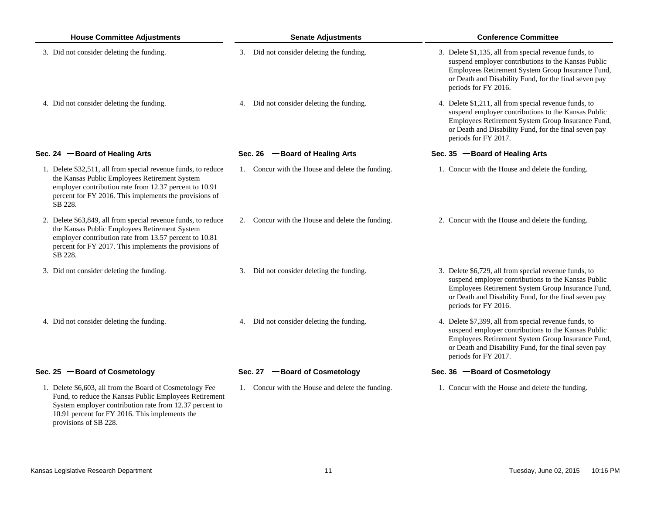| <b>House Committee Adjustments</b>                                                                                                                                                                                                                       | <b>Senate Adjustments</b>                        | <b>Conference Committee</b>                                                                                                                                                                                                                        |  |  |
|----------------------------------------------------------------------------------------------------------------------------------------------------------------------------------------------------------------------------------------------------------|--------------------------------------------------|----------------------------------------------------------------------------------------------------------------------------------------------------------------------------------------------------------------------------------------------------|--|--|
| 3. Did not consider deleting the funding.                                                                                                                                                                                                                | 3. Did not consider deleting the funding.        | 3. Delete \$1,135, all from special revenue funds, to<br>suspend employer contributions to the Kansas Public<br>Employees Retirement System Group Insurance Fund,<br>or Death and Disability Fund, for the final seven pay<br>periods for FY 2016. |  |  |
| 4. Did not consider deleting the funding.                                                                                                                                                                                                                | 4. Did not consider deleting the funding.        | 4. Delete \$1,211, all from special revenue funds, to<br>suspend employer contributions to the Kansas Public<br>Employees Retirement System Group Insurance Fund,<br>or Death and Disability Fund, for the final seven pay<br>periods for FY 2017. |  |  |
| Sec. 24 - Board of Healing Arts                                                                                                                                                                                                                          | Sec. 26 - Board of Healing Arts                  | Sec. 35 - Board of Healing Arts                                                                                                                                                                                                                    |  |  |
| 1. Delete \$32,511, all from special revenue funds, to reduce<br>the Kansas Public Employees Retirement System<br>employer contribution rate from 12.37 percent to 10.91<br>percent for FY 2016. This implements the provisions of<br>SB 228.            | 1. Concur with the House and delete the funding. | 1. Concur with the House and delete the funding.                                                                                                                                                                                                   |  |  |
| 2. Delete \$63,849, all from special revenue funds, to reduce<br>the Kansas Public Employees Retirement System<br>employer contribution rate from 13.57 percent to 10.81<br>percent for FY 2017. This implements the provisions of<br>SB 228.            | 2. Concur with the House and delete the funding. | 2. Concur with the House and delete the funding.                                                                                                                                                                                                   |  |  |
| 3. Did not consider deleting the funding.                                                                                                                                                                                                                | 3. Did not consider deleting the funding.        | 3. Delete \$6,729, all from special revenue funds, to<br>suspend employer contributions to the Kansas Public<br>Employees Retirement System Group Insurance Fund,<br>or Death and Disability Fund, for the final seven pay<br>periods for FY 2016. |  |  |
| 4. Did not consider deleting the funding.                                                                                                                                                                                                                | 4. Did not consider deleting the funding.        | 4. Delete \$7,399, all from special revenue funds, to<br>suspend employer contributions to the Kansas Public<br>Employees Retirement System Group Insurance Fund,<br>or Death and Disability Fund, for the final seven pay<br>periods for FY 2017. |  |  |
| Sec. 25 - Board of Cosmetology                                                                                                                                                                                                                           | Sec. 27 - Board of Cosmetology                   | Sec. 36 - Board of Cosmetology                                                                                                                                                                                                                     |  |  |
| 1. Delete \$6,603, all from the Board of Cosmetology Fee<br>Fund, to reduce the Kansas Public Employees Retirement<br>System employer contribution rate from 12.37 percent to<br>10.91 percent for FY 2016. This implements the<br>provisions of SB 228. | 1. Concur with the House and delete the funding. | 1. Concur with the House and delete the funding.                                                                                                                                                                                                   |  |  |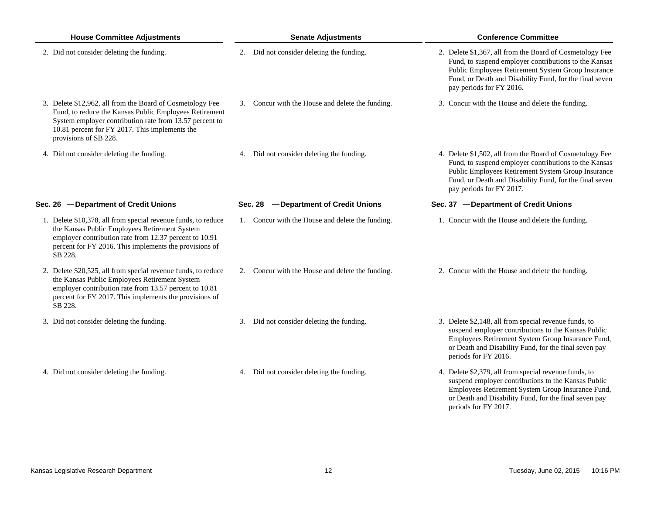| <b>House Committee Adjustments</b>                                                                                                                                                                                                                        | <b>Senate Adjustments</b>                        | <b>Conference Committee</b>                                                                                                                                                                                                                                    |  |  |
|-----------------------------------------------------------------------------------------------------------------------------------------------------------------------------------------------------------------------------------------------------------|--------------------------------------------------|----------------------------------------------------------------------------------------------------------------------------------------------------------------------------------------------------------------------------------------------------------------|--|--|
| 2. Did not consider deleting the funding.                                                                                                                                                                                                                 | 2. Did not consider deleting the funding.        | 2. Delete \$1,367, all from the Board of Cosmetology Fee<br>Fund, to suspend employer contributions to the Kansas<br>Public Employees Retirement System Group Insurance<br>Fund, or Death and Disability Fund, for the final seven<br>pay periods for FY 2016. |  |  |
| 3. Delete \$12,962, all from the Board of Cosmetology Fee<br>Fund, to reduce the Kansas Public Employees Retirement<br>System employer contribution rate from 13.57 percent to<br>10.81 percent for FY 2017. This implements the<br>provisions of SB 228. | 3. Concur with the House and delete the funding. | 3. Concur with the House and delete the funding.                                                                                                                                                                                                               |  |  |
| 4. Did not consider deleting the funding.                                                                                                                                                                                                                 | 4. Did not consider deleting the funding.        | 4. Delete \$1,502, all from the Board of Cosmetology Fee<br>Fund, to suspend employer contributions to the Kansas<br>Public Employees Retirement System Group Insurance<br>Fund, or Death and Disability Fund, for the final seven<br>pay periods for FY 2017. |  |  |
| Sec. 26 - Department of Credit Unions                                                                                                                                                                                                                     | -Department of Credit Unions<br>Sec. 28          | Sec. 37 - Department of Credit Unions                                                                                                                                                                                                                          |  |  |
| 1. Delete \$10,378, all from special revenue funds, to reduce<br>the Kansas Public Employees Retirement System<br>employer contribution rate from 12.37 percent to 10.91<br>percent for FY 2016. This implements the provisions of<br>SB 228.             | 1. Concur with the House and delete the funding. | 1. Concur with the House and delete the funding.                                                                                                                                                                                                               |  |  |
| 2. Delete \$20,525, all from special revenue funds, to reduce<br>the Kansas Public Employees Retirement System<br>employer contribution rate from 13.57 percent to 10.81<br>percent for FY 2017. This implements the provisions of<br>SB 228.             | 2. Concur with the House and delete the funding. | 2. Concur with the House and delete the funding.                                                                                                                                                                                                               |  |  |
| 3. Did not consider deleting the funding.                                                                                                                                                                                                                 | 3. Did not consider deleting the funding.        | 3. Delete \$2,148, all from special revenue funds, to<br>suspend employer contributions to the Kansas Public<br>Employees Retirement System Group Insurance Fund,<br>or Death and Disability Fund, for the final seven pay<br>periods for FY 2016.             |  |  |
| 4. Did not consider deleting the funding.                                                                                                                                                                                                                 | 4. Did not consider deleting the funding.        | 4. Delete \$2,379, all from special revenue funds, to<br>suspend employer contributions to the Kansas Public<br>Employees Retirement System Group Insurance Fund,<br>or Death and Disability Fund, for the final seven pay<br>periods for FY 2017.             |  |  |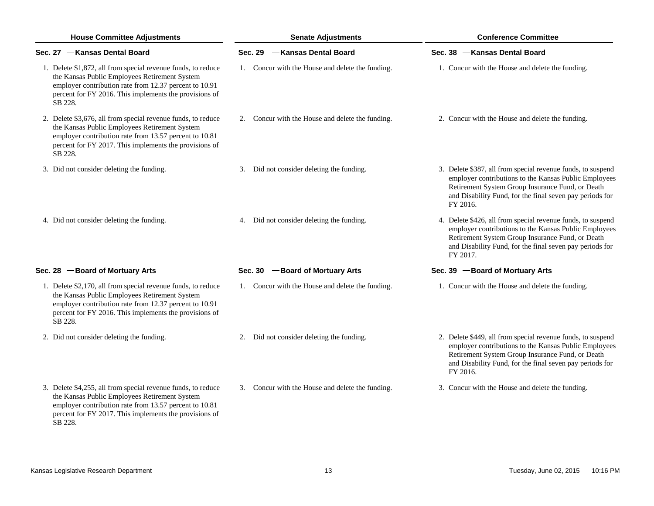| <b>House Committee Adjustments</b> |                                                                                                                                                                                                                                              | <b>Senate Adjustments</b>                        | <b>Conference Committee</b>                                                                                                                                                                                                                      |  |  |
|------------------------------------|----------------------------------------------------------------------------------------------------------------------------------------------------------------------------------------------------------------------------------------------|--------------------------------------------------|--------------------------------------------------------------------------------------------------------------------------------------------------------------------------------------------------------------------------------------------------|--|--|
|                                    | Sec. 27 - Kansas Dental Board                                                                                                                                                                                                                | Sec. 29 - Kansas Dental Board                    | Sec. 38 - Kansas Dental Board                                                                                                                                                                                                                    |  |  |
|                                    | 1. Delete \$1,872, all from special revenue funds, to reduce<br>the Kansas Public Employees Retirement System<br>employer contribution rate from 12.37 percent to 10.91<br>percent for FY 2016. This implements the provisions of<br>SB 228. | 1. Concur with the House and delete the funding. | 1. Concur with the House and delete the funding.                                                                                                                                                                                                 |  |  |
|                                    | 2. Delete \$3,676, all from special revenue funds, to reduce<br>the Kansas Public Employees Retirement System<br>employer contribution rate from 13.57 percent to 10.81<br>percent for FY 2017. This implements the provisions of<br>SB 228. | 2. Concur with the House and delete the funding. | 2. Concur with the House and delete the funding.                                                                                                                                                                                                 |  |  |
|                                    | 3. Did not consider deleting the funding.                                                                                                                                                                                                    | 3. Did not consider deleting the funding.        | 3. Delete \$387, all from special revenue funds, to suspend<br>employer contributions to the Kansas Public Employees<br>Retirement System Group Insurance Fund, or Death<br>and Disability Fund, for the final seven pay periods for<br>FY 2016. |  |  |
|                                    | 4. Did not consider deleting the funding.                                                                                                                                                                                                    | 4. Did not consider deleting the funding.        | 4. Delete \$426, all from special revenue funds, to suspend<br>employer contributions to the Kansas Public Employees<br>Retirement System Group Insurance Fund, or Death<br>and Disability Fund, for the final seven pay periods for<br>FY 2017. |  |  |
|                                    | Sec. 28 - Board of Mortuary Arts                                                                                                                                                                                                             | Sec. 30 - Board of Mortuary Arts                 | Sec. 39 - Board of Mortuary Arts                                                                                                                                                                                                                 |  |  |
|                                    | 1. Delete \$2,170, all from special revenue funds, to reduce<br>the Kansas Public Employees Retirement System<br>employer contribution rate from 12.37 percent to 10.91<br>percent for FY 2016. This implements the provisions of<br>SB 228. | 1. Concur with the House and delete the funding. | 1. Concur with the House and delete the funding.                                                                                                                                                                                                 |  |  |
|                                    | 2. Did not consider deleting the funding.                                                                                                                                                                                                    | 2. Did not consider deleting the funding.        | 2. Delete \$449, all from special revenue funds, to suspend<br>employer contributions to the Kansas Public Employees<br>Retirement System Group Insurance Fund, or Death<br>and Disability Fund, for the final seven pay periods for<br>FY 2016. |  |  |
|                                    | 3. Delete \$4,255, all from special revenue funds, to reduce<br>the Kansas Public Employees Retirement System<br>employer contribution rate from 13.57 percent to 10.81<br>percent for FY 2017. This implements the provisions of            | 3. Concur with the House and delete the funding. | 3. Concur with the House and delete the funding.                                                                                                                                                                                                 |  |  |

SB 228.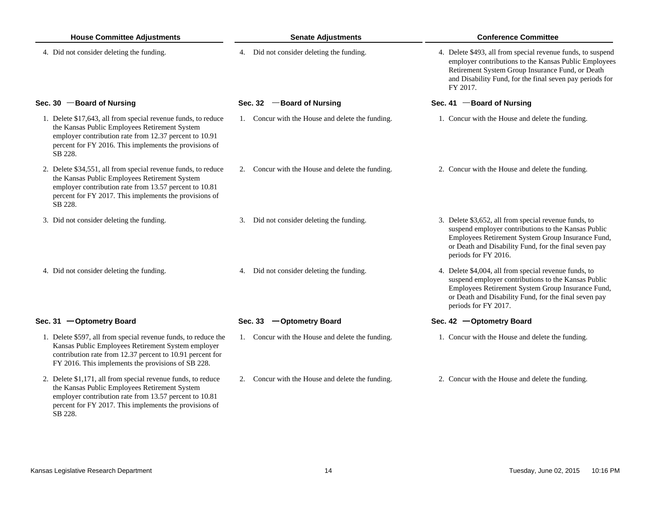| <b>House Committee Adjustments</b>                                                                                                                                                                                                            | <b>Senate Adjustments</b>                        | <b>Conference Committee</b>                                                                                                                                                                                                                        |  |  |
|-----------------------------------------------------------------------------------------------------------------------------------------------------------------------------------------------------------------------------------------------|--------------------------------------------------|----------------------------------------------------------------------------------------------------------------------------------------------------------------------------------------------------------------------------------------------------|--|--|
| 4. Did not consider deleting the funding.                                                                                                                                                                                                     | 4. Did not consider deleting the funding.        | 4. Delete \$493, all from special revenue funds, to suspend<br>employer contributions to the Kansas Public Employees<br>Retirement System Group Insurance Fund, or Death<br>and Disability Fund, for the final seven pay periods for<br>FY 2017.   |  |  |
| Sec. 30 $-$ Board of Nursing                                                                                                                                                                                                                  | Sec. 32 - Board of Nursing                       | Sec. 41 - Board of Nursing                                                                                                                                                                                                                         |  |  |
| 1. Delete \$17,643, all from special revenue funds, to reduce<br>the Kansas Public Employees Retirement System<br>employer contribution rate from 12.37 percent to 10.91<br>percent for FY 2016. This implements the provisions of<br>SB 228. | 1. Concur with the House and delete the funding. | 1. Concur with the House and delete the funding.                                                                                                                                                                                                   |  |  |
| 2. Delete \$34,551, all from special revenue funds, to reduce<br>the Kansas Public Employees Retirement System<br>employer contribution rate from 13.57 percent to 10.81<br>percent for FY 2017. This implements the provisions of<br>SB 228. | 2. Concur with the House and delete the funding. | 2. Concur with the House and delete the funding.                                                                                                                                                                                                   |  |  |
| 3. Did not consider deleting the funding.                                                                                                                                                                                                     | 3. Did not consider deleting the funding.        | 3. Delete \$3,652, all from special revenue funds, to<br>suspend employer contributions to the Kansas Public<br>Employees Retirement System Group Insurance Fund,<br>or Death and Disability Fund, for the final seven pay<br>periods for FY 2016. |  |  |
| 4. Did not consider deleting the funding.                                                                                                                                                                                                     | 4. Did not consider deleting the funding.        | 4. Delete \$4,004, all from special revenue funds, to<br>suspend employer contributions to the Kansas Public<br>Employees Retirement System Group Insurance Fund,<br>or Death and Disability Fund, for the final seven pay<br>periods for FY 2017. |  |  |
| Sec. 31 - Optometry Board                                                                                                                                                                                                                     | Sec. 33 - Optometry Board                        | Sec. 42 - Optometry Board                                                                                                                                                                                                                          |  |  |
| 1. Delete \$597, all from special revenue funds, to reduce the<br>Kansas Public Employees Retirement System employer<br>contribution rate from 12.37 percent to 10.91 percent for<br>FY 2016. This implements the provisions of SB 228.       | 1. Concur with the House and delete the funding. | 1. Concur with the House and delete the funding.                                                                                                                                                                                                   |  |  |
| 2. Delete \$1,171, all from special revenue funds, to reduce<br>the Kansas Public Employees Retirement System<br>employer contribution rate from 13.57 percent to 10.81<br>percent for FY 2017. This implements the provisions of             | 2. Concur with the House and delete the funding. | 2. Concur with the House and delete the funding.                                                                                                                                                                                                   |  |  |

SB 228.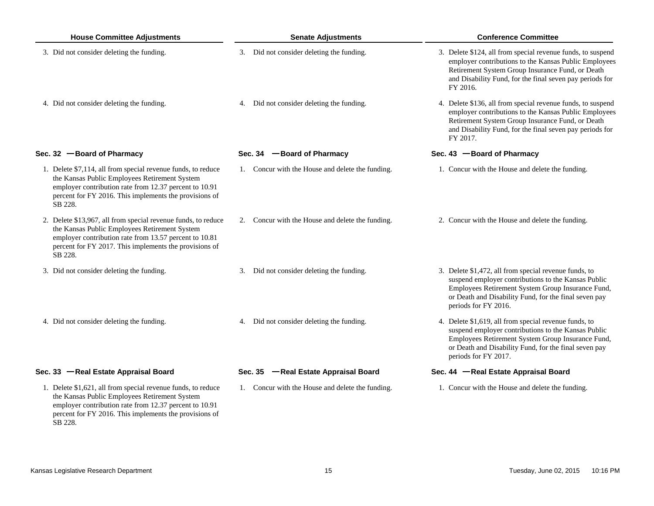| <b>House Committee Adjustments</b>                                                                                                                                                                                                            | <b>Senate Adjustments</b>                        | <b>Conference Committee</b>                                                                                                                                                                                                                        |  |  |
|-----------------------------------------------------------------------------------------------------------------------------------------------------------------------------------------------------------------------------------------------|--------------------------------------------------|----------------------------------------------------------------------------------------------------------------------------------------------------------------------------------------------------------------------------------------------------|--|--|
| 3. Did not consider deleting the funding.                                                                                                                                                                                                     | 3. Did not consider deleting the funding.        | 3. Delete \$124, all from special revenue funds, to suspend<br>employer contributions to the Kansas Public Employees<br>Retirement System Group Insurance Fund, or Death<br>and Disability Fund, for the final seven pay periods for<br>FY 2016.   |  |  |
| 4. Did not consider deleting the funding.                                                                                                                                                                                                     | 4. Did not consider deleting the funding.        | 4. Delete \$136, all from special revenue funds, to suspend<br>employer contributions to the Kansas Public Employees<br>Retirement System Group Insurance Fund, or Death<br>and Disability Fund, for the final seven pay periods for<br>FY 2017.   |  |  |
| Sec. 32 - Board of Pharmacy                                                                                                                                                                                                                   | Sec. 34 - Board of Pharmacy                      | Sec. 43 - Board of Pharmacy                                                                                                                                                                                                                        |  |  |
| 1. Delete \$7,114, all from special revenue funds, to reduce<br>the Kansas Public Employees Retirement System<br>employer contribution rate from 12.37 percent to 10.91<br>percent for FY 2016. This implements the provisions of<br>SB 228.  | 1. Concur with the House and delete the funding. | 1. Concur with the House and delete the funding.                                                                                                                                                                                                   |  |  |
| 2. Delete \$13,967, all from special revenue funds, to reduce<br>the Kansas Public Employees Retirement System<br>employer contribution rate from 13.57 percent to 10.81<br>percent for FY 2017. This implements the provisions of<br>SB 228. | 2. Concur with the House and delete the funding. | 2. Concur with the House and delete the funding.                                                                                                                                                                                                   |  |  |
| 3. Did not consider deleting the funding.                                                                                                                                                                                                     | 3. Did not consider deleting the funding.        | 3. Delete \$1,472, all from special revenue funds, to<br>suspend employer contributions to the Kansas Public<br>Employees Retirement System Group Insurance Fund,<br>or Death and Disability Fund, for the final seven pay<br>periods for FY 2016. |  |  |
| 4. Did not consider deleting the funding.                                                                                                                                                                                                     | 4. Did not consider deleting the funding.        | 4. Delete \$1,619, all from special revenue funds, to<br>suspend employer contributions to the Kansas Public<br>Employees Retirement System Group Insurance Fund,<br>or Death and Disability Fund, for the final seven pay<br>periods for FY 2017. |  |  |
| Sec. 33 - Real Estate Appraisal Board                                                                                                                                                                                                         | Sec. 35 - Real Estate Appraisal Board            | Sec. 44 -Real Estate Appraisal Board                                                                                                                                                                                                               |  |  |
| 1. Delete \$1,621, all from special revenue funds, to reduce<br>the Kansas Public Employees Retirement System<br>employer contribution rate from 12.37 percent to 10.91<br>percent for FY 2016. This implements the provisions of<br>SB 228.  | 1. Concur with the House and delete the funding. | 1. Concur with the House and delete the funding.                                                                                                                                                                                                   |  |  |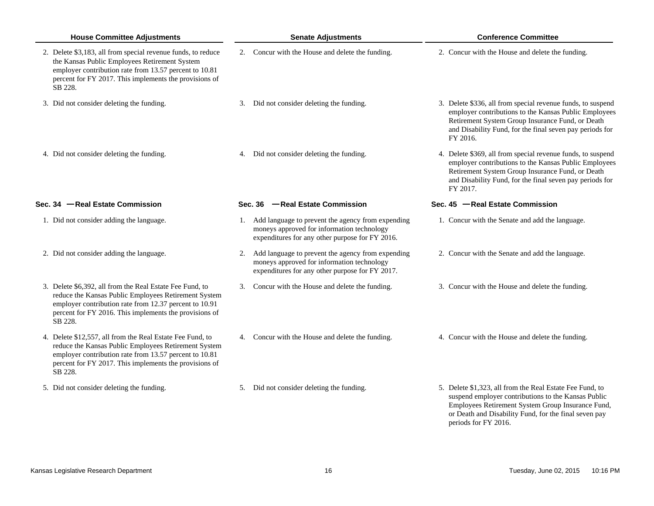| <b>House Committee Adjustments</b>                                                                                                                                                                                                               | <b>Senate Adjustments</b>                                                                                                                             | <b>Conference Committee</b>                                                                                                                                                                                                                      |  |  |
|--------------------------------------------------------------------------------------------------------------------------------------------------------------------------------------------------------------------------------------------------|-------------------------------------------------------------------------------------------------------------------------------------------------------|--------------------------------------------------------------------------------------------------------------------------------------------------------------------------------------------------------------------------------------------------|--|--|
| 2. Delete \$3,183, all from special revenue funds, to reduce<br>the Kansas Public Employees Retirement System<br>employer contribution rate from 13.57 percent to 10.81<br>percent for FY 2017. This implements the provisions of<br>SB 228.     | 2. Concur with the House and delete the funding.                                                                                                      | 2. Concur with the House and delete the funding.                                                                                                                                                                                                 |  |  |
| 3. Did not consider deleting the funding.                                                                                                                                                                                                        | 3. Did not consider deleting the funding.                                                                                                             | 3. Delete \$336, all from special revenue funds, to suspend<br>employer contributions to the Kansas Public Employees<br>Retirement System Group Insurance Fund, or Death<br>and Disability Fund, for the final seven pay periods for<br>FY 2016. |  |  |
| 4. Did not consider deleting the funding.                                                                                                                                                                                                        | 4. Did not consider deleting the funding.                                                                                                             | 4. Delete \$369, all from special revenue funds, to suspend<br>employer contributions to the Kansas Public Employees<br>Retirement System Group Insurance Fund, or Death<br>and Disability Fund, for the final seven pay periods for<br>FY 2017. |  |  |
| Sec. 34 - Real Estate Commission                                                                                                                                                                                                                 | Sec. 36 -Real Estate Commission                                                                                                                       | Sec. 45 - Real Estate Commission                                                                                                                                                                                                                 |  |  |
| 1. Did not consider adding the language.                                                                                                                                                                                                         | 1. Add language to prevent the agency from expending<br>moneys approved for information technology<br>expenditures for any other purpose for FY 2016. | 1. Concur with the Senate and add the language.                                                                                                                                                                                                  |  |  |
| 2. Did not consider adding the language.                                                                                                                                                                                                         | 2. Add language to prevent the agency from expending<br>moneys approved for information technology<br>expenditures for any other purpose for FY 2017. | 2. Concur with the Senate and add the language.                                                                                                                                                                                                  |  |  |
| 3. Delete \$6,392, all from the Real Estate Fee Fund, to<br>reduce the Kansas Public Employees Retirement System<br>employer contribution rate from 12.37 percent to 10.91<br>percent for FY 2016. This implements the provisions of<br>SB 228.  | 3. Concur with the House and delete the funding.                                                                                                      | 3. Concur with the House and delete the funding.                                                                                                                                                                                                 |  |  |
| 4. Delete \$12,557, all from the Real Estate Fee Fund, to<br>reduce the Kansas Public Employees Retirement System<br>employer contribution rate from 13.57 percent to 10.81<br>percent for FY 2017. This implements the provisions of<br>SB 228. | 4. Concur with the House and delete the funding.                                                                                                      | 4. Concur with the House and delete the funding.                                                                                                                                                                                                 |  |  |
| 5. Did not consider deleting the funding.                                                                                                                                                                                                        | 5. Did not consider deleting the funding.                                                                                                             | 5. Delete \$1,323, all from the Real Estate Fee Fund, to<br>suspend employer contributions to the Kansas Public<br>Employees Retirement System Group Insurance Fund,                                                                             |  |  |

or Death and Disability Fund, for the final seven pay

periods for FY 2016.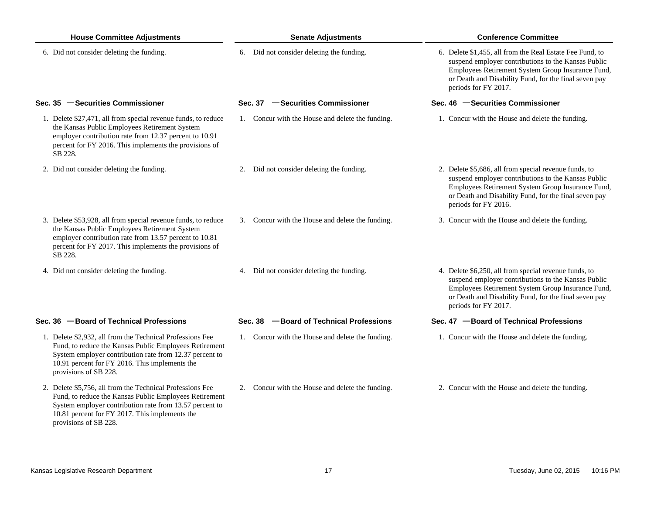| <b>House Committee Adjustments</b> |                                                                                                                                                                                                                                                           | <b>Senate Adjustments</b> |                                                  |  | <b>Conference Committee</b>                                                                                                                                                                                                                           |  |  |
|------------------------------------|-----------------------------------------------------------------------------------------------------------------------------------------------------------------------------------------------------------------------------------------------------------|---------------------------|--------------------------------------------------|--|-------------------------------------------------------------------------------------------------------------------------------------------------------------------------------------------------------------------------------------------------------|--|--|
|                                    | 6. Did not consider deleting the funding.                                                                                                                                                                                                                 |                           | 6. Did not consider deleting the funding.        |  | 6. Delete \$1,455, all from the Real Estate Fee Fund, to<br>suspend employer contributions to the Kansas Public<br>Employees Retirement System Group Insurance Fund,<br>or Death and Disability Fund, for the final seven pay<br>periods for FY 2017. |  |  |
|                                    | Sec. 35 - Securities Commissioner                                                                                                                                                                                                                         |                           | Sec. 37 - Securities Commissioner                |  | Sec. 46 - Securities Commissioner                                                                                                                                                                                                                     |  |  |
|                                    | 1. Delete \$27,471, all from special revenue funds, to reduce<br>the Kansas Public Employees Retirement System<br>employer contribution rate from 12.37 percent to 10.91<br>percent for FY 2016. This implements the provisions of<br>SB 228.             |                           | 1. Concur with the House and delete the funding. |  | 1. Concur with the House and delete the funding.                                                                                                                                                                                                      |  |  |
|                                    | 2. Did not consider deleting the funding.                                                                                                                                                                                                                 |                           | 2. Did not consider deleting the funding.        |  | 2. Delete \$5,686, all from special revenue funds, to<br>suspend employer contributions to the Kansas Public<br>Employees Retirement System Group Insurance Fund,<br>or Death and Disability Fund, for the final seven pay<br>periods for FY 2016.    |  |  |
|                                    | 3. Delete \$53,928, all from special revenue funds, to reduce<br>the Kansas Public Employees Retirement System<br>employer contribution rate from 13.57 percent to 10.81<br>percent for FY 2017. This implements the provisions of<br>SB 228.             |                           | 3. Concur with the House and delete the funding. |  | 3. Concur with the House and delete the funding.                                                                                                                                                                                                      |  |  |
|                                    | 4. Did not consider deleting the funding.                                                                                                                                                                                                                 |                           | 4. Did not consider deleting the funding.        |  | 4. Delete \$6,250, all from special revenue funds, to<br>suspend employer contributions to the Kansas Public<br>Employees Retirement System Group Insurance Fund,<br>or Death and Disability Fund, for the final seven pay<br>periods for FY 2017.    |  |  |
|                                    | Sec. 36 - Board of Technical Professions                                                                                                                                                                                                                  | Sec. 38                   | -Board of Technical Professions                  |  | Sec. 47 - Board of Technical Professions                                                                                                                                                                                                              |  |  |
|                                    | 1. Delete \$2,932, all from the Technical Professions Fee<br>Fund, to reduce the Kansas Public Employees Retirement<br>System employer contribution rate from 12.37 percent to<br>10.91 percent for FY 2016. This implements the<br>provisions of SB 228. |                           | 1. Concur with the House and delete the funding. |  | 1. Concur with the House and delete the funding.                                                                                                                                                                                                      |  |  |
|                                    | 2. Delete \$5,756, all from the Technical Professions Fee<br>Fund, to reduce the Kansas Public Employees Retirement<br>System employer contribution rate from 13.57 percent to<br>10.81 percent for FY 2017. This implements the<br>provisions of SB 228. |                           | 2. Concur with the House and delete the funding. |  | 2. Concur with the House and delete the funding.                                                                                                                                                                                                      |  |  |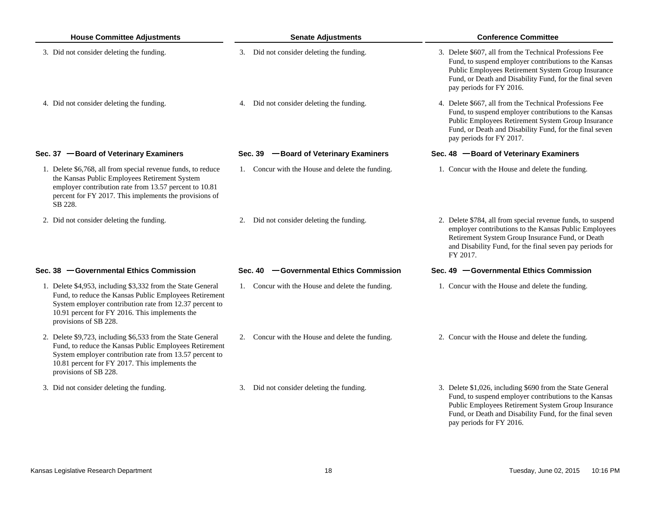| <b>House Committee Adjustments</b>                                                                                                                                                                                                                          | <b>Senate Adjustments</b>                         | <b>Conference Committee</b>                                                                                                                                                                                                                                   |
|-------------------------------------------------------------------------------------------------------------------------------------------------------------------------------------------------------------------------------------------------------------|---------------------------------------------------|---------------------------------------------------------------------------------------------------------------------------------------------------------------------------------------------------------------------------------------------------------------|
| 3. Did not consider deleting the funding.                                                                                                                                                                                                                   | 3. Did not consider deleting the funding.         | 3. Delete \$607, all from the Technical Professions Fee<br>Fund, to suspend employer contributions to the Kansas<br>Public Employees Retirement System Group Insurance<br>Fund, or Death and Disability Fund, for the final seven<br>pay periods for FY 2016. |
| 4. Did not consider deleting the funding.                                                                                                                                                                                                                   | 4. Did not consider deleting the funding.         | 4. Delete \$667, all from the Technical Professions Fee<br>Fund, to suspend employer contributions to the Kansas<br>Public Employees Retirement System Group Insurance<br>Fund, or Death and Disability Fund, for the final seven<br>pay periods for FY 2017. |
| Sec. 37 - Board of Veterinary Examiners                                                                                                                                                                                                                     | Sec. 39 - Board of Veterinary Examiners           | Sec. 48 -Board of Veterinary Examiners                                                                                                                                                                                                                        |
| 1. Delete \$6,768, all from special revenue funds, to reduce<br>the Kansas Public Employees Retirement System<br>employer contribution rate from 13.57 percent to 10.81<br>percent for FY 2017. This implements the provisions of<br>SB 228.                | 1. Concur with the House and delete the funding.  | 1. Concur with the House and delete the funding.                                                                                                                                                                                                              |
| 2. Did not consider deleting the funding.                                                                                                                                                                                                                   | 2. Did not consider deleting the funding.         | 2. Delete \$784, all from special revenue funds, to suspend<br>employer contributions to the Kansas Public Employees<br>Retirement System Group Insurance Fund, or Death<br>and Disability Fund, for the final seven pay periods for<br>FY 2017.              |
| Sec. 38 - Governmental Ethics Commission                                                                                                                                                                                                                    | <b>-Governmental Ethics Commission</b><br>Sec. 40 | Sec. 49 - Governmental Ethics Commission                                                                                                                                                                                                                      |
| 1. Delete \$4,953, including \$3,332 from the State General<br>Fund, to reduce the Kansas Public Employees Retirement<br>System employer contribution rate from 12.37 percent to<br>10.91 percent for FY 2016. This implements the<br>provisions of SB 228. | 1. Concur with the House and delete the funding.  | 1. Concur with the House and delete the funding.                                                                                                                                                                                                              |
| 2. Delete \$9,723, including \$6,533 from the State General<br>Fund, to reduce the Kansas Public Employees Retirement<br>System employer contribution rate from 13.57 percent to<br>10.81 percent for FY 2017. This implements the<br>provisions of SB 228. | 2. Concur with the House and delete the funding.  | 2. Concur with the House and delete the funding.                                                                                                                                                                                                              |
| 3. Did not consider deleting the funding.                                                                                                                                                                                                                   | 3. Did not consider deleting the funding.         | 3. Delete \$1,026, including \$690 from the State General<br>Fund, to suspend employer contributions to the Kansas<br>Public Employees Retirement System Group Insurance                                                                                      |

Fund, or Death and Disability Fund, for the final seven

pay periods for FY 2016.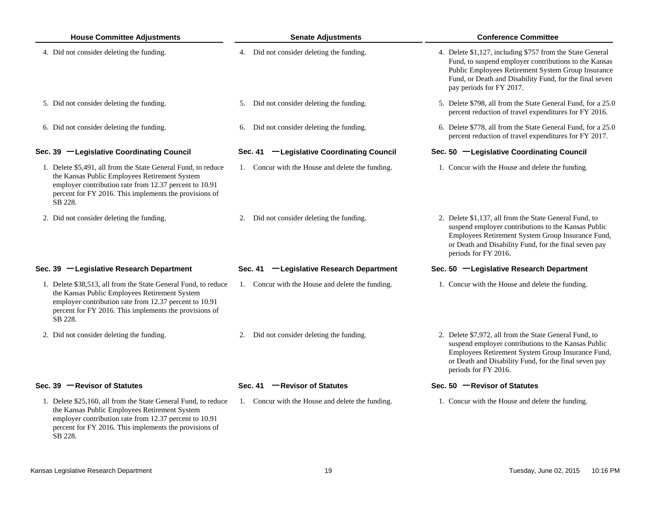| <b>House Committee Adjustments</b>                                                                                                                                                                                                             | <b>Senate Adjustments</b>                        | <b>Conference Committee</b>                                                                                                                                                                                                                                     |  |  |
|------------------------------------------------------------------------------------------------------------------------------------------------------------------------------------------------------------------------------------------------|--------------------------------------------------|-----------------------------------------------------------------------------------------------------------------------------------------------------------------------------------------------------------------------------------------------------------------|--|--|
| 4. Did not consider deleting the funding.                                                                                                                                                                                                      | 4. Did not consider deleting the funding.        | 4. Delete \$1,127, including \$757 from the State General<br>Fund, to suspend employer contributions to the Kansas<br>Public Employees Retirement System Group Insurance<br>Fund, or Death and Disability Fund, for the final seven<br>pay periods for FY 2017. |  |  |
| 5. Did not consider deleting the funding.                                                                                                                                                                                                      | 5. Did not consider deleting the funding.        | 5. Delete \$798, all from the State General Fund, for a 25.0<br>percent reduction of travel expenditures for FY 2016.                                                                                                                                           |  |  |
| 6. Did not consider deleting the funding.                                                                                                                                                                                                      | 6. Did not consider deleting the funding.        | 6. Delete \$778, all from the State General Fund, for a 25.0<br>percent reduction of travel expenditures for FY 2017.                                                                                                                                           |  |  |
| Sec. 39 - Legislative Coordinating Council                                                                                                                                                                                                     | -Legislative Coordinating Council<br>Sec. 41     | Sec. 50 -Legislative Coordinating Council                                                                                                                                                                                                                       |  |  |
| 1. Delete \$5,491, all from the State General Fund, to reduce<br>the Kansas Public Employees Retirement System<br>employer contribution rate from 12.37 percent to 10.91<br>percent for FY 2016. This implements the provisions of<br>SB 228.  | 1. Concur with the House and delete the funding. | 1. Concur with the House and delete the funding.                                                                                                                                                                                                                |  |  |
| 2. Did not consider deleting the funding.                                                                                                                                                                                                      | 2. Did not consider deleting the funding.        | 2. Delete \$1,137, all from the State General Fund, to<br>suspend employer contributions to the Kansas Public<br>Employees Retirement System Group Insurance Fund,<br>or Death and Disability Fund, for the final seven pay<br>periods for FY 2016.             |  |  |
| Sec. 39 -Legislative Research Department                                                                                                                                                                                                       | -Legislative Research Department<br>Sec. 41      | Sec. 50 -Legislative Research Department                                                                                                                                                                                                                        |  |  |
| 1. Delete \$38,513, all from the State General Fund, to reduce<br>the Kansas Public Employees Retirement System<br>employer contribution rate from 12.37 percent to 10.91<br>percent for FY 2016. This implements the provisions of<br>SB 228. | 1. Concur with the House and delete the funding. | 1. Concur with the House and delete the funding.                                                                                                                                                                                                                |  |  |
| 2. Did not consider deleting the funding.                                                                                                                                                                                                      | 2. Did not consider deleting the funding.        | 2. Delete \$7,972, all from the State General Fund, to<br>suspend employer contributions to the Kansas Public<br>Employees Retirement System Group Insurance Fund,<br>or Death and Disability Fund, for the final seven pay<br>periods for FY 2016.             |  |  |
| Sec. 39 - Revisor of Statutes                                                                                                                                                                                                                  | Sec. 41 $-$ Revisor of Statutes                  | Sec. 50 - Revisor of Statutes                                                                                                                                                                                                                                   |  |  |
| 1. Delete \$25,160, all from the State General Fund, to reduce<br>the Kansas Public Employees Retirement System<br>employer contribution rate from 12.37 percent to 10.91<br>percent for FY 2016. This implements the provisions of            | 1. Concur with the House and delete the funding. | 1. Concur with the House and delete the funding.                                                                                                                                                                                                                |  |  |

SB 228.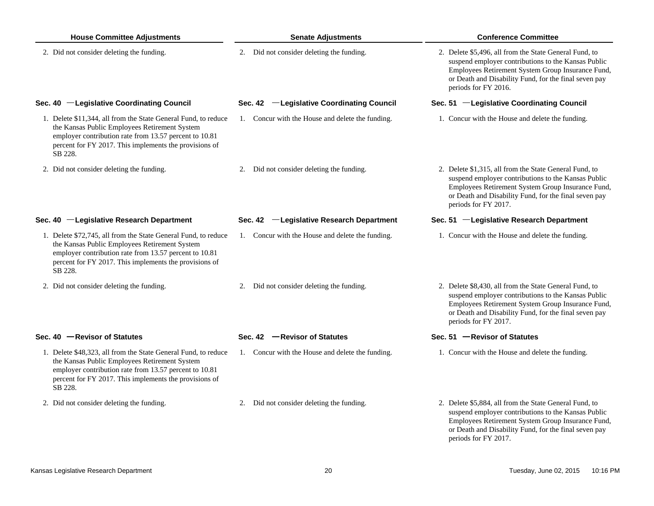| <b>House Committee Adjustments</b>                                                                                                                                                                                                             | <b>Senate Adjustments</b>                        | <b>Conference Committee</b><br>2. Delete \$5,496, all from the State General Fund, to<br>suspend employer contributions to the Kansas Public<br>Employees Retirement System Group Insurance Fund,<br>or Death and Disability Fund, for the final seven pay<br>periods for FY 2016. |  |  |
|------------------------------------------------------------------------------------------------------------------------------------------------------------------------------------------------------------------------------------------------|--------------------------------------------------|------------------------------------------------------------------------------------------------------------------------------------------------------------------------------------------------------------------------------------------------------------------------------------|--|--|
| 2. Did not consider deleting the funding.                                                                                                                                                                                                      | 2. Did not consider deleting the funding.        |                                                                                                                                                                                                                                                                                    |  |  |
| Sec. 40 - Legislative Coordinating Council                                                                                                                                                                                                     | Sec. 42 - Legislative Coordinating Council       | Sec. 51 -Legislative Coordinating Council                                                                                                                                                                                                                                          |  |  |
| 1. Delete \$11,344, all from the State General Fund, to reduce<br>the Kansas Public Employees Retirement System<br>employer contribution rate from 13.57 percent to 10.81<br>percent for FY 2017. This implements the provisions of<br>SB 228. | 1. Concur with the House and delete the funding. | 1. Concur with the House and delete the funding.                                                                                                                                                                                                                                   |  |  |
| 2. Did not consider deleting the funding.                                                                                                                                                                                                      | 2. Did not consider deleting the funding.        | 2. Delete \$1,315, all from the State General Fund, to<br>suspend employer contributions to the Kansas Public<br>Employees Retirement System Group Insurance Fund,<br>or Death and Disability Fund, for the final seven pay<br>periods for FY 2017.                                |  |  |
| Sec. 40 -Legislative Research Department                                                                                                                                                                                                       | Sec. 42 -Legislative Research Department         | Sec. 51 -Legislative Research Department                                                                                                                                                                                                                                           |  |  |
| 1. Delete \$72,745, all from the State General Fund, to reduce<br>the Kansas Public Employees Retirement System<br>employer contribution rate from 13.57 percent to 10.81<br>percent for FY 2017. This implements the provisions of<br>SB 228. | 1. Concur with the House and delete the funding. | 1. Concur with the House and delete the funding.                                                                                                                                                                                                                                   |  |  |
| 2. Did not consider deleting the funding.                                                                                                                                                                                                      | 2. Did not consider deleting the funding.        | 2. Delete \$8,430, all from the State General Fund, to<br>suspend employer contributions to the Kansas Public<br>Employees Retirement System Group Insurance Fund,<br>or Death and Disability Fund, for the final seven pay<br>periods for FY 2017.                                |  |  |
| Sec. $40$ - Revisor of Statutes                                                                                                                                                                                                                | Sec. 42 - Revisor of Statutes                    | Sec. $51$ - Revisor of Statutes                                                                                                                                                                                                                                                    |  |  |
| 1. Delete \$48,323, all from the State General Fund, to reduce<br>the Kansas Public Employees Retirement System<br>employer contribution rate from 13.57 percent to 10.81<br>percent for FY 2017. This implements the provisions of<br>SB 228. | 1. Concur with the House and delete the funding. | 1. Concur with the House and delete the funding.                                                                                                                                                                                                                                   |  |  |
| 2. Did not consider deleting the funding.                                                                                                                                                                                                      | 2. Did not consider deleting the funding.        | 2. Delete \$5,884, all from the State General Fund, to<br>suspend employer contributions to the Kansas Public<br>Employees Retirement System Group Insurance Fund,<br>or Death and Disability Fund, for the final seven pay<br>periods for FY 2017.                                |  |  |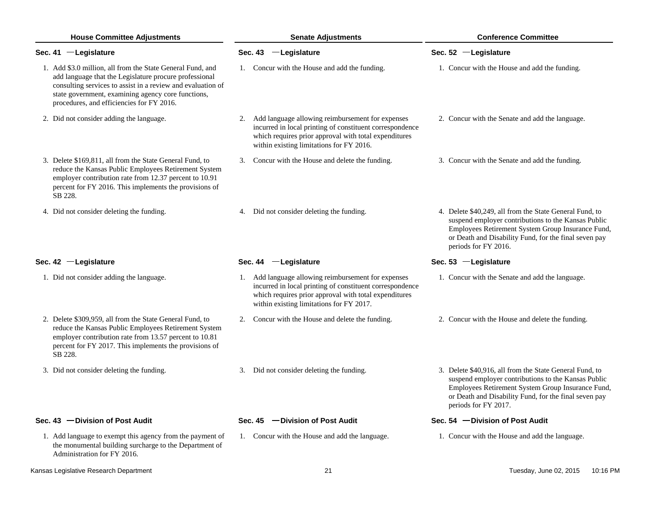| <b>House Committee Adjustments</b> |                                                                                                                                                                                                                                                                                        | <b>Senate Adjustments</b>                                                                                                                                                                                            | <b>Conference Committee</b>                                                                                                                                                                                                                          |  |  |
|------------------------------------|----------------------------------------------------------------------------------------------------------------------------------------------------------------------------------------------------------------------------------------------------------------------------------------|----------------------------------------------------------------------------------------------------------------------------------------------------------------------------------------------------------------------|------------------------------------------------------------------------------------------------------------------------------------------------------------------------------------------------------------------------------------------------------|--|--|
|                                    | Sec. $41$ - Legislature                                                                                                                                                                                                                                                                | Sec. 43 -Legislature                                                                                                                                                                                                 | Sec. 52 - Legislature                                                                                                                                                                                                                                |  |  |
|                                    | 1. Add \$3.0 million, all from the State General Fund, and<br>add language that the Legislature procure professional<br>consulting services to assist in a review and evaluation of<br>state government, examining agency core functions,<br>procedures, and efficiencies for FY 2016. | 1. Concur with the House and add the funding.                                                                                                                                                                        | 1. Concur with the House and add the funding.                                                                                                                                                                                                        |  |  |
|                                    | 2. Did not consider adding the language.                                                                                                                                                                                                                                               | 2. Add language allowing reimbursement for expenses<br>incurred in local printing of constituent correspondence<br>which requires prior approval with total expenditures<br>within existing limitations for FY 2016. | 2. Concur with the Senate and add the language.                                                                                                                                                                                                      |  |  |
|                                    | 3. Delete \$169,811, all from the State General Fund, to<br>reduce the Kansas Public Employees Retirement System<br>employer contribution rate from 12.37 percent to 10.91<br>percent for FY 2016. This implements the provisions of<br>SB 228.                                        | 3. Concur with the House and delete the funding.                                                                                                                                                                     | 3. Concur with the Senate and add the funding.                                                                                                                                                                                                       |  |  |
|                                    | 4. Did not consider deleting the funding.                                                                                                                                                                                                                                              | 4. Did not consider deleting the funding.                                                                                                                                                                            | 4. Delete \$40,249, all from the State General Fund, to<br>suspend employer contributions to the Kansas Public<br>Employees Retirement System Group Insurance Fund,<br>or Death and Disability Fund, for the final seven pay<br>periods for FY 2016. |  |  |
|                                    | Sec. 42 - Legislature                                                                                                                                                                                                                                                                  | Sec. 44 - Legislature                                                                                                                                                                                                | Sec. 53 $-$ Legislature                                                                                                                                                                                                                              |  |  |
|                                    | 1. Did not consider adding the language.                                                                                                                                                                                                                                               | 1. Add language allowing reimbursement for expenses<br>incurred in local printing of constituent correspondence<br>which requires prior approval with total expenditures<br>within existing limitations for FY 2017. | 1. Concur with the Senate and add the language.                                                                                                                                                                                                      |  |  |
|                                    | 2. Delete \$309,959, all from the State General Fund, to<br>reduce the Kansas Public Employees Retirement System<br>employer contribution rate from 13.57 percent to 10.81<br>percent for FY 2017. This implements the provisions of<br>SB 228.                                        | 2. Concur with the House and delete the funding.                                                                                                                                                                     | 2. Concur with the House and delete the funding.                                                                                                                                                                                                     |  |  |
|                                    | 3. Did not consider deleting the funding.                                                                                                                                                                                                                                              | 3. Did not consider deleting the funding.                                                                                                                                                                            | 3. Delete \$40,916, all from the State General Fund, to<br>suspend employer contributions to the Kansas Public<br>Employees Retirement System Group Insurance Fund,<br>or Death and Disability Fund, for the final seven pay<br>periods for FY 2017. |  |  |
|                                    | Sec. 43 - Division of Post Audit                                                                                                                                                                                                                                                       | Sec. 45 - Division of Post Audit                                                                                                                                                                                     | Sec. 54 - Division of Post Audit                                                                                                                                                                                                                     |  |  |
|                                    | 1. Add language to exempt this agency from the payment of<br>the monumental building surcharge to the Department of<br>Administration for FY 2016.                                                                                                                                     | 1. Concur with the House and add the language.                                                                                                                                                                       | 1. Concur with the House and add the language.                                                                                                                                                                                                       |  |  |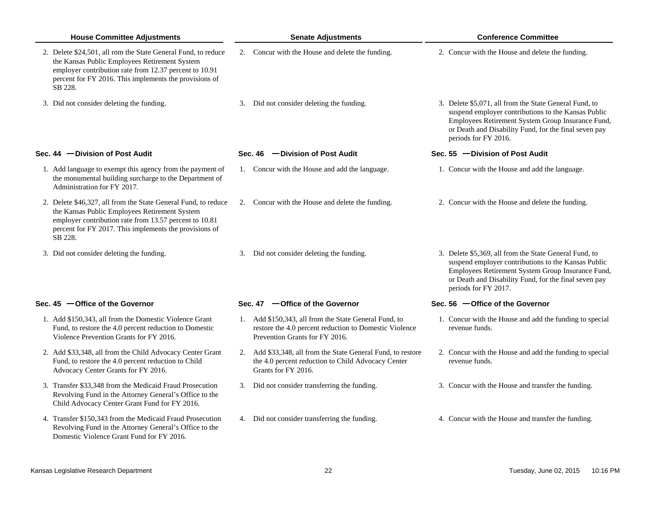| <b>House Committee Adjustments</b>                                                                                                                                                                                                             | <b>Senate Adjustments</b>                                                                                                                         | <b>Conference Committee</b>                                                                                                                                                                                                                         |  |  |
|------------------------------------------------------------------------------------------------------------------------------------------------------------------------------------------------------------------------------------------------|---------------------------------------------------------------------------------------------------------------------------------------------------|-----------------------------------------------------------------------------------------------------------------------------------------------------------------------------------------------------------------------------------------------------|--|--|
| 2. Delete \$24,501, all rom the State General Fund, to reduce<br>the Kansas Public Employees Retirement System<br>employer contribution rate from 12.37 percent to 10.91<br>percent for FY 2016. This implements the provisions of<br>SB 228.  | 2. Concur with the House and delete the funding.                                                                                                  | 2. Concur with the House and delete the funding.                                                                                                                                                                                                    |  |  |
| 3. Did not consider deleting the funding.                                                                                                                                                                                                      | 3. Did not consider deleting the funding.                                                                                                         | 3. Delete \$5,071, all from the State General Fund, to<br>suspend employer contributions to the Kansas Public<br>Employees Retirement System Group Insurance Fund,<br>or Death and Disability Fund, for the final seven pay<br>periods for FY 2016. |  |  |
| Sec. $44$ -Division of Post Audit                                                                                                                                                                                                              | Sec. 46 - Division of Post Audit                                                                                                                  | Sec. 55 $-$ Division of Post Audit                                                                                                                                                                                                                  |  |  |
| 1. Add language to exempt this agency from the payment of<br>the monumental building surcharge to the Department of<br>Administration for FY 2017.                                                                                             | 1. Concur with the House and add the language.                                                                                                    | 1. Concur with the House and add the language.                                                                                                                                                                                                      |  |  |
| 2. Delete \$46,327, all from the State General Fund, to reduce<br>the Kansas Public Employees Retirement System<br>employer contribution rate from 13.57 percent to 10.81<br>percent for FY 2017. This implements the provisions of<br>SB 228. | 2. Concur with the House and delete the funding.                                                                                                  | 2. Concur with the House and delete the funding.                                                                                                                                                                                                    |  |  |
| 3. Did not consider deleting the funding.                                                                                                                                                                                                      | 3. Did not consider deleting the funding.                                                                                                         | 3. Delete \$5,369, all from the State General Fund, to<br>suspend employer contributions to the Kansas Public<br>Employees Retirement System Group Insurance Fund,<br>or Death and Disability Fund, for the final seven pay<br>periods for FY 2017. |  |  |
| Sec. $45$ -Office of the Governor                                                                                                                                                                                                              | Sec. 47 - Office of the Governor                                                                                                                  | Sec. 56 - Office of the Governor                                                                                                                                                                                                                    |  |  |
| 1. Add \$150,343, all from the Domestic Violence Grant<br>Fund, to restore the 4.0 percent reduction to Domestic<br>Violence Prevention Grants for FY 2016.                                                                                    | 1. Add \$150,343, all from the State General Fund, to<br>restore the 4.0 percent reduction to Domestic Violence<br>Prevention Grants for FY 2016. | 1. Concur with the House and add the funding to special<br>revenue funds.                                                                                                                                                                           |  |  |
| 2. Add \$33,348, all from the Child Advocacy Center Grant<br>Fund, to restore the 4.0 percent reduction to Child<br>Advocacy Center Grants for FY 2016.                                                                                        | 2. Add \$33,348, all from the State General Fund, to restore<br>the 4.0 percent reduction to Child Advocacy Center<br>Grants for FY 2016.         | 2. Concur with the House and add the funding to special<br>revenue funds.                                                                                                                                                                           |  |  |
| 3. Transfer \$33,348 from the Medicaid Fraud Prosecution<br>Revolving Fund in the Attorney General's Office to the<br>Child Advocacy Center Grant Fund for FY 2016.                                                                            | 3. Did not consider transferring the funding.                                                                                                     | 3. Concur with the House and transfer the funding.                                                                                                                                                                                                  |  |  |
| 4. Transfer \$150,343 from the Medicaid Fraud Prosecution<br>Revolving Fund in the Attorney General's Office to the<br>Domestic Violence Grant Fund for FY 2016.                                                                               | 4. Did not consider transferring the funding.                                                                                                     | 4. Concur with the House and transfer the funding.                                                                                                                                                                                                  |  |  |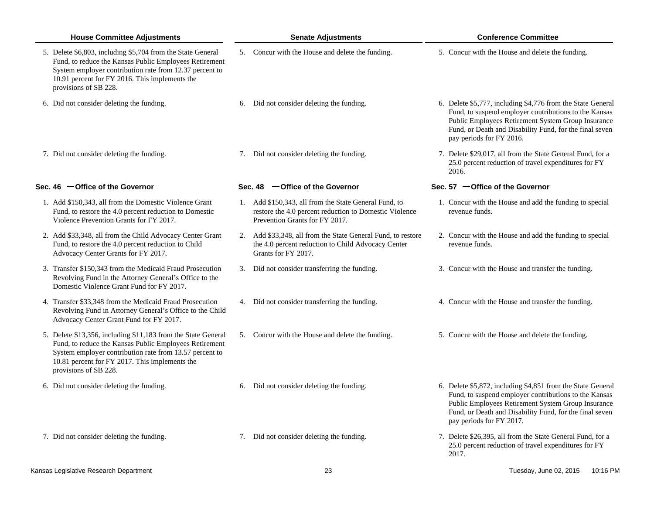| <b>House Committee Adjustments</b> |                                                                                                                                                                                                                                                               |    | <b>Senate Adjustments</b>                                                                                                                         | <b>Conference Committee</b> |                                                                                                                                                                                                                                                                          |  |
|------------------------------------|---------------------------------------------------------------------------------------------------------------------------------------------------------------------------------------------------------------------------------------------------------------|----|---------------------------------------------------------------------------------------------------------------------------------------------------|-----------------------------|--------------------------------------------------------------------------------------------------------------------------------------------------------------------------------------------------------------------------------------------------------------------------|--|
|                                    | 5. Delete \$6,803, including \$5,704 from the State General<br>Fund, to reduce the Kansas Public Employees Retirement<br>System employer contribution rate from 12.37 percent to<br>10.91 percent for FY 2016. This implements the<br>provisions of SB 228.   |    | 5. Concur with the House and delete the funding.                                                                                                  |                             | 5. Concur with the House and delete the funding.                                                                                                                                                                                                                         |  |
|                                    | 6. Did not consider deleting the funding.                                                                                                                                                                                                                     | 6. | Did not consider deleting the funding.                                                                                                            |                             | 6. Delete \$5,777, including \$4,776 from the State General<br>Fund, to suspend employer contributions to the Kansas<br>Public Employees Retirement System Group Insurance<br>Fund, or Death and Disability Fund, for the final seven<br>pay periods for FY 2016.        |  |
|                                    | 7. Did not consider deleting the funding.                                                                                                                                                                                                                     |    | 7. Did not consider deleting the funding.                                                                                                         |                             | 7. Delete \$29,017, all from the State General Fund, for a<br>25.0 percent reduction of travel expenditures for FY<br>2016.                                                                                                                                              |  |
|                                    | Sec. $46$ -Office of the Governor                                                                                                                                                                                                                             |    | Sec. 48 - Office of the Governor                                                                                                                  |                             | Sec. 57 $-$ Office of the Governor                                                                                                                                                                                                                                       |  |
|                                    | 1. Add \$150,343, all from the Domestic Violence Grant<br>Fund, to restore the 4.0 percent reduction to Domestic<br>Violence Prevention Grants for FY 2017.                                                                                                   |    | 1. Add \$150,343, all from the State General Fund, to<br>restore the 4.0 percent reduction to Domestic Violence<br>Prevention Grants for FY 2017. |                             | 1. Concur with the House and add the funding to special<br>revenue funds.                                                                                                                                                                                                |  |
|                                    | 2. Add \$33,348, all from the Child Advocacy Center Grant<br>Fund, to restore the 4.0 percent reduction to Child<br>Advocacy Center Grants for FY 2017.                                                                                                       |    | 2. Add \$33,348, all from the State General Fund, to restore<br>the 4.0 percent reduction to Child Advocacy Center<br>Grants for FY 2017.         |                             | 2. Concur with the House and add the funding to special<br>revenue funds.                                                                                                                                                                                                |  |
|                                    | 3. Transfer \$150,343 from the Medicaid Fraud Prosecution<br>Revolving Fund in the Attorney General's Office to the<br>Domestic Violence Grant Fund for FY 2017.                                                                                              |    | 3. Did not consider transferring the funding.                                                                                                     |                             | 3. Concur with the House and transfer the funding.                                                                                                                                                                                                                       |  |
|                                    | 4. Transfer \$33,348 from the Medicaid Fraud Prosecution<br>Revolving Fund in Attorney General's Office to the Child<br>Advocacy Center Grant Fund for FY 2017.                                                                                               |    | 4. Did not consider transferring the funding.                                                                                                     |                             | 4. Concur with the House and transfer the funding.                                                                                                                                                                                                                       |  |
|                                    | 5. Delete \$13,356, including \$11,183 from the State General<br>Fund, to reduce the Kansas Public Employees Retirement<br>System employer contribution rate from 13.57 percent to<br>10.81 percent for FY 2017. This implements the<br>provisions of SB 228. |    | 5. Concur with the House and delete the funding.                                                                                                  |                             | 5. Concur with the House and delete the funding.                                                                                                                                                                                                                         |  |
|                                    | 6. Did not consider deleting the funding.                                                                                                                                                                                                                     | 6. | Did not consider deleting the funding.                                                                                                            |                             | 6. Delete \$5,872, including \$4,851 from the State General<br>Fund, to suspend employer contributions to the Kansas<br><b>Public Employees Retirement System Group Insurance</b><br>Fund, or Death and Disability Fund, for the final seven<br>pay periods for FY 2017. |  |
|                                    | 7. Did not consider deleting the funding.                                                                                                                                                                                                                     |    | 7. Did not consider deleting the funding.                                                                                                         |                             | 7. Delete \$26,395, all from the State General Fund, for a<br>25.0 percent reduction of travel expenditures for FY<br>2017.                                                                                                                                              |  |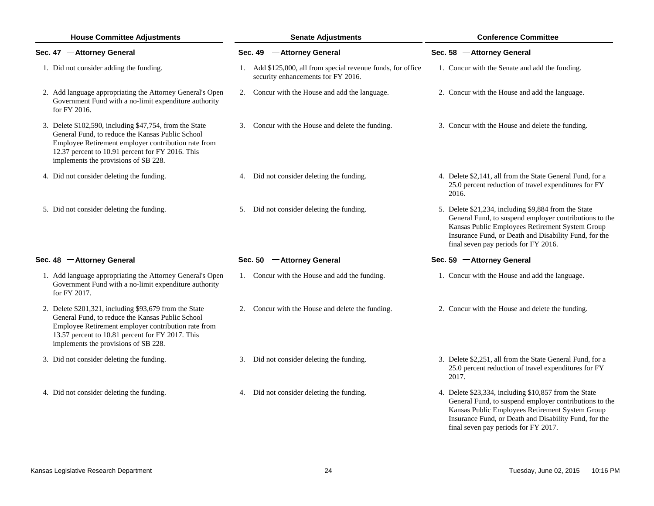| <b>House Committee Adjustments</b>                                                                                                                                                                                                                             | <b>Senate Adjustments</b>                                                                          | <b>Conference Committee</b><br>Sec. 58 - Attorney General                                                                                                                                                                                                          |  |  |
|----------------------------------------------------------------------------------------------------------------------------------------------------------------------------------------------------------------------------------------------------------------|----------------------------------------------------------------------------------------------------|--------------------------------------------------------------------------------------------------------------------------------------------------------------------------------------------------------------------------------------------------------------------|--|--|
| Sec. 47 - Attorney General                                                                                                                                                                                                                                     | Sec. 49 - Attorney General                                                                         |                                                                                                                                                                                                                                                                    |  |  |
| 1. Did not consider adding the funding.                                                                                                                                                                                                                        | 1. Add \$125,000, all from special revenue funds, for office<br>security enhancements for FY 2016. | 1. Concur with the Senate and add the funding.                                                                                                                                                                                                                     |  |  |
| 2. Add language appropriating the Attorney General's Open<br>Government Fund with a no-limit expenditure authority<br>for FY 2016.                                                                                                                             | 2. Concur with the House and add the language.                                                     | 2. Concur with the House and add the language.                                                                                                                                                                                                                     |  |  |
| 3. Delete \$102,590, including \$47,754, from the State<br>General Fund, to reduce the Kansas Public School<br>Employee Retirement employer contribution rate from<br>12.37 percent to 10.91 percent for FY 2016. This<br>implements the provisions of SB 228. | 3. Concur with the House and delete the funding.                                                   | 3. Concur with the House and delete the funding.                                                                                                                                                                                                                   |  |  |
| 4. Did not consider deleting the funding.                                                                                                                                                                                                                      | 4. Did not consider deleting the funding.                                                          | 4. Delete \$2,141, all from the State General Fund, for a<br>25.0 percent reduction of travel expenditures for FY<br>2016.                                                                                                                                         |  |  |
| 5. Did not consider deleting the funding.                                                                                                                                                                                                                      | 5. Did not consider deleting the funding.                                                          | 5. Delete \$21,234, including \$9,884 from the State<br>General Fund, to suspend employer contributions to the<br>Kansas Public Employees Retirement System Group<br>Insurance Fund, or Death and Disability Fund, for the<br>final seven pay periods for FY 2016. |  |  |
| Sec. 48 - Attorney General                                                                                                                                                                                                                                     | Sec. 50 - Attorney General                                                                         | Sec. 59 - Attorney General                                                                                                                                                                                                                                         |  |  |
| 1. Add language appropriating the Attorney General's Open<br>Government Fund with a no-limit expenditure authority<br>for FY 2017.                                                                                                                             | 1. Concur with the House and add the funding.                                                      | 1. Concur with the House and add the language.                                                                                                                                                                                                                     |  |  |
| 2. Delete \$201,321, including \$93,679 from the State<br>General Fund, to reduce the Kansas Public School<br>Employee Retirement employer contribution rate from<br>13.57 percent to 10.81 percent for FY 2017. This<br>implements the provisions of SB 228.  | 2. Concur with the House and delete the funding.                                                   | 2. Concur with the House and delete the funding.                                                                                                                                                                                                                   |  |  |
| 3. Did not consider deleting the funding.                                                                                                                                                                                                                      | 3. Did not consider deleting the funding.                                                          | 3. Delete \$2,251, all from the State General Fund, for a<br>25.0 percent reduction of travel expenditures for FY<br>2017.                                                                                                                                         |  |  |
| 4. Did not consider deleting the funding.                                                                                                                                                                                                                      | 4. Did not consider deleting the funding.                                                          | 4. Delete \$23,334, including \$10,857 from the State<br>General Fund, to suspend employer contributions to the<br>Kansas Public Employees Retirement System Group<br>Insurance Fund, or Death and Disability Fund, for the                                        |  |  |

final seven pay periods for FY 2017.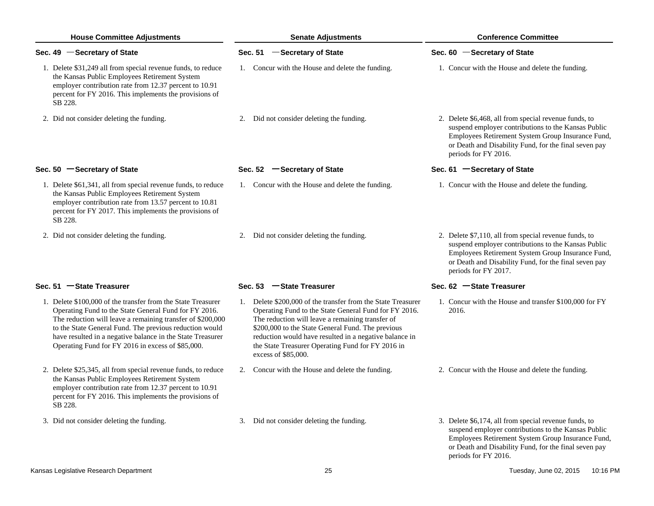| <b>House Committee Adjustments</b>                                                                                                                                                                                                                                                                                                                                | <b>Senate Adjustments</b>                                                                                                                                                                                                                                                                                                                                            | <b>Conference Committee</b>                                                                                                                                                                                                                        |  |  |
|-------------------------------------------------------------------------------------------------------------------------------------------------------------------------------------------------------------------------------------------------------------------------------------------------------------------------------------------------------------------|----------------------------------------------------------------------------------------------------------------------------------------------------------------------------------------------------------------------------------------------------------------------------------------------------------------------------------------------------------------------|----------------------------------------------------------------------------------------------------------------------------------------------------------------------------------------------------------------------------------------------------|--|--|
| Sec. 49 - Secretary of State                                                                                                                                                                                                                                                                                                                                      | Sec. 51 - Secretary of State                                                                                                                                                                                                                                                                                                                                         | Sec. 60 - Secretary of State                                                                                                                                                                                                                       |  |  |
| 1. Delete \$31,249 all from special revenue funds, to reduce<br>the Kansas Public Employees Retirement System<br>employer contribution rate from 12.37 percent to 10.91<br>percent for FY 2016. This implements the provisions of<br>SB 228.                                                                                                                      | 1. Concur with the House and delete the funding.                                                                                                                                                                                                                                                                                                                     | 1. Concur with the House and delete the funding.                                                                                                                                                                                                   |  |  |
| 2. Did not consider deleting the funding.                                                                                                                                                                                                                                                                                                                         | 2. Did not consider deleting the funding.                                                                                                                                                                                                                                                                                                                            | 2. Delete \$6,468, all from special revenue funds, to<br>suspend employer contributions to the Kansas Public<br>Employees Retirement System Group Insurance Fund,<br>or Death and Disability Fund, for the final seven pay<br>periods for FY 2016. |  |  |
| Sec. 50 - Secretary of State                                                                                                                                                                                                                                                                                                                                      | Sec. 52 - Secretary of State                                                                                                                                                                                                                                                                                                                                         | Sec. 61 - Secretary of State                                                                                                                                                                                                                       |  |  |
| 1. Delete \$61,341, all from special revenue funds, to reduce<br>the Kansas Public Employees Retirement System<br>employer contribution rate from 13.57 percent to 10.81<br>percent for FY 2017. This implements the provisions of<br>SB 228.                                                                                                                     | 1. Concur with the House and delete the funding.                                                                                                                                                                                                                                                                                                                     | 1. Concur with the House and delete the funding.                                                                                                                                                                                                   |  |  |
| 2. Did not consider deleting the funding.                                                                                                                                                                                                                                                                                                                         | 2. Did not consider deleting the funding.                                                                                                                                                                                                                                                                                                                            | 2. Delete \$7,110, all from special revenue funds, to<br>suspend employer contributions to the Kansas Public<br>Employees Retirement System Group Insurance Fund,<br>or Death and Disability Fund, for the final seven pay<br>periods for FY 2017. |  |  |
| Sec. 51 - State Treasurer                                                                                                                                                                                                                                                                                                                                         | Sec. 53 - State Treasurer                                                                                                                                                                                                                                                                                                                                            | Sec. 62 - State Treasurer                                                                                                                                                                                                                          |  |  |
| 1. Delete \$100,000 of the transfer from the State Treasurer<br>Operating Fund to the State General Fund for FY 2016.<br>The reduction will leave a remaining transfer of \$200,000<br>to the State General Fund. The previous reduction would<br>have resulted in a negative balance in the State Treasurer<br>Operating Fund for FY 2016 in excess of \$85,000. | 1. Delete \$200,000 of the transfer from the State Treasurer<br>Operating Fund to the State General Fund for FY 2016.<br>The reduction will leave a remaining transfer of<br>\$200,000 to the State General Fund. The previous<br>reduction would have resulted in a negative balance in<br>the State Treasurer Operating Fund for FY 2016 in<br>excess of \$85,000. | 1. Concur with the House and transfer \$100,000 for FY<br>2016.                                                                                                                                                                                    |  |  |
| 2. Delete \$25,345, all from special revenue funds, to reduce<br>the Kansas Public Employees Retirement System<br>employer contribution rate from 12.37 percent to 10.91<br>percent for FY 2016. This implements the provisions of<br>SB 228.                                                                                                                     | 2. Concur with the House and delete the funding.                                                                                                                                                                                                                                                                                                                     | 2. Concur with the House and delete the funding.                                                                                                                                                                                                   |  |  |
| 3. Did not consider deleting the funding.                                                                                                                                                                                                                                                                                                                         | 3. Did not consider deleting the funding.                                                                                                                                                                                                                                                                                                                            | 3. Delete \$6,174, all from special revenue funds, to<br>suspend employer contributions to the Kansas Public<br>Employees Retirement System Group Insurance Fund,<br>or Death and Disability Fund, for the final seven pay<br>periods for FY 2016. |  |  |
| Kansas Legislative Research Department                                                                                                                                                                                                                                                                                                                            | 25                                                                                                                                                                                                                                                                                                                                                                   | 10:16 PM<br>Tuesday, June 02, 2015                                                                                                                                                                                                                 |  |  |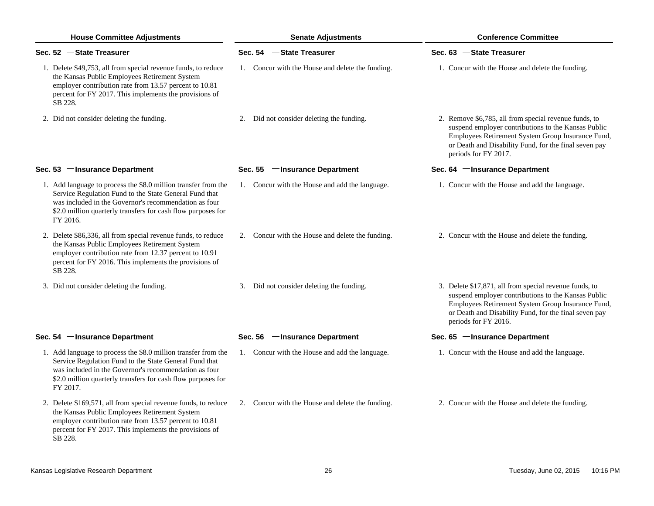| <b>House Committee Adjustments</b>                                                                                                                                                                                                                            | <b>Senate Adjustments</b>                        | <b>Conference Committee</b>                                                                                                                                                                                                                         |  |  |
|---------------------------------------------------------------------------------------------------------------------------------------------------------------------------------------------------------------------------------------------------------------|--------------------------------------------------|-----------------------------------------------------------------------------------------------------------------------------------------------------------------------------------------------------------------------------------------------------|--|--|
| Sec. 52 - State Treasurer                                                                                                                                                                                                                                     | Sec. 54 - State Treasurer                        | Sec. 63 - State Treasurer                                                                                                                                                                                                                           |  |  |
| 1. Delete \$49,753, all from special revenue funds, to reduce<br>the Kansas Public Employees Retirement System<br>employer contribution rate from 13.57 percent to 10.81<br>percent for FY 2017. This implements the provisions of<br>SB 228.                 | 1. Concur with the House and delete the funding. | 1. Concur with the House and delete the funding.                                                                                                                                                                                                    |  |  |
| 2. Did not consider deleting the funding.                                                                                                                                                                                                                     | 2. Did not consider deleting the funding.        | 2. Remove \$6,785, all from special revenue funds, to<br>suspend employer contributions to the Kansas Public<br>Employees Retirement System Group Insurance Fund,<br>or Death and Disability Fund, for the final seven pay<br>periods for FY 2017.  |  |  |
| Sec. 53 - Insurance Department                                                                                                                                                                                                                                | Sec. 55 - Insurance Department                   | Sec. 64 - Insurance Department                                                                                                                                                                                                                      |  |  |
| 1. Add language to process the \$8.0 million transfer from the<br>Service Regulation Fund to the State General Fund that<br>was included in the Governor's recommendation as four<br>\$2.0 million quarterly transfers for cash flow purposes for<br>FY 2016. | 1. Concur with the House and add the language.   | 1. Concur with the House and add the language.                                                                                                                                                                                                      |  |  |
| 2. Delete \$86,336, all from special revenue funds, to reduce<br>the Kansas Public Employees Retirement System<br>employer contribution rate from 12.37 percent to 10.91<br>percent for FY 2016. This implements the provisions of<br>SB 228.                 | 2. Concur with the House and delete the funding. | 2. Concur with the House and delete the funding.                                                                                                                                                                                                    |  |  |
| 3. Did not consider deleting the funding.                                                                                                                                                                                                                     | 3. Did not consider deleting the funding.        | 3. Delete \$17,871, all from special revenue funds, to<br>suspend employer contributions to the Kansas Public<br>Employees Retirement System Group Insurance Fund,<br>or Death and Disability Fund, for the final seven pay<br>periods for FY 2016. |  |  |
| Sec. 54 - Insurance Department                                                                                                                                                                                                                                | Sec. 56 - Insurance Department                   | Sec. 65 - Insurance Department                                                                                                                                                                                                                      |  |  |
| 1. Add language to process the \$8.0 million transfer from the<br>Service Regulation Fund to the State General Fund that<br>was included in the Governor's recommendation as four<br>\$2.0 million quarterly transfers for cash flow purposes for<br>FY 2017. | 1. Concur with the House and add the language.   | 1. Concur with the House and add the language.                                                                                                                                                                                                      |  |  |
| 2. Delete \$169,571, all from special revenue funds, to reduce<br>the Kansas Public Employees Retirement System<br>employer contribution rate from 13.57 percent to 10.81<br>percent for FY 2017. This implements the provisions of<br>SB 228.                | 2. Concur with the House and delete the funding. | 2. Concur with the House and delete the funding.                                                                                                                                                                                                    |  |  |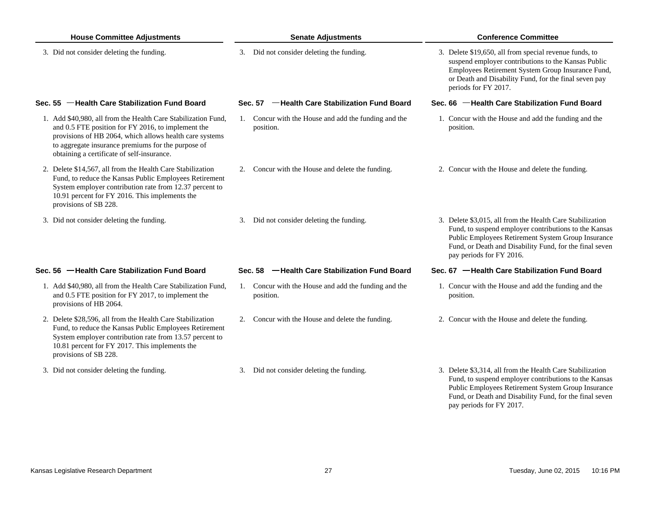| <b>House Committee Adjustments</b>                                                                                                                                                                                                                                                 | <b>Senate Adjustments</b>                                         | <b>Conference Committee</b>                                                                                                                                                                                                                                     |  |  |
|------------------------------------------------------------------------------------------------------------------------------------------------------------------------------------------------------------------------------------------------------------------------------------|-------------------------------------------------------------------|-----------------------------------------------------------------------------------------------------------------------------------------------------------------------------------------------------------------------------------------------------------------|--|--|
| 3. Did not consider deleting the funding.                                                                                                                                                                                                                                          | 3. Did not consider deleting the funding.                         | 3. Delete \$19,650, all from special revenue funds, to<br>suspend employer contributions to the Kansas Public<br>Employees Retirement System Group Insurance Fund,<br>or Death and Disability Fund, for the final seven pay<br>periods for FY 2017.             |  |  |
| Sec. 55 - Health Care Stabilization Fund Board                                                                                                                                                                                                                                     | Sec. 57 - Health Care Stabilization Fund Board                    | Sec. 66 - Health Care Stabilization Fund Board                                                                                                                                                                                                                  |  |  |
| 1. Add \$40,980, all from the Health Care Stabilization Fund,<br>and 0.5 FTE position for FY 2016, to implement the<br>provisions of HB 2064, which allows health care systems<br>to aggregate insurance premiums for the purpose of<br>obtaining a certificate of self-insurance. | 1. Concur with the House and add the funding and the<br>position. | 1. Concur with the House and add the funding and the<br>position.                                                                                                                                                                                               |  |  |
| 2. Delete \$14,567, all from the Health Care Stabilization<br>Fund, to reduce the Kansas Public Employees Retirement<br>System employer contribution rate from 12.37 percent to<br>10.91 percent for FY 2016. This implements the<br>provisions of SB 228.                         | 2. Concur with the House and delete the funding.                  | 2. Concur with the House and delete the funding.                                                                                                                                                                                                                |  |  |
| 3. Did not consider deleting the funding.                                                                                                                                                                                                                                          | 3. Did not consider deleting the funding.                         | 3. Delete \$3,015, all from the Health Care Stabilization<br>Fund, to suspend employer contributions to the Kansas<br>Public Employees Retirement System Group Insurance<br>Fund, or Death and Disability Fund, for the final seven<br>pay periods for FY 2016. |  |  |
| Sec. 56 - Health Care Stabilization Fund Board                                                                                                                                                                                                                                     | Sec. 58 - Health Care Stabilization Fund Board                    | Sec. 67 - Health Care Stabilization Fund Board                                                                                                                                                                                                                  |  |  |
| 1. Add \$40,980, all from the Health Care Stabilization Fund,<br>and 0.5 FTE position for FY 2017, to implement the<br>provisions of HB 2064.                                                                                                                                      | 1. Concur with the House and add the funding and the<br>position. | 1. Concur with the House and add the funding and the<br>position.                                                                                                                                                                                               |  |  |
| 2. Delete \$28,596, all from the Health Care Stabilization<br>Fund, to reduce the Kansas Public Employees Retirement<br>System employer contribution rate from 13.57 percent to<br>10.81 percent for FY 2017. This implements the<br>provisions of SB 228.                         | 2. Concur with the House and delete the funding.                  | 2. Concur with the House and delete the funding.                                                                                                                                                                                                                |  |  |
| 3. Did not consider deleting the funding.                                                                                                                                                                                                                                          | 3. Did not consider deleting the funding.                         | 3. Delete \$3,314, all from the Health Care Stabilization                                                                                                                                                                                                       |  |  |

Fund, to suspend employer contributions to the Kansas Public Employees Retirement System Group Insurance Fund, or Death and Disability Fund, for the final seven

pay periods for FY 2017.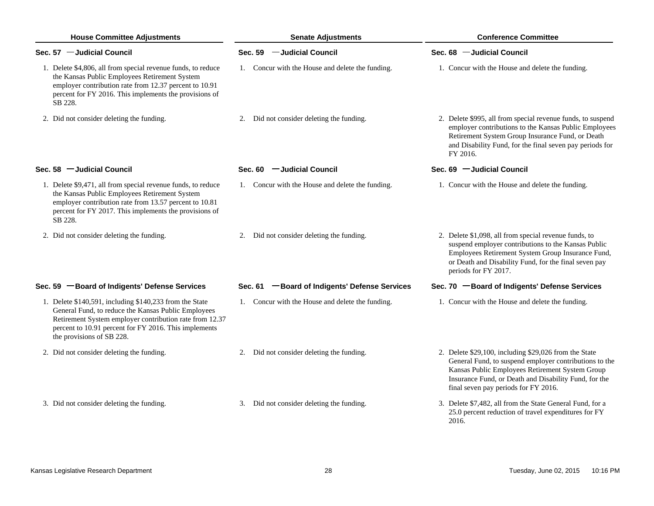| <b>House Committee Adjustments</b>                                                                                                                                                                                                                              | <b>Senate Adjustments</b>                        | <b>Conference Committee</b>                                                                                                                                                                                                                                         |  |  |
|-----------------------------------------------------------------------------------------------------------------------------------------------------------------------------------------------------------------------------------------------------------------|--------------------------------------------------|---------------------------------------------------------------------------------------------------------------------------------------------------------------------------------------------------------------------------------------------------------------------|--|--|
| Sec. 57 - Judicial Council                                                                                                                                                                                                                                      | Sec. 59 - Judicial Council                       | Sec. 68 - Judicial Council                                                                                                                                                                                                                                          |  |  |
| 1. Delete \$4,806, all from special revenue funds, to reduce<br>the Kansas Public Employees Retirement System<br>employer contribution rate from 12.37 percent to 10.91<br>percent for FY 2016. This implements the provisions of<br>SB 228.                    | 1. Concur with the House and delete the funding. | 1. Concur with the House and delete the funding.                                                                                                                                                                                                                    |  |  |
| 2. Did not consider deleting the funding.                                                                                                                                                                                                                       | 2. Did not consider deleting the funding.        | 2. Delete \$995, all from special revenue funds, to suspend<br>employer contributions to the Kansas Public Employees<br>Retirement System Group Insurance Fund, or Death<br>and Disability Fund, for the final seven pay periods for<br>FY 2016.                    |  |  |
| Sec. 58 - Judicial Council                                                                                                                                                                                                                                      | Sec. 60 - Judicial Council                       | Sec. 69 - Judicial Council                                                                                                                                                                                                                                          |  |  |
| 1. Delete \$9,471, all from special revenue funds, to reduce<br>the Kansas Public Employees Retirement System<br>employer contribution rate from 13.57 percent to 10.81<br>percent for FY 2017. This implements the provisions of<br>SB 228.                    | 1. Concur with the House and delete the funding. | 1. Concur with the House and delete the funding.                                                                                                                                                                                                                    |  |  |
| 2. Did not consider deleting the funding.                                                                                                                                                                                                                       | Did not consider deleting the funding.<br>2.     | 2. Delete \$1,098, all from special revenue funds, to<br>suspend employer contributions to the Kansas Public<br>Employees Retirement System Group Insurance Fund,<br>or Death and Disability Fund, for the final seven pay<br>periods for FY 2017.                  |  |  |
| Sec. 59 - Board of Indigents' Defense Services                                                                                                                                                                                                                  | Sec. 61 - Board of Indigents' Defense Services   | Sec. 70 - Board of Indigents' Defense Services                                                                                                                                                                                                                      |  |  |
| 1. Delete \$140,591, including \$140,233 from the State<br>General Fund, to reduce the Kansas Public Employees<br>Retirement System employer contribution rate from 12.37<br>percent to 10.91 percent for FY 2016. This implements<br>the provisions of SB 228. | 1. Concur with the House and delete the funding. | 1. Concur with the House and delete the funding.                                                                                                                                                                                                                    |  |  |
| 2. Did not consider deleting the funding.                                                                                                                                                                                                                       | 2. Did not consider deleting the funding.        | 2. Delete \$29,100, including \$29,026 from the State<br>General Fund, to suspend employer contributions to the<br>Kansas Public Employees Retirement System Group<br>Insurance Fund, or Death and Disability Fund, for the<br>final seven pay periods for FY 2016. |  |  |
| 3. Did not consider deleting the funding.                                                                                                                                                                                                                       | 3. Did not consider deleting the funding.        | 3. Delete \$7,482, all from the State General Fund, for a<br>25.0 percent reduction of travel expenditures for FY<br>2016.                                                                                                                                          |  |  |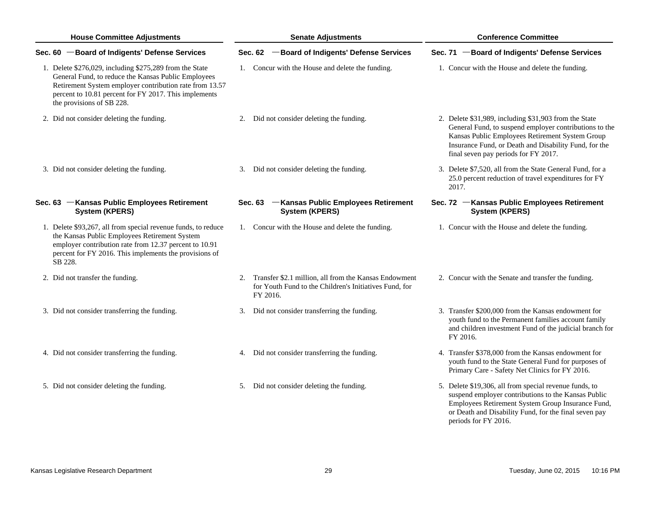| <b>House Committee Adjustments</b> |                                                                                                                                                                                                                                                                 |    | <b>Senate Adjustments</b> |                                                                                                                 |  | <b>Conference Committee</b>                                                                                                                                                                                                                                         |  |  |
|------------------------------------|-----------------------------------------------------------------------------------------------------------------------------------------------------------------------------------------------------------------------------------------------------------------|----|---------------------------|-----------------------------------------------------------------------------------------------------------------|--|---------------------------------------------------------------------------------------------------------------------------------------------------------------------------------------------------------------------------------------------------------------------|--|--|
|                                    | Sec. 60 - Board of Indigents' Defense Services                                                                                                                                                                                                                  |    |                           | Sec. 62 - Board of Indigents' Defense Services                                                                  |  | Sec. 71 - Board of Indigents' Defense Services                                                                                                                                                                                                                      |  |  |
|                                    | 1. Delete \$276,029, including \$275,289 from the State<br>General Fund, to reduce the Kansas Public Employees<br>Retirement System employer contribution rate from 13.57<br>percent to 10.81 percent for FY 2017. This implements<br>the provisions of SB 228. |    |                           | 1. Concur with the House and delete the funding.                                                                |  | 1. Concur with the House and delete the funding.                                                                                                                                                                                                                    |  |  |
|                                    | 2. Did not consider deleting the funding.                                                                                                                                                                                                                       |    |                           | 2. Did not consider deleting the funding.                                                                       |  | 2. Delete \$31,989, including \$31,903 from the State<br>General Fund, to suspend employer contributions to the<br>Kansas Public Employees Retirement System Group<br>Insurance Fund, or Death and Disability Fund, for the<br>final seven pay periods for FY 2017. |  |  |
|                                    | 3. Did not consider deleting the funding.                                                                                                                                                                                                                       |    |                           | 3. Did not consider deleting the funding.                                                                       |  | 3. Delete \$7,520, all from the State General Fund, for a<br>25.0 percent reduction of travel expenditures for FY<br>2017.                                                                                                                                          |  |  |
|                                    | Sec. 63 - Kansas Public Employees Retirement<br><b>System (KPERS)</b>                                                                                                                                                                                           |    |                           | Sec. 63 - Kansas Public Employees Retirement<br><b>System (KPERS)</b>                                           |  | Sec. 72 - Kansas Public Employees Retirement<br><b>System (KPERS)</b>                                                                                                                                                                                               |  |  |
|                                    | 1. Delete \$93,267, all from special revenue funds, to reduce<br>the Kansas Public Employees Retirement System<br>employer contribution rate from 12.37 percent to 10.91<br>percent for FY 2016. This implements the provisions of<br>SB 228.                   |    |                           | 1. Concur with the House and delete the funding.                                                                |  | 1. Concur with the House and delete the funding.                                                                                                                                                                                                                    |  |  |
|                                    | 2. Did not transfer the funding.                                                                                                                                                                                                                                | 2. | FY 2016.                  | Transfer \$2.1 million, all from the Kansas Endowment<br>for Youth Fund to the Children's Initiatives Fund, for |  | 2. Concur with the Senate and transfer the funding.                                                                                                                                                                                                                 |  |  |
|                                    | 3. Did not consider transferring the funding.                                                                                                                                                                                                                   | 3. |                           | Did not consider transferring the funding.                                                                      |  | 3. Transfer \$200,000 from the Kansas endowment for<br>youth fund to the Permanent families account family<br>and children investment Fund of the judicial branch for<br>FY 2016.                                                                                   |  |  |
|                                    | 4. Did not consider transferring the funding.                                                                                                                                                                                                                   |    |                           | 4. Did not consider transferring the funding.                                                                   |  | 4. Transfer \$378,000 from the Kansas endowment for<br>youth fund to the State General Fund for purposes of<br>Primary Care - Safety Net Clinics for FY 2016.                                                                                                       |  |  |
|                                    | 5. Did not consider deleting the funding.                                                                                                                                                                                                                       |    |                           | 5. Did not consider deleting the funding.                                                                       |  | 5. Delete \$19,306, all from special revenue funds, to<br>suspend employer contributions to the Kansas Public<br>Employees Retirement System Group Insurance Fund,<br>or Death and Disability Fund, for the final seven pay<br>periods for FY 2016.                 |  |  |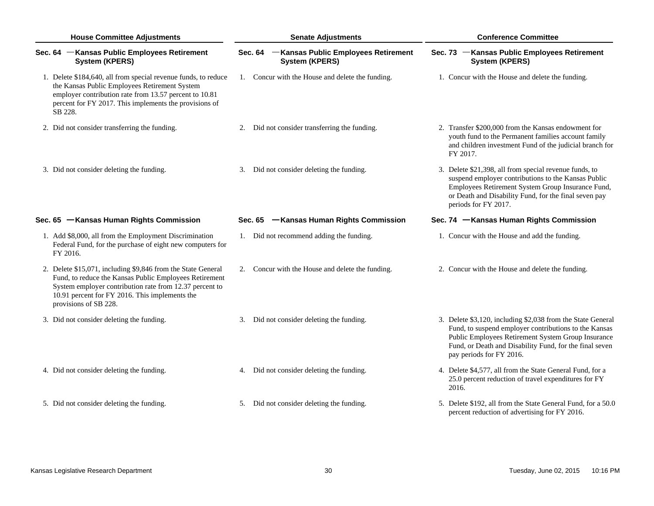| <b>House Committee Adjustments</b>                                                                                                                                                                                                                           | <b>Senate Adjustments</b>                                             | <b>Conference Committee</b>                                                                                                                                                                                                                                       |  |  |
|--------------------------------------------------------------------------------------------------------------------------------------------------------------------------------------------------------------------------------------------------------------|-----------------------------------------------------------------------|-------------------------------------------------------------------------------------------------------------------------------------------------------------------------------------------------------------------------------------------------------------------|--|--|
| Sec. 64 - Kansas Public Employees Retirement<br><b>System (KPERS)</b>                                                                                                                                                                                        | Sec. 64 - Kansas Public Employees Retirement<br><b>System (KPERS)</b> | Sec. 73 - Kansas Public Employees Retirement<br><b>System (KPERS)</b>                                                                                                                                                                                             |  |  |
| 1. Delete \$184,640, all from special revenue funds, to reduce<br>the Kansas Public Employees Retirement System<br>employer contribution rate from 13.57 percent to 10.81<br>percent for FY 2017. This implements the provisions of<br>SB 228.               | 1. Concur with the House and delete the funding.                      | 1. Concur with the House and delete the funding.                                                                                                                                                                                                                  |  |  |
| 2. Did not consider transferring the funding.                                                                                                                                                                                                                | 2. Did not consider transferring the funding.                         | 2. Transfer \$200,000 from the Kansas endowment for<br>youth fund to the Permanent families account family<br>and children investment Fund of the judicial branch for<br>FY 2017.                                                                                 |  |  |
| 3. Did not consider deleting the funding.                                                                                                                                                                                                                    | 3. Did not consider deleting the funding.                             | 3. Delete \$21,398, all from special revenue funds, to<br>suspend employer contributions to the Kansas Public<br>Employees Retirement System Group Insurance Fund,<br>or Death and Disability Fund, for the final seven pay<br>periods for FY 2017.               |  |  |
| Sec. 65 - Kansas Human Rights Commission                                                                                                                                                                                                                     | Sec. 65 - Kansas Human Rights Commission                              | Sec. 74 - Kansas Human Rights Commission                                                                                                                                                                                                                          |  |  |
| 1. Add \$8,000, all from the Employment Discrimination<br>Federal Fund, for the purchase of eight new computers for<br>FY 2016.                                                                                                                              | 1. Did not recommend adding the funding.                              | 1. Concur with the House and add the funding.                                                                                                                                                                                                                     |  |  |
| 2. Delete \$15,071, including \$9,846 from the State General<br>Fund, to reduce the Kansas Public Employees Retirement<br>System employer contribution rate from 12.37 percent to<br>10.91 percent for FY 2016. This implements the<br>provisions of SB 228. | 2. Concur with the House and delete the funding.                      | 2. Concur with the House and delete the funding.                                                                                                                                                                                                                  |  |  |
| 3. Did not consider deleting the funding.                                                                                                                                                                                                                    | 3. Did not consider deleting the funding.                             | 3. Delete \$3,120, including \$2,038 from the State General<br>Fund, to suspend employer contributions to the Kansas<br>Public Employees Retirement System Group Insurance<br>Fund, or Death and Disability Fund, for the final seven<br>pay periods for FY 2016. |  |  |
| 4. Did not consider deleting the funding.                                                                                                                                                                                                                    | 4. Did not consider deleting the funding.                             | 4. Delete \$4,577, all from the State General Fund, for a<br>25.0 percent reduction of travel expenditures for FY<br>2016.                                                                                                                                        |  |  |
| 5. Did not consider deleting the funding.                                                                                                                                                                                                                    | 5. Did not consider deleting the funding.                             | 5. Delete \$192, all from the State General Fund, for a 50.0<br>percent reduction of advertising for FY 2016.                                                                                                                                                     |  |  |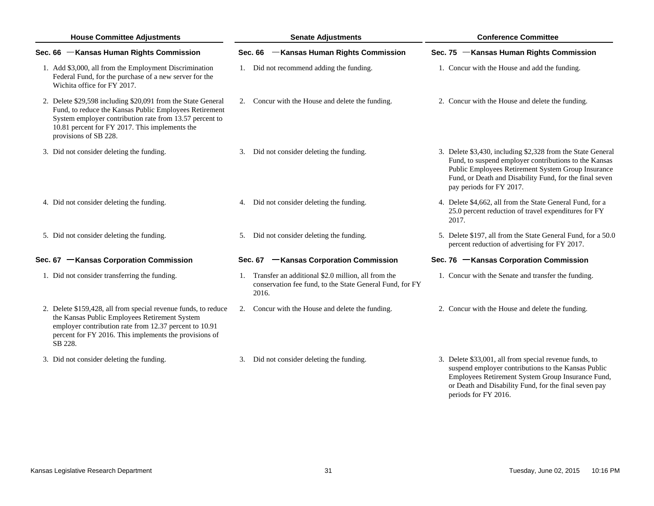| <b>House Committee Adjustments</b> |                                                                                                                                                                                                                                                              | <b>Senate Adjustments</b> |                                                                                                                            |  | <b>Conference Committee</b>                                                                                                                                                                                                                                       |  |  |
|------------------------------------|--------------------------------------------------------------------------------------------------------------------------------------------------------------------------------------------------------------------------------------------------------------|---------------------------|----------------------------------------------------------------------------------------------------------------------------|--|-------------------------------------------------------------------------------------------------------------------------------------------------------------------------------------------------------------------------------------------------------------------|--|--|
|                                    | Sec. 66 - Kansas Human Rights Commission                                                                                                                                                                                                                     |                           | -Kansas Human Rights Commission<br><b>Sec. 66</b>                                                                          |  | Sec. 75 - Kansas Human Rights Commission                                                                                                                                                                                                                          |  |  |
|                                    | 1. Add \$3,000, all from the Employment Discrimination<br>Federal Fund, for the purchase of a new server for the<br>Wichita office for FY 2017.                                                                                                              |                           | 1. Did not recommend adding the funding.                                                                                   |  | 1. Concur with the House and add the funding.                                                                                                                                                                                                                     |  |  |
|                                    | 2. Delete \$29,598 including \$20,091 from the State General<br>Fund, to reduce the Kansas Public Employees Retirement<br>System employer contribution rate from 13.57 percent to<br>10.81 percent for FY 2017. This implements the<br>provisions of SB 228. |                           | 2. Concur with the House and delete the funding.                                                                           |  | 2. Concur with the House and delete the funding.                                                                                                                                                                                                                  |  |  |
|                                    | 3. Did not consider deleting the funding.                                                                                                                                                                                                                    |                           | 3. Did not consider deleting the funding.                                                                                  |  | 3. Delete \$3,430, including \$2,328 from the State General<br>Fund, to suspend employer contributions to the Kansas<br>Public Employees Retirement System Group Insurance<br>Fund, or Death and Disability Fund, for the final seven<br>pay periods for FY 2017. |  |  |
|                                    | 4. Did not consider deleting the funding.                                                                                                                                                                                                                    |                           | 4. Did not consider deleting the funding.                                                                                  |  | 4. Delete \$4,662, all from the State General Fund, for a<br>25.0 percent reduction of travel expenditures for FY<br>2017.                                                                                                                                        |  |  |
|                                    | 5. Did not consider deleting the funding.                                                                                                                                                                                                                    |                           | 5. Did not consider deleting the funding.                                                                                  |  | 5. Delete \$197, all from the State General Fund, for a 50.0<br>percent reduction of advertising for FY 2017.                                                                                                                                                     |  |  |
|                                    | Sec. 67 - Kansas Corporation Commission                                                                                                                                                                                                                      |                           | Sec. 67 - Kansas Corporation Commission                                                                                    |  | Sec. 76 - Kansas Corporation Commission                                                                                                                                                                                                                           |  |  |
|                                    | 1. Did not consider transferring the funding.                                                                                                                                                                                                                |                           | 1. Transfer an additional \$2.0 million, all from the<br>conservation fee fund, to the State General Fund, for FY<br>2016. |  | 1. Concur with the Senate and transfer the funding.                                                                                                                                                                                                               |  |  |
|                                    | 2. Delete \$159,428, all from special revenue funds, to reduce<br>the Kansas Public Employees Retirement System<br>employer contribution rate from 12.37 percent to 10.91<br>percent for FY 2016. This implements the provisions of<br>SB 228.               |                           | 2. Concur with the House and delete the funding.                                                                           |  | 2. Concur with the House and delete the funding.                                                                                                                                                                                                                  |  |  |
|                                    | 3. Did not consider deleting the funding.                                                                                                                                                                                                                    |                           | 3. Did not consider deleting the funding.                                                                                  |  | 3. Delete \$33,001, all from special revenue funds, to<br>suspend employer contributions to the Kansas Public<br>Employees Retirement System Group Insurance Fund,<br>or Death and Disability Fund, for the final seven pay                                       |  |  |

periods for FY 2016.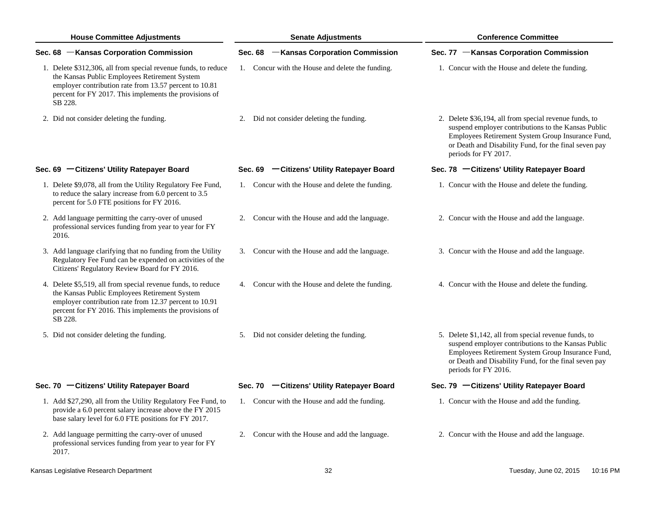| <b>House Committee Adjustments</b>                                                                                                                                                                                                             | <b>Senate Adjustments</b>                        | <b>Conference Committee</b>                                                                                                                                                                                                                         |  |  |
|------------------------------------------------------------------------------------------------------------------------------------------------------------------------------------------------------------------------------------------------|--------------------------------------------------|-----------------------------------------------------------------------------------------------------------------------------------------------------------------------------------------------------------------------------------------------------|--|--|
| Sec. 68 - Kansas Corporation Commission                                                                                                                                                                                                        | -Kansas Corporation Commission<br><b>Sec. 68</b> | Sec. 77 - Kansas Corporation Commission                                                                                                                                                                                                             |  |  |
| 1. Delete \$312,306, all from special revenue funds, to reduce<br>the Kansas Public Employees Retirement System<br>employer contribution rate from 13.57 percent to 10.81<br>percent for FY 2017. This implements the provisions of<br>SB 228. | 1. Concur with the House and delete the funding. | 1. Concur with the House and delete the funding.                                                                                                                                                                                                    |  |  |
| 2. Did not consider deleting the funding.                                                                                                                                                                                                      | 2. Did not consider deleting the funding.        | 2. Delete \$36,194, all from special revenue funds, to<br>suspend employer contributions to the Kansas Public<br>Employees Retirement System Group Insurance Fund,<br>or Death and Disability Fund, for the final seven pay<br>periods for FY 2017. |  |  |
| Sec. 69 - Citizens' Utility Ratepayer Board                                                                                                                                                                                                    | Sec. 69 - Citizens' Utility Ratepayer Board      | Sec. 78 - Citizens' Utility Ratepayer Board                                                                                                                                                                                                         |  |  |
| 1. Delete \$9,078, all from the Utility Regulatory Fee Fund,<br>to reduce the salary increase from 6.0 percent to 3.5<br>percent for 5.0 FTE positions for FY 2016.                                                                            | 1. Concur with the House and delete the funding. | 1. Concur with the House and delete the funding.                                                                                                                                                                                                    |  |  |
| 2. Add language permitting the carry-over of unused<br>professional services funding from year to year for FY<br>2016.                                                                                                                         | 2. Concur with the House and add the language.   | 2. Concur with the House and add the language.                                                                                                                                                                                                      |  |  |
| 3. Add language clarifying that no funding from the Utility<br>Regulatory Fee Fund can be expended on activities of the<br>Citizens' Regulatory Review Board for FY 2016.                                                                      | 3. Concur with the House and add the language.   | 3. Concur with the House and add the language.                                                                                                                                                                                                      |  |  |
| 4. Delete \$5,519, all from special revenue funds, to reduce<br>the Kansas Public Employees Retirement System<br>employer contribution rate from 12.37 percent to 10.91<br>percent for FY 2016. This implements the provisions of<br>SB 228.   | 4. Concur with the House and delete the funding. | 4. Concur with the House and delete the funding.                                                                                                                                                                                                    |  |  |
| 5. Did not consider deleting the funding.                                                                                                                                                                                                      | 5. Did not consider deleting the funding.        | 5. Delete \$1,142, all from special revenue funds, to<br>suspend employer contributions to the Kansas Public<br>Employees Retirement System Group Insurance Fund,<br>or Death and Disability Fund, for the final seven pay<br>periods for FY 2016.  |  |  |
| Sec. 70 - Citizens' Utility Ratepayer Board                                                                                                                                                                                                    | Sec. 70 - Citizens' Utility Ratepayer Board      | Sec. 79 - Citizens' Utility Ratepayer Board                                                                                                                                                                                                         |  |  |
| 1. Add \$27,290, all from the Utility Regulatory Fee Fund, to<br>provide a 6.0 percent salary increase above the FY 2015<br>base salary level for 6.0 FTE positions for FY 2017.                                                               | 1. Concur with the House and add the funding.    | 1. Concur with the House and add the funding.                                                                                                                                                                                                       |  |  |
| 2. Add language permitting the carry-over of unused<br>professional services funding from year to year for FY<br>2017.                                                                                                                         | 2. Concur with the House and add the language.   | 2. Concur with the House and add the language.                                                                                                                                                                                                      |  |  |
| Kansas Legislative Research Department                                                                                                                                                                                                         | 32                                               | Tuesday, June 02, 2015<br>10:16 PM                                                                                                                                                                                                                  |  |  |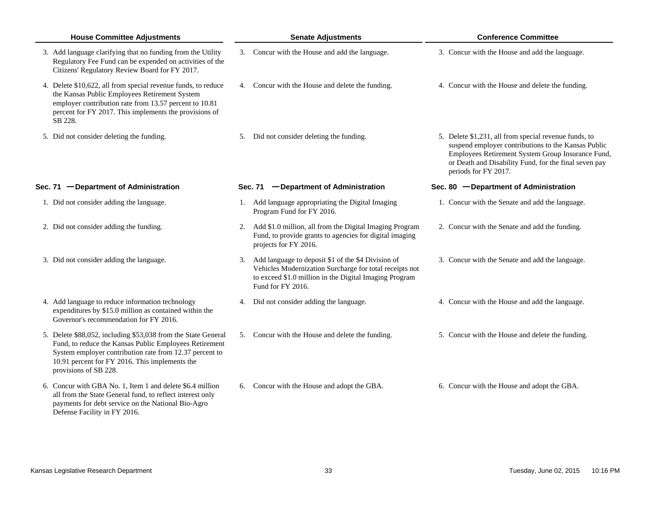| <b>House Committee Adjustments</b>                                                                                                                                                                                                                            | <b>Senate Adjustments</b>                                                                                                                                                                       | <b>Conference Committee</b>                                                                                                                                                                                                                        |
|---------------------------------------------------------------------------------------------------------------------------------------------------------------------------------------------------------------------------------------------------------------|-------------------------------------------------------------------------------------------------------------------------------------------------------------------------------------------------|----------------------------------------------------------------------------------------------------------------------------------------------------------------------------------------------------------------------------------------------------|
| 3. Add language clarifying that no funding from the Utility<br>Regulatory Fee Fund can be expended on activities of the<br>Citizens' Regulatory Review Board for FY 2017.                                                                                     | 3. Concur with the House and add the language.                                                                                                                                                  | 3. Concur with the House and add the language.                                                                                                                                                                                                     |
| 4. Delete \$10,622, all from special revenue funds, to reduce<br>the Kansas Public Employees Retirement System<br>employer contribution rate from 13.57 percent to 10.81<br>percent for FY 2017. This implements the provisions of<br>SB 228.                 | 4. Concur with the House and delete the funding.                                                                                                                                                | 4. Concur with the House and delete the funding.                                                                                                                                                                                                   |
| 5. Did not consider deleting the funding.                                                                                                                                                                                                                     | 5. Did not consider deleting the funding.                                                                                                                                                       | 5. Delete \$1,231, all from special revenue funds, to<br>suspend employer contributions to the Kansas Public<br>Employees Retirement System Group Insurance Fund,<br>or Death and Disability Fund, for the final seven pay<br>periods for FY 2017. |
| Sec. 71 - Department of Administration                                                                                                                                                                                                                        | Sec. 71 - Department of Administration                                                                                                                                                          | Sec. 80 - Department of Administration                                                                                                                                                                                                             |
| 1. Did not consider adding the language.                                                                                                                                                                                                                      | 1. Add language appropriating the Digital Imaging<br>Program Fund for FY 2016.                                                                                                                  | 1. Concur with the Senate and add the language.                                                                                                                                                                                                    |
| 2. Did not consider adding the funding.                                                                                                                                                                                                                       | 2. Add \$1.0 million, all from the Digital Imaging Program<br>Fund, to provide grants to agencies for digital imaging<br>projects for FY 2016.                                                  | 2. Concur with the Senate and add the funding.                                                                                                                                                                                                     |
| 3. Did not consider adding the language.                                                                                                                                                                                                                      | 3. Add language to deposit \$1 of the \$4 Division of<br>Vehicles Modernization Surcharge for total receipts not<br>to exceed \$1.0 million in the Digital Imaging Program<br>Fund for FY 2016. | 3. Concur with the Senate and add the language.                                                                                                                                                                                                    |
| 4. Add language to reduce information technology<br>expenditures by \$15.0 million as contained within the<br>Governor's recommendation for FY 2016.                                                                                                          | 4. Did not consider adding the language.                                                                                                                                                        | 4. Concur with the House and add the language.                                                                                                                                                                                                     |
| 5. Delete \$88,052, including \$53,038 from the State General<br>Fund, to reduce the Kansas Public Employees Retirement<br>System employer contribution rate from 12.37 percent to<br>10.91 percent for FY 2016. This implements the<br>provisions of SB 228. | 5. Concur with the House and delete the funding.                                                                                                                                                | 5. Concur with the House and delete the funding.                                                                                                                                                                                                   |
| 6. Concur with GBA No. 1, Item 1 and delete \$6.4 million<br>all from the State General fund, to reflect interest only<br>payments for debt service on the National Bio-Agro<br>Defense Facility in FY 2016.                                                  | 6. Concur with the House and adopt the GBA.                                                                                                                                                     | 6. Concur with the House and adopt the GBA.                                                                                                                                                                                                        |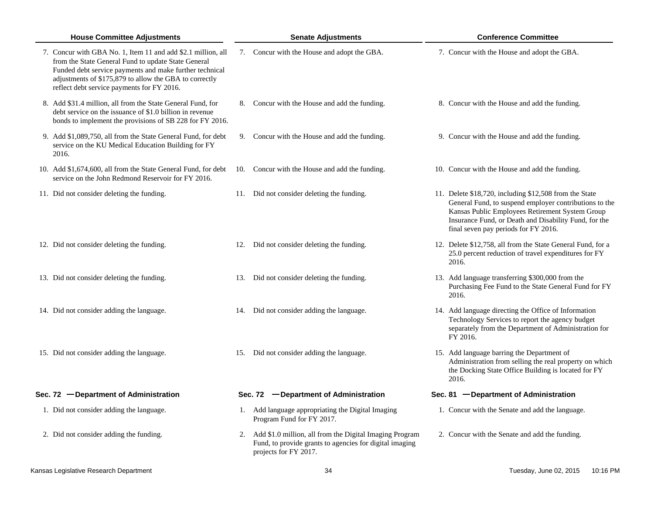| <b>House Committee Adjustments</b>                                                                                                                                                                                                                                                     | <b>Senate Adjustments</b>                                                                                                                      | <b>Conference Committee</b>                                                                                                                                                                                                                                          |  |  |
|----------------------------------------------------------------------------------------------------------------------------------------------------------------------------------------------------------------------------------------------------------------------------------------|------------------------------------------------------------------------------------------------------------------------------------------------|----------------------------------------------------------------------------------------------------------------------------------------------------------------------------------------------------------------------------------------------------------------------|--|--|
| 7. Concur with GBA No. 1, Item 11 and add \$2.1 million, all<br>from the State General Fund to update State General<br>Funded debt service payments and make further technical<br>adjustments of \$175,879 to allow the GBA to correctly<br>reflect debt service payments for FY 2016. | 7. Concur with the House and adopt the GBA.                                                                                                    | 7. Concur with the House and adopt the GBA.                                                                                                                                                                                                                          |  |  |
| 8. Add \$31.4 million, all from the State General Fund, for<br>debt service on the issuance of \$1.0 billion in revenue<br>bonds to implement the provisions of SB 228 for FY 2016.                                                                                                    | 8. Concur with the House and add the funding.                                                                                                  | 8. Concur with the House and add the funding.                                                                                                                                                                                                                        |  |  |
| 9. Add \$1,089,750, all from the State General Fund, for debt<br>service on the KU Medical Education Building for FY<br>2016.                                                                                                                                                          | 9. Concur with the House and add the funding.                                                                                                  | 9. Concur with the House and add the funding.                                                                                                                                                                                                                        |  |  |
| 10. Add \$1,674,600, all from the State General Fund, for debt<br>service on the John Redmond Reservoir for FY 2016.                                                                                                                                                                   | 10. Concur with the House and add the funding.                                                                                                 | 10. Concur with the House and add the funding.                                                                                                                                                                                                                       |  |  |
| 11. Did not consider deleting the funding.                                                                                                                                                                                                                                             | 11. Did not consider deleting the funding.                                                                                                     | 11. Delete \$18,720, including \$12,508 from the State<br>General Fund, to suspend employer contributions to the<br>Kansas Public Employees Retirement System Group<br>Insurance Fund, or Death and Disability Fund, for the<br>final seven pay periods for FY 2016. |  |  |
| 12. Did not consider deleting the funding.                                                                                                                                                                                                                                             | 12. Did not consider deleting the funding.                                                                                                     | 12. Delete \$12,758, all from the State General Fund, for a<br>25.0 percent reduction of travel expenditures for FY<br>2016.                                                                                                                                         |  |  |
| 13. Did not consider deleting the funding.                                                                                                                                                                                                                                             | 13. Did not consider deleting the funding.                                                                                                     | 13. Add language transferring \$300,000 from the<br>Purchasing Fee Fund to the State General Fund for FY<br>2016.                                                                                                                                                    |  |  |
| 14. Did not consider adding the language.                                                                                                                                                                                                                                              | 14. Did not consider adding the language.                                                                                                      | 14. Add language directing the Office of Information<br>Technology Services to report the agency budget<br>separately from the Department of Administration for<br>FY 2016.                                                                                          |  |  |
| 15. Did not consider adding the language.                                                                                                                                                                                                                                              | 15. Did not consider adding the language.                                                                                                      | 15. Add language barring the Department of<br>Administration from selling the real property on which<br>the Docking State Office Building is located for FY<br>2016.                                                                                                 |  |  |
| Sec. 72 - Department of Administration                                                                                                                                                                                                                                                 | Sec. 72 - Department of Administration                                                                                                         | Sec. 81 - Department of Administration                                                                                                                                                                                                                               |  |  |
| 1. Did not consider adding the language.                                                                                                                                                                                                                                               | 1. Add language appropriating the Digital Imaging<br>Program Fund for FY 2017.                                                                 | 1. Concur with the Senate and add the language.                                                                                                                                                                                                                      |  |  |
| 2. Did not consider adding the funding.                                                                                                                                                                                                                                                | 2. Add \$1.0 million, all from the Digital Imaging Program<br>Fund, to provide grants to agencies for digital imaging<br>projects for FY 2017. | 2. Concur with the Senate and add the funding.                                                                                                                                                                                                                       |  |  |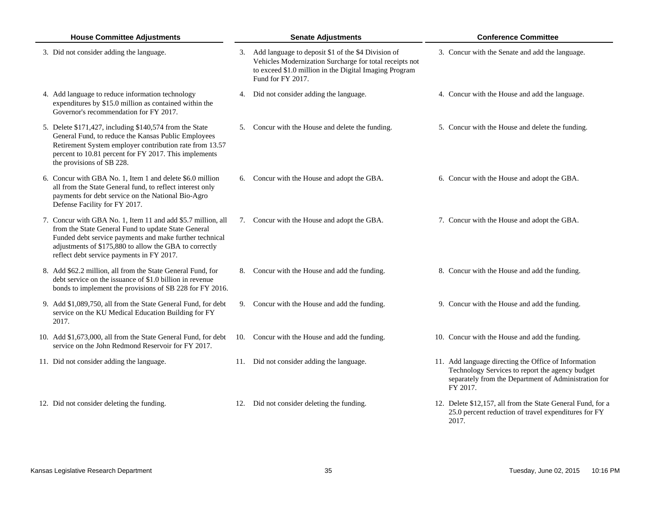| <b>House Committee Adjustments</b>                                                                                                                                                                                                                                                    | <b>Senate Adjustments</b>                                                                                                                                                                       | <b>Conference Committee</b>                                                                                                                                                 |  |  |
|---------------------------------------------------------------------------------------------------------------------------------------------------------------------------------------------------------------------------------------------------------------------------------------|-------------------------------------------------------------------------------------------------------------------------------------------------------------------------------------------------|-----------------------------------------------------------------------------------------------------------------------------------------------------------------------------|--|--|
| 3. Did not consider adding the language.                                                                                                                                                                                                                                              | 3. Add language to deposit \$1 of the \$4 Division of<br>Vehicles Modernization Surcharge for total receipts not<br>to exceed \$1.0 million in the Digital Imaging Program<br>Fund for FY 2017. | 3. Concur with the Senate and add the language.                                                                                                                             |  |  |
| 4. Add language to reduce information technology<br>expenditures by \$15.0 million as contained within the<br>Governor's recommendation for FY 2017.                                                                                                                                  | 4. Did not consider adding the language.                                                                                                                                                        | 4. Concur with the House and add the language.                                                                                                                              |  |  |
| 5. Delete \$171,427, including \$140,574 from the State<br>General Fund, to reduce the Kansas Public Employees<br>Retirement System employer contribution rate from 13.57<br>percent to 10.81 percent for FY 2017. This implements<br>the provisions of SB 228.                       | 5. Concur with the House and delete the funding.                                                                                                                                                | 5. Concur with the House and delete the funding.                                                                                                                            |  |  |
| 6. Concur with GBA No. 1, Item 1 and delete \$6.0 million<br>all from the State General fund, to reflect interest only<br>payments for debt service on the National Bio-Agro<br>Defense Facility for FY 2017.                                                                         | 6. Concur with the House and adopt the GBA.                                                                                                                                                     | 6. Concur with the House and adopt the GBA.                                                                                                                                 |  |  |
| 7. Concur with GBA No. 1, Item 11 and add \$5.7 million, all<br>from the State General Fund to update State General<br>Funded debt service payments and make further technical<br>adjustments of \$175,880 to allow the GBA to correctly<br>reflect debt service payments in FY 2017. | 7. Concur with the House and adopt the GBA.                                                                                                                                                     | 7. Concur with the House and adopt the GBA.                                                                                                                                 |  |  |
| 8. Add \$62.2 million, all from the State General Fund, for<br>debt service on the issuance of \$1.0 billion in revenue<br>bonds to implement the provisions of SB 228 for FY 2016.                                                                                                   | 8. Concur with the House and add the funding.                                                                                                                                                   | 8. Concur with the House and add the funding.                                                                                                                               |  |  |
| 9. Add \$1,089,750, all from the State General Fund, for debt<br>service on the KU Medical Education Building for FY<br>2017.                                                                                                                                                         | 9. Concur with the House and add the funding.                                                                                                                                                   | 9. Concur with the House and add the funding.                                                                                                                               |  |  |
| 10. Add \$1,673,000, all from the State General Fund, for debt<br>service on the John Redmond Reservoir for FY 2017.                                                                                                                                                                  | 10. Concur with the House and add the funding.                                                                                                                                                  | 10. Concur with the House and add the funding.                                                                                                                              |  |  |
| 11. Did not consider adding the language.                                                                                                                                                                                                                                             | 11. Did not consider adding the language.                                                                                                                                                       | 11. Add language directing the Office of Information<br>Technology Services to report the agency budget<br>separately from the Department of Administration for<br>FY 2017. |  |  |
| 12. Did not consider deleting the funding.                                                                                                                                                                                                                                            | 12. Did not consider deleting the funding.                                                                                                                                                      | 12. Delete \$12,157, all from the State General Fund, for a<br>25.0 percent reduction of travel expenditures for FY<br>2017.                                                |  |  |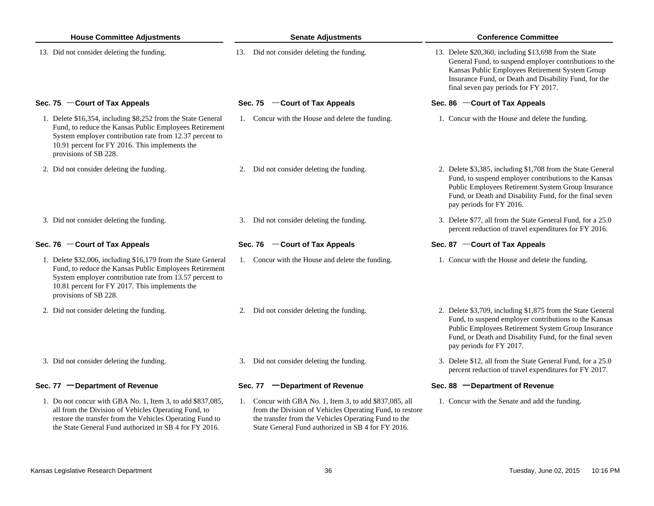| <b>House Committee Adjustments</b>                                                                                                                                                                                                                            | <b>Senate Adjustments</b>                                                                                                                                                                                                         | <b>Conference Committee</b>                                                                                                                                                                                                                                          |  |  |
|---------------------------------------------------------------------------------------------------------------------------------------------------------------------------------------------------------------------------------------------------------------|-----------------------------------------------------------------------------------------------------------------------------------------------------------------------------------------------------------------------------------|----------------------------------------------------------------------------------------------------------------------------------------------------------------------------------------------------------------------------------------------------------------------|--|--|
| 13. Did not consider deleting the funding.                                                                                                                                                                                                                    | 13. Did not consider deleting the funding.                                                                                                                                                                                        | 13. Delete \$20,360, including \$13,698 from the State<br>General Fund, to suspend employer contributions to the<br>Kansas Public Employees Retirement System Group<br>Insurance Fund, or Death and Disability Fund, for the<br>final seven pay periods for FY 2017. |  |  |
| Sec. 75 - Court of Tax Appeals                                                                                                                                                                                                                                | Sec. 75 - Court of Tax Appeals                                                                                                                                                                                                    | Sec. 86 - Court of Tax Appeals                                                                                                                                                                                                                                       |  |  |
| 1. Delete \$16,354, including \$8,252 from the State General<br>Fund, to reduce the Kansas Public Employees Retirement<br>System employer contribution rate from 12.37 percent to<br>10.91 percent for FY 2016. This implements the<br>provisions of SB 228.  | 1. Concur with the House and delete the funding.                                                                                                                                                                                  | 1. Concur with the House and delete the funding.                                                                                                                                                                                                                     |  |  |
| 2. Did not consider deleting the funding.                                                                                                                                                                                                                     | 2. Did not consider deleting the funding.                                                                                                                                                                                         | 2. Delete \$3,385, including \$1,708 from the State General<br>Fund, to suspend employer contributions to the Kansas<br>Public Employees Retirement System Group Insurance<br>Fund, or Death and Disability Fund, for the final seven<br>pay periods for FY 2016.    |  |  |
| 3. Did not consider deleting the funding.                                                                                                                                                                                                                     | 3. Did not consider deleting the funding.                                                                                                                                                                                         | 3. Delete \$77, all from the State General Fund, for a 25.0<br>percent reduction of travel expenditures for FY 2016.                                                                                                                                                 |  |  |
| Sec. 76 - Court of Tax Appeals                                                                                                                                                                                                                                | Sec. 76 - Court of Tax Appeals                                                                                                                                                                                                    | Sec. 87 - Court of Tax Appeals                                                                                                                                                                                                                                       |  |  |
| 1. Delete \$32,006, including \$16,179 from the State General<br>Fund, to reduce the Kansas Public Employees Retirement<br>System employer contribution rate from 13.57 percent to<br>10.81 percent for FY 2017. This implements the<br>provisions of SB 228. | 1. Concur with the House and delete the funding.                                                                                                                                                                                  | 1. Concur with the House and delete the funding.                                                                                                                                                                                                                     |  |  |
| 2. Did not consider deleting the funding.                                                                                                                                                                                                                     | 2. Did not consider deleting the funding.                                                                                                                                                                                         | 2. Delete \$3,709, including \$1,875 from the State General<br>Fund, to suspend employer contributions to the Kansas<br>Public Employees Retirement System Group Insurance<br>Fund, or Death and Disability Fund, for the final seven<br>pay periods for FY 2017.    |  |  |
| 3. Did not consider deleting the funding.                                                                                                                                                                                                                     | 3. Did not consider deleting the funding.                                                                                                                                                                                         | 3. Delete \$12, all from the State General Fund, for a 25.0<br>percent reduction of travel expenditures for FY 2017.                                                                                                                                                 |  |  |
| Sec. 77 - Department of Revenue                                                                                                                                                                                                                               | Sec. 77 - Department of Revenue                                                                                                                                                                                                   | Sec. 88 - Department of Revenue                                                                                                                                                                                                                                      |  |  |
| 1. Do not concur with GBA No. 1, Item 3, to add \$837,085,<br>all from the Division of Vehicles Operating Fund, to<br>restore the transfer from the Vehicles Operating Fund to<br>the State General Fund authorized in SB 4 for FY 2016.                      | 1. Concur with GBA No. 1, Item 3, to add \$837,085, all<br>from the Division of Vehicles Operating Fund, to restore<br>the transfer from the Vehicles Operating Fund to the<br>State General Fund authorized in SB 4 for FY 2016. | 1. Concur with the Senate and add the funding.                                                                                                                                                                                                                       |  |  |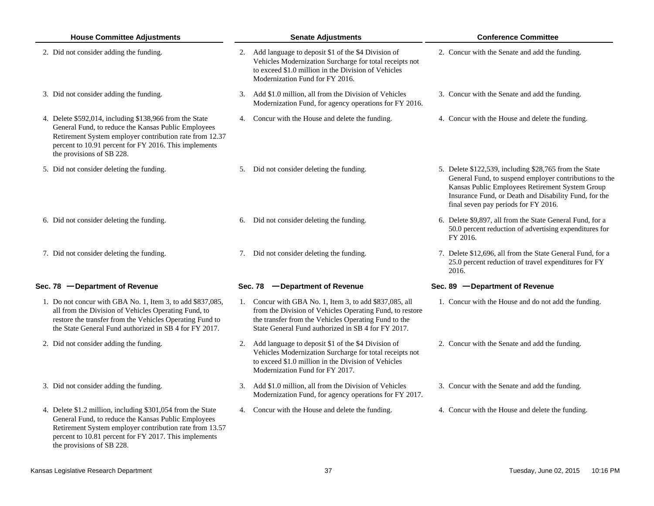| <b>House Committee Adjustments</b> |                                                                                                                                                                                                                                                                     | <b>Senate Adjustments</b> |                                                                                                                                                                                                                                   |  | <b>Conference Committee</b>                                                                                                                                                                                                                                          |  |  |
|------------------------------------|---------------------------------------------------------------------------------------------------------------------------------------------------------------------------------------------------------------------------------------------------------------------|---------------------------|-----------------------------------------------------------------------------------------------------------------------------------------------------------------------------------------------------------------------------------|--|----------------------------------------------------------------------------------------------------------------------------------------------------------------------------------------------------------------------------------------------------------------------|--|--|
|                                    | 2. Did not consider adding the funding.                                                                                                                                                                                                                             |                           | 2. Add language to deposit \$1 of the \$4 Division of<br>Vehicles Modernization Surcharge for total receipts not<br>to exceed \$1.0 million in the Division of Vehicles<br>Modernization Fund for FY 2016.                        |  | 2. Concur with the Senate and add the funding.                                                                                                                                                                                                                       |  |  |
|                                    | 3. Did not consider adding the funding.                                                                                                                                                                                                                             |                           | 3. Add \$1.0 million, all from the Division of Vehicles<br>Modernization Fund, for agency operations for FY 2016.                                                                                                                 |  | 3. Concur with the Senate and add the funding.                                                                                                                                                                                                                       |  |  |
|                                    | 4. Delete \$592,014, including \$138,966 from the State<br>General Fund, to reduce the Kansas Public Employees<br>Retirement System employer contribution rate from 12.37<br>percent to 10.91 percent for FY 2016. This implements<br>the provisions of SB 228.     |                           | 4. Concur with the House and delete the funding.                                                                                                                                                                                  |  | 4. Concur with the House and delete the funding.                                                                                                                                                                                                                     |  |  |
|                                    | 5. Did not consider deleting the funding.                                                                                                                                                                                                                           |                           | 5. Did not consider deleting the funding.                                                                                                                                                                                         |  | 5. Delete \$122,539, including \$28,765 from the State<br>General Fund, to suspend employer contributions to the<br>Kansas Public Employees Retirement System Group<br>Insurance Fund, or Death and Disability Fund, for the<br>final seven pay periods for FY 2016. |  |  |
|                                    | 6. Did not consider deleting the funding.                                                                                                                                                                                                                           |                           | 6. Did not consider deleting the funding.                                                                                                                                                                                         |  | 6. Delete \$9,897, all from the State General Fund, for a<br>50.0 percent reduction of advertising expenditures for<br>FY 2016.                                                                                                                                      |  |  |
|                                    | 7. Did not consider deleting the funding.                                                                                                                                                                                                                           |                           | 7. Did not consider deleting the funding.                                                                                                                                                                                         |  | 7. Delete \$12,696, all from the State General Fund, for a<br>25.0 percent reduction of travel expenditures for FY<br>2016.                                                                                                                                          |  |  |
|                                    | Sec. 78 - Department of Revenue                                                                                                                                                                                                                                     |                           | Sec. 78 - Department of Revenue                                                                                                                                                                                                   |  | Sec. 89 - Department of Revenue                                                                                                                                                                                                                                      |  |  |
|                                    | 1. Do not concur with GBA No. 1, Item 3, to add \$837,085,<br>all from the Division of Vehicles Operating Fund, to<br>restore the transfer from the Vehicles Operating Fund to<br>the State General Fund authorized in SB 4 for FY 2017.                            |                           | 1. Concur with GBA No. 1, Item 3, to add \$837,085, all<br>from the Division of Vehicles Operating Fund, to restore<br>the transfer from the Vehicles Operating Fund to the<br>State General Fund authorized in SB 4 for FY 2017. |  | 1. Concur with the House and do not add the funding.                                                                                                                                                                                                                 |  |  |
|                                    | 2. Did not consider adding the funding.                                                                                                                                                                                                                             |                           | 2. Add language to deposit \$1 of the \$4 Division of<br>Vehicles Modernization Surcharge for total receipts not<br>to exceed \$1.0 million in the Division of Vehicles<br>Modernization Fund for FY 2017.                        |  | 2. Concur with the Senate and add the funding.                                                                                                                                                                                                                       |  |  |
|                                    | 3. Did not consider adding the funding.                                                                                                                                                                                                                             |                           | 3. Add \$1.0 million, all from the Division of Vehicles<br>Modernization Fund, for agency operations for FY 2017.                                                                                                                 |  | 3. Concur with the Senate and add the funding.                                                                                                                                                                                                                       |  |  |
|                                    | 4. Delete \$1.2 million, including \$301,054 from the State<br>General Fund, to reduce the Kansas Public Employees<br>Retirement System employer contribution rate from 13.57<br>percent to 10.81 percent for FY 2017. This implements<br>the provisions of SB 228. |                           | 4. Concur with the House and delete the funding.                                                                                                                                                                                  |  | 4. Concur with the House and delete the funding.                                                                                                                                                                                                                     |  |  |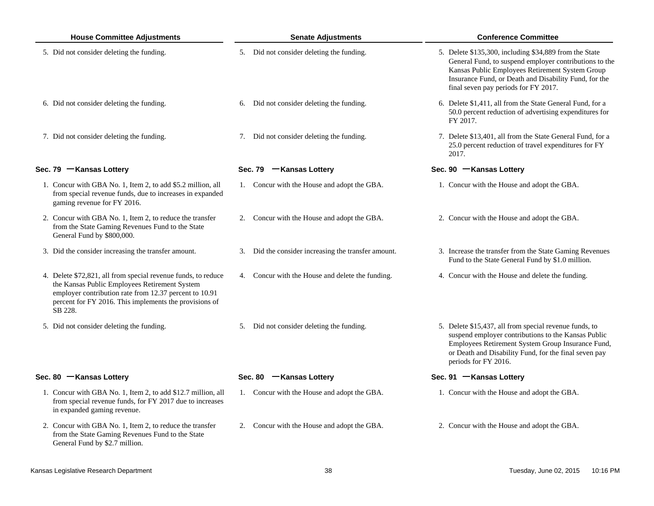| <b>House Committee Adjustments</b> |                                                                                                                                                                                                                                               | <b>Senate Adjustments</b>                           | <b>Conference Committee</b>                                                                                                                                                                                                                                          |  |  |
|------------------------------------|-----------------------------------------------------------------------------------------------------------------------------------------------------------------------------------------------------------------------------------------------|-----------------------------------------------------|----------------------------------------------------------------------------------------------------------------------------------------------------------------------------------------------------------------------------------------------------------------------|--|--|
|                                    | 5. Did not consider deleting the funding.                                                                                                                                                                                                     | 5. Did not consider deleting the funding.           | 5. Delete \$135,300, including \$34,889 from the State<br>General Fund, to suspend employer contributions to the<br>Kansas Public Employees Retirement System Group<br>Insurance Fund, or Death and Disability Fund, for the<br>final seven pay periods for FY 2017. |  |  |
|                                    | 6. Did not consider deleting the funding.                                                                                                                                                                                                     | 6. Did not consider deleting the funding.           | 6. Delete \$1,411, all from the State General Fund, for a<br>50.0 percent reduction of advertising expenditures for<br>FY 2017.                                                                                                                                      |  |  |
|                                    | 7. Did not consider deleting the funding.                                                                                                                                                                                                     | 7. Did not consider deleting the funding.           | 7. Delete \$13,401, all from the State General Fund, for a<br>25.0 percent reduction of travel expenditures for FY<br>2017.                                                                                                                                          |  |  |
|                                    | Sec. 79 - Kansas Lottery                                                                                                                                                                                                                      | Sec. 79 - Kansas Lottery                            | Sec. 90 - Kansas Lottery                                                                                                                                                                                                                                             |  |  |
|                                    | 1. Concur with GBA No. 1, Item 2, to add \$5.2 million, all<br>from special revenue funds, due to increases in expanded<br>gaming revenue for FY 2016.                                                                                        | 1. Concur with the House and adopt the GBA.         | 1. Concur with the House and adopt the GBA.                                                                                                                                                                                                                          |  |  |
|                                    | 2. Concur with GBA No. 1, Item 2, to reduce the transfer<br>from the State Gaming Revenues Fund to the State<br>General Fund by \$800,000.                                                                                                    | 2. Concur with the House and adopt the GBA.         | 2. Concur with the House and adopt the GBA.                                                                                                                                                                                                                          |  |  |
|                                    | 3. Did the consider increasing the transfer amount.                                                                                                                                                                                           | 3. Did the consider increasing the transfer amount. | 3. Increase the transfer from the State Gaming Revenues<br>Fund to the State General Fund by \$1.0 million.                                                                                                                                                          |  |  |
|                                    | 4. Delete \$72,821, all from special revenue funds, to reduce<br>the Kansas Public Employees Retirement System<br>employer contribution rate from 12.37 percent to 10.91<br>percent for FY 2016. This implements the provisions of<br>SB 228. | 4. Concur with the House and delete the funding.    | 4. Concur with the House and delete the funding.                                                                                                                                                                                                                     |  |  |
|                                    | 5. Did not consider deleting the funding.                                                                                                                                                                                                     | 5. Did not consider deleting the funding.           | 5. Delete \$15,437, all from special revenue funds, to<br>suspend employer contributions to the Kansas Public<br>Employees Retirement System Group Insurance Fund,<br>or Death and Disability Fund, for the final seven pay<br>periods for FY 2016.                  |  |  |
|                                    | Sec. 80 - Kansas Lottery                                                                                                                                                                                                                      | Sec. 80 - Kansas Lottery                            | Sec. 91 - Kansas Lottery                                                                                                                                                                                                                                             |  |  |
|                                    | 1. Concur with GBA No. 1, Item 2, to add \$12.7 million, all<br>from special revenue funds, for FY 2017 due to increases<br>in expanded gaming revenue.                                                                                       | 1. Concur with the House and adopt the GBA.         | 1. Concur with the House and adopt the GBA.                                                                                                                                                                                                                          |  |  |
|                                    | 2. Concur with GBA No. 1, Item 2, to reduce the transfer<br>from the State Gaming Revenues Fund to the State<br>General Fund by \$2.7 million.                                                                                                | Concur with the House and adopt the GBA.<br>2.      | 2. Concur with the House and adopt the GBA.                                                                                                                                                                                                                          |  |  |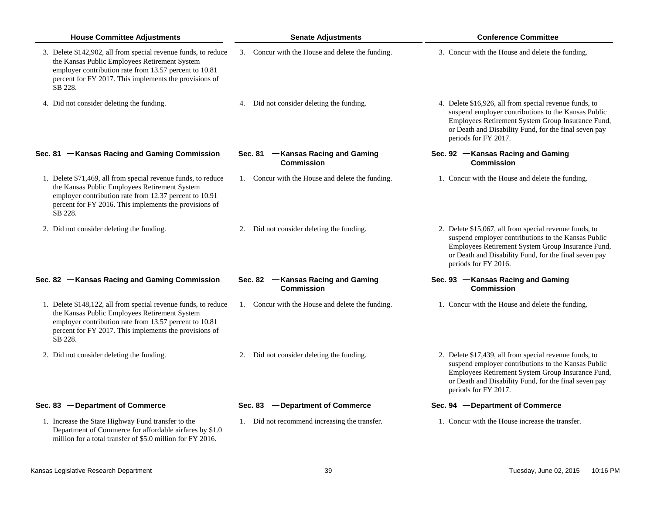| <b>House Committee Adjustments</b>                                                                                                                                                                                                             | <b>Senate Adjustments</b>                               | <b>Conference Committee</b>                                                                                                                                                                                                                         |
|------------------------------------------------------------------------------------------------------------------------------------------------------------------------------------------------------------------------------------------------|---------------------------------------------------------|-----------------------------------------------------------------------------------------------------------------------------------------------------------------------------------------------------------------------------------------------------|
| 3. Delete \$142,902, all from special revenue funds, to reduce<br>the Kansas Public Employees Retirement System<br>employer contribution rate from 13.57 percent to 10.81<br>percent for FY 2017. This implements the provisions of<br>SB 228. | 3. Concur with the House and delete the funding.        | 3. Concur with the House and delete the funding.                                                                                                                                                                                                    |
| 4. Did not consider deleting the funding.                                                                                                                                                                                                      | 4. Did not consider deleting the funding.               | 4. Delete \$16,926, all from special revenue funds, to<br>suspend employer contributions to the Kansas Public<br>Employees Retirement System Group Insurance Fund,<br>or Death and Disability Fund, for the final seven pay<br>periods for FY 2017. |
| Sec. 81 - Kansas Racing and Gaming Commission                                                                                                                                                                                                  | Sec. 81 - Kansas Racing and Gaming<br><b>Commission</b> | Sec. 92 - Kansas Racing and Gaming<br><b>Commission</b>                                                                                                                                                                                             |
| 1. Delete \$71,469, all from special revenue funds, to reduce<br>the Kansas Public Employees Retirement System<br>employer contribution rate from 12.37 percent to 10.91<br>percent for FY 2016. This implements the provisions of<br>SB 228.  | 1. Concur with the House and delete the funding.        | 1. Concur with the House and delete the funding.                                                                                                                                                                                                    |
| 2. Did not consider deleting the funding.                                                                                                                                                                                                      | 2. Did not consider deleting the funding.               | 2. Delete \$15,067, all from special revenue funds, to<br>suspend employer contributions to the Kansas Public<br>Employees Retirement System Group Insurance Fund,<br>or Death and Disability Fund, for the final seven pay<br>periods for FY 2016. |
| Sec. 82 - Kansas Racing and Gaming Commission                                                                                                                                                                                                  | Sec. 82 - Kansas Racing and Gaming<br><b>Commission</b> | Sec. 93 - Kansas Racing and Gaming<br><b>Commission</b>                                                                                                                                                                                             |
| 1. Delete \$148,122, all from special revenue funds, to reduce<br>the Kansas Public Employees Retirement System<br>employer contribution rate from 13.57 percent to 10.81<br>percent for FY 2017. This implements the provisions of<br>SB 228. | 1. Concur with the House and delete the funding.        | 1. Concur with the House and delete the funding.                                                                                                                                                                                                    |
| 2. Did not consider deleting the funding.                                                                                                                                                                                                      | 2. Did not consider deleting the funding.               | 2. Delete \$17,439, all from special revenue funds, to<br>suspend employer contributions to the Kansas Public<br>Employees Retirement System Group Insurance Fund,<br>or Death and Disability Fund, for the final seven pay<br>periods for FY 2017. |
| Sec. 83 - Department of Commerce                                                                                                                                                                                                               | Sec. 83 - Department of Commerce                        | Sec. 94 - Department of Commerce                                                                                                                                                                                                                    |
| 1. Increase the State Highway Fund transfer to the<br>Department of Commerce for affordable airfares by \$1.0<br>million for a total transfer of \$5.0 million for FY 2016.                                                                    | 1. Did not recommend increasing the transfer.           | 1. Concur with the House increase the transfer.                                                                                                                                                                                                     |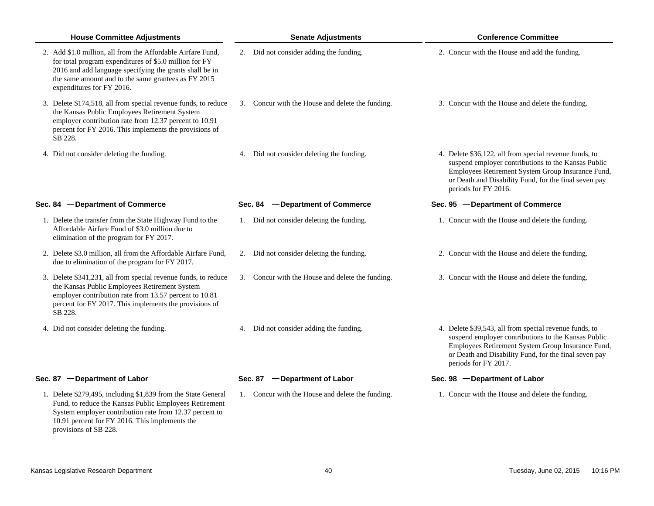| <b>House Committee Adjustments</b>                                                                                                                                                                                                                                   | <b>Senate Adjustments</b>                        | <b>Conference Committee</b>                                                                                                                                                                                                                         |
|----------------------------------------------------------------------------------------------------------------------------------------------------------------------------------------------------------------------------------------------------------------------|--------------------------------------------------|-----------------------------------------------------------------------------------------------------------------------------------------------------------------------------------------------------------------------------------------------------|
| 2. Add \$1.0 million, all from the Affordable Airfare Fund,<br>for total program expenditures of \$5.0 million for FY<br>2016 and add language specifying the grants shall be in<br>the same amount and to the same grantees as FY 2015<br>expenditures for FY 2016. | 2. Did not consider adding the funding.          | 2. Concur with the House and add the funding.                                                                                                                                                                                                       |
| 3. Delete \$174,518, all from special revenue funds, to reduce<br>the Kansas Public Employees Retirement System<br>employer contribution rate from 12.37 percent to 10.91<br>percent for FY 2016. This implements the provisions of<br>SB 228.                       | 3. Concur with the House and delete the funding. | 3. Concur with the House and delete the funding.                                                                                                                                                                                                    |
| 4. Did not consider deleting the funding.                                                                                                                                                                                                                            | 4. Did not consider deleting the funding.        | 4. Delete \$36,122, all from special revenue funds, to<br>suspend employer contributions to the Kansas Public<br>Employees Retirement System Group Insurance Fund,<br>or Death and Disability Fund, for the final seven pay<br>periods for FY 2016. |
| Sec. 84 - Department of Commerce                                                                                                                                                                                                                                     | Sec. 84 - Department of Commerce                 | Sec. 95 - Department of Commerce                                                                                                                                                                                                                    |
| 1. Delete the transfer from the State Highway Fund to the<br>Affordable Airfare Fund of \$3.0 million due to<br>elimination of the program for FY 2017.                                                                                                              | 1. Did not consider deleting the funding.        | 1. Concur with the House and delete the funding.                                                                                                                                                                                                    |
| 2. Delete \$3.0 million, all from the Affordable Airfare Fund,<br>due to elimination of the program for FY 2017.                                                                                                                                                     | 2. Did not consider deleting the funding.        | 2. Concur with the House and delete the funding.                                                                                                                                                                                                    |
| 3. Delete \$341,231, all from special revenue funds, to reduce<br>the Kansas Public Employees Retirement System<br>employer contribution rate from 13.57 percent to 10.81<br>percent for FY 2017. This implements the provisions of<br>SB 228.                       | 3. Concur with the House and delete the funding. | 3. Concur with the House and delete the funding.                                                                                                                                                                                                    |
| 4. Did not consider deleting the funding.                                                                                                                                                                                                                            | 4. Did not consider adding the funding.          | 4. Delete \$39,543, all from special revenue funds, to<br>suspend employer contributions to the Kansas Public<br>Employees Retirement System Group Insurance Fund,<br>or Death and Disability Fund, for the final seven pay<br>periods for FY 2017. |
| Sec. 87 - Department of Labor                                                                                                                                                                                                                                        | Sec. 87 - Department of Labor                    | Sec. 98 - Department of Labor                                                                                                                                                                                                                       |
| 1. Delete \$279,495, including \$1,839 from the State General<br>Fund, to reduce the Kansas Public Employees Retirement<br>System employer contribution rate from 12.37 percent to<br>10.91 percent for FY 2016. This implements the<br>provisions of SB 228.        | 1. Concur with the House and delete the funding. | 1. Concur with the House and delete the funding.                                                                                                                                                                                                    |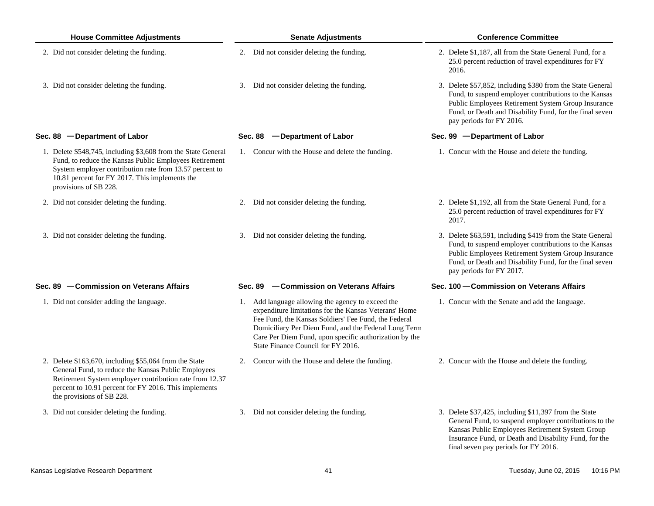| <b>House Committee Adjustments</b>                                                                                                                                                                                                                             |    | <b>Senate Adjustments</b>                                                                                                                                                                                                                                                                                                  | <b>Conference Committee</b> |                                                                                                                                                                                                                                                                     |  |
|----------------------------------------------------------------------------------------------------------------------------------------------------------------------------------------------------------------------------------------------------------------|----|----------------------------------------------------------------------------------------------------------------------------------------------------------------------------------------------------------------------------------------------------------------------------------------------------------------------------|-----------------------------|---------------------------------------------------------------------------------------------------------------------------------------------------------------------------------------------------------------------------------------------------------------------|--|
| 2. Did not consider deleting the funding.                                                                                                                                                                                                                      |    | 2. Did not consider deleting the funding.                                                                                                                                                                                                                                                                                  |                             | 2. Delete \$1,187, all from the State General Fund, for a<br>25.0 percent reduction of travel expenditures for FY<br>2016.                                                                                                                                          |  |
| 3. Did not consider deleting the funding.                                                                                                                                                                                                                      |    | 3. Did not consider deleting the funding.                                                                                                                                                                                                                                                                                  |                             | 3. Delete \$57,852, including \$380 from the State General<br>Fund, to suspend employer contributions to the Kansas<br>Public Employees Retirement System Group Insurance<br>Fund, or Death and Disability Fund, for the final seven<br>pay periods for FY 2016.    |  |
| Sec. 88 - Department of Labor                                                                                                                                                                                                                                  |    | Sec. 88 - Department of Labor                                                                                                                                                                                                                                                                                              |                             | Sec. 99 - Department of Labor                                                                                                                                                                                                                                       |  |
| 1. Delete \$548,745, including \$3,608 from the State General<br>Fund, to reduce the Kansas Public Employees Retirement<br>System employer contribution rate from 13.57 percent to<br>10.81 percent for FY 2017. This implements the<br>provisions of SB 228.  |    | 1. Concur with the House and delete the funding.                                                                                                                                                                                                                                                                           |                             | 1. Concur with the House and delete the funding.                                                                                                                                                                                                                    |  |
| 2. Did not consider deleting the funding.                                                                                                                                                                                                                      |    | 2. Did not consider deleting the funding.                                                                                                                                                                                                                                                                                  |                             | 2. Delete \$1,192, all from the State General Fund, for a<br>25.0 percent reduction of travel expenditures for FY<br>2017.                                                                                                                                          |  |
| 3. Did not consider deleting the funding.                                                                                                                                                                                                                      |    | 3. Did not consider deleting the funding.                                                                                                                                                                                                                                                                                  |                             | 3. Delete \$63,591, including \$419 from the State General<br>Fund, to suspend employer contributions to the Kansas<br>Public Employees Retirement System Group Insurance<br>Fund, or Death and Disability Fund, for the final seven<br>pay periods for FY 2017.    |  |
| Sec. 89 - Commission on Veterans Affairs                                                                                                                                                                                                                       |    | Sec. 89 - Commission on Veterans Affairs                                                                                                                                                                                                                                                                                   |                             | Sec. 100 – Commission on Veterans Affairs                                                                                                                                                                                                                           |  |
| 1. Did not consider adding the language.                                                                                                                                                                                                                       |    | 1. Add language allowing the agency to exceed the<br>expenditure limitations for the Kansas Veterans' Home<br>Fee Fund, the Kansas Soldiers' Fee Fund, the Federal<br>Domiciliary Per Diem Fund, and the Federal Long Term<br>Care Per Diem Fund, upon specific authorization by the<br>State Finance Council for FY 2016. |                             | 1. Concur with the Senate and add the language.                                                                                                                                                                                                                     |  |
| 2. Delete \$163,670, including \$55,064 from the State<br>General Fund, to reduce the Kansas Public Employees<br>Retirement System employer contribution rate from 12.37<br>percent to 10.91 percent for FY 2016. This implements<br>the provisions of SB 228. | 2. | Concur with the House and delete the funding.                                                                                                                                                                                                                                                                              |                             | 2. Concur with the House and delete the funding.                                                                                                                                                                                                                    |  |
| 3. Did not consider deleting the funding.                                                                                                                                                                                                                      | 3. | Did not consider deleting the funding.                                                                                                                                                                                                                                                                                     |                             | 3. Delete \$37,425, including \$11,397 from the State<br>General Fund, to suspend employer contributions to the<br>Kansas Public Employees Retirement System Group<br>Insurance Fund, or Death and Disability Fund, for the<br>final seven pay periods for FY 2016. |  |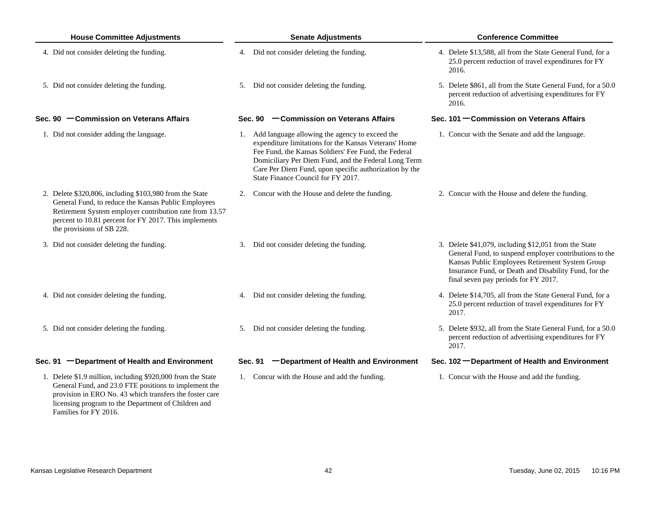| <b>House Committee Adjustments</b>                                                                                                                                                                                                                              | <b>Senate Adjustments</b>                                                                                                                                                                                                                                                                                                  | <b>Conference Committee</b>                                                                                                                                                                                                                                         |  |  |
|-----------------------------------------------------------------------------------------------------------------------------------------------------------------------------------------------------------------------------------------------------------------|----------------------------------------------------------------------------------------------------------------------------------------------------------------------------------------------------------------------------------------------------------------------------------------------------------------------------|---------------------------------------------------------------------------------------------------------------------------------------------------------------------------------------------------------------------------------------------------------------------|--|--|
| 4. Did not consider deleting the funding.                                                                                                                                                                                                                       | 4. Did not consider deleting the funding.                                                                                                                                                                                                                                                                                  | 4. Delete \$13,588, all from the State General Fund, for a<br>25.0 percent reduction of travel expenditures for FY<br>2016.                                                                                                                                         |  |  |
| 5. Did not consider deleting the funding.                                                                                                                                                                                                                       | 5. Did not consider deleting the funding.                                                                                                                                                                                                                                                                                  | 5. Delete \$861, all from the State General Fund, for a 50.0<br>percent reduction of advertising expenditures for FY<br>2016.                                                                                                                                       |  |  |
| Sec. 90 - Commission on Veterans Affairs                                                                                                                                                                                                                        | Sec. 90 - Commission on Veterans Affairs                                                                                                                                                                                                                                                                                   | Sec. 101 – Commission on Veterans Affairs                                                                                                                                                                                                                           |  |  |
| 1. Did not consider adding the language.                                                                                                                                                                                                                        | 1. Add language allowing the agency to exceed the<br>expenditure limitations for the Kansas Veterans' Home<br>Fee Fund, the Kansas Soldiers' Fee Fund, the Federal<br>Domiciliary Per Diem Fund, and the Federal Long Term<br>Care Per Diem Fund, upon specific authorization by the<br>State Finance Council for FY 2017. | 1. Concur with the Senate and add the language.                                                                                                                                                                                                                     |  |  |
| 2. Delete \$320,806, including \$103,980 from the State<br>General Fund, to reduce the Kansas Public Employees<br>Retirement System employer contribution rate from 13.57<br>percent to 10.81 percent for FY 2017. This implements<br>the provisions of SB 228. | 2. Concur with the House and delete the funding.                                                                                                                                                                                                                                                                           | 2. Concur with the House and delete the funding.                                                                                                                                                                                                                    |  |  |
| 3. Did not consider deleting the funding.                                                                                                                                                                                                                       | 3. Did not consider deleting the funding.                                                                                                                                                                                                                                                                                  | 3. Delete \$41,079, including \$12,051 from the State<br>General Fund, to suspend employer contributions to the<br>Kansas Public Employees Retirement System Group<br>Insurance Fund, or Death and Disability Fund, for the<br>final seven pay periods for FY 2017. |  |  |
| 4. Did not consider deleting the funding.                                                                                                                                                                                                                       | 4. Did not consider deleting the funding.                                                                                                                                                                                                                                                                                  | 4. Delete \$14,705, all from the State General Fund, for a<br>25.0 percent reduction of travel expenditures for FY<br>2017.                                                                                                                                         |  |  |
| 5. Did not consider deleting the funding.                                                                                                                                                                                                                       | 5. Did not consider deleting the funding.                                                                                                                                                                                                                                                                                  | 5. Delete \$932, all from the State General Fund, for a 50.0<br>percent reduction of advertising expenditures for FY<br>2017.                                                                                                                                       |  |  |
| Sec. 91 - Department of Health and Environment                                                                                                                                                                                                                  | -Department of Health and Environment<br>Sec. 91                                                                                                                                                                                                                                                                           | Sec. 102 - Department of Health and Environment                                                                                                                                                                                                                     |  |  |
| 1. Delete \$1.9 million, including \$920,000 from the State<br>General Fund, and 23.0 FTE positions to implement the<br>provision in ERO No. 43 which transfers the foster care                                                                                 | 1. Concur with the House and add the funding.                                                                                                                                                                                                                                                                              | 1. Concur with the House and add the funding.                                                                                                                                                                                                                       |  |  |

Families for FY 2016.

licensing program to the Department of Children and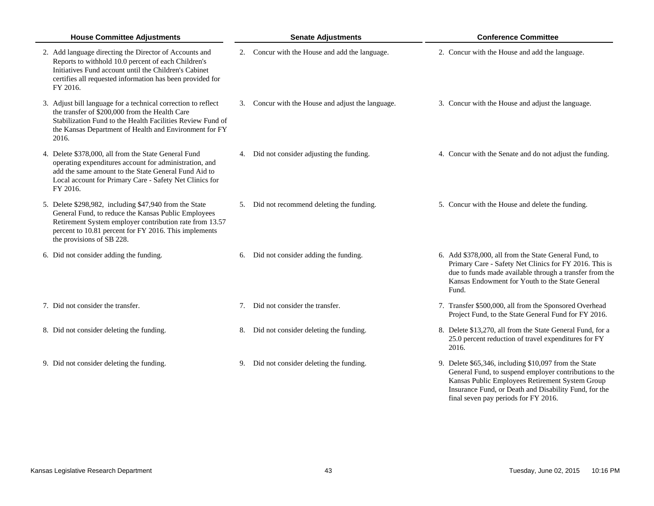| <b>House Committee Adjustments</b>                                                                                                                                                                                                                             | <b>Senate Adjustments</b>                         | <b>Conference Committee</b>                                                                                                                                                                                                                                         |
|----------------------------------------------------------------------------------------------------------------------------------------------------------------------------------------------------------------------------------------------------------------|---------------------------------------------------|---------------------------------------------------------------------------------------------------------------------------------------------------------------------------------------------------------------------------------------------------------------------|
| 2. Add language directing the Director of Accounts and<br>Reports to withhold 10.0 percent of each Children's<br>Initiatives Fund account until the Children's Cabinet<br>certifies all requested information has been provided for<br>FY 2016.                | 2. Concur with the House and add the language.    | 2. Concur with the House and add the language.                                                                                                                                                                                                                      |
| 3. Adjust bill language for a technical correction to reflect<br>the transfer of \$200,000 from the Health Care<br>Stabilization Fund to the Health Facilities Review Fund of<br>the Kansas Department of Health and Environment for FY<br>2016.               | 3. Concur with the House and adjust the language. | 3. Concur with the House and adjust the language.                                                                                                                                                                                                                   |
| 4. Delete \$378,000, all from the State General Fund<br>operating expenditures account for administration, and<br>add the same amount to the State General Fund Aid to<br>Local account for Primary Care - Safety Net Clinics for<br>FY 2016.                  | 4. Did not consider adjusting the funding.        | 4. Concur with the Senate and do not adjust the funding.                                                                                                                                                                                                            |
| 5. Delete \$298,982, including \$47,940 from the State<br>General Fund, to reduce the Kansas Public Employees<br>Retirement System employer contribution rate from 13.57<br>percent to 10.81 percent for FY 2016. This implements<br>the provisions of SB 228. | 5. Did not recommend deleting the funding.        | 5. Concur with the House and delete the funding.                                                                                                                                                                                                                    |
| 6. Did not consider adding the funding.                                                                                                                                                                                                                        | Did not consider adding the funding.<br>6.        | 6. Add \$378,000, all from the State General Fund, to<br>Primary Care - Safety Net Clinics for FY 2016. This is<br>due to funds made available through a transfer from the<br>Kansas Endowment for Youth to the State General<br>Fund.                              |
| 7. Did not consider the transfer.                                                                                                                                                                                                                              | 7. Did not consider the transfer.                 | 7. Transfer \$500,000, all from the Sponsored Overhead<br>Project Fund, to the State General Fund for FY 2016.                                                                                                                                                      |
| 8. Did not consider deleting the funding.                                                                                                                                                                                                                      | 8. Did not consider deleting the funding.         | 8. Delete \$13,270, all from the State General Fund, for a<br>25.0 percent reduction of travel expenditures for FY<br>2016.                                                                                                                                         |
| 9. Did not consider deleting the funding.                                                                                                                                                                                                                      | 9. Did not consider deleting the funding.         | 9. Delete \$65,346, including \$10,097 from the State<br>General Fund, to suspend employer contributions to the<br>Kansas Public Employees Retirement System Group<br>Insurance Fund, or Death and Disability Fund, for the<br>final seven pay periods for FY 2016. |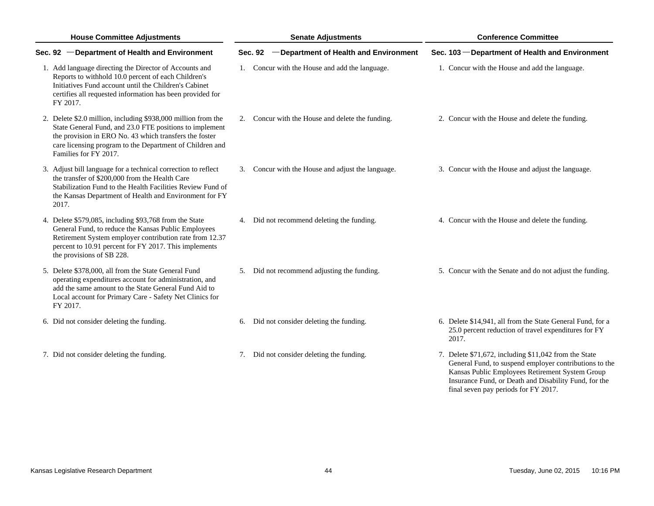| <b>House Committee Adjustments</b>                                                                                                                                                                                                                                      | <b>Senate Adjustments</b>                               | <b>Conference Committee</b>                                                                                                                                                                                                                                         |  |
|-------------------------------------------------------------------------------------------------------------------------------------------------------------------------------------------------------------------------------------------------------------------------|---------------------------------------------------------|---------------------------------------------------------------------------------------------------------------------------------------------------------------------------------------------------------------------------------------------------------------------|--|
| Sec. 92 - Department of Health and Environment                                                                                                                                                                                                                          | -Department of Health and Environment<br><b>Sec. 92</b> | Sec. 103 - Department of Health and Environment                                                                                                                                                                                                                     |  |
| 1. Add language directing the Director of Accounts and<br>Reports to withhold 10.0 percent of each Children's<br>Initiatives Fund account until the Children's Cabinet<br>certifies all requested information has been provided for<br>FY 2017.                         | 1. Concur with the House and add the language.          | 1. Concur with the House and add the language.                                                                                                                                                                                                                      |  |
| 2. Delete \$2.0 million, including \$938,000 million from the<br>State General Fund, and 23.0 FTE positions to implement<br>the provision in ERO No. 43 which transfers the foster<br>care licensing program to the Department of Children and<br>Families for FY 2017. | 2. Concur with the House and delete the funding.        | 2. Concur with the House and delete the funding.                                                                                                                                                                                                                    |  |
| 3. Adjust bill language for a technical correction to reflect<br>the transfer of \$200,000 from the Health Care<br>Stabilization Fund to the Health Facilities Review Fund of<br>the Kansas Department of Health and Environment for FY<br>2017.                        | Concur with the House and adjust the language.<br>3.    | 3. Concur with the House and adjust the language.                                                                                                                                                                                                                   |  |
| 4. Delete \$579,085, including \$93,768 from the State<br>General Fund, to reduce the Kansas Public Employees<br>Retirement System employer contribution rate from 12.37<br>percent to 10.91 percent for FY 2017. This implements<br>the provisions of SB 228.          | 4. Did not recommend deleting the funding.              | 4. Concur with the House and delete the funding.                                                                                                                                                                                                                    |  |
| 5. Delete \$378,000, all from the State General Fund<br>operating expenditures account for administration, and<br>add the same amount to the State General Fund Aid to<br>Local account for Primary Care - Safety Net Clinics for<br>FY 2017.                           | 5. Did not recommend adjusting the funding.             | 5. Concur with the Senate and do not adjust the funding.                                                                                                                                                                                                            |  |
| 6. Did not consider deleting the funding.                                                                                                                                                                                                                               | 6. Did not consider deleting the funding.               | 6. Delete \$14,941, all from the State General Fund, for a<br>25.0 percent reduction of travel expenditures for FY<br>2017.                                                                                                                                         |  |
| 7. Did not consider deleting the funding.                                                                                                                                                                                                                               | 7. Did not consider deleting the funding.               | 7. Delete \$71,672, including \$11,042 from the State<br>General Fund, to suspend employer contributions to the<br>Kansas Public Employees Retirement System Group<br>Insurance Fund, or Death and Disability Fund, for the<br>final seven pay periods for FY 2017. |  |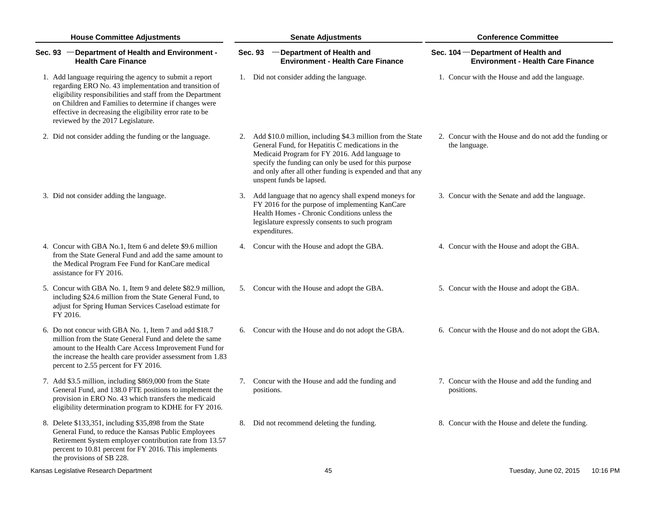| <b>House Committee Adjustments</b>                                                                                                                                                                                                                                                                                                       | <b>Senate Adjustments</b>                                                                                                                                                                                                                                                                                            | <b>Conference Committee</b>                                                     |  |  |
|------------------------------------------------------------------------------------------------------------------------------------------------------------------------------------------------------------------------------------------------------------------------------------------------------------------------------------------|----------------------------------------------------------------------------------------------------------------------------------------------------------------------------------------------------------------------------------------------------------------------------------------------------------------------|---------------------------------------------------------------------------------|--|--|
| Sec. 93 - Department of Health and Environment -<br><b>Health Care Finance</b>                                                                                                                                                                                                                                                           | Sec. 93 - Department of Health and<br><b>Environment - Health Care Finance</b>                                                                                                                                                                                                                                       | Sec. 104 - Department of Health and<br><b>Environment - Health Care Finance</b> |  |  |
| 1. Add language requiring the agency to submit a report<br>regarding ERO No. 43 implementation and transition of<br>eligibility responsibilities and staff from the Department<br>on Children and Families to determine if changes were<br>effective in decreasing the eligibility error rate to be<br>reviewed by the 2017 Legislature. | 1. Did not consider adding the language.                                                                                                                                                                                                                                                                             | 1. Concur with the House and add the language.                                  |  |  |
| 2. Did not consider adding the funding or the language.                                                                                                                                                                                                                                                                                  | 2. Add \$10.0 million, including \$4.3 million from the State<br>General Fund, for Hepatitis C medications in the<br>Medicaid Program for FY 2016. Add language to<br>specify the funding can only be used for this purpose<br>and only after all other funding is expended and that any<br>unspent funds be lapsed. | 2. Concur with the House and do not add the funding or<br>the language.         |  |  |
| 3. Did not consider adding the language.                                                                                                                                                                                                                                                                                                 | 3. Add language that no agency shall expend moneys for<br>FY 2016 for the purpose of implementing KanCare<br>Health Homes - Chronic Conditions unless the<br>legislature expressly consents to such program<br>expenditures.                                                                                         | 3. Concur with the Senate and add the language.                                 |  |  |
| 4. Concur with GBA No.1, Item 6 and delete \$9.6 million<br>from the State General Fund and add the same amount to<br>the Medical Program Fee Fund for KanCare medical<br>assistance for FY 2016.                                                                                                                                        | 4. Concur with the House and adopt the GBA.                                                                                                                                                                                                                                                                          | 4. Concur with the House and adopt the GBA.                                     |  |  |
| 5. Concur with GBA No. 1, Item 9 and delete \$82.9 million,<br>including \$24.6 million from the State General Fund, to<br>adjust for Spring Human Services Caseload estimate for<br>FY 2016.                                                                                                                                            | 5. Concur with the House and adopt the GBA.                                                                                                                                                                                                                                                                          | 5. Concur with the House and adopt the GBA.                                     |  |  |
| 6. Do not concur with GBA No. 1, Item 7 and add \$18.7<br>million from the State General Fund and delete the same<br>amount to the Health Care Access Improvement Fund for<br>the increase the health care provider assessment from 1.83<br>percent to 2.55 percent for FY 2016.                                                         | 6. Concur with the House and do not adopt the GBA.                                                                                                                                                                                                                                                                   | 6. Concur with the House and do not adopt the GBA.                              |  |  |
| 7. Add \$3.5 million, including \$869,000 from the State<br>General Fund, and 138.0 FTE positions to implement the<br>provision in ERO No. 43 which transfers the medicaid<br>eligibility determination program to KDHE for FY 2016.                                                                                                     | 7. Concur with the House and add the funding and<br>positions.                                                                                                                                                                                                                                                       | 7. Concur with the House and add the funding and<br>positions.                  |  |  |
| 8. Delete \$133,351, including \$35,898 from the State<br>General Fund, to reduce the Kansas Public Employees<br>Retirement System employer contribution rate from 13.57<br>percent to 10.81 percent for FY 2016. This implements<br>the provisions of SB 228.                                                                           | 8. Did not recommend deleting the funding.                                                                                                                                                                                                                                                                           | 8. Concur with the House and delete the funding.                                |  |  |
| Kansas Legislative Research Department                                                                                                                                                                                                                                                                                                   | 45                                                                                                                                                                                                                                                                                                                   | Tuesday, June 02, 2015<br>10:16 PM                                              |  |  |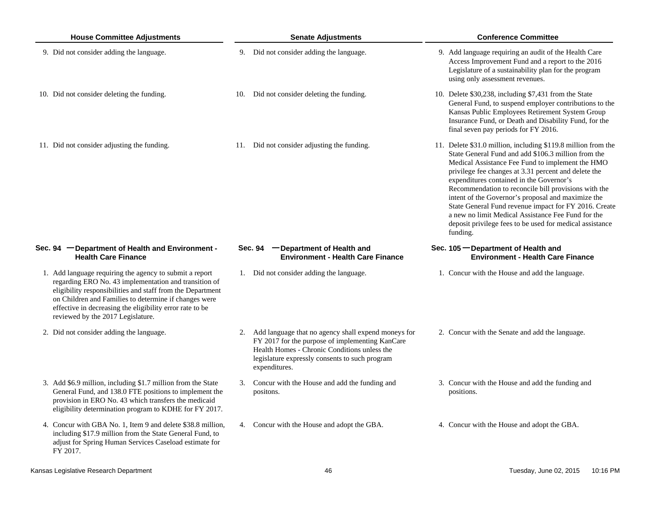| <b>House Committee Adjustments</b>                                                                                                                                                                                                                                                                                                       | <b>Senate Adjustments</b>                                                                                                                                                                                                    | <b>Conference Committee</b>                                                                                                                                                                                                                                                                                                                                                                                                                                                                                                                                                       |
|------------------------------------------------------------------------------------------------------------------------------------------------------------------------------------------------------------------------------------------------------------------------------------------------------------------------------------------|------------------------------------------------------------------------------------------------------------------------------------------------------------------------------------------------------------------------------|-----------------------------------------------------------------------------------------------------------------------------------------------------------------------------------------------------------------------------------------------------------------------------------------------------------------------------------------------------------------------------------------------------------------------------------------------------------------------------------------------------------------------------------------------------------------------------------|
| 9. Did not consider adding the language.                                                                                                                                                                                                                                                                                                 | 9. Did not consider adding the language.                                                                                                                                                                                     | 9. Add language requiring an audit of the Health Care<br>Access Improvement Fund and a report to the 2016<br>Legislature of a sustainability plan for the program<br>using only assessment revenues.                                                                                                                                                                                                                                                                                                                                                                              |
| 10. Did not consider deleting the funding.                                                                                                                                                                                                                                                                                               | Did not consider deleting the funding.<br>10.                                                                                                                                                                                | 10. Delete \$30,238, including \$7,431 from the State<br>General Fund, to suspend employer contributions to the<br>Kansas Public Employees Retirement System Group<br>Insurance Fund, or Death and Disability Fund, for the<br>final seven pay periods for FY 2016.                                                                                                                                                                                                                                                                                                               |
| 11. Did not consider adjusting the funding.                                                                                                                                                                                                                                                                                              | 11. Did not consider adjusting the funding.                                                                                                                                                                                  | 11. Delete \$31.0 million, including \$119.8 million from the<br>State General Fund and add \$106.3 million from the<br>Medical Assistance Fee Fund to implement the HMO<br>privilege fee changes at 3.31 percent and delete the<br>expenditures contained in the Governor's<br>Recommendation to reconcile bill provisions with the<br>intent of the Governor's proposal and maximize the<br>State General Fund revenue impact for FY 2016. Create<br>a new no limit Medical Assistance Fee Fund for the<br>deposit privilege fees to be used for medical assistance<br>funding. |
| Sec. 94 - Department of Health and Environment -<br><b>Health Care Finance</b>                                                                                                                                                                                                                                                           | Sec. 94 - Department of Health and<br><b>Environment - Health Care Finance</b>                                                                                                                                               | Sec. 105 - Department of Health and<br><b>Environment - Health Care Finance</b>                                                                                                                                                                                                                                                                                                                                                                                                                                                                                                   |
| 1. Add language requiring the agency to submit a report<br>regarding ERO No. 43 implementation and transition of<br>eligibility responsibilities and staff from the Department<br>on Children and Families to determine if changes were<br>effective in decreasing the eligibility error rate to be<br>reviewed by the 2017 Legislature. | 1. Did not consider adding the language.                                                                                                                                                                                     | 1. Concur with the House and add the language.                                                                                                                                                                                                                                                                                                                                                                                                                                                                                                                                    |
| 2. Did not consider adding the language.                                                                                                                                                                                                                                                                                                 | 2. Add language that no agency shall expend moneys for<br>FY 2017 for the purpose of implementing KanCare<br>Health Homes - Chronic Conditions unless the<br>legislature expressly consents to such program<br>expenditures. | 2. Concur with the Senate and add the language.                                                                                                                                                                                                                                                                                                                                                                                                                                                                                                                                   |
| 3. Add \$6.9 million, including \$1.7 million from the State<br>General Fund, and 138.0 FTE positions to implement the<br>provision in ERO No. 43 which transfers the medicaid<br>eligibility determination program to KDHE for FY 2017.                                                                                                 | Concur with the House and add the funding and<br>3.<br>positons.                                                                                                                                                             | 3. Concur with the House and add the funding and<br>positions.                                                                                                                                                                                                                                                                                                                                                                                                                                                                                                                    |
| 4. Concur with GBA No. 1, Item 9 and delete \$38.8 million,<br>including \$17.9 million from the State General Fund, to<br>adjust for Spring Human Services Caseload estimate for<br>FY 2017.                                                                                                                                            | 4. Concur with the House and adopt the GBA.                                                                                                                                                                                  | 4. Concur with the House and adopt the GBA.                                                                                                                                                                                                                                                                                                                                                                                                                                                                                                                                       |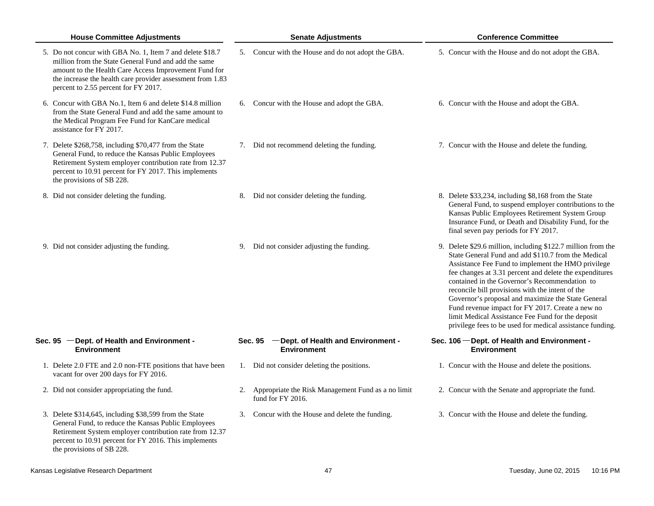| <b>House Committee Adjustments</b>                                                                                                                                                                                                                                               | <b>Senate Adjustments</b>                                                  | <b>Conference Committee</b>                                                                                                                                                                                                                                                                                                                                                                                                                                                                                                                                           |  |  |
|----------------------------------------------------------------------------------------------------------------------------------------------------------------------------------------------------------------------------------------------------------------------------------|----------------------------------------------------------------------------|-----------------------------------------------------------------------------------------------------------------------------------------------------------------------------------------------------------------------------------------------------------------------------------------------------------------------------------------------------------------------------------------------------------------------------------------------------------------------------------------------------------------------------------------------------------------------|--|--|
| 5. Do not concur with GBA No. 1, Item 7 and delete \$18.7<br>million from the State General Fund and add the same<br>amount to the Health Care Access Improvement Fund for<br>the increase the health care provider assessment from 1.83<br>percent to 2.55 percent for FY 2017. | 5. Concur with the House and do not adopt the GBA.                         | 5. Concur with the House and do not adopt the GBA.                                                                                                                                                                                                                                                                                                                                                                                                                                                                                                                    |  |  |
| 6. Concur with GBA No.1, Item 6 and delete \$14.8 million<br>from the State General Fund and add the same amount to<br>the Medical Program Fee Fund for KanCare medical<br>assistance for FY 2017.                                                                               | Concur with the House and adopt the GBA.<br>6.                             | 6. Concur with the House and adopt the GBA.                                                                                                                                                                                                                                                                                                                                                                                                                                                                                                                           |  |  |
| 7. Delete \$268,758, including \$70,477 from the State<br>General Fund, to reduce the Kansas Public Employees<br>Retirement System employer contribution rate from 12.37<br>percent to 10.91 percent for FY 2017. This implements<br>the provisions of SB 228.                   | 7. Did not recommend deleting the funding.                                 | 7. Concur with the House and delete the funding.                                                                                                                                                                                                                                                                                                                                                                                                                                                                                                                      |  |  |
| 8. Did not consider deleting the funding.                                                                                                                                                                                                                                        | 8. Did not consider deleting the funding.                                  | 8. Delete \$33,234, including \$8,168 from the State<br>General Fund, to suspend employer contributions to the<br>Kansas Public Employees Retirement System Group<br>Insurance Fund, or Death and Disability Fund, for the<br>final seven pay periods for FY 2017.                                                                                                                                                                                                                                                                                                    |  |  |
| 9. Did not consider adjusting the funding.                                                                                                                                                                                                                                       | Did not consider adjusting the funding.<br>9.                              | 9. Delete \$29.6 million, including \$122.7 million from the<br>State General Fund and add \$110.7 from the Medical<br>Assistance Fee Fund to implement the HMO privilege<br>fee changes at 3.31 percent and delete the expenditures<br>contained in the Governor's Recommendation to<br>reconcile bill provisions with the intent of the<br>Governor's proposal and maximize the State General<br>Fund revenue impact for FY 2017. Create a new no<br>limit Medical Assistance Fee Fund for the deposit<br>privilege fees to be used for medical assistance funding. |  |  |
| Sec. 95 - Dept. of Health and Environment -<br><b>Environment</b>                                                                                                                                                                                                                | - Dept. of Health and Environment -<br>Sec. 95<br><b>Environment</b>       | Sec. 106 - Dept. of Health and Environment -<br><b>Environment</b>                                                                                                                                                                                                                                                                                                                                                                                                                                                                                                    |  |  |
| 1. Delete 2.0 FTE and 2.0 non-FTE positions that have been<br>vacant for over 200 days for FY 2016.                                                                                                                                                                              | 1. Did not consider deleting the positions.                                | 1. Concur with the House and delete the positions.                                                                                                                                                                                                                                                                                                                                                                                                                                                                                                                    |  |  |
| 2. Did not consider appropriating the fund.                                                                                                                                                                                                                                      | 2. Appropriate the Risk Management Fund as a no limit<br>fund for FY 2016. | 2. Concur with the Senate and appropriate the fund.                                                                                                                                                                                                                                                                                                                                                                                                                                                                                                                   |  |  |
| 3. Delete \$314,645, including \$38,599 from the State<br>General Fund, to reduce the Kansas Public Employees<br>Retirement System employer contribution rate from 12.37<br>percent to 10.91 percent for FY 2016. This implements<br>the provisions of SB 228.                   | 3. Concur with the House and delete the funding.                           | 3. Concur with the House and delete the funding.                                                                                                                                                                                                                                                                                                                                                                                                                                                                                                                      |  |  |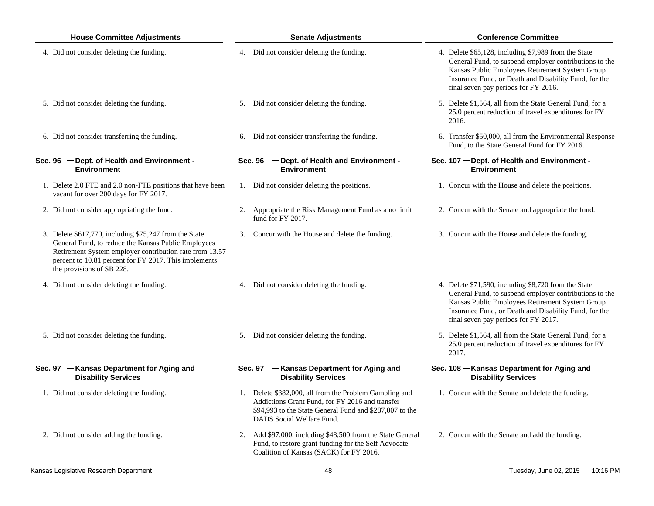| <b>House Committee Adjustments</b> |                                                                                                                                                                                                                                                                | <b>Senate Adjustments</b> |                                                                                                                                                                                                   | <b>Conference Committee</b>                                                                                                                                                                                                                                        |  |  |
|------------------------------------|----------------------------------------------------------------------------------------------------------------------------------------------------------------------------------------------------------------------------------------------------------------|---------------------------|---------------------------------------------------------------------------------------------------------------------------------------------------------------------------------------------------|--------------------------------------------------------------------------------------------------------------------------------------------------------------------------------------------------------------------------------------------------------------------|--|--|
|                                    | 4. Did not consider deleting the funding.                                                                                                                                                                                                                      |                           | 4. Did not consider deleting the funding.                                                                                                                                                         | 4. Delete \$65,128, including \$7,989 from the State<br>General Fund, to suspend employer contributions to the<br>Kansas Public Employees Retirement System Group<br>Insurance Fund, or Death and Disability Fund, for the<br>final seven pay periods for FY 2016. |  |  |
|                                    | 5. Did not consider deleting the funding.                                                                                                                                                                                                                      |                           | 5. Did not consider deleting the funding.                                                                                                                                                         | 5. Delete \$1,564, all from the State General Fund, for a<br>25.0 percent reduction of travel expenditures for FY<br>2016.                                                                                                                                         |  |  |
|                                    | 6. Did not consider transferring the funding.                                                                                                                                                                                                                  |                           | 6. Did not consider transferring the funding.                                                                                                                                                     | 6. Transfer \$50,000, all from the Environmental Response<br>Fund, to the State General Fund for FY 2016.                                                                                                                                                          |  |  |
|                                    | Sec. 96 - Dept. of Health and Environment -<br><b>Environment</b>                                                                                                                                                                                              |                           | Sec. 96 - Dept. of Health and Environment -<br><b>Environment</b>                                                                                                                                 | Sec. 107 - Dept. of Health and Environment -<br><b>Environment</b>                                                                                                                                                                                                 |  |  |
|                                    | 1. Delete 2.0 FTE and 2.0 non-FTE positions that have been<br>vacant for over 200 days for FY 2017.                                                                                                                                                            |                           | 1. Did not consider deleting the positions.                                                                                                                                                       | 1. Concur with the House and delete the positions.                                                                                                                                                                                                                 |  |  |
|                                    | 2. Did not consider appropriating the fund.                                                                                                                                                                                                                    |                           | 2. Appropriate the Risk Management Fund as a no limit<br>fund for FY 2017.                                                                                                                        | 2. Concur with the Senate and appropriate the fund.                                                                                                                                                                                                                |  |  |
|                                    | 3. Delete \$617,770, including \$75,247 from the State<br>General Fund, to reduce the Kansas Public Employees<br>Retirement System employer contribution rate from 13.57<br>percent to 10.81 percent for FY 2017. This implements<br>the provisions of SB 228. |                           | 3. Concur with the House and delete the funding.                                                                                                                                                  | 3. Concur with the House and delete the funding.                                                                                                                                                                                                                   |  |  |
|                                    | 4. Did not consider deleting the funding.                                                                                                                                                                                                                      |                           | 4. Did not consider deleting the funding.                                                                                                                                                         | 4. Delete \$71,590, including \$8,720 from the State<br>General Fund, to suspend employer contributions to the<br>Kansas Public Employees Retirement System Group<br>Insurance Fund, or Death and Disability Fund, for the<br>final seven pay periods for FY 2017. |  |  |
|                                    | 5. Did not consider deleting the funding.                                                                                                                                                                                                                      |                           | 5. Did not consider deleting the funding.                                                                                                                                                         | 5. Delete \$1,564, all from the State General Fund, for a<br>25.0 percent reduction of travel expenditures for FY<br>2017.                                                                                                                                         |  |  |
|                                    | Sec. 97 - Kansas Department for Aging and<br><b>Disability Services</b>                                                                                                                                                                                        |                           | Sec. 97 - Kansas Department for Aging and<br><b>Disability Services</b>                                                                                                                           | Sec. 108 - Kansas Department for Aging and<br><b>Disability Services</b>                                                                                                                                                                                           |  |  |
|                                    | 1. Did not consider deleting the funding.                                                                                                                                                                                                                      |                           | 1. Delete \$382,000, all from the Problem Gambling and<br>Addictions Grant Fund, for FY 2016 and transfer<br>\$94,993 to the State General Fund and \$287,007 to the<br>DADS Social Welfare Fund. | 1. Concur with the Senate and delete the funding.                                                                                                                                                                                                                  |  |  |
|                                    | 2. Did not consider adding the funding.                                                                                                                                                                                                                        |                           | 2. Add \$97,000, including \$48,500 from the State General<br>Fund, to restore grant funding for the Self Advocate<br>Coalition of Kansas (SACK) for FY 2016.                                     | 2. Concur with the Senate and add the funding.                                                                                                                                                                                                                     |  |  |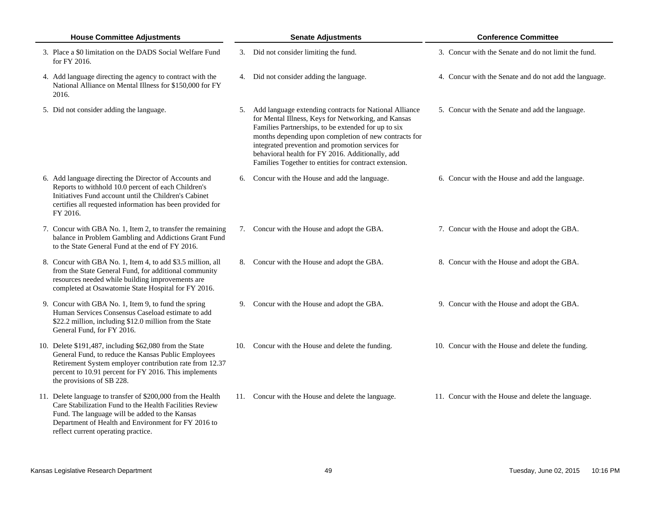| <b>House Committee Adjustments</b>                                                                                                                                                                                                                                      | <b>Senate Adjustments</b>                                                                                                                                                                                                                                                                                                                                                                         | <b>Conference Committee</b>                            |  |
|-------------------------------------------------------------------------------------------------------------------------------------------------------------------------------------------------------------------------------------------------------------------------|---------------------------------------------------------------------------------------------------------------------------------------------------------------------------------------------------------------------------------------------------------------------------------------------------------------------------------------------------------------------------------------------------|--------------------------------------------------------|--|
| 3. Place a \$0 limitation on the DADS Social Welfare Fund<br>for FY 2016.                                                                                                                                                                                               | 3. Did not consider limiting the fund.                                                                                                                                                                                                                                                                                                                                                            | 3. Concur with the Senate and do not limit the fund.   |  |
| 4. Add language directing the agency to contract with the<br>National Alliance on Mental Illness for \$150,000 for FY<br>2016.                                                                                                                                          | 4. Did not consider adding the language.                                                                                                                                                                                                                                                                                                                                                          | 4. Concur with the Senate and do not add the language. |  |
| 5. Did not consider adding the language.                                                                                                                                                                                                                                | 5. Add language extending contracts for National Alliance<br>for Mental Illness, Keys for Networking, and Kansas<br>Families Partnerships, to be extended for up to six<br>months depending upon completion of new contracts for<br>integrated prevention and promotion services for<br>behavioral health for FY 2016. Additionally, add<br>Families Together to entities for contract extension. | 5. Concur with the Senate and add the language.        |  |
| 6. Add language directing the Director of Accounts and<br>Reports to withhold 10.0 percent of each Children's<br>Initiatives Fund account until the Children's Cabinet<br>certifies all requested information has been provided for<br>FY 2016.                         | Concur with the House and add the language.<br>6.                                                                                                                                                                                                                                                                                                                                                 | 6. Concur with the House and add the language.         |  |
| 7. Concur with GBA No. 1, Item 2, to transfer the remaining<br>balance in Problem Gambling and Addictions Grant Fund<br>to the State General Fund at the end of FY 2016.                                                                                                | 7. Concur with the House and adopt the GBA.                                                                                                                                                                                                                                                                                                                                                       | 7. Concur with the House and adopt the GBA.            |  |
| 8. Concur with GBA No. 1, Item 4, to add \$3.5 million, all<br>from the State General Fund, for additional community<br>resources needed while building improvements are<br>completed at Osawatomie State Hospital for FY 2016.                                         | 8. Concur with the House and adopt the GBA.                                                                                                                                                                                                                                                                                                                                                       | 8. Concur with the House and adopt the GBA.            |  |
| 9. Concur with GBA No. 1, Item 9, to fund the spring<br>Human Services Consensus Caseload estimate to add<br>\$22.2 million, including \$12.0 million from the State<br>General Fund, for FY 2016.                                                                      | 9. Concur with the House and adopt the GBA.                                                                                                                                                                                                                                                                                                                                                       | 9. Concur with the House and adopt the GBA.            |  |
| 10. Delete \$191,487, including \$62,080 from the State<br>General Fund, to reduce the Kansas Public Employees<br>Retirement System employer contribution rate from 12.37<br>percent to 10.91 percent for FY 2016. This implements<br>the provisions of SB 228.         | 10. Concur with the House and delete the funding.                                                                                                                                                                                                                                                                                                                                                 | 10. Concur with the House and delete the funding.      |  |
| 11. Delete language to transfer of \$200,000 from the Health<br>Care Stabilization Fund to the Health Facilities Review<br>Fund. The language will be added to the Kansas<br>Department of Health and Environment for FY 2016 to<br>reflect current operating practice. | 11. Concur with the House and delete the language.                                                                                                                                                                                                                                                                                                                                                | 11. Concur with the House and delete the language.     |  |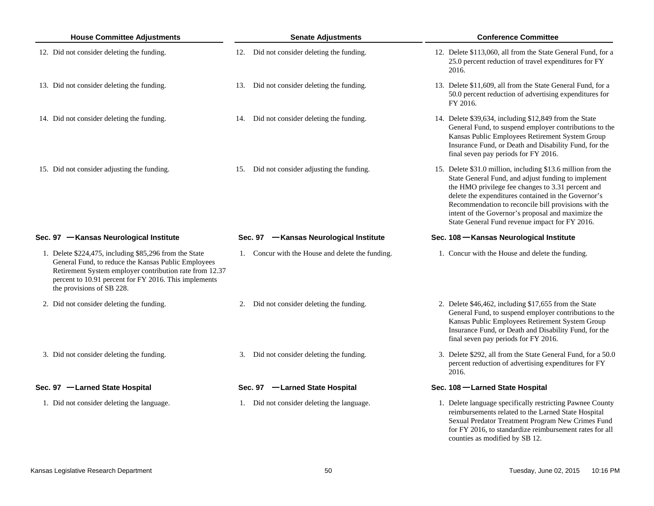| <b>House Committee Adjustments</b>                                                                                                                                                                                                                             | <b>Senate Adjustments</b>                        | <b>Conference Committee</b>                                                                                                                                                                                                                                                                                                                                                                     |  |  |
|----------------------------------------------------------------------------------------------------------------------------------------------------------------------------------------------------------------------------------------------------------------|--------------------------------------------------|-------------------------------------------------------------------------------------------------------------------------------------------------------------------------------------------------------------------------------------------------------------------------------------------------------------------------------------------------------------------------------------------------|--|--|
| 12. Did not consider deleting the funding.                                                                                                                                                                                                                     | 12. Did not consider deleting the funding.       | 12. Delete \$113,060, all from the State General Fund, for a<br>25.0 percent reduction of travel expenditures for FY<br>2016.                                                                                                                                                                                                                                                                   |  |  |
| 13. Did not consider deleting the funding.                                                                                                                                                                                                                     | 13. Did not consider deleting the funding.       | 13. Delete \$11,609, all from the State General Fund, for a<br>50.0 percent reduction of advertising expenditures for<br>FY 2016.                                                                                                                                                                                                                                                               |  |  |
| 14. Did not consider deleting the funding.                                                                                                                                                                                                                     | 14. Did not consider deleting the funding.       | 14. Delete \$39,634, including \$12,849 from the State<br>General Fund, to suspend employer contributions to the<br>Kansas Public Employees Retirement System Group<br>Insurance Fund, or Death and Disability Fund, for the<br>final seven pay periods for FY 2016.                                                                                                                            |  |  |
| 15. Did not consider adjusting the funding.                                                                                                                                                                                                                    | 15. Did not consider adjusting the funding.      | 15. Delete \$31.0 million, including \$13.6 million from the<br>State General Fund, and adjust funding to implement<br>the HMO privilege fee changes to 3.31 percent and<br>delete the expenditures contained in the Governor's<br>Recommendation to reconcile bill provisions with the<br>intent of the Governor's proposal and maximize the<br>State General Fund revenue impact for FY 2016. |  |  |
| Sec. 97 - Kansas Neurological Institute                                                                                                                                                                                                                        | Sec. 97 - Kansas Neurological Institute          | Sec. 108 - Kansas Neurological Institute                                                                                                                                                                                                                                                                                                                                                        |  |  |
| 1. Delete \$224,475, including \$85,296 from the State<br>General Fund, to reduce the Kansas Public Employees<br>Retirement System employer contribution rate from 12.37<br>percent to 10.91 percent for FY 2016. This implements<br>the provisions of SB 228. | 1. Concur with the House and delete the funding. | 1. Concur with the House and delete the funding.                                                                                                                                                                                                                                                                                                                                                |  |  |
| 2. Did not consider deleting the funding.                                                                                                                                                                                                                      | Did not consider deleting the funding.<br>2.     | 2. Delete \$46,462, including \$17,655 from the State<br>General Fund, to suspend employer contributions to the<br>Kansas Public Employees Retirement System Group<br>Insurance Fund, or Death and Disability Fund, for the<br>final seven pay periods for FY 2016.                                                                                                                             |  |  |
| 3. Did not consider deleting the funding.                                                                                                                                                                                                                      | 3. Did not consider deleting the funding.        | 3. Delete \$292, all from the State General Fund, for a 50.0<br>percent reduction of advertising expenditures for FY<br>2016.                                                                                                                                                                                                                                                                   |  |  |
| Sec. 97 - Larned State Hospital                                                                                                                                                                                                                                | Sec. 97 -Larned State Hospital                   | Sec. 108 - Larned State Hospital                                                                                                                                                                                                                                                                                                                                                                |  |  |
| 1. Did not consider deleting the language.                                                                                                                                                                                                                     | 1. Did not consider deleting the language.       | 1. Delete language specifically restricting Pawnee County<br>reimbursements related to the Larned State Hospital<br>Sexual Predator Treatment Program New Crimes Fund<br>for FY 2016, to standardize reimbursement rates for all                                                                                                                                                                |  |  |

counties as modified by SB 12.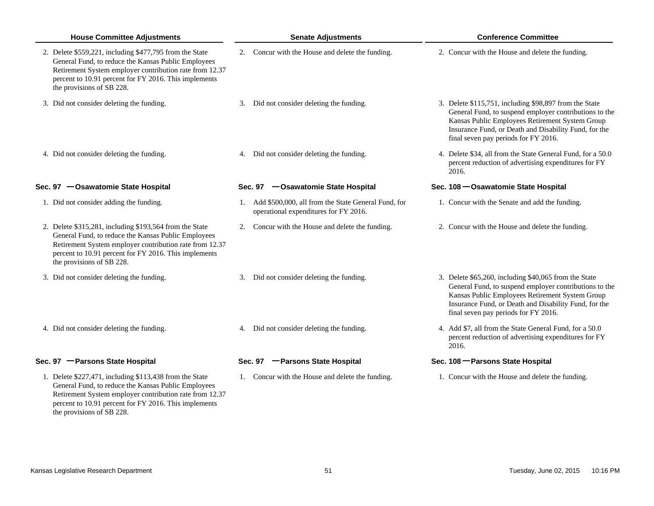| <b>House Committee Adjustments</b>                                                                                                                                                                                                                              | <b>Senate Adjustments</b>                                                                       | <b>Conference Committee</b>                                                                                                                                                                                                                                          |
|-----------------------------------------------------------------------------------------------------------------------------------------------------------------------------------------------------------------------------------------------------------------|-------------------------------------------------------------------------------------------------|----------------------------------------------------------------------------------------------------------------------------------------------------------------------------------------------------------------------------------------------------------------------|
| 2. Delete \$559,221, including \$477,795 from the State<br>General Fund, to reduce the Kansas Public Employees<br>Retirement System employer contribution rate from 12.37<br>percent to 10.91 percent for FY 2016. This implements<br>the provisions of SB 228. | 2. Concur with the House and delete the funding.                                                | 2. Concur with the House and delete the funding.                                                                                                                                                                                                                     |
| 3. Did not consider deleting the funding.                                                                                                                                                                                                                       | 3. Did not consider deleting the funding.                                                       | 3. Delete \$115,751, including \$98,897 from the State<br>General Fund, to suspend employer contributions to the<br>Kansas Public Employees Retirement System Group<br>Insurance Fund, or Death and Disability Fund, for the<br>final seven pay periods for FY 2016. |
| 4. Did not consider deleting the funding.                                                                                                                                                                                                                       | 4. Did not consider deleting the funding.                                                       | 4. Delete \$34, all from the State General Fund, for a 50.0<br>percent reduction of advertising expenditures for FY<br>2016.                                                                                                                                         |
| Sec. 97 - Osawatomie State Hospital                                                                                                                                                                                                                             | Sec. 97 - Osawatomie State Hospital                                                             | Sec. 108 - Osawatomie State Hospital                                                                                                                                                                                                                                 |
| 1. Did not consider adding the funding.                                                                                                                                                                                                                         | 1. Add \$500,000, all from the State General Fund, for<br>operational expenditures for FY 2016. | 1. Concur with the Senate and add the funding.                                                                                                                                                                                                                       |
| 2. Delete \$315,281, including \$193,564 from the State<br>General Fund, to reduce the Kansas Public Employees<br>Retirement System employer contribution rate from 12.37<br>percent to 10.91 percent for FY 2016. This implements<br>the provisions of SB 228. | 2. Concur with the House and delete the funding.                                                | 2. Concur with the House and delete the funding.                                                                                                                                                                                                                     |
| 3. Did not consider deleting the funding.                                                                                                                                                                                                                       | 3. Did not consider deleting the funding.                                                       | 3. Delete \$65,260, including \$40,065 from the State<br>General Fund, to suspend employer contributions to the<br>Kansas Public Employees Retirement System Group<br>Insurance Fund, or Death and Disability Fund, for the<br>final seven pay periods for FY 2016.  |
| 4. Did not consider deleting the funding.                                                                                                                                                                                                                       | 4. Did not consider deleting the funding.                                                       | 4. Add \$7, all from the State General Fund, for a 50.0<br>percent reduction of advertising expenditures for FY<br>2016.                                                                                                                                             |
| Sec. 97 - Parsons State Hospital                                                                                                                                                                                                                                | Sec. 97 - Parsons State Hospital                                                                | Sec. 108 - Parsons State Hospital                                                                                                                                                                                                                                    |
| 1. Delete \$227,471, including \$113,438 from the State<br>General Fund, to reduce the Kansas Public Employees<br>Retirement System employer contribution rate from 12.37<br>percent to 10.91 percent for FY 2016. This implements                              | 1. Concur with the House and delete the funding.                                                | 1. Concur with the House and delete the funding.                                                                                                                                                                                                                     |

the provisions of SB 228.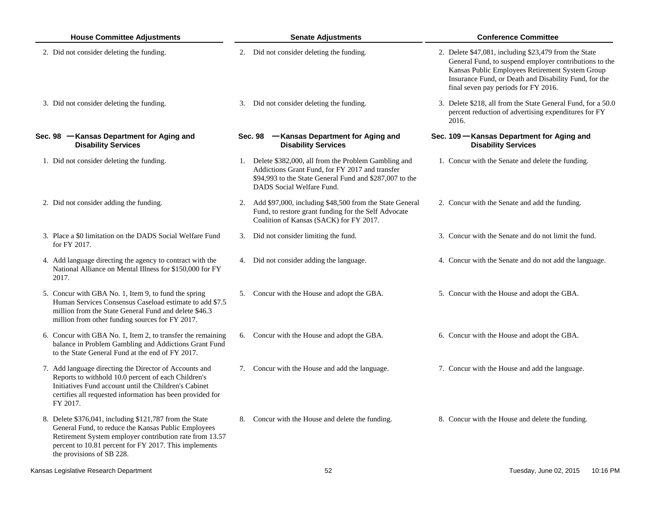| <b>House Committee Adjustments</b>                                                                                                                                                                                                                              | <b>Senate Adjustments</b>                                                                                                                                                                         | <b>Conference Committee</b>                                                                                                                                                                                                                                         |  |  |
|-----------------------------------------------------------------------------------------------------------------------------------------------------------------------------------------------------------------------------------------------------------------|---------------------------------------------------------------------------------------------------------------------------------------------------------------------------------------------------|---------------------------------------------------------------------------------------------------------------------------------------------------------------------------------------------------------------------------------------------------------------------|--|--|
| 2. Did not consider deleting the funding.                                                                                                                                                                                                                       | 2. Did not consider deleting the funding.                                                                                                                                                         | 2. Delete \$47,081, including \$23,479 from the State<br>General Fund, to suspend employer contributions to the<br>Kansas Public Employees Retirement System Group<br>Insurance Fund, or Death and Disability Fund, for the<br>final seven pay periods for FY 2016. |  |  |
| 3. Did not consider deleting the funding.                                                                                                                                                                                                                       | Did not consider deleting the funding.<br>3.                                                                                                                                                      | 3. Delete \$218, all from the State General Fund, for a 50.0<br>percent reduction of advertising expenditures for FY<br>2016.                                                                                                                                       |  |  |
| Sec. 98 - Kansas Department for Aging and<br><b>Disability Services</b>                                                                                                                                                                                         | Sec. 98 - Kansas Department for Aging and<br><b>Disability Services</b>                                                                                                                           | Sec. 109 - Kansas Department for Aging and<br><b>Disability Services</b>                                                                                                                                                                                            |  |  |
| 1. Did not consider deleting the funding.                                                                                                                                                                                                                       | 1. Delete \$382,000, all from the Problem Gambling and<br>Addictions Grant Fund, for FY 2017 and transfer<br>\$94,993 to the State General Fund and \$287,007 to the<br>DADS Social Welfare Fund. | 1. Concur with the Senate and delete the funding.                                                                                                                                                                                                                   |  |  |
| 2. Did not consider adding the funding.                                                                                                                                                                                                                         | Add \$97,000, including \$48,500 from the State General<br>2.<br>Fund, to restore grant funding for the Self Advocate<br>Coalition of Kansas (SACK) for FY 2017.                                  | 2. Concur with the Senate and add the funding.                                                                                                                                                                                                                      |  |  |
| 3. Place a \$0 limitation on the DADS Social Welfare Fund<br>for FY 2017.                                                                                                                                                                                       | 3. Did not consider limiting the fund.                                                                                                                                                            | 3. Concur with the Senate and do not limit the fund.                                                                                                                                                                                                                |  |  |
| 4. Add language directing the agency to contract with the<br>National Alliance on Mental Illness for \$150,000 for FY<br>2017.                                                                                                                                  | 4. Did not consider adding the language.                                                                                                                                                          | 4. Concur with the Senate and do not add the language.                                                                                                                                                                                                              |  |  |
| 5. Concur with GBA No. 1, Item 9, to fund the spring<br>Human Services Consensus Caseload estimate to add \$7.5<br>million from the State General Fund and delete \$46.3<br>million from other funding sources for FY 2017.                                     | 5. Concur with the House and adopt the GBA.                                                                                                                                                       | 5. Concur with the House and adopt the GBA.                                                                                                                                                                                                                         |  |  |
| 6. Concur with GBA No. 1, Item 2, to transfer the remaining<br>balance in Problem Gambling and Addictions Grant Fund<br>to the State General Fund at the end of FY 2017.                                                                                        | 6. Concur with the House and adopt the GBA.                                                                                                                                                       | 6. Concur with the House and adopt the GBA.                                                                                                                                                                                                                         |  |  |
| 7. Add language directing the Director of Accounts and<br>Reports to withhold 10.0 percent of each Children's<br>Initiatives Fund account until the Children's Cabinet<br>certifies all requested information has been provided for<br>FY 2017.                 | 7. Concur with the House and add the language.                                                                                                                                                    | 7. Concur with the House and add the language.                                                                                                                                                                                                                      |  |  |
| 8. Delete \$376,041, including \$121,787 from the State<br>General Fund, to reduce the Kansas Public Employees<br>Retirement System employer contribution rate from 13.57<br>percent to 10.81 percent for FY 2017. This implements<br>the provisions of SB 228. | Concur with the House and delete the funding.<br>8.                                                                                                                                               | 8. Concur with the House and delete the funding.                                                                                                                                                                                                                    |  |  |
| Kansas Legislative Research Department                                                                                                                                                                                                                          | 52                                                                                                                                                                                                | Tuesday, June 02, 2015<br>10:16 PM                                                                                                                                                                                                                                  |  |  |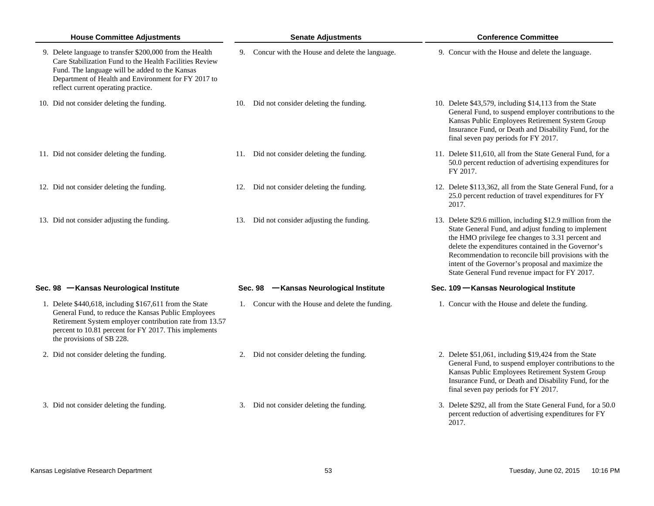| <b>House Committee Adjustments</b>                                                                                                                                                                                                                                  | <b>Senate Adjustments</b>                         | <b>Conference Committee</b>                                                                                                                                                                                                                                                                                                                                                                     |
|---------------------------------------------------------------------------------------------------------------------------------------------------------------------------------------------------------------------------------------------------------------------|---------------------------------------------------|-------------------------------------------------------------------------------------------------------------------------------------------------------------------------------------------------------------------------------------------------------------------------------------------------------------------------------------------------------------------------------------------------|
| 9. Delete language to transfer \$200,000 from the Health<br>Care Stabilization Fund to the Health Facilities Review<br>Fund. The language will be added to the Kansas<br>Department of Health and Environment for FY 2017 to<br>reflect current operating practice. | 9. Concur with the House and delete the language. | 9. Concur with the House and delete the language.                                                                                                                                                                                                                                                                                                                                               |
| 10. Did not consider deleting the funding.                                                                                                                                                                                                                          | 10. Did not consider deleting the funding.        | 10. Delete \$43,579, including \$14,113 from the State<br>General Fund, to suspend employer contributions to the<br>Kansas Public Employees Retirement System Group<br>Insurance Fund, or Death and Disability Fund, for the<br>final seven pay periods for FY 2017.                                                                                                                            |
| 11. Did not consider deleting the funding.                                                                                                                                                                                                                          | 11. Did not consider deleting the funding.        | 11. Delete \$11,610, all from the State General Fund, for a<br>50.0 percent reduction of advertising expenditures for<br>FY 2017.                                                                                                                                                                                                                                                               |
| 12. Did not consider deleting the funding.                                                                                                                                                                                                                          | 12. Did not consider deleting the funding.        | 12. Delete \$113,362, all from the State General Fund, for a<br>25.0 percent reduction of travel expenditures for FY<br>2017.                                                                                                                                                                                                                                                                   |
| 13. Did not consider adjusting the funding.                                                                                                                                                                                                                         | 13. Did not consider adjusting the funding.       | 13. Delete \$29.6 million, including \$12.9 million from the<br>State General Fund, and adjust funding to implement<br>the HMO privilege fee changes to 3.31 percent and<br>delete the expenditures contained in the Governor's<br>Recommendation to reconcile bill provisions with the<br>intent of the Governor's proposal and maximize the<br>State General Fund revenue impact for FY 2017. |
| Sec. 98 - Kansas Neurological Institute                                                                                                                                                                                                                             | Sec. 98 - Kansas Neurological Institute           | Sec. 109 - Kansas Neurological Institute                                                                                                                                                                                                                                                                                                                                                        |
| 1. Delete \$440,618, including \$167,611 from the State<br>General Fund, to reduce the Kansas Public Employees<br>Retirement System employer contribution rate from 13.57<br>percent to 10.81 percent for FY 2017. This implements<br>the provisions of SB 228.     | 1. Concur with the House and delete the funding.  | 1. Concur with the House and delete the funding.                                                                                                                                                                                                                                                                                                                                                |
| 2. Did not consider deleting the funding.                                                                                                                                                                                                                           | 2. Did not consider deleting the funding.         | 2. Delete \$51,061, including \$19,424 from the State<br>General Fund, to suspend employer contributions to the<br>Kansas Public Employees Retirement System Group<br>Insurance Fund, or Death and Disability Fund, for the<br>final seven pay periods for FY 2017.                                                                                                                             |
| 3. Did not consider deleting the funding.                                                                                                                                                                                                                           | 3. Did not consider deleting the funding.         | 3. Delete \$292, all from the State General Fund, for a 50.0<br>percent reduction of advertising expenditures for FY<br>2017.                                                                                                                                                                                                                                                                   |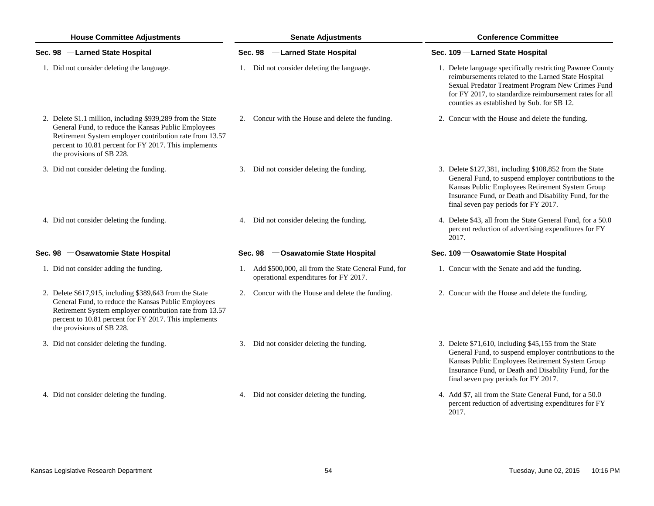| <b>House Committee Adjustments</b> |                                                                                                                                                                                                                                                                     | <b>Senate Adjustments</b> |                                                                                                 | <b>Conference Committee</b> |                                                                                                                                                                                                                                                                                |  |
|------------------------------------|---------------------------------------------------------------------------------------------------------------------------------------------------------------------------------------------------------------------------------------------------------------------|---------------------------|-------------------------------------------------------------------------------------------------|-----------------------------|--------------------------------------------------------------------------------------------------------------------------------------------------------------------------------------------------------------------------------------------------------------------------------|--|
|                                    | Sec. 98 -Larned State Hospital                                                                                                                                                                                                                                      |                           | Sec. 98 -Larned State Hospital                                                                  |                             | Sec. 109 - Larned State Hospital                                                                                                                                                                                                                                               |  |
|                                    | 1. Did not consider deleting the language.                                                                                                                                                                                                                          |                           | 1. Did not consider deleting the language.                                                      |                             | 1. Delete language specifically restricting Pawnee County<br>reimbursements related to the Larned State Hospital<br>Sexual Predator Treatment Program New Crimes Fund<br>for FY 2017, to standardize reimbursement rates for all<br>counties as established by Sub. for SB 12. |  |
|                                    | 2. Delete \$1.1 million, including \$939,289 from the State<br>General Fund, to reduce the Kansas Public Employees<br>Retirement System employer contribution rate from 13.57<br>percent to 10.81 percent for FY 2017. This implements<br>the provisions of SB 228. |                           | 2. Concur with the House and delete the funding.                                                |                             | 2. Concur with the House and delete the funding.                                                                                                                                                                                                                               |  |
|                                    | 3. Did not consider deleting the funding.                                                                                                                                                                                                                           |                           | 3. Did not consider deleting the funding.                                                       |                             | 3. Delete \$127,381, including \$108,852 from the State<br>General Fund, to suspend employer contributions to the<br>Kansas Public Employees Retirement System Group<br>Insurance Fund, or Death and Disability Fund, for the<br>final seven pay periods for FY 2017.          |  |
|                                    | 4. Did not consider deleting the funding.                                                                                                                                                                                                                           |                           | 4. Did not consider deleting the funding.                                                       |                             | 4. Delete \$43, all from the State General Fund, for a 50.0<br>percent reduction of advertising expenditures for FY<br>2017.                                                                                                                                                   |  |
|                                    | Sec. 98 - Osawatomie State Hospital                                                                                                                                                                                                                                 |                           | Sec. 98 - Osawatomie State Hospital                                                             |                             | Sec. 109 - Osawatomie State Hospital                                                                                                                                                                                                                                           |  |
|                                    | 1. Did not consider adding the funding.                                                                                                                                                                                                                             |                           | 1. Add \$500,000, all from the State General Fund, for<br>operational expenditures for FY 2017. |                             | 1. Concur with the Senate and add the funding.                                                                                                                                                                                                                                 |  |
|                                    | 2. Delete \$617,915, including \$389,643 from the State<br>General Fund, to reduce the Kansas Public Employees<br>Retirement System employer contribution rate from 13.57<br>percent to 10.81 percent for FY 2017. This implements<br>the provisions of SB 228.     | 2.                        | Concur with the House and delete the funding.                                                   |                             | 2. Concur with the House and delete the funding.                                                                                                                                                                                                                               |  |
|                                    | 3. Did not consider deleting the funding.                                                                                                                                                                                                                           |                           | 3. Did not consider deleting the funding.                                                       |                             | 3. Delete \$71,610, including \$45,155 from the State<br>General Fund, to suspend employer contributions to the<br>Kansas Public Employees Retirement System Group<br>Insurance Fund, or Death and Disability Fund, for the<br>final seven pay periods for FY 2017.            |  |
|                                    | 4. Did not consider deleting the funding.                                                                                                                                                                                                                           |                           | 4. Did not consider deleting the funding.                                                       |                             | 4. Add \$7, all from the State General Fund, for a 50.0<br>percent reduction of advertising expenditures for FY                                                                                                                                                                |  |

2017.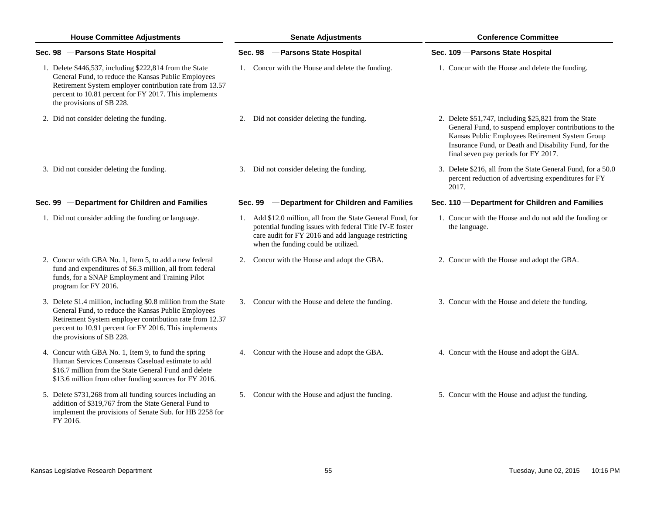| <b>House Committee Adjustments</b> |                                                                                                                                                                                                                                                                         | <b>Senate Adjustments</b> |                                                                                                                                                                                                                      |  | <b>Conference Committee</b>                                                                                                                                                                                                                                         |  |  |
|------------------------------------|-------------------------------------------------------------------------------------------------------------------------------------------------------------------------------------------------------------------------------------------------------------------------|---------------------------|----------------------------------------------------------------------------------------------------------------------------------------------------------------------------------------------------------------------|--|---------------------------------------------------------------------------------------------------------------------------------------------------------------------------------------------------------------------------------------------------------------------|--|--|
|                                    | Sec. 98 - Parsons State Hospital                                                                                                                                                                                                                                        |                           | Sec. 98 - Parsons State Hospital                                                                                                                                                                                     |  | Sec. 109 - Parsons State Hospital                                                                                                                                                                                                                                   |  |  |
|                                    | 1. Delete \$446,537, including \$222,814 from the State<br>General Fund, to reduce the Kansas Public Employees<br>Retirement System employer contribution rate from 13.57<br>percent to 10.81 percent for FY 2017. This implements<br>the provisions of SB 228.         |                           | 1. Concur with the House and delete the funding.                                                                                                                                                                     |  | 1. Concur with the House and delete the funding.                                                                                                                                                                                                                    |  |  |
|                                    | 2. Did not consider deleting the funding.                                                                                                                                                                                                                               |                           | 2. Did not consider deleting the funding.                                                                                                                                                                            |  | 2. Delete \$51,747, including \$25,821 from the State<br>General Fund, to suspend employer contributions to the<br>Kansas Public Employees Retirement System Group<br>Insurance Fund, or Death and Disability Fund, for the<br>final seven pay periods for FY 2017. |  |  |
|                                    | 3. Did not consider deleting the funding.                                                                                                                                                                                                                               |                           | 3. Did not consider deleting the funding.                                                                                                                                                                            |  | 3. Delete \$216, all from the State General Fund, for a 50.0<br>percent reduction of advertising expenditures for FY<br>2017.                                                                                                                                       |  |  |
|                                    | Sec. 99 - Department for Children and Families                                                                                                                                                                                                                          |                           | Sec. 99 - Department for Children and Families                                                                                                                                                                       |  | Sec. 110 - Department for Children and Families                                                                                                                                                                                                                     |  |  |
|                                    | 1. Did not consider adding the funding or language.                                                                                                                                                                                                                     |                           | 1. Add \$12.0 million, all from the State General Fund, for<br>potential funding issues with federal Title IV-E foster<br>care audit for FY 2016 and add language restricting<br>when the funding could be utilized. |  | 1. Concur with the House and do not add the funding or<br>the language.                                                                                                                                                                                             |  |  |
|                                    | 2. Concur with GBA No. 1, Item 5, to add a new federal<br>fund and expenditures of \$6.3 million, all from federal<br>funds, for a SNAP Employment and Training Pilot<br>program for FY 2016.                                                                           |                           | 2. Concur with the House and adopt the GBA.                                                                                                                                                                          |  | 2. Concur with the House and adopt the GBA.                                                                                                                                                                                                                         |  |  |
|                                    | 3. Delete \$1.4 million, including \$0.8 million from the State<br>General Fund, to reduce the Kansas Public Employees<br>Retirement System employer contribution rate from 12.37<br>percent to 10.91 percent for FY 2016. This implements<br>the provisions of SB 228. |                           | 3. Concur with the House and delete the funding.                                                                                                                                                                     |  | 3. Concur with the House and delete the funding.                                                                                                                                                                                                                    |  |  |
|                                    | 4. Concur with GBA No. 1, Item 9, to fund the spring<br>Human Services Consensus Caseload estimate to add<br>\$16.7 million from the State General Fund and delete<br>\$13.6 million from other funding sources for FY 2016.                                            |                           | 4. Concur with the House and adopt the GBA.                                                                                                                                                                          |  | 4. Concur with the House and adopt the GBA.                                                                                                                                                                                                                         |  |  |
|                                    | 5. Delete \$731,268 from all funding sources including an<br>addition of \$319,767 from the State General Fund to<br>implement the provisions of Senate Sub. for HB 2258 for<br>FY 2016.                                                                                |                           | 5. Concur with the House and adjust the funding.                                                                                                                                                                     |  | 5. Concur with the House and adjust the funding.                                                                                                                                                                                                                    |  |  |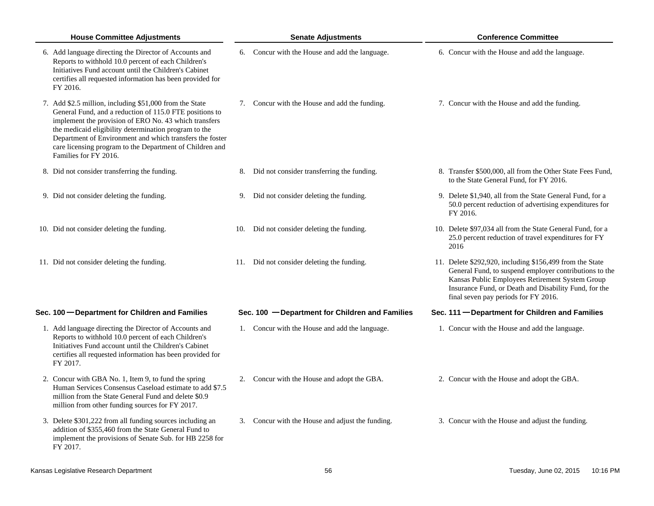| <b>House Committee Adjustments</b>                                                                                                                                                                                                                                                                                                                                                    | <b>Senate Adjustments</b>                        | <b>Conference Committee</b>                                                                                                                                                                                                                                            |
|---------------------------------------------------------------------------------------------------------------------------------------------------------------------------------------------------------------------------------------------------------------------------------------------------------------------------------------------------------------------------------------|--------------------------------------------------|------------------------------------------------------------------------------------------------------------------------------------------------------------------------------------------------------------------------------------------------------------------------|
| 6. Add language directing the Director of Accounts and<br>Reports to withhold 10.0 percent of each Children's<br>Initiatives Fund account until the Children's Cabinet<br>certifies all requested information has been provided for<br>FY 2016.                                                                                                                                       | 6. Concur with the House and add the language.   | 6. Concur with the House and add the language.                                                                                                                                                                                                                         |
| 7. Add \$2.5 million, including \$51,000 from the State<br>General Fund, and a reduction of 115.0 FTE positions to<br>implement the provision of ERO No. 43 which transfers<br>the medicaid eligibility determination program to the<br>Department of Environment and which transfers the foster<br>care licensing program to the Department of Children and<br>Families for FY 2016. | 7. Concur with the House and add the funding.    | 7. Concur with the House and add the funding.                                                                                                                                                                                                                          |
| 8. Did not consider transferring the funding.                                                                                                                                                                                                                                                                                                                                         | 8. Did not consider transferring the funding.    | 8. Transfer \$500,000, all from the Other State Fees Fund,<br>to the State General Fund, for FY 2016.                                                                                                                                                                  |
| 9. Did not consider deleting the funding.                                                                                                                                                                                                                                                                                                                                             | 9. Did not consider deleting the funding.        | 9. Delete \$1,940, all from the State General Fund, for a<br>50.0 percent reduction of advertising expenditures for<br>FY 2016.                                                                                                                                        |
| 10. Did not consider deleting the funding.                                                                                                                                                                                                                                                                                                                                            | Did not consider deleting the funding.<br>10.    | 10. Delete \$97,034 all from the State General Fund, for a<br>25.0 percent reduction of travel expenditures for FY<br>2016                                                                                                                                             |
| 11. Did not consider deleting the funding.                                                                                                                                                                                                                                                                                                                                            | 11. Did not consider deleting the funding.       | 11. Delete \$292,920, including \$156,499 from the State<br>General Fund, to suspend employer contributions to the<br>Kansas Public Employees Retirement System Group<br>Insurance Fund, or Death and Disability Fund, for the<br>final seven pay periods for FY 2016. |
| Sec. 100 - Department for Children and Families                                                                                                                                                                                                                                                                                                                                       | Sec. 100 - Department for Children and Families  | Sec. 111 - Department for Children and Families                                                                                                                                                                                                                        |
| 1. Add language directing the Director of Accounts and<br>Reports to withhold 10.0 percent of each Children's<br>Initiatives Fund account until the Children's Cabinet<br>certifies all requested information has been provided for<br>FY 2017.                                                                                                                                       | 1. Concur with the House and add the language.   | 1. Concur with the House and add the language.                                                                                                                                                                                                                         |
| 2. Concur with GBA No. 1, Item 9, to fund the spring<br>Human Services Consensus Caseload estimate to add \$7.5<br>million from the State General Fund and delete \$0.9<br>million from other funding sources for FY 2017.                                                                                                                                                            | Concur with the House and adopt the GBA.<br>2.   | 2. Concur with the House and adopt the GBA.                                                                                                                                                                                                                            |
| 3. Delete \$301,222 from all funding sources including an<br>addition of \$355,460 from the State General Fund to<br>implement the provisions of Senate Sub. for HB 2258 for<br>FY 2017.                                                                                                                                                                                              | 3. Concur with the House and adjust the funding. | 3. Concur with the House and adjust the funding.                                                                                                                                                                                                                       |
| Kansas Legislative Research Department                                                                                                                                                                                                                                                                                                                                                | 56                                               | Tuesday, June 02, 2015<br>10:16 PM                                                                                                                                                                                                                                     |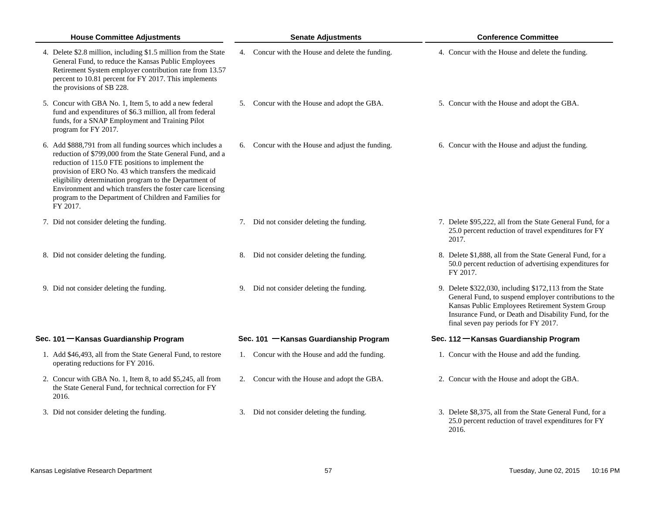| <b>House Committee Adjustments</b>                                                                                                                                                                                                                                                                                                                                                                                                | <b>Senate Adjustments</b>                        | <b>Conference Committee</b>                                                                                                                                                                                                                                           |
|-----------------------------------------------------------------------------------------------------------------------------------------------------------------------------------------------------------------------------------------------------------------------------------------------------------------------------------------------------------------------------------------------------------------------------------|--------------------------------------------------|-----------------------------------------------------------------------------------------------------------------------------------------------------------------------------------------------------------------------------------------------------------------------|
| 4. Delete \$2.8 million, including \$1.5 million from the State<br>General Fund, to reduce the Kansas Public Employees<br>Retirement System employer contribution rate from 13.57<br>percent to 10.81 percent for FY 2017. This implements<br>the provisions of SB 228.                                                                                                                                                           | 4. Concur with the House and delete the funding. | 4. Concur with the House and delete the funding.                                                                                                                                                                                                                      |
| 5. Concur with GBA No. 1, Item 5, to add a new federal<br>fund and expenditures of \$6.3 million, all from federal<br>funds, for a SNAP Employment and Training Pilot<br>program for FY 2017.                                                                                                                                                                                                                                     | 5. Concur with the House and adopt the GBA.      | 5. Concur with the House and adopt the GBA.                                                                                                                                                                                                                           |
| 6. Add \$888,791 from all funding sources which includes a<br>reduction of \$799,000 from the State General Fund, and a<br>reduction of 115.0 FTE positions to implement the<br>provision of ERO No. 43 which transfers the medicaid<br>eligibility determination program to the Department of<br>Environment and which transfers the foster care licensing<br>program to the Department of Children and Families for<br>FY 2017. | 6. Concur with the House and adjust the funding. | 6. Concur with the House and adjust the funding.                                                                                                                                                                                                                      |
| 7. Did not consider deleting the funding.                                                                                                                                                                                                                                                                                                                                                                                         | 7. Did not consider deleting the funding.        | 7. Delete \$95,222, all from the State General Fund, for a<br>25.0 percent reduction of travel expenditures for FY<br>2017.                                                                                                                                           |
| 8. Did not consider deleting the funding.                                                                                                                                                                                                                                                                                                                                                                                         | 8. Did not consider deleting the funding.        | 8. Delete \$1,888, all from the State General Fund, for a<br>50.0 percent reduction of advertising expenditures for<br>FY 2017.                                                                                                                                       |
| 9. Did not consider deleting the funding.                                                                                                                                                                                                                                                                                                                                                                                         | 9. Did not consider deleting the funding.        | 9. Delete \$322,030, including \$172,113 from the State<br>General Fund, to suspend employer contributions to the<br>Kansas Public Employees Retirement System Group<br>Insurance Fund, or Death and Disability Fund, for the<br>final seven pay periods for FY 2017. |
| Sec. 101 - Kansas Guardianship Program                                                                                                                                                                                                                                                                                                                                                                                            | Sec. 101 - Kansas Guardianship Program           | Sec. 112 - Kansas Guardianship Program                                                                                                                                                                                                                                |
| 1. Add \$46,493, all from the State General Fund, to restore<br>operating reductions for FY 2016.                                                                                                                                                                                                                                                                                                                                 | 1. Concur with the House and add the funding.    | 1. Concur with the House and add the funding.                                                                                                                                                                                                                         |
| 2. Concur with GBA No. 1, Item 8, to add \$5,245, all from<br>the State General Fund, for technical correction for FY<br>2016.                                                                                                                                                                                                                                                                                                    | 2. Concur with the House and adopt the GBA.      | 2. Concur with the House and adopt the GBA.                                                                                                                                                                                                                           |
| 3. Did not consider deleting the funding.                                                                                                                                                                                                                                                                                                                                                                                         | 3. Did not consider deleting the funding.        | 3. Delete \$8,375, all from the State General Fund, for a<br>25.0 percent reduction of travel expenditures for FY<br>2016.                                                                                                                                            |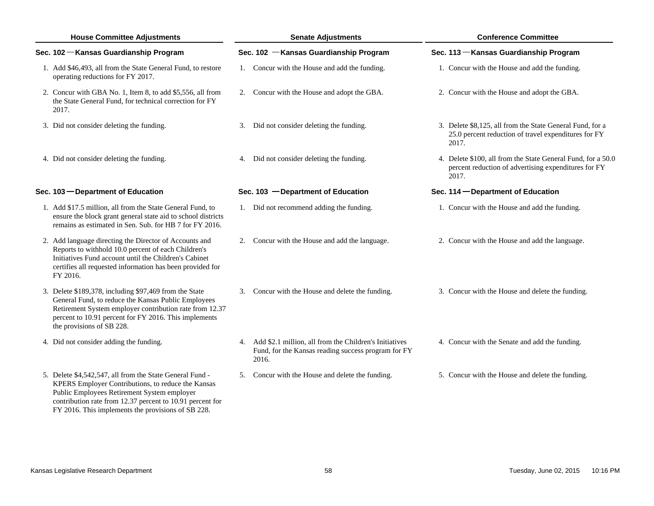| <b>House Committee Adjustments</b>                                                                                                                                                                                                                             | <b>Senate Adjustments</b>                                                                                                 | <b>Conference Committee</b>                                                                                                   |
|----------------------------------------------------------------------------------------------------------------------------------------------------------------------------------------------------------------------------------------------------------------|---------------------------------------------------------------------------------------------------------------------------|-------------------------------------------------------------------------------------------------------------------------------|
| Sec. 102 - Kansas Guardianship Program                                                                                                                                                                                                                         | Sec. 102 - Kansas Guardianship Program                                                                                    | Sec. 113 - Kansas Guardianship Program                                                                                        |
| 1. Add \$46,493, all from the State General Fund, to restore<br>operating reductions for FY 2017.                                                                                                                                                              | 1. Concur with the House and add the funding.                                                                             | 1. Concur with the House and add the funding.                                                                                 |
| 2. Concur with GBA No. 1, Item 8, to add \$5,556, all from<br>the State General Fund, for technical correction for FY<br>2017.                                                                                                                                 | 2. Concur with the House and adopt the GBA.                                                                               | 2. Concur with the House and adopt the GBA.                                                                                   |
| 3. Did not consider deleting the funding.                                                                                                                                                                                                                      | 3. Did not consider deleting the funding.                                                                                 | 3. Delete \$8,125, all from the State General Fund, for a<br>25.0 percent reduction of travel expenditures for FY<br>2017.    |
| 4. Did not consider deleting the funding.                                                                                                                                                                                                                      | 4. Did not consider deleting the funding.                                                                                 | 4. Delete \$100, all from the State General Fund, for a 50.0<br>percent reduction of advertising expenditures for FY<br>2017. |
| Sec. 103 - Department of Education                                                                                                                                                                                                                             | Sec. 103 - Department of Education                                                                                        | Sec. 114 – Department of Education                                                                                            |
| 1. Add \$17.5 million, all from the State General Fund, to<br>ensure the block grant general state aid to school districts<br>remains as estimated in Sen. Sub. for HB 7 for FY 2016.                                                                          | 1. Did not recommend adding the funding.                                                                                  | 1. Concur with the House and add the funding.                                                                                 |
| 2. Add language directing the Director of Accounts and<br>Reports to withhold 10.0 percent of each Children's<br>Initiatives Fund account until the Children's Cabinet<br>certifies all requested information has been provided for<br>FY 2016.                | 2. Concur with the House and add the language.                                                                            | 2. Concur with the House and add the language.                                                                                |
| 3. Delete \$189,378, including \$97,469 from the State<br>General Fund, to reduce the Kansas Public Employees<br>Retirement System employer contribution rate from 12.37<br>percent to 10.91 percent for FY 2016. This implements<br>the provisions of SB 228. | 3. Concur with the House and delete the funding.                                                                          | 3. Concur with the House and delete the funding.                                                                              |
| 4. Did not consider adding the funding.                                                                                                                                                                                                                        | 4. Add \$2.1 million, all from the Children's Initiatives<br>Fund, for the Kansas reading success program for FY<br>2016. | 4. Concur with the Senate and add the funding.                                                                                |
| 5. Delete \$4,542,547, all from the State General Fund -<br>KPERS Employer Contributions, to reduce the Kansas<br>Public Employees Retirement System employer<br>contribution rate from 12.37 percent to 10.91 percent for                                     | 5. Concur with the House and delete the funding.                                                                          | 5. Concur with the House and delete the funding.                                                                              |

FY 2016. This implements the provisions of SB 228.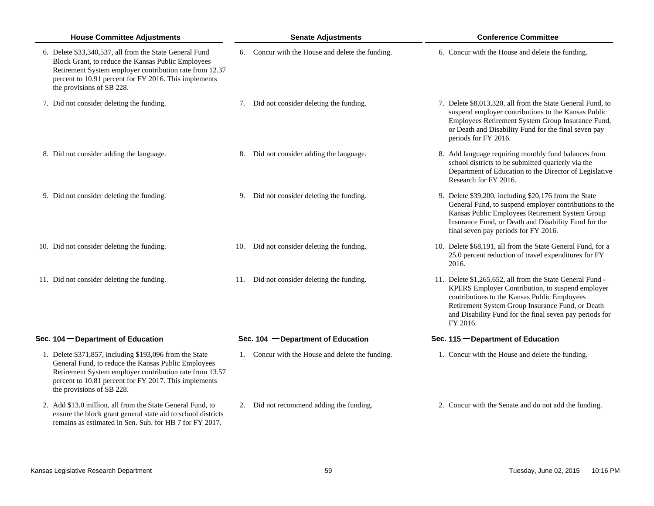| <b>House Committee Adjustments</b>                                                                                                                                                                                                                              | <b>Senate Adjustments</b>                        | <b>Conference Committee</b>                                                                                                                                                                                                                                                              |
|-----------------------------------------------------------------------------------------------------------------------------------------------------------------------------------------------------------------------------------------------------------------|--------------------------------------------------|------------------------------------------------------------------------------------------------------------------------------------------------------------------------------------------------------------------------------------------------------------------------------------------|
| 6. Delete \$33,340,537, all from the State General Fund<br>Block Grant, to reduce the Kansas Public Employees<br>Retirement System employer contribution rate from 12.37<br>percent to 10.91 percent for FY 2016. This implements<br>the provisions of SB 228.  | 6. Concur with the House and delete the funding. | 6. Concur with the House and delete the funding.                                                                                                                                                                                                                                         |
| 7. Did not consider deleting the funding.                                                                                                                                                                                                                       | 7. Did not consider deleting the funding.        | 7. Delete \$8,013,320, all from the State General Fund, to<br>suspend employer contributions to the Kansas Public<br>Employees Retirement System Group Insurance Fund,<br>or Death and Disability Fund for the final seven pay<br>periods for FY 2016.                                   |
| 8. Did not consider adding the language.                                                                                                                                                                                                                        | Did not consider adding the language.<br>8.      | 8. Add language requiring monthly fund balances from<br>school districts to be submitted quarterly via the<br>Department of Education to the Director of Legislative<br>Research for FY 2016.                                                                                            |
| 9. Did not consider deleting the funding.                                                                                                                                                                                                                       | 9. Did not consider deleting the funding.        | 9. Delete \$39,200, including \$20,176 from the State<br>General Fund, to suspend employer contributions to the<br>Kansas Public Employees Retirement System Group<br>Insurance Fund, or Death and Disability Fund for the<br>final seven pay periods for FY 2016.                       |
| 10. Did not consider deleting the funding.                                                                                                                                                                                                                      | 10. Did not consider deleting the funding.       | 10. Delete \$68,191, all from the State General Fund, for a<br>25.0 percent reduction of travel expenditures for FY<br>2016.                                                                                                                                                             |
| 11. Did not consider deleting the funding.                                                                                                                                                                                                                      | 11. Did not consider deleting the funding.       | 11. Delete \$1,265,652, all from the State General Fund -<br>KPERS Employer Contribution, to suspend employer<br>contributions to the Kansas Public Employees<br>Retirement System Group Insurance Fund, or Death<br>and Disability Fund for the final seven pay periods for<br>FY 2016. |
| Sec. 104 – Department of Education                                                                                                                                                                                                                              | Sec. 104 - Department of Education               | Sec. 115 - Department of Education                                                                                                                                                                                                                                                       |
| 1. Delete \$371,857, including \$193,096 from the State<br>General Fund, to reduce the Kansas Public Employees<br>Retirement System employer contribution rate from 13.57<br>percent to 10.81 percent for FY 2017. This implements<br>the provisions of SB 228. | 1. Concur with the House and delete the funding. | 1. Concur with the House and delete the funding.                                                                                                                                                                                                                                         |
| 2. Add \$13.0 million, all from the State General Fund, to<br>ensure the block grant general state aid to school districts<br>remains as estimated in Sen. Sub. for HB 7 for FY 2017.                                                                           | 2. Did not recommend adding the funding.         | 2. Concur with the Senate and do not add the funding.                                                                                                                                                                                                                                    |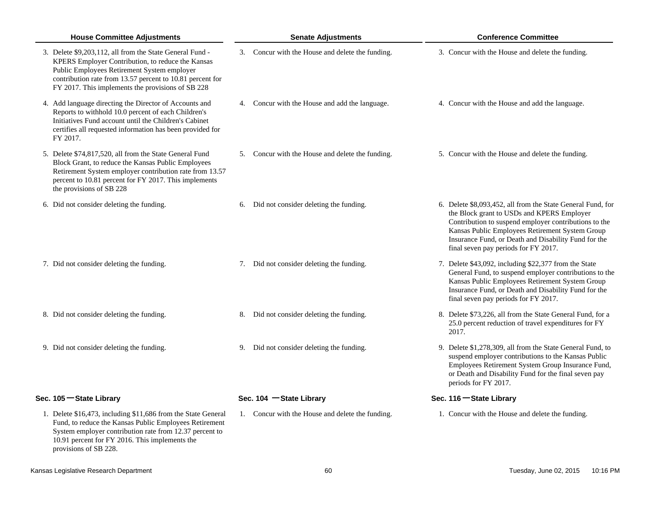| <b>House Committee Adjustments</b>                                                                                                                                                                                                                                             | <b>Senate Adjustments</b>                        | <b>Conference Committee</b>                                                                                                                                                                                                                                                                                           |
|--------------------------------------------------------------------------------------------------------------------------------------------------------------------------------------------------------------------------------------------------------------------------------|--------------------------------------------------|-----------------------------------------------------------------------------------------------------------------------------------------------------------------------------------------------------------------------------------------------------------------------------------------------------------------------|
| 3. Delete \$9,203,112, all from the State General Fund -<br>KPERS Employer Contribution, to reduce the Kansas<br>Public Employees Retirement System employer<br>contribution rate from 13.57 percent to 10.81 percent for<br>FY 2017. This implements the provisions of SB 228 | 3. Concur with the House and delete the funding. | 3. Concur with the House and delete the funding.                                                                                                                                                                                                                                                                      |
| 4. Add language directing the Director of Accounts and<br>Reports to withhold 10.0 percent of each Children's<br>Initiatives Fund account until the Children's Cabinet<br>certifies all requested information has been provided for<br>FY 2017.                                | 4. Concur with the House and add the language.   | 4. Concur with the House and add the language.                                                                                                                                                                                                                                                                        |
| 5. Delete \$74,817,520, all from the State General Fund<br>Block Grant, to reduce the Kansas Public Employees<br>Retirement System employer contribution rate from 13.57<br>percent to 10.81 percent for FY 2017. This implements<br>the provisions of SB 228                  | 5. Concur with the House and delete the funding. | 5. Concur with the House and delete the funding.                                                                                                                                                                                                                                                                      |
| 6. Did not consider deleting the funding.                                                                                                                                                                                                                                      | 6. Did not consider deleting the funding.        | 6. Delete \$8,093,452, all from the State General Fund, for<br>the Block grant to USDs and KPERS Employer<br>Contribution to suspend employer contributions to the<br>Kansas Public Employees Retirement System Group<br>Insurance Fund, or Death and Disability Fund for the<br>final seven pay periods for FY 2017. |
| 7. Did not consider deleting the funding.                                                                                                                                                                                                                                      | 7. Did not consider deleting the funding.        | 7. Delete \$43,092, including \$22,377 from the State<br>General Fund, to suspend employer contributions to the<br>Kansas Public Employees Retirement System Group<br>Insurance Fund, or Death and Disability Fund for the<br>final seven pay periods for FY 2017.                                                    |
| 8. Did not consider deleting the funding.                                                                                                                                                                                                                                      | 8. Did not consider deleting the funding.        | 8. Delete \$73,226, all from the State General Fund, for a<br>25.0 percent reduction of travel expenditures for FY<br>2017.                                                                                                                                                                                           |
| 9. Did not consider deleting the funding.                                                                                                                                                                                                                                      | 9. Did not consider deleting the funding.        | 9. Delete \$1,278,309, all from the State General Fund, to<br>suspend employer contributions to the Kansas Public<br>Employees Retirement System Group Insurance Fund,<br>or Death and Disability Fund for the final seven pay<br>periods for FY 2017.                                                                |
| Sec. 105 - State Library                                                                                                                                                                                                                                                       | Sec. $104$ -State Library                        | Sec. 116 - State Library                                                                                                                                                                                                                                                                                              |
| 1. Delete \$16,473, including \$11,686 from the State General<br>Fund, to reduce the Kansas Public Employees Retirement<br>System employer contribution rate from 12.37 percent to<br>10.91 percent for FY 2016. This implements the<br>provisions of SB 228.                  | 1. Concur with the House and delete the funding. | 1. Concur with the House and delete the funding.                                                                                                                                                                                                                                                                      |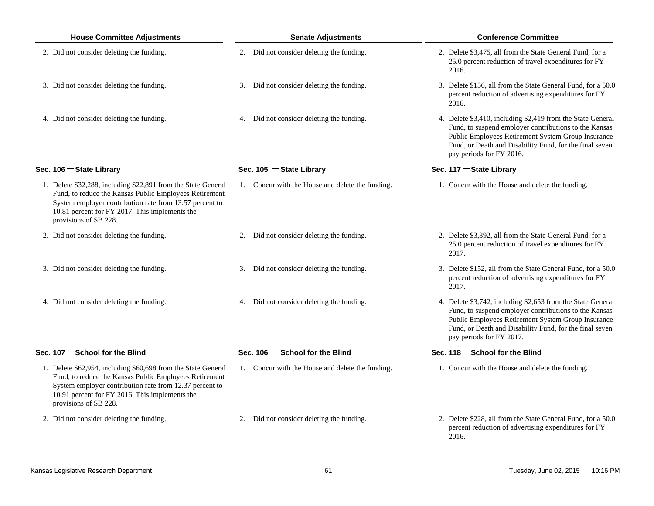| <b>House Committee Adjustments</b>                                                                                                                                                                                                                            | <b>Senate Adjustments</b>                        | <b>Conference Committee</b>                                                                                                                                                                                                                                       |
|---------------------------------------------------------------------------------------------------------------------------------------------------------------------------------------------------------------------------------------------------------------|--------------------------------------------------|-------------------------------------------------------------------------------------------------------------------------------------------------------------------------------------------------------------------------------------------------------------------|
| 2. Did not consider deleting the funding.                                                                                                                                                                                                                     | 2. Did not consider deleting the funding.        | 2. Delete \$3,475, all from the State General Fund, for a<br>25.0 percent reduction of travel expenditures for FY<br>2016.                                                                                                                                        |
| 3. Did not consider deleting the funding.                                                                                                                                                                                                                     | 3. Did not consider deleting the funding.        | 3. Delete \$156, all from the State General Fund, for a 50.0<br>percent reduction of advertising expenditures for FY<br>2016.                                                                                                                                     |
| 4. Did not consider deleting the funding.                                                                                                                                                                                                                     | 4. Did not consider deleting the funding.        | 4. Delete \$3,410, including \$2,419 from the State General<br>Fund, to suspend employer contributions to the Kansas<br>Public Employees Retirement System Group Insurance<br>Fund, or Death and Disability Fund, for the final seven<br>pay periods for FY 2016. |
| Sec. 106 - State Library                                                                                                                                                                                                                                      | Sec. 105 - State Library                         | Sec. 117 - State Library                                                                                                                                                                                                                                          |
| 1. Delete \$32,288, including \$22,891 from the State General<br>Fund, to reduce the Kansas Public Employees Retirement<br>System employer contribution rate from 13.57 percent to<br>10.81 percent for FY 2017. This implements the<br>provisions of SB 228. | 1. Concur with the House and delete the funding. | 1. Concur with the House and delete the funding.                                                                                                                                                                                                                  |
| 2. Did not consider deleting the funding.                                                                                                                                                                                                                     | 2. Did not consider deleting the funding.        | 2. Delete \$3,392, all from the State General Fund, for a<br>25.0 percent reduction of travel expenditures for FY<br>2017.                                                                                                                                        |
| 3. Did not consider deleting the funding.                                                                                                                                                                                                                     | 3. Did not consider deleting the funding.        | 3. Delete \$152, all from the State General Fund, for a 50.0<br>percent reduction of advertising expenditures for FY<br>2017.                                                                                                                                     |
| 4. Did not consider deleting the funding.                                                                                                                                                                                                                     | 4. Did not consider deleting the funding.        | 4. Delete \$3,742, including \$2,653 from the State General<br>Fund, to suspend employer contributions to the Kansas<br>Public Employees Retirement System Group Insurance<br>Fund, or Death and Disability Fund, for the final seven<br>pay periods for FY 2017. |
| Sec. 107 School for the Blind                                                                                                                                                                                                                                 | Sec. 106 - School for the Blind                  | Sec. $118 -$ School for the Blind                                                                                                                                                                                                                                 |
| 1. Delete \$62,954, including \$60,698 from the State General<br>Fund, to reduce the Kansas Public Employees Retirement<br>System employer contribution rate from 12.37 percent to<br>10.91 percent for FY 2016. This implements the<br>provisions of SB 228. | 1. Concur with the House and delete the funding. | 1. Concur with the House and delete the funding.                                                                                                                                                                                                                  |
| 2. Did not consider deleting the funding.                                                                                                                                                                                                                     | 2. Did not consider deleting the funding.        | 2. Delete \$228, all from the State General Fund, for a 50.0<br>percent reduction of advertising expenditures for FY                                                                                                                                              |

2016.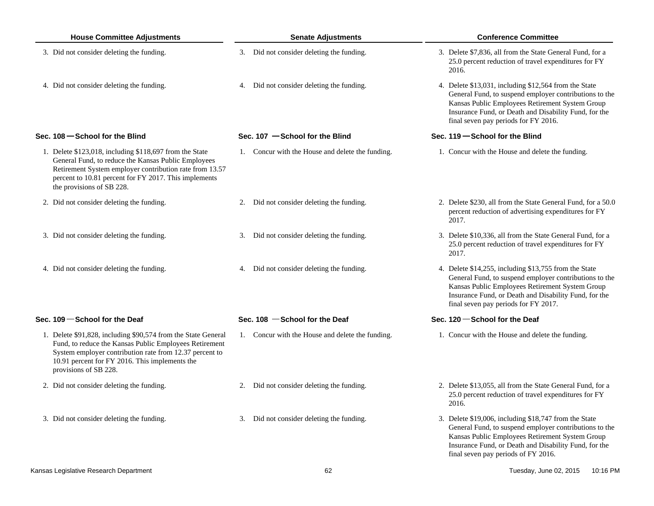| <b>House Committee Adjustments</b> |                                                                                                                                                                                                                                                                 | <b>Senate Adjustments</b> |                                                  |  | <b>Conference Committee</b>                                                                                                                                                                                                                                         |  |  |
|------------------------------------|-----------------------------------------------------------------------------------------------------------------------------------------------------------------------------------------------------------------------------------------------------------------|---------------------------|--------------------------------------------------|--|---------------------------------------------------------------------------------------------------------------------------------------------------------------------------------------------------------------------------------------------------------------------|--|--|
|                                    | 3. Did not consider deleting the funding.                                                                                                                                                                                                                       |                           | 3. Did not consider deleting the funding.        |  | 3. Delete \$7,836, all from the State General Fund, for a<br>25.0 percent reduction of travel expenditures for FY<br>2016.                                                                                                                                          |  |  |
|                                    | 4. Did not consider deleting the funding.                                                                                                                                                                                                                       |                           | 4. Did not consider deleting the funding.        |  | 4. Delete \$13,031, including \$12,564 from the State<br>General Fund, to suspend employer contributions to the<br>Kansas Public Employees Retirement System Group<br>Insurance Fund, or Death and Disability Fund, for the<br>final seven pay periods for FY 2016. |  |  |
|                                    | Sec. $108$ – School for the Blind                                                                                                                                                                                                                               |                           | Sec. $107 -$ School for the Blind                |  | Sec. $119 -$ School for the Blind                                                                                                                                                                                                                                   |  |  |
|                                    | 1. Delete \$123,018, including \$118,697 from the State<br>General Fund, to reduce the Kansas Public Employees<br>Retirement System employer contribution rate from 13.57<br>percent to 10.81 percent for FY 2017. This implements<br>the provisions of SB 228. |                           | 1. Concur with the House and delete the funding. |  | 1. Concur with the House and delete the funding.                                                                                                                                                                                                                    |  |  |
|                                    | 2. Did not consider deleting the funding.                                                                                                                                                                                                                       |                           | 2. Did not consider deleting the funding.        |  | 2. Delete \$230, all from the State General Fund, for a 50.0<br>percent reduction of advertising expenditures for FY<br>2017.                                                                                                                                       |  |  |
|                                    | 3. Did not consider deleting the funding.                                                                                                                                                                                                                       |                           | 3. Did not consider deleting the funding.        |  | 3. Delete \$10,336, all from the State General Fund, for a<br>25.0 percent reduction of travel expenditures for FY<br>2017.                                                                                                                                         |  |  |
|                                    | 4. Did not consider deleting the funding.                                                                                                                                                                                                                       |                           | 4. Did not consider deleting the funding.        |  | 4. Delete \$14,255, including \$13,755 from the State<br>General Fund, to suspend employer contributions to the<br>Kansas Public Employees Retirement System Group<br>Insurance Fund, or Death and Disability Fund, for the<br>final seven pay periods for FY 2017. |  |  |
|                                    | Sec. $109$ – School for the Deaf                                                                                                                                                                                                                                |                           | Sec. $108$ -School for the Deaf                  |  | Sec. 120 School for the Deaf                                                                                                                                                                                                                                        |  |  |
|                                    | 1. Delete \$91,828, including \$90,574 from the State General<br>Fund, to reduce the Kansas Public Employees Retirement<br>System employer contribution rate from 12.37 percent to<br>10.91 percent for FY 2016. This implements the<br>provisions of SB 228.   |                           | 1. Concur with the House and delete the funding. |  | 1. Concur with the House and delete the funding.                                                                                                                                                                                                                    |  |  |
|                                    | 2. Did not consider deleting the funding.                                                                                                                                                                                                                       |                           | 2. Did not consider deleting the funding.        |  | 2. Delete \$13,055, all from the State General Fund, for a<br>25.0 percent reduction of travel expenditures for FY<br>2016.                                                                                                                                         |  |  |
|                                    | 3. Did not consider deleting the funding.                                                                                                                                                                                                                       |                           | 3. Did not consider deleting the funding.        |  | 3. Delete \$19,006, including \$18,747 from the State<br>General Fund, to suspend employer contributions to the<br>Kansas Public Employees Retirement System Group<br>Insurance Fund, or Death and Disability Fund, for the<br>final seven pay periods of FY 2016.  |  |  |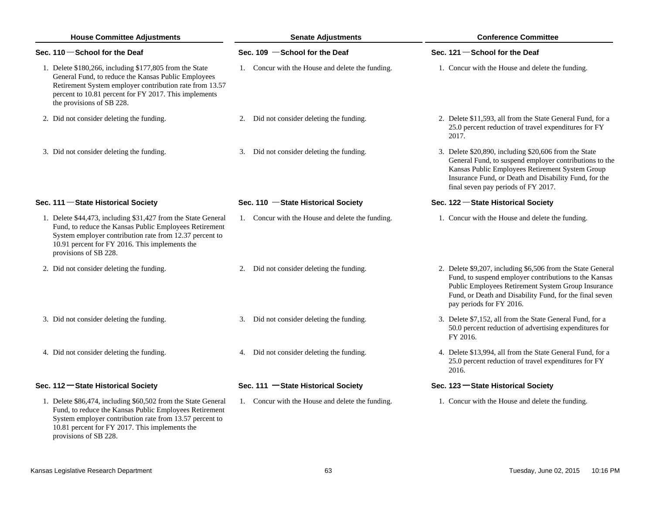| <b>House Committee Adjustments</b> |                                                                                                                                                                                                                                                                 | <b>Senate Adjustments</b>                        | <b>Conference Committee</b>                                                                                                                                                                                                                                        |  |  |
|------------------------------------|-----------------------------------------------------------------------------------------------------------------------------------------------------------------------------------------------------------------------------------------------------------------|--------------------------------------------------|--------------------------------------------------------------------------------------------------------------------------------------------------------------------------------------------------------------------------------------------------------------------|--|--|
|                                    | Sec. 110 $-$ School for the Deaf                                                                                                                                                                                                                                | Sec. 109 - School for the Deaf                   | Sec. 121 - School for the Deaf                                                                                                                                                                                                                                     |  |  |
|                                    | 1. Delete \$180,266, including \$177,805 from the State<br>General Fund, to reduce the Kansas Public Employees<br>Retirement System employer contribution rate from 13.57<br>percent to 10.81 percent for FY 2017. This implements<br>the provisions of SB 228. | 1. Concur with the House and delete the funding. | 1. Concur with the House and delete the funding.                                                                                                                                                                                                                   |  |  |
|                                    | 2. Did not consider deleting the funding.                                                                                                                                                                                                                       | 2. Did not consider deleting the funding.        | 2. Delete \$11,593, all from the State General Fund, for a<br>25.0 percent reduction of travel expenditures for FY<br>2017.                                                                                                                                        |  |  |
|                                    | 3. Did not consider deleting the funding.                                                                                                                                                                                                                       | 3. Did not consider deleting the funding.        | 3. Delete \$20,890, including \$20,606 from the State<br>General Fund, to suspend employer contributions to the<br>Kansas Public Employees Retirement System Group<br>Insurance Fund, or Death and Disability Fund, for the<br>final seven pay periods of FY 2017. |  |  |
|                                    | Sec. 111 - State Historical Society                                                                                                                                                                                                                             | Sec. 110 - State Historical Society              | Sec. 122 - State Historical Society                                                                                                                                                                                                                                |  |  |
|                                    | 1. Delete \$44,473, including \$31,427 from the State General<br>Fund, to reduce the Kansas Public Employees Retirement<br>System employer contribution rate from 12.37 percent to<br>10.91 percent for FY 2016. This implements the<br>provisions of SB 228.   | 1. Concur with the House and delete the funding. | 1. Concur with the House and delete the funding.                                                                                                                                                                                                                   |  |  |
|                                    | 2. Did not consider deleting the funding.                                                                                                                                                                                                                       | 2. Did not consider deleting the funding.        | 2. Delete \$9,207, including \$6,506 from the State General<br>Fund, to suspend employer contributions to the Kansas<br>Public Employees Retirement System Group Insurance<br>Fund, or Death and Disability Fund, for the final seven<br>pay periods for FY 2016.  |  |  |
|                                    | 3. Did not consider deleting the funding.                                                                                                                                                                                                                       | 3. Did not consider deleting the funding.        | 3. Delete \$7,152, all from the State General Fund, for a<br>50.0 percent reduction of advertising expenditures for<br>FY 2016.                                                                                                                                    |  |  |
|                                    | 4. Did not consider deleting the funding.                                                                                                                                                                                                                       | 4. Did not consider deleting the funding.        | 4. Delete \$13,994, all from the State General Fund, for a<br>25.0 percent reduction of travel expenditures for FY<br>2016.                                                                                                                                        |  |  |
|                                    | Sec. 112 - State Historical Society                                                                                                                                                                                                                             | Sec. 111 - State Historical Society              | Sec. 123 – State Historical Society                                                                                                                                                                                                                                |  |  |
|                                    | 1. Delete \$86,474, including \$60,502 from the State General<br>Fund, to reduce the Kansas Public Employees Retirement<br>System employer contribution rate from 13.57 percent to<br>10.81 percent for FY 2017. This implements the<br>provisions of SB 228.   | 1. Concur with the House and delete the funding. | 1. Concur with the House and delete the funding.                                                                                                                                                                                                                   |  |  |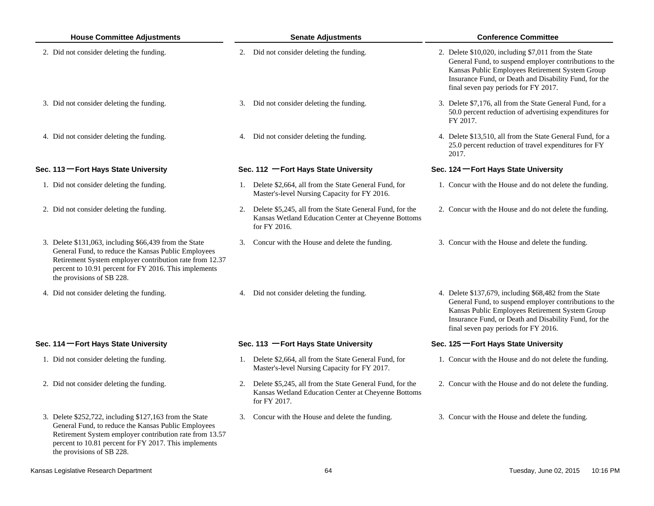| <b>House Committee Adjustments</b> |                                                                                                                                                                                                                                                                 | <b>Senate Adjustments</b> |                                                                                                                                    |  | <b>Conference Committee</b>                                                                                                                                                                                                                                          |  |  |
|------------------------------------|-----------------------------------------------------------------------------------------------------------------------------------------------------------------------------------------------------------------------------------------------------------------|---------------------------|------------------------------------------------------------------------------------------------------------------------------------|--|----------------------------------------------------------------------------------------------------------------------------------------------------------------------------------------------------------------------------------------------------------------------|--|--|
|                                    | 2. Did not consider deleting the funding.                                                                                                                                                                                                                       |                           | 2. Did not consider deleting the funding.                                                                                          |  | 2. Delete \$10,020, including \$7,011 from the State<br>General Fund, to suspend employer contributions to the<br>Kansas Public Employees Retirement System Group<br>Insurance Fund, or Death and Disability Fund, for the<br>final seven pay periods for FY 2017.   |  |  |
|                                    | 3. Did not consider deleting the funding.                                                                                                                                                                                                                       |                           | 3. Did not consider deleting the funding.                                                                                          |  | 3. Delete \$7,176, all from the State General Fund, for a<br>50.0 percent reduction of advertising expenditures for<br>FY 2017.                                                                                                                                      |  |  |
|                                    | 4. Did not consider deleting the funding.                                                                                                                                                                                                                       |                           | 4. Did not consider deleting the funding.                                                                                          |  | 4. Delete \$13,510, all from the State General Fund, for a<br>25.0 percent reduction of travel expenditures for FY<br>2017.                                                                                                                                          |  |  |
|                                    | Sec. 113 - Fort Hays State University                                                                                                                                                                                                                           |                           | Sec. 112 - Fort Hays State University                                                                                              |  | Sec. 124 – Fort Hays State University                                                                                                                                                                                                                                |  |  |
|                                    | 1. Did not consider deleting the funding.                                                                                                                                                                                                                       |                           | 1. Delete \$2,664, all from the State General Fund, for<br>Master's-level Nursing Capacity for FY 2016.                            |  | 1. Concur with the House and do not delete the funding.                                                                                                                                                                                                              |  |  |
|                                    | 2. Did not consider deleting the funding.                                                                                                                                                                                                                       |                           | 2. Delete \$5,245, all from the State General Fund, for the<br>Kansas Wetland Education Center at Cheyenne Bottoms<br>for FY 2016. |  | 2. Concur with the House and do not delete the funding.                                                                                                                                                                                                              |  |  |
|                                    | 3. Delete \$131,063, including \$66,439 from the State<br>General Fund, to reduce the Kansas Public Employees<br>Retirement System employer contribution rate from 12.37<br>percent to 10.91 percent for FY 2016. This implements<br>the provisions of SB 228.  |                           | 3. Concur with the House and delete the funding.                                                                                   |  | 3. Concur with the House and delete the funding.                                                                                                                                                                                                                     |  |  |
|                                    | 4. Did not consider deleting the funding.                                                                                                                                                                                                                       |                           | 4. Did not consider deleting the funding.                                                                                          |  | 4. Delete \$137,679, including \$68,482 from the State<br>General Fund, to suspend employer contributions to the<br>Kansas Public Employees Retirement System Group<br>Insurance Fund, or Death and Disability Fund, for the<br>final seven pay periods for FY 2016. |  |  |
|                                    | Sec. 114 - Fort Hays State University                                                                                                                                                                                                                           |                           | Sec. 113 - Fort Hays State University                                                                                              |  | Sec. 125 - Fort Hays State University                                                                                                                                                                                                                                |  |  |
|                                    | 1. Did not consider deleting the funding.                                                                                                                                                                                                                       |                           | 1. Delete \$2,664, all from the State General Fund, for<br>Master's-level Nursing Capacity for FY 2017.                            |  | 1. Concur with the House and do not delete the funding.                                                                                                                                                                                                              |  |  |
|                                    | 2. Did not consider deleting the funding.                                                                                                                                                                                                                       | 2.                        | Delete \$5,245, all from the State General Fund, for the<br>Kansas Wetland Education Center at Cheyenne Bottoms<br>for FY 2017.    |  | 2. Concur with the House and do not delete the funding.                                                                                                                                                                                                              |  |  |
|                                    | 3. Delete \$252,722, including \$127,163 from the State<br>General Fund, to reduce the Kansas Public Employees<br>Retirement System employer contribution rate from 13.57<br>percent to 10.81 percent for FY 2017. This implements<br>the provisions of SB 228. |                           | 3. Concur with the House and delete the funding.                                                                                   |  | 3. Concur with the House and delete the funding.                                                                                                                                                                                                                     |  |  |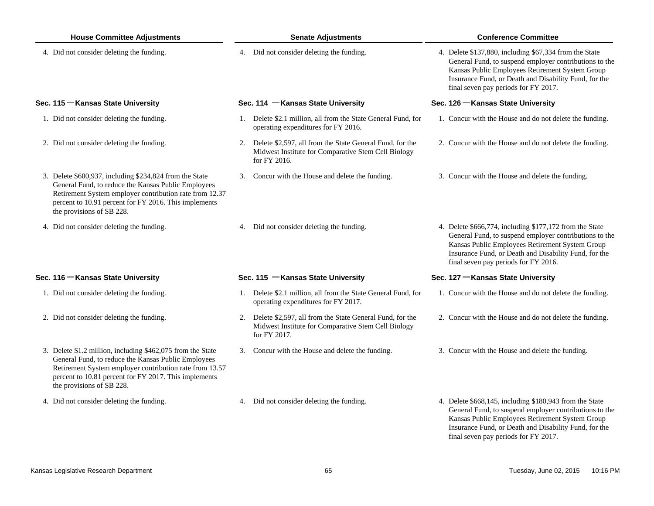| <b>House Committee Adjustments</b> |                                                                                                                                                                                                                                                                     | <b>Senate Adjustments</b> |                                                                                                                                    |  | <b>Conference Committee</b>                                                                                                                                                                                                                                           |  |  |
|------------------------------------|---------------------------------------------------------------------------------------------------------------------------------------------------------------------------------------------------------------------------------------------------------------------|---------------------------|------------------------------------------------------------------------------------------------------------------------------------|--|-----------------------------------------------------------------------------------------------------------------------------------------------------------------------------------------------------------------------------------------------------------------------|--|--|
|                                    | 4. Did not consider deleting the funding.                                                                                                                                                                                                                           |                           | 4. Did not consider deleting the funding.                                                                                          |  | 4. Delete \$137,880, including \$67,334 from the State<br>General Fund, to suspend employer contributions to the<br>Kansas Public Employees Retirement System Group<br>Insurance Fund, or Death and Disability Fund, for the<br>final seven pay periods for FY 2017.  |  |  |
|                                    | Sec. 115 - Kansas State University                                                                                                                                                                                                                                  |                           | Sec. 114 - Kansas State University                                                                                                 |  | Sec. 126 - Kansas State University                                                                                                                                                                                                                                    |  |  |
|                                    | 1. Did not consider deleting the funding.                                                                                                                                                                                                                           |                           | 1. Delete \$2.1 million, all from the State General Fund, for<br>operating expenditures for FY 2016.                               |  | 1. Concur with the House and do not delete the funding.                                                                                                                                                                                                               |  |  |
|                                    | 2. Did not consider deleting the funding.                                                                                                                                                                                                                           |                           | 2. Delete \$2,597, all from the State General Fund, for the<br>Midwest Institute for Comparative Stem Cell Biology<br>for FY 2016. |  | 2. Concur with the House and do not delete the funding.                                                                                                                                                                                                               |  |  |
|                                    | 3. Delete \$600,937, including \$234,824 from the State<br>General Fund, to reduce the Kansas Public Employees<br>Retirement System employer contribution rate from 12.37<br>percent to 10.91 percent for FY 2016. This implements<br>the provisions of SB 228.     | 3.                        | Concur with the House and delete the funding.                                                                                      |  | 3. Concur with the House and delete the funding.                                                                                                                                                                                                                      |  |  |
|                                    | 4. Did not consider deleting the funding.                                                                                                                                                                                                                           |                           | 4. Did not consider deleting the funding.                                                                                          |  | 4. Delete \$666,774, including \$177,172 from the State<br>General Fund, to suspend employer contributions to the<br>Kansas Public Employees Retirement System Group<br>Insurance Fund, or Death and Disability Fund, for the<br>final seven pay periods for FY 2016. |  |  |
|                                    | Sec. 116 – Kansas State University                                                                                                                                                                                                                                  |                           | Sec. 115 - Kansas State University                                                                                                 |  | Sec. 127 – Kansas State University                                                                                                                                                                                                                                    |  |  |
|                                    | 1. Did not consider deleting the funding.                                                                                                                                                                                                                           |                           | 1. Delete \$2.1 million, all from the State General Fund, for<br>operating expenditures for FY 2017.                               |  | 1. Concur with the House and do not delete the funding.                                                                                                                                                                                                               |  |  |
|                                    | 2. Did not consider deleting the funding.                                                                                                                                                                                                                           |                           | 2. Delete \$2,597, all from the State General Fund, for the<br>Midwest Institute for Comparative Stem Cell Biology<br>for FY 2017. |  | 2. Concur with the House and do not delete the funding.                                                                                                                                                                                                               |  |  |
|                                    | 3. Delete \$1.2 million, including \$462,075 from the State<br>General Fund, to reduce the Kansas Public Employees<br>Retirement System employer contribution rate from 13.57<br>percent to 10.81 percent for FY 2017. This implements<br>the provisions of SB 228. |                           | 3. Concur with the House and delete the funding.                                                                                   |  | 3. Concur with the House and delete the funding.                                                                                                                                                                                                                      |  |  |
|                                    | 4. Did not consider deleting the funding.                                                                                                                                                                                                                           |                           | 4. Did not consider deleting the funding.                                                                                          |  | 4. Delete \$668,145, including \$180,943 from the State<br>General Fund, to suspend employer contributions to the<br>Kansas Public Employees Retirement System Group<br>Insurance Fund, or Death and Disability Fund, for the<br>final seven pay periods for FY 2017. |  |  |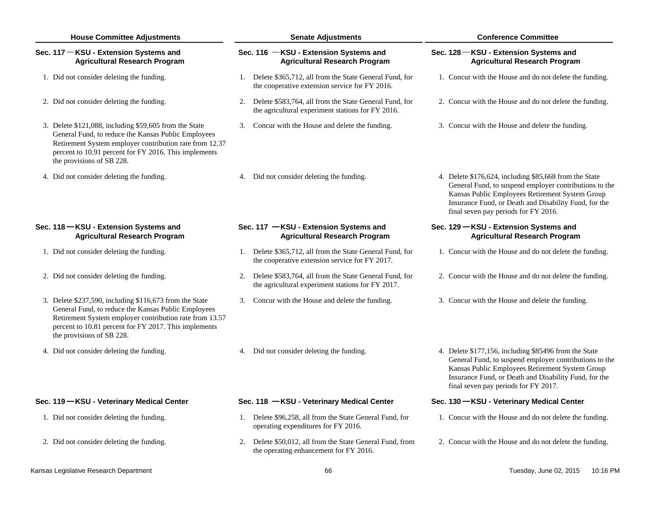| <b>House Committee Adjustments</b>                                                                                                                                                                                                                              | <b>Senate Adjustments</b>                                                                                         | <b>Conference Committee</b>                                                                                                                                                                                                                                          |  |  |
|-----------------------------------------------------------------------------------------------------------------------------------------------------------------------------------------------------------------------------------------------------------------|-------------------------------------------------------------------------------------------------------------------|----------------------------------------------------------------------------------------------------------------------------------------------------------------------------------------------------------------------------------------------------------------------|--|--|
| Sec. 117 - KSU - Extension Systems and<br><b>Agricultural Research Program</b>                                                                                                                                                                                  | Sec. 116 - KSU - Extension Systems and<br><b>Agricultural Research Program</b>                                    | Sec. 128 - KSU - Extension Systems and<br><b>Agricultural Research Program</b>                                                                                                                                                                                       |  |  |
| 1. Did not consider deleting the funding.                                                                                                                                                                                                                       | 1. Delete \$365,712, all from the State General Fund, for<br>the cooperative extension service for FY 2016.       | 1. Concur with the House and do not delete the funding.                                                                                                                                                                                                              |  |  |
| 2. Did not consider deleting the funding.                                                                                                                                                                                                                       | Delete \$583,764, all from the State General Fund, for<br>2.<br>the agricultural experiment stations for FY 2016. | 2. Concur with the House and do not delete the funding.                                                                                                                                                                                                              |  |  |
| 3. Delete \$121,088, including \$59,605 from the State<br>General Fund, to reduce the Kansas Public Employees<br>Retirement System employer contribution rate from 12.37<br>percent to 10.91 percent for FY 2016. This implements<br>the provisions of SB 228.  | 3. Concur with the House and delete the funding.                                                                  | 3. Concur with the House and delete the funding.                                                                                                                                                                                                                     |  |  |
| 4. Did not consider deleting the funding.                                                                                                                                                                                                                       | 4. Did not consider deleting the funding.                                                                         | 4. Delete \$176,624, including \$85,668 from the State<br>General Fund, to suspend employer contributions to the<br>Kansas Public Employees Retirement System Group<br>Insurance Fund, or Death and Disability Fund, for the<br>final seven pay periods for FY 2016. |  |  |
| Sec. 118 - KSU - Extension Systems and<br><b>Agricultural Research Program</b>                                                                                                                                                                                  | Sec. 117 - KSU - Extension Systems and<br><b>Agricultural Research Program</b>                                    | Sec. 129 - KSU - Extension Systems and<br><b>Agricultural Research Program</b>                                                                                                                                                                                       |  |  |
| 1. Did not consider deleting the funding.                                                                                                                                                                                                                       | 1. Delete \$365,712, all from the State General Fund, for<br>the cooperative extension service for FY 2017.       | 1. Concur with the House and do not delete the funding.                                                                                                                                                                                                              |  |  |
| 2. Did not consider deleting the funding.                                                                                                                                                                                                                       | Delete \$583,764, all from the State General Fund, for<br>2.<br>the agricultural experiment stations for FY 2017. | 2. Concur with the House and do not delete the funding.                                                                                                                                                                                                              |  |  |
| 3. Delete \$237,590, including \$116,673 from the State<br>General Fund, to reduce the Kansas Public Employees<br>Retirement System employer contribution rate from 13.57<br>percent to 10.81 percent for FY 2017. This implements<br>the provisions of SB 228. | Concur with the House and delete the funding.<br>3.                                                               | 3. Concur with the House and delete the funding.                                                                                                                                                                                                                     |  |  |
| 4. Did not consider deleting the funding.                                                                                                                                                                                                                       | 4. Did not consider deleting the funding.                                                                         | 4. Delete \$177,156, including \$85496 from the State<br>General Fund, to suspend employer contributions to the<br>Kansas Public Employees Retirement System Group<br>Insurance Fund, or Death and Disability Fund, for the<br>final seven pay periods for FY 2017.  |  |  |
| Sec. 119 - KSU - Veterinary Medical Center                                                                                                                                                                                                                      | Sec. 118 - KSU - Veterinary Medical Center                                                                        | Sec. 130 - KSU - Veterinary Medical Center                                                                                                                                                                                                                           |  |  |
| 1. Did not consider deleting the funding.                                                                                                                                                                                                                       | 1. Delete \$96,258, all from the State General Fund, for<br>operating expenditures for FY 2016.                   | 1. Concur with the House and do not delete the funding.                                                                                                                                                                                                              |  |  |
| 2. Did not consider deleting the funding.                                                                                                                                                                                                                       | Delete \$50,012, all from the State General Fund, from<br>2.<br>the operating enhancement for FY 2016.            | 2. Concur with the House and do not delete the funding.                                                                                                                                                                                                              |  |  |
| Kansas Legislative Research Department                                                                                                                                                                                                                          | 66                                                                                                                | Tuesday, June 02, 2015<br>10:16 PM                                                                                                                                                                                                                                   |  |  |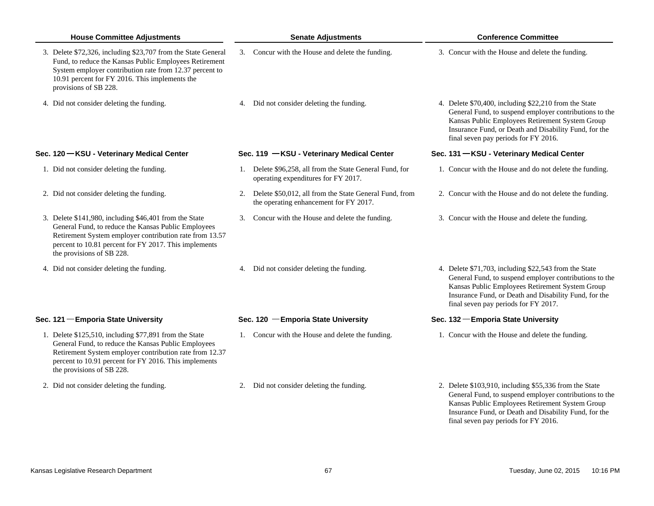| <b>House Committee Adjustments</b>                                                                                                                                                                                                                             |    | <b>Senate Adjustments</b>                                                                        | <b>Conference Committee</b>                                                                                                                                                                                                                                         |
|----------------------------------------------------------------------------------------------------------------------------------------------------------------------------------------------------------------------------------------------------------------|----|--------------------------------------------------------------------------------------------------|---------------------------------------------------------------------------------------------------------------------------------------------------------------------------------------------------------------------------------------------------------------------|
| 3. Delete \$72,326, including \$23,707 from the State General<br>Fund, to reduce the Kansas Public Employees Retirement<br>System employer contribution rate from 12.37 percent to<br>10.91 percent for FY 2016. This implements the<br>provisions of SB 228.  |    | 3. Concur with the House and delete the funding.                                                 | 3. Concur with the House and delete the funding.                                                                                                                                                                                                                    |
| 4. Did not consider deleting the funding.                                                                                                                                                                                                                      |    | 4. Did not consider deleting the funding.                                                        | 4. Delete \$70,400, including \$22,210 from the State<br>General Fund, to suspend employer contributions to the<br>Kansas Public Employees Retirement System Group<br>Insurance Fund, or Death and Disability Fund, for the<br>final seven pay periods for FY 2016. |
| Sec. 120 - KSU - Veterinary Medical Center                                                                                                                                                                                                                     |    | Sec. 119 - KSU - Veterinary Medical Center                                                       | Sec. 131 - KSU - Veterinary Medical Center                                                                                                                                                                                                                          |
| 1. Did not consider deleting the funding.                                                                                                                                                                                                                      |    | 1. Delete \$96,258, all from the State General Fund, for<br>operating expenditures for FY 2017.  | 1. Concur with the House and do not delete the funding.                                                                                                                                                                                                             |
| 2. Did not consider deleting the funding.                                                                                                                                                                                                                      | 2. | Delete \$50,012, all from the State General Fund, from<br>the operating enhancement for FY 2017. | 2. Concur with the House and do not delete the funding.                                                                                                                                                                                                             |
| 3. Delete \$141,980, including \$46,401 from the State<br>General Fund, to reduce the Kansas Public Employees<br>Retirement System employer contribution rate from 13.57<br>percent to 10.81 percent for FY 2017. This implements<br>the provisions of SB 228. |    | 3. Concur with the House and delete the funding.                                                 | 3. Concur with the House and delete the funding.                                                                                                                                                                                                                    |
| 4. Did not consider deleting the funding.                                                                                                                                                                                                                      |    | 4. Did not consider deleting the funding.                                                        | 4. Delete \$71,703, including \$22,543 from the State<br>General Fund, to suspend employer contributions to the<br>Kansas Public Employees Retirement System Group<br>Insurance Fund, or Death and Disability Fund, for the<br>final seven pay periods for FY 2017. |
| Sec. 121 - Emporia State University                                                                                                                                                                                                                            |    | Sec. 120 - Emporia State University                                                              | Sec. 132 – Emporia State University                                                                                                                                                                                                                                 |
| 1. Delete \$125,510, including \$77,891 from the State<br>General Fund, to reduce the Kansas Public Employees<br>Retirement System employer contribution rate from 12.37<br>percent to 10.91 percent for FY 2016. This implements<br>the provisions of SB 228. |    | 1. Concur with the House and delete the funding.                                                 | 1. Concur with the House and delete the funding.                                                                                                                                                                                                                    |
| 2. Did not consider deleting the funding.                                                                                                                                                                                                                      |    | 2. Did not consider deleting the funding.                                                        | 2. Delete \$103,910, including \$55,336 from the State<br>General Fund, to suspend employer contributions to the<br>Kansas Public Employees Retirement System Group<br>Insurance Fund, or Death and Disability Fund, for the                                        |

final seven pay periods for FY 2016.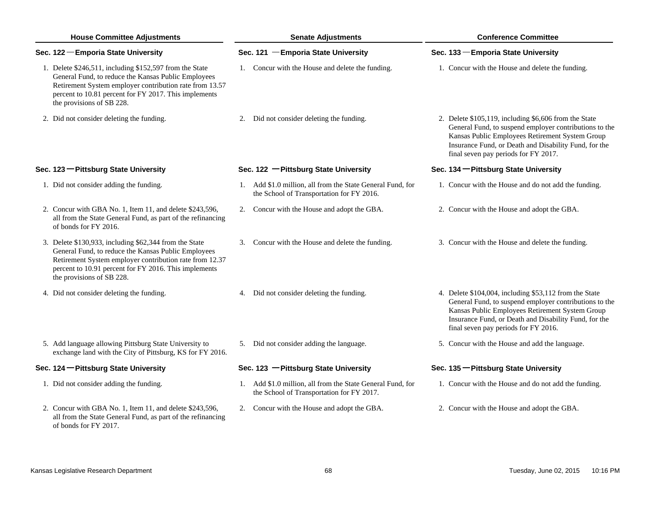| <b>House Committee Adjustments</b> |                                                                                                                                                                                                                                                                 | <b>Senate Adjustments</b> |                                                                                                         |                                     | <b>Conference Committee</b>                                                                                                                                                                                                                                          |  |  |
|------------------------------------|-----------------------------------------------------------------------------------------------------------------------------------------------------------------------------------------------------------------------------------------------------------------|---------------------------|---------------------------------------------------------------------------------------------------------|-------------------------------------|----------------------------------------------------------------------------------------------------------------------------------------------------------------------------------------------------------------------------------------------------------------------|--|--|
|                                    | Sec. 122 - Emporia State University                                                                                                                                                                                                                             |                           | Sec. 121 - Emporia State University                                                                     | Sec. 133 - Emporia State University |                                                                                                                                                                                                                                                                      |  |  |
|                                    | 1. Delete \$246,511, including \$152,597 from the State<br>General Fund, to reduce the Kansas Public Employees<br>Retirement System employer contribution rate from 13.57<br>percent to 10.81 percent for FY 2017. This implements<br>the provisions of SB 228. |                           | 1. Concur with the House and delete the funding.                                                        |                                     | 1. Concur with the House and delete the funding.                                                                                                                                                                                                                     |  |  |
|                                    | 2. Did not consider deleting the funding.                                                                                                                                                                                                                       |                           | 2. Did not consider deleting the funding.                                                               |                                     | 2. Delete \$105,119, including \$6,606 from the State<br>General Fund, to suspend employer contributions to the<br>Kansas Public Employees Retirement System Group<br>Insurance Fund, or Death and Disability Fund, for the<br>final seven pay periods for FY 2017.  |  |  |
|                                    | Sec. 123 - Pittsburg State University                                                                                                                                                                                                                           |                           | Sec. 122 - Pittsburg State University                                                                   |                                     | Sec. 134 - Pittsburg State University                                                                                                                                                                                                                                |  |  |
|                                    | 1. Did not consider adding the funding.                                                                                                                                                                                                                         |                           | 1. Add \$1.0 million, all from the State General Fund, for<br>the School of Transportation for FY 2016. |                                     | 1. Concur with the House and do not add the funding.                                                                                                                                                                                                                 |  |  |
|                                    | 2. Concur with GBA No. 1, Item 11, and delete \$243,596,<br>all from the State General Fund, as part of the refinancing<br>of bonds for FY 2016.                                                                                                                |                           | 2. Concur with the House and adopt the GBA.                                                             |                                     | 2. Concur with the House and adopt the GBA.                                                                                                                                                                                                                          |  |  |
|                                    | 3. Delete \$130,933, including \$62,344 from the State<br>General Fund, to reduce the Kansas Public Employees<br>Retirement System employer contribution rate from 12.37<br>percent to 10.91 percent for FY 2016. This implements<br>the provisions of SB 228.  |                           | 3. Concur with the House and delete the funding.                                                        |                                     | 3. Concur with the House and delete the funding.                                                                                                                                                                                                                     |  |  |
|                                    | 4. Did not consider deleting the funding.                                                                                                                                                                                                                       |                           | 4. Did not consider deleting the funding.                                                               |                                     | 4. Delete \$104,004, including \$53,112 from the State<br>General Fund, to suspend employer contributions to the<br>Kansas Public Employees Retirement System Group<br>Insurance Fund, or Death and Disability Fund, for the<br>final seven pay periods for FY 2016. |  |  |
|                                    | 5. Add language allowing Pittsburg State University to<br>exchange land with the City of Pittsburg, KS for FY 2016.                                                                                                                                             |                           | 5. Did not consider adding the language.                                                                |                                     | 5. Concur with the House and add the language.                                                                                                                                                                                                                       |  |  |
|                                    | Sec. 124 - Pittsburg State University                                                                                                                                                                                                                           |                           | Sec. 123 - Pittsburg State University                                                                   |                                     | Sec. 135 - Pittsburg State University                                                                                                                                                                                                                                |  |  |
|                                    | 1. Did not consider adding the funding.                                                                                                                                                                                                                         |                           | 1. Add \$1.0 million, all from the State General Fund, for<br>the School of Transportation for FY 2017. |                                     | 1. Concur with the House and do not add the funding.                                                                                                                                                                                                                 |  |  |
|                                    | 2. Concur with GBA No. 1, Item 11, and delete \$243,596,<br>all from the State General Fund, as part of the refinancing<br>of bonds for FY 2017.                                                                                                                |                           | 2. Concur with the House and adopt the GBA.                                                             |                                     | 2. Concur with the House and adopt the GBA.                                                                                                                                                                                                                          |  |  |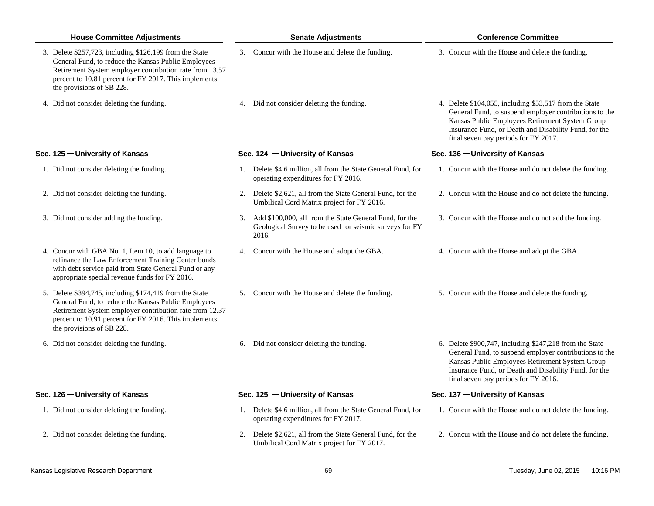| <b>House Committee Adjustments</b> |                                                                                                                                                                                                                                                                 | <b>Senate Adjustments</b> |                                                                                                                                |  | <b>Conference Committee</b>                                                                                                                                                                                                                                           |  |  |
|------------------------------------|-----------------------------------------------------------------------------------------------------------------------------------------------------------------------------------------------------------------------------------------------------------------|---------------------------|--------------------------------------------------------------------------------------------------------------------------------|--|-----------------------------------------------------------------------------------------------------------------------------------------------------------------------------------------------------------------------------------------------------------------------|--|--|
|                                    | 3. Delete \$257,723, including \$126,199 from the State<br>General Fund, to reduce the Kansas Public Employees<br>Retirement System employer contribution rate from 13.57<br>percent to 10.81 percent for FY 2017. This implements<br>the provisions of SB 228. |                           | 3. Concur with the House and delete the funding.                                                                               |  | 3. Concur with the House and delete the funding.                                                                                                                                                                                                                      |  |  |
|                                    | 4. Did not consider deleting the funding.                                                                                                                                                                                                                       | 4.                        | Did not consider deleting the funding.                                                                                         |  | 4. Delete \$104,055, including \$53,517 from the State<br>General Fund, to suspend employer contributions to the<br>Kansas Public Employees Retirement System Group<br>Insurance Fund, or Death and Disability Fund, for the<br>final seven pay periods for FY 2017.  |  |  |
|                                    | Sec. 125 – University of Kansas                                                                                                                                                                                                                                 |                           | Sec. 124 - University of Kansas                                                                                                |  | Sec. 136 – University of Kansas                                                                                                                                                                                                                                       |  |  |
|                                    | 1. Did not consider deleting the funding.                                                                                                                                                                                                                       |                           | 1. Delete \$4.6 million, all from the State General Fund, for<br>operating expenditures for FY 2016.                           |  | 1. Concur with the House and do not delete the funding.                                                                                                                                                                                                               |  |  |
|                                    | 2. Did not consider deleting the funding.                                                                                                                                                                                                                       |                           | 2. Delete \$2,621, all from the State General Fund, for the<br>Umbilical Cord Matrix project for FY 2016.                      |  | 2. Concur with the House and do not delete the funding.                                                                                                                                                                                                               |  |  |
|                                    | 3. Did not consider adding the funding.                                                                                                                                                                                                                         |                           | 3. Add \$100,000, all from the State General Fund, for the<br>Geological Survey to be used for seismic surveys for FY<br>2016. |  | 3. Concur with the House and do not add the funding.                                                                                                                                                                                                                  |  |  |
|                                    | 4. Concur with GBA No. 1, Item 10, to add language to<br>refinance the Law Enforcement Training Center bonds<br>with debt service paid from State General Fund or any<br>appropriate special revenue funds for FY 2016.                                         |                           | 4. Concur with the House and adopt the GBA.                                                                                    |  | 4. Concur with the House and adopt the GBA.                                                                                                                                                                                                                           |  |  |
|                                    | 5. Delete \$394,745, including \$174,419 from the State<br>General Fund, to reduce the Kansas Public Employees<br>Retirement System employer contribution rate from 12.37<br>percent to 10.91 percent for FY 2016. This implements<br>the provisions of SB 228. |                           | 5. Concur with the House and delete the funding.                                                                               |  | 5. Concur with the House and delete the funding.                                                                                                                                                                                                                      |  |  |
|                                    | 6. Did not consider deleting the funding.                                                                                                                                                                                                                       |                           | 6. Did not consider deleting the funding.                                                                                      |  | 6. Delete \$900,747, including \$247,218 from the State<br>General Fund, to suspend employer contributions to the<br>Kansas Public Employees Retirement System Group<br>Insurance Fund, or Death and Disability Fund, for the<br>final seven pay periods for FY 2016. |  |  |
|                                    | Sec. 126 - University of Kansas                                                                                                                                                                                                                                 |                           | Sec. 125 - University of Kansas                                                                                                |  | Sec. 137 – University of Kansas                                                                                                                                                                                                                                       |  |  |
|                                    | 1. Did not consider deleting the funding.                                                                                                                                                                                                                       |                           | 1. Delete \$4.6 million, all from the State General Fund, for<br>operating expenditures for FY 2017.                           |  | 1. Concur with the House and do not delete the funding.                                                                                                                                                                                                               |  |  |
|                                    | 2. Did not consider deleting the funding.                                                                                                                                                                                                                       |                           | 2. Delete \$2,621, all from the State General Fund, for the<br>Umbilical Cord Matrix project for FY 2017.                      |  | 2. Concur with the House and do not delete the funding.                                                                                                                                                                                                               |  |  |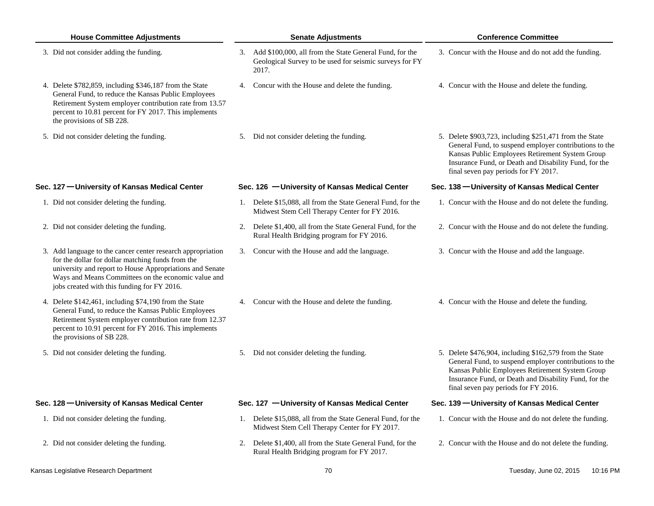| <b>House Committee Adjustments</b>                                                                                                                                                                                  |                                                                                                                                                                                                                                                                                                                                                                                                                                                                                                                                                                                                               | <b>Senate Adjustments</b>                                        | <b>Conference Committee</b>                                                                                                                                                                                                                                                                                                                                                                                                                                                                                                                                                                                                                                                      |  |  |
|---------------------------------------------------------------------------------------------------------------------------------------------------------------------------------------------------------------------|---------------------------------------------------------------------------------------------------------------------------------------------------------------------------------------------------------------------------------------------------------------------------------------------------------------------------------------------------------------------------------------------------------------------------------------------------------------------------------------------------------------------------------------------------------------------------------------------------------------|------------------------------------------------------------------|----------------------------------------------------------------------------------------------------------------------------------------------------------------------------------------------------------------------------------------------------------------------------------------------------------------------------------------------------------------------------------------------------------------------------------------------------------------------------------------------------------------------------------------------------------------------------------------------------------------------------------------------------------------------------------|--|--|
|                                                                                                                                                                                                                     |                                                                                                                                                                                                                                                                                                                                                                                                                                                                                                                                                                                                               | Geological Survey to be used for seismic surveys for FY<br>2017. | 3. Concur with the House and do not add the funding.                                                                                                                                                                                                                                                                                                                                                                                                                                                                                                                                                                                                                             |  |  |
| General Fund, to reduce the Kansas Public Employees<br>Retirement System employer contribution rate from 13.57<br>percent to 10.81 percent for FY 2017. This implements<br>the provisions of SB 228.                |                                                                                                                                                                                                                                                                                                                                                                                                                                                                                                                                                                                                               |                                                                  | 4. Concur with the House and delete the funding.                                                                                                                                                                                                                                                                                                                                                                                                                                                                                                                                                                                                                                 |  |  |
|                                                                                                                                                                                                                     |                                                                                                                                                                                                                                                                                                                                                                                                                                                                                                                                                                                                               |                                                                  | 5. Delete \$903,723, including \$251,471 from the State<br>General Fund, to suspend employer contributions to the<br>Kansas Public Employees Retirement System Group<br>Insurance Fund, or Death and Disability Fund, for the<br>final seven pay periods for FY 2017.                                                                                                                                                                                                                                                                                                                                                                                                            |  |  |
|                                                                                                                                                                                                                     |                                                                                                                                                                                                                                                                                                                                                                                                                                                                                                                                                                                                               |                                                                  | Sec. 138 - University of Kansas Medical Center                                                                                                                                                                                                                                                                                                                                                                                                                                                                                                                                                                                                                                   |  |  |
|                                                                                                                                                                                                                     |                                                                                                                                                                                                                                                                                                                                                                                                                                                                                                                                                                                                               | Midwest Stem Cell Therapy Center for FY 2016.                    | 1. Concur with the House and do not delete the funding.                                                                                                                                                                                                                                                                                                                                                                                                                                                                                                                                                                                                                          |  |  |
|                                                                                                                                                                                                                     |                                                                                                                                                                                                                                                                                                                                                                                                                                                                                                                                                                                                               | Rural Health Bridging program for FY 2016.                       | 2. Concur with the House and do not delete the funding.                                                                                                                                                                                                                                                                                                                                                                                                                                                                                                                                                                                                                          |  |  |
| for the dollar for dollar matching funds from the<br>university and report to House Appropriations and Senate<br>Ways and Means Committees on the economic value and<br>jobs created with this funding for FY 2016. |                                                                                                                                                                                                                                                                                                                                                                                                                                                                                                                                                                                                               |                                                                  | 3. Concur with the House and add the language.                                                                                                                                                                                                                                                                                                                                                                                                                                                                                                                                                                                                                                   |  |  |
| General Fund, to reduce the Kansas Public Employees<br>Retirement System employer contribution rate from 12.37<br>percent to 10.91 percent for FY 2016. This implements<br>the provisions of SB 228.                |                                                                                                                                                                                                                                                                                                                                                                                                                                                                                                                                                                                                               |                                                                  | 4. Concur with the House and delete the funding.                                                                                                                                                                                                                                                                                                                                                                                                                                                                                                                                                                                                                                 |  |  |
|                                                                                                                                                                                                                     |                                                                                                                                                                                                                                                                                                                                                                                                                                                                                                                                                                                                               |                                                                  | 5. Delete \$476,904, including \$162,579 from the State<br>General Fund, to suspend employer contributions to the<br>Kansas Public Employees Retirement System Group<br>Insurance Fund, or Death and Disability Fund, for the<br>final seven pay periods for FY 2016.                                                                                                                                                                                                                                                                                                                                                                                                            |  |  |
|                                                                                                                                                                                                                     |                                                                                                                                                                                                                                                                                                                                                                                                                                                                                                                                                                                                               |                                                                  | Sec. 139 - University of Kansas Medical Center                                                                                                                                                                                                                                                                                                                                                                                                                                                                                                                                                                                                                                   |  |  |
|                                                                                                                                                                                                                     |                                                                                                                                                                                                                                                                                                                                                                                                                                                                                                                                                                                                               | Midwest Stem Cell Therapy Center for FY 2017.                    | 1. Concur with the House and do not delete the funding.                                                                                                                                                                                                                                                                                                                                                                                                                                                                                                                                                                                                                          |  |  |
|                                                                                                                                                                                                                     |                                                                                                                                                                                                                                                                                                                                                                                                                                                                                                                                                                                                               | Rural Health Bridging program for FY 2017.                       | 2. Concur with the House and do not delete the funding.                                                                                                                                                                                                                                                                                                                                                                                                                                                                                                                                                                                                                          |  |  |
|                                                                                                                                                                                                                     | 3. Did not consider adding the funding.<br>4. Delete \$782,859, including \$346,187 from the State<br>5. Did not consider deleting the funding.<br>Sec. 127 - University of Kansas Medical Center<br>1. Did not consider deleting the funding.<br>2. Did not consider deleting the funding.<br>3. Add language to the cancer center research appropriation<br>4. Delete \$142,461, including \$74,190 from the State<br>5. Did not consider deleting the funding.<br>Sec. 128 - University of Kansas Medical Center<br>1. Did not consider deleting the funding.<br>2. Did not consider deleting the funding. |                                                                  | 3. Add \$100,000, all from the State General Fund, for the<br>4. Concur with the House and delete the funding.<br>5. Did not consider deleting the funding.<br>Sec. 126 - University of Kansas Medical Center<br>1. Delete \$15,088, all from the State General Fund, for the<br>2. Delete \$1,400, all from the State General Fund, for the<br>3. Concur with the House and add the language.<br>4. Concur with the House and delete the funding.<br>5. Did not consider deleting the funding.<br>Sec. 127 - University of Kansas Medical Center<br>1. Delete \$15,088, all from the State General Fund, for the<br>2. Delete \$1,400, all from the State General Fund, for the |  |  |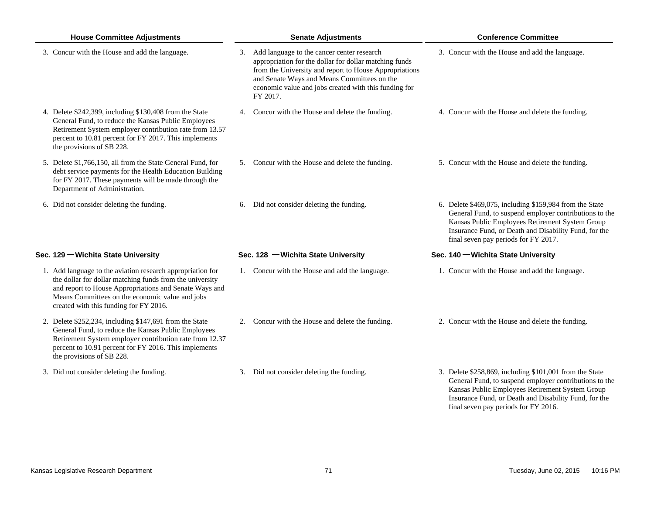| <b>House Committee Adjustments</b>                                                                                                                                                                                                                                            | <b>Senate Adjustments</b>                                                                                                                                                                                                                                                             | <b>Conference Committee</b>                                                                                                                                                                                                                                           |  |  |
|-------------------------------------------------------------------------------------------------------------------------------------------------------------------------------------------------------------------------------------------------------------------------------|---------------------------------------------------------------------------------------------------------------------------------------------------------------------------------------------------------------------------------------------------------------------------------------|-----------------------------------------------------------------------------------------------------------------------------------------------------------------------------------------------------------------------------------------------------------------------|--|--|
| 3. Concur with the House and add the language.                                                                                                                                                                                                                                | 3. Add language to the cancer center research<br>appropriation for the dollar for dollar matching funds<br>from the University and report to House Appropriations<br>and Senate Ways and Means Committees on the<br>economic value and jobs created with this funding for<br>FY 2017. | 3. Concur with the House and add the language.                                                                                                                                                                                                                        |  |  |
| 4. Delete \$242,399, including \$130,408 from the State<br>General Fund, to reduce the Kansas Public Employees<br>Retirement System employer contribution rate from 13.57<br>percent to 10.81 percent for FY 2017. This implements<br>the provisions of SB 228.               | 4. Concur with the House and delete the funding.                                                                                                                                                                                                                                      | 4. Concur with the House and delete the funding.                                                                                                                                                                                                                      |  |  |
| 5. Delete \$1,766,150, all from the State General Fund, for<br>debt service payments for the Health Education Building<br>for FY 2017. These payments will be made through the<br>Department of Administration.                                                               | 5. Concur with the House and delete the funding.                                                                                                                                                                                                                                      | 5. Concur with the House and delete the funding.                                                                                                                                                                                                                      |  |  |
| 6. Did not consider deleting the funding.                                                                                                                                                                                                                                     | 6. Did not consider deleting the funding.                                                                                                                                                                                                                                             | 6. Delete \$469,075, including \$159,984 from the State<br>General Fund, to suspend employer contributions to the<br>Kansas Public Employees Retirement System Group<br>Insurance Fund, or Death and Disability Fund, for the<br>final seven pay periods for FY 2017. |  |  |
| Sec. 129 – Wichita State University                                                                                                                                                                                                                                           | Sec. 128 - Wichita State University                                                                                                                                                                                                                                                   | Sec. 140 – Wichita State University                                                                                                                                                                                                                                   |  |  |
| 1. Add language to the aviation research appropriation for<br>the dollar for dollar matching funds from the university<br>and report to House Appropriations and Senate Ways and<br>Means Committees on the economic value and jobs<br>created with this funding for FY 2016. | 1. Concur with the House and add the language.                                                                                                                                                                                                                                        | 1. Concur with the House and add the language.                                                                                                                                                                                                                        |  |  |
| 2. Delete \$252,234, including \$147,691 from the State<br>General Fund, to reduce the Kansas Public Employees<br>Retirement System employer contribution rate from 12.37<br>percent to 10.91 percent for FY 2016. This implements<br>the provisions of SB 228.               | 2. Concur with the House and delete the funding.                                                                                                                                                                                                                                      | 2. Concur with the House and delete the funding.                                                                                                                                                                                                                      |  |  |
| 3. Did not consider deleting the funding.                                                                                                                                                                                                                                     | 3. Did not consider deleting the funding.                                                                                                                                                                                                                                             | 3. Delete \$258,869, including \$101,001 from the State<br>General Fund, to suspend employer contributions to the<br>Kansas Public Employees Retirement System Group<br>Insurance Fund, or Death and Disability Fund, for the<br>final seven pay periods for FY 2016. |  |  |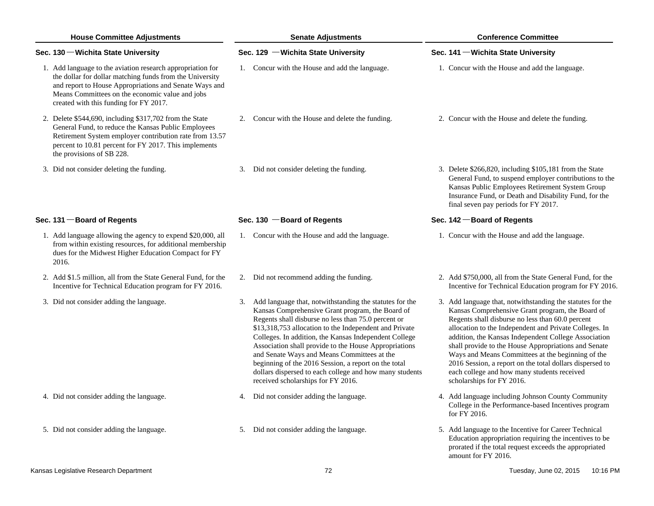| <b>House Committee Adjustments</b> |                                                                                                                                                                                                                                                                               | <b>Senate Adjustments</b>                                                                                                                                                                                                                                                                                                                                                                                                                                                                                                                                 | <b>Conference Committee</b>         |                                                                                                                                                                                                                                                                                                                                                                                                                                                                                                                                           |  |
|------------------------------------|-------------------------------------------------------------------------------------------------------------------------------------------------------------------------------------------------------------------------------------------------------------------------------|-----------------------------------------------------------------------------------------------------------------------------------------------------------------------------------------------------------------------------------------------------------------------------------------------------------------------------------------------------------------------------------------------------------------------------------------------------------------------------------------------------------------------------------------------------------|-------------------------------------|-------------------------------------------------------------------------------------------------------------------------------------------------------------------------------------------------------------------------------------------------------------------------------------------------------------------------------------------------------------------------------------------------------------------------------------------------------------------------------------------------------------------------------------------|--|
|                                    | Sec. 130 – Wichita State University                                                                                                                                                                                                                                           | Sec. 129 - Wichita State University                                                                                                                                                                                                                                                                                                                                                                                                                                                                                                                       | Sec. 141 – Wichita State University |                                                                                                                                                                                                                                                                                                                                                                                                                                                                                                                                           |  |
|                                    | 1. Add language to the aviation research appropriation for<br>the dollar for dollar matching funds from the University<br>and report to House Appropriations and Senate Ways and<br>Means Committees on the economic value and jobs<br>created with this funding for FY 2017. | 1. Concur with the House and add the language.                                                                                                                                                                                                                                                                                                                                                                                                                                                                                                            |                                     | 1. Concur with the House and add the language.                                                                                                                                                                                                                                                                                                                                                                                                                                                                                            |  |
|                                    | 2. Delete \$544,690, including \$317,702 from the State<br>General Fund, to reduce the Kansas Public Employees<br>Retirement System employer contribution rate from 13.57<br>percent to 10.81 percent for FY 2017. This implements<br>the provisions of SB 228.               | 2. Concur with the House and delete the funding.                                                                                                                                                                                                                                                                                                                                                                                                                                                                                                          |                                     | 2. Concur with the House and delete the funding.                                                                                                                                                                                                                                                                                                                                                                                                                                                                                          |  |
|                                    | 3. Did not consider deleting the funding.                                                                                                                                                                                                                                     | 3. Did not consider deleting the funding.                                                                                                                                                                                                                                                                                                                                                                                                                                                                                                                 |                                     | 3. Delete \$266,820, including \$105,181 from the State<br>General Fund, to suspend employer contributions to the<br>Kansas Public Employees Retirement System Group<br>Insurance Fund, or Death and Disability Fund, for the<br>final seven pay periods for FY 2017.                                                                                                                                                                                                                                                                     |  |
|                                    | Sec. 131 - Board of Regents                                                                                                                                                                                                                                                   | Sec. $130$ - Board of Regents                                                                                                                                                                                                                                                                                                                                                                                                                                                                                                                             |                                     | Sec. 142 – Board of Regents                                                                                                                                                                                                                                                                                                                                                                                                                                                                                                               |  |
|                                    | 1. Add language allowing the agency to expend \$20,000, all<br>from within existing resources, for additional membership<br>dues for the Midwest Higher Education Compact for FY<br>2016.                                                                                     | 1. Concur with the House and add the language.                                                                                                                                                                                                                                                                                                                                                                                                                                                                                                            |                                     | 1. Concur with the House and add the language.                                                                                                                                                                                                                                                                                                                                                                                                                                                                                            |  |
|                                    | 2. Add \$1.5 million, all from the State General Fund, for the<br>Incentive for Technical Education program for FY 2016.                                                                                                                                                      | 2. Did not recommend adding the funding.                                                                                                                                                                                                                                                                                                                                                                                                                                                                                                                  |                                     | 2. Add \$750,000, all from the State General Fund, for the<br>Incentive for Technical Education program for FY 2016.                                                                                                                                                                                                                                                                                                                                                                                                                      |  |
|                                    | 3. Did not consider adding the language.                                                                                                                                                                                                                                      | 3. Add language that, notwithstanding the statutes for the<br>Kansas Comprehensive Grant program, the Board of<br>Regents shall disburse no less than 75.0 percent or<br>\$13,318,753 allocation to the Independent and Private<br>Colleges. In addition, the Kansas Independent College<br>Association shall provide to the House Appropriations<br>and Senate Ways and Means Committees at the<br>beginning of the 2016 Session, a report on the total<br>dollars dispersed to each college and how many students<br>received scholarships for FY 2016. |                                     | 3. Add language that, notwithstanding the statutes for the<br>Kansas Comprehensive Grant program, the Board of<br>Regents shall disburse no less than 60.0 percent<br>allocation to the Independent and Private Colleges. In<br>addition, the Kansas Independent College Association<br>shall provide to the House Appropriations and Senate<br>Ways and Means Committees at the beginning of the<br>2016 Session, a report on the total dollars dispersed to<br>each college and how many students received<br>scholarships for FY 2016. |  |
|                                    | 4. Did not consider adding the language.                                                                                                                                                                                                                                      | 4. Did not consider adding the language.                                                                                                                                                                                                                                                                                                                                                                                                                                                                                                                  |                                     | 4. Add language including Johnson County Community<br>College in the Performance-based Incentives program<br>for FY 2016.                                                                                                                                                                                                                                                                                                                                                                                                                 |  |
|                                    | 5. Did not consider adding the language.                                                                                                                                                                                                                                      | 5. Did not consider adding the language.                                                                                                                                                                                                                                                                                                                                                                                                                                                                                                                  |                                     | 5. Add language to the Incentive for Career Technical<br>Education appropriation requiring the incentives to be<br>prorated if the total request exceeds the appropriated<br>amount for FY 2016.                                                                                                                                                                                                                                                                                                                                          |  |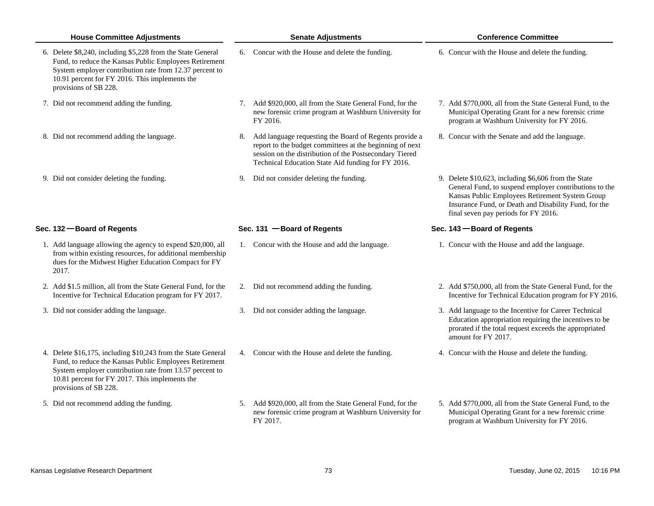| <b>House Committee Adjustments</b>                                                                                                                                                                                                                            | <b>Senate Adjustments</b>                                                                                                                                                                                                              | <b>Conference Committee</b>                                                                                                                                                                                                                                        |  |  |
|---------------------------------------------------------------------------------------------------------------------------------------------------------------------------------------------------------------------------------------------------------------|----------------------------------------------------------------------------------------------------------------------------------------------------------------------------------------------------------------------------------------|--------------------------------------------------------------------------------------------------------------------------------------------------------------------------------------------------------------------------------------------------------------------|--|--|
| 6. Delete \$8,240, including \$5,228 from the State General<br>Fund, to reduce the Kansas Public Employees Retirement<br>System employer contribution rate from 12.37 percent to<br>10.91 percent for FY 2016. This implements the<br>provisions of SB 228.   | 6. Concur with the House and delete the funding.                                                                                                                                                                                       | 6. Concur with the House and delete the funding.                                                                                                                                                                                                                   |  |  |
| 7. Did not recommend adding the funding.                                                                                                                                                                                                                      | 7. Add \$920,000, all from the State General Fund, for the<br>new forensic crime program at Washburn University for<br>FY 2016.                                                                                                        | 7. Add \$770,000, all from the State General Fund, to the<br>Municipal Operating Grant for a new forensic crime<br>program at Washburn University for FY 2016.                                                                                                     |  |  |
| 8. Did not recommend adding the language.                                                                                                                                                                                                                     | 8. Add language requesting the Board of Regents provide a<br>report to the budget committees at the beginning of next<br>session on the distribution of the Postsecondary Tiered<br>Technical Education State Aid funding for FY 2016. | 8. Concur with the Senate and add the language.                                                                                                                                                                                                                    |  |  |
| 9. Did not consider deleting the funding.                                                                                                                                                                                                                     | Did not consider deleting the funding.<br>9.                                                                                                                                                                                           | 9. Delete \$10,623, including \$6,606 from the State<br>General Fund, to suspend employer contributions to the<br>Kansas Public Employees Retirement System Group<br>Insurance Fund, or Death and Disability Fund, for the<br>final seven pay periods for FY 2016. |  |  |
| Sec. 132 - Board of Regents                                                                                                                                                                                                                                   | Sec. 131 $-$ Board of Regents                                                                                                                                                                                                          | Sec. 143 – Board of Regents                                                                                                                                                                                                                                        |  |  |
| 1. Add language allowing the agency to expend \$20,000, all<br>from within existing resources, for additional membership<br>dues for the Midwest Higher Education Compact for FY<br>2017.                                                                     | 1. Concur with the House and add the language.                                                                                                                                                                                         | 1. Concur with the House and add the language.                                                                                                                                                                                                                     |  |  |
| 2. Add \$1.5 million, all from the State General Fund, for the<br>Incentive for Technical Education program for FY 2017.                                                                                                                                      | 2. Did not recommend adding the funding.                                                                                                                                                                                               | 2. Add \$750,000, all from the State General Fund, for the<br>Incentive for Technical Education program for FY 2016.                                                                                                                                               |  |  |
| 3. Did not consider adding the language.                                                                                                                                                                                                                      | 3. Did not consider adding the language.                                                                                                                                                                                               | 3. Add language to the Incentive for Career Technical<br>Education appropriation requiring the incentives to be<br>prorated if the total request exceeds the appropriated<br>amount for FY 2017.                                                                   |  |  |
| 4. Delete \$16,175, including \$10,243 from the State General<br>Fund, to reduce the Kansas Public Employees Retirement<br>System employer contribution rate from 13.57 percent to<br>10.81 percent for FY 2017. This implements the<br>provisions of SB 228. | 4. Concur with the House and delete the funding.                                                                                                                                                                                       | 4. Concur with the House and delete the funding.                                                                                                                                                                                                                   |  |  |
| 5. Did not recommend adding the funding.                                                                                                                                                                                                                      | 5. Add \$920,000, all from the State General Fund, for the<br>new forensic crime program at Washburn University for<br>FY 2017.                                                                                                        | 5. Add \$770,000, all from the State General Fund, to the<br>Municipal Operating Grant for a new forensic crime<br>program at Washburn University for FY 2016.                                                                                                     |  |  |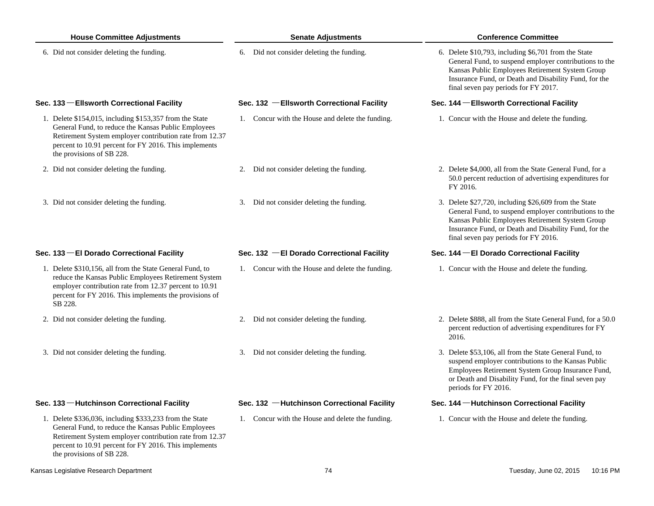| <b>House Committee Adjustments</b>                                                                                                                                                                                                                              | <b>Senate Adjustments</b>                        | <b>Conference Committee</b>                                                                                                                                                                                                                                         |  |  |  |
|-----------------------------------------------------------------------------------------------------------------------------------------------------------------------------------------------------------------------------------------------------------------|--------------------------------------------------|---------------------------------------------------------------------------------------------------------------------------------------------------------------------------------------------------------------------------------------------------------------------|--|--|--|
| 6. Did not consider deleting the funding.                                                                                                                                                                                                                       | 6. Did not consider deleting the funding.        | 6. Delete \$10,793, including \$6,701 from the State<br>General Fund, to suspend employer contributions to the<br>Kansas Public Employees Retirement System Group<br>Insurance Fund, or Death and Disability Fund, for the<br>final seven pay periods for FY 2017.  |  |  |  |
| Sec. 133 - Ellsworth Correctional Facility                                                                                                                                                                                                                      | Sec. 132 - Ellsworth Correctional Facility       | Sec. 144 - Ellsworth Correctional Facility                                                                                                                                                                                                                          |  |  |  |
| 1. Delete \$154,015, including \$153,357 from the State<br>General Fund, to reduce the Kansas Public Employees<br>Retirement System employer contribution rate from 12.37<br>percent to 10.91 percent for FY 2016. This implements<br>the provisions of SB 228. | 1. Concur with the House and delete the funding. | 1. Concur with the House and delete the funding.                                                                                                                                                                                                                    |  |  |  |
| 2. Did not consider deleting the funding.                                                                                                                                                                                                                       | Did not consider deleting the funding.<br>2.     | 2. Delete \$4,000, all from the State General Fund, for a<br>50.0 percent reduction of advertising expenditures for<br>FY 2016.                                                                                                                                     |  |  |  |
| 3. Did not consider deleting the funding.                                                                                                                                                                                                                       | 3. Did not consider deleting the funding.        | 3. Delete \$27,720, including \$26,609 from the State<br>General Fund, to suspend employer contributions to the<br>Kansas Public Employees Retirement System Group<br>Insurance Fund, or Death and Disability Fund, for the<br>final seven pay periods for FY 2016. |  |  |  |
| Sec. 133 - El Dorado Correctional Facility                                                                                                                                                                                                                      | Sec. 132 - El Dorado Correctional Facility       | Sec. 144 - El Dorado Correctional Facility                                                                                                                                                                                                                          |  |  |  |
| 1. Delete \$310,156, all from the State General Fund, to<br>reduce the Kansas Public Employees Retirement System<br>employer contribution rate from 12.37 percent to 10.91<br>percent for FY 2016. This implements the provisions of<br>SB 228.                 | 1. Concur with the House and delete the funding. | 1. Concur with the House and delete the funding.                                                                                                                                                                                                                    |  |  |  |
| 2. Did not consider deleting the funding.                                                                                                                                                                                                                       | Did not consider deleting the funding.<br>2.     | 2. Delete \$888, all from the State General Fund, for a 50.0<br>percent reduction of advertising expenditures for FY<br>2016.                                                                                                                                       |  |  |  |
| 3. Did not consider deleting the funding.                                                                                                                                                                                                                       | 3. Did not consider deleting the funding.        | 3. Delete \$53,106, all from the State General Fund, to<br>suspend employer contributions to the Kansas Public<br>Employees Retirement System Group Insurance Fund,<br>or Death and Disability Fund, for the final seven pay<br>periods for FY 2016.                |  |  |  |
| Sec. 133 - Hutchinson Correctional Facility                                                                                                                                                                                                                     | Sec. 132 - Hutchinson Correctional Facility      | Sec. 144 - Hutchinson Correctional Facility                                                                                                                                                                                                                         |  |  |  |
| 1. Delete \$336,036, including \$333,233 from the State<br>General Fund, to reduce the Kansas Public Employees<br>Retirement System employer contribution rate from 12.37<br>percent to 10.91 percent for FY 2016. This implements                              | 1. Concur with the House and delete the funding. | 1. Concur with the House and delete the funding.                                                                                                                                                                                                                    |  |  |  |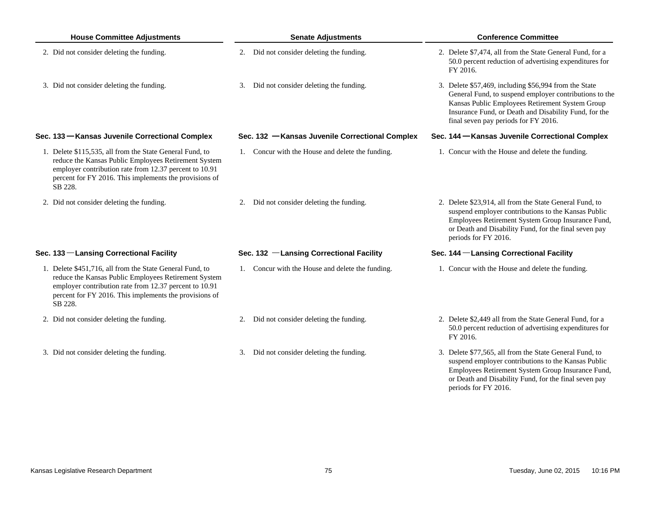| <b>House Committee Adjustments</b>                                                                                                                                                                                                              | <b>Senate Adjustments</b> |                                                  |  | <b>Conference Committee</b>                                                                                                                                                                                                                                         |  |  |
|-------------------------------------------------------------------------------------------------------------------------------------------------------------------------------------------------------------------------------------------------|---------------------------|--------------------------------------------------|--|---------------------------------------------------------------------------------------------------------------------------------------------------------------------------------------------------------------------------------------------------------------------|--|--|
| 2. Did not consider deleting the funding.                                                                                                                                                                                                       |                           | 2. Did not consider deleting the funding.        |  | 2. Delete \$7,474, all from the State General Fund, for a<br>50.0 percent reduction of advertising expenditures for<br>FY 2016.                                                                                                                                     |  |  |
| 3. Did not consider deleting the funding.                                                                                                                                                                                                       |                           | 3. Did not consider deleting the funding.        |  | 3. Delete \$57,469, including \$56,994 from the State<br>General Fund, to suspend employer contributions to the<br>Kansas Public Employees Retirement System Group<br>Insurance Fund, or Death and Disability Fund, for the<br>final seven pay periods for FY 2016. |  |  |
| Sec. 133 - Kansas Juvenile Correctional Complex                                                                                                                                                                                                 |                           | Sec. 132 - Kansas Juvenile Correctional Complex  |  | Sec. 144 – Kansas Juvenile Correctional Complex                                                                                                                                                                                                                     |  |  |
| 1. Delete \$115,535, all from the State General Fund, to<br>reduce the Kansas Public Employees Retirement System<br>employer contribution rate from 12.37 percent to 10.91<br>percent for FY 2016. This implements the provisions of<br>SB 228. |                           | 1. Concur with the House and delete the funding. |  | 1. Concur with the House and delete the funding.                                                                                                                                                                                                                    |  |  |
| 2. Did not consider deleting the funding.                                                                                                                                                                                                       |                           | 2. Did not consider deleting the funding.        |  | 2. Delete \$23,914, all from the State General Fund, to<br>suspend employer contributions to the Kansas Public<br>Employees Retirement System Group Insurance Fund,<br>or Death and Disability Fund, for the final seven pay<br>periods for FY 2016.                |  |  |
| Sec. 133 - Lansing Correctional Facility                                                                                                                                                                                                        |                           | Sec. 132 -Lansing Correctional Facility          |  | Sec. 144 - Lansing Correctional Facility                                                                                                                                                                                                                            |  |  |
| 1. Delete \$451,716, all from the State General Fund, to<br>reduce the Kansas Public Employees Retirement System<br>employer contribution rate from 12.37 percent to 10.91<br>percent for FY 2016. This implements the provisions of<br>SB 228. |                           | 1. Concur with the House and delete the funding. |  | 1. Concur with the House and delete the funding.                                                                                                                                                                                                                    |  |  |
| 2. Did not consider deleting the funding.                                                                                                                                                                                                       |                           | 2. Did not consider deleting the funding.        |  | 2. Delete \$2,449 all from the State General Fund, for a<br>50.0 percent reduction of advertising expenditures for<br>FY 2016.                                                                                                                                      |  |  |
| 3. Did not consider deleting the funding.                                                                                                                                                                                                       |                           | 3. Did not consider deleting the funding.        |  | 3. Delete \$77,565, all from the State General Fund, to<br>suspend employer contributions to the Kansas Public<br>Employees Retirement System Group Insurance Fund,<br>or Death and Disability Fund, for the final seven pay                                        |  |  |

periods for FY 2016.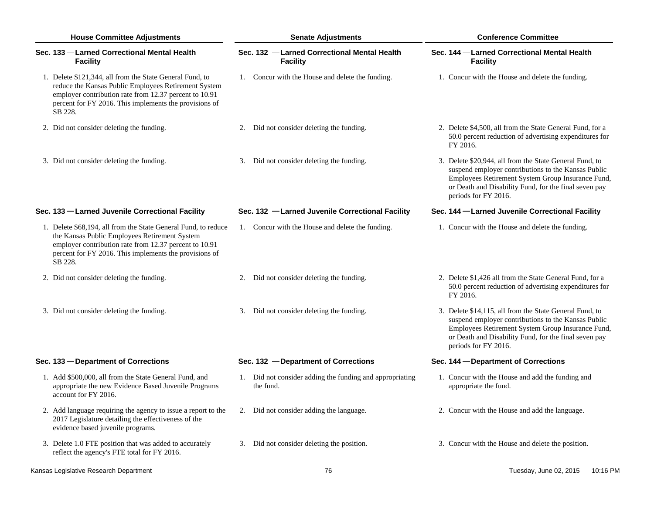| <b>House Committee Adjustments</b> |                                                                                                                                                                                                                                                 |    | <b>Senate Adjustments</b>                                             | <b>Conference Committee</b> |                                                                                                                                                                                                                                                      |  |
|------------------------------------|-------------------------------------------------------------------------------------------------------------------------------------------------------------------------------------------------------------------------------------------------|----|-----------------------------------------------------------------------|-----------------------------|------------------------------------------------------------------------------------------------------------------------------------------------------------------------------------------------------------------------------------------------------|--|
|                                    | Sec. 133 -Larned Correctional Mental Health<br><b>Facility</b>                                                                                                                                                                                  |    | Sec. 132 -Larned Correctional Mental Health<br><b>Facility</b>        |                             | Sec. 144 - Larned Correctional Mental Health<br><b>Facility</b>                                                                                                                                                                                      |  |
|                                    | 1. Delete \$121,344, all from the State General Fund, to<br>reduce the Kansas Public Employees Retirement System<br>employer contribution rate from 12.37 percent to 10.91<br>percent for FY 2016. This implements the provisions of<br>SB 228. |    | 1. Concur with the House and delete the funding.                      |                             | 1. Concur with the House and delete the funding.                                                                                                                                                                                                     |  |
|                                    | 2. Did not consider deleting the funding.                                                                                                                                                                                                       | 2. | Did not consider deleting the funding.                                |                             | 2. Delete \$4,500, all from the State General Fund, for a<br>50.0 percent reduction of advertising expenditures for<br>FY 2016.                                                                                                                      |  |
|                                    | 3. Did not consider deleting the funding.                                                                                                                                                                                                       |    | 3. Did not consider deleting the funding.                             |                             | 3. Delete \$20,944, all from the State General Fund, to<br>suspend employer contributions to the Kansas Public<br>Employees Retirement System Group Insurance Fund,<br>or Death and Disability Fund, for the final seven pay<br>periods for FY 2016. |  |
|                                    | Sec. 133 -Larned Juvenile Correctional Facility                                                                                                                                                                                                 |    | Sec. 132 -Larned Juvenile Correctional Facility                       |                             | Sec. 144 - Larned Juvenile Correctional Facility                                                                                                                                                                                                     |  |
|                                    | 1. Delete \$68,194, all from the State General Fund, to reduce<br>the Kansas Public Employees Retirement System<br>employer contribution rate from 12.37 percent to 10.91<br>percent for FY 2016. This implements the provisions of<br>SB 228.  |    | 1. Concur with the House and delete the funding.                      |                             | 1. Concur with the House and delete the funding.                                                                                                                                                                                                     |  |
|                                    | 2. Did not consider deleting the funding.                                                                                                                                                                                                       |    | 2. Did not consider deleting the funding.                             |                             | 2. Delete \$1,426 all from the State General Fund, for a<br>50.0 percent reduction of advertising expenditures for<br>FY 2016.                                                                                                                       |  |
|                                    | 3. Did not consider deleting the funding.                                                                                                                                                                                                       |    | 3. Did not consider deleting the funding.                             |                             | 3. Delete \$14,115, all from the State General Fund, to<br>suspend employer contributions to the Kansas Public<br>Employees Retirement System Group Insurance Fund,<br>or Death and Disability Fund, for the final seven pay<br>periods for FY 2016. |  |
|                                    | Sec. 133 – Department of Corrections                                                                                                                                                                                                            |    | Sec. $132$ -Department of Corrections                                 |                             | Sec. 144 – Department of Corrections                                                                                                                                                                                                                 |  |
|                                    | 1. Add \$500,000, all from the State General Fund, and<br>appropriate the new Evidence Based Juvenile Programs<br>account for FY 2016.                                                                                                          |    | 1. Did not consider adding the funding and appropriating<br>the fund. |                             | 1. Concur with the House and add the funding and<br>appropriate the fund.                                                                                                                                                                            |  |
|                                    | 2. Add language requiring the agency to issue a report to the<br>2017 Legislature detailing the effectiveness of the<br>evidence based juvenile programs.                                                                                       | 2. | Did not consider adding the language.                                 |                             | 2. Concur with the House and add the language.                                                                                                                                                                                                       |  |
|                                    | 3. Delete 1.0 FTE position that was added to accurately<br>reflect the agency's FTE total for FY 2016.                                                                                                                                          |    | 3. Did not consider deleting the position.                            |                             | 3. Concur with the House and delete the position.                                                                                                                                                                                                    |  |

Kansas Legislative Research Department **The Contract Contract Contract Contract Contract Contract Contract Contract Contract Contract Contract Tuesday, June 02, 2015 10:16 PM**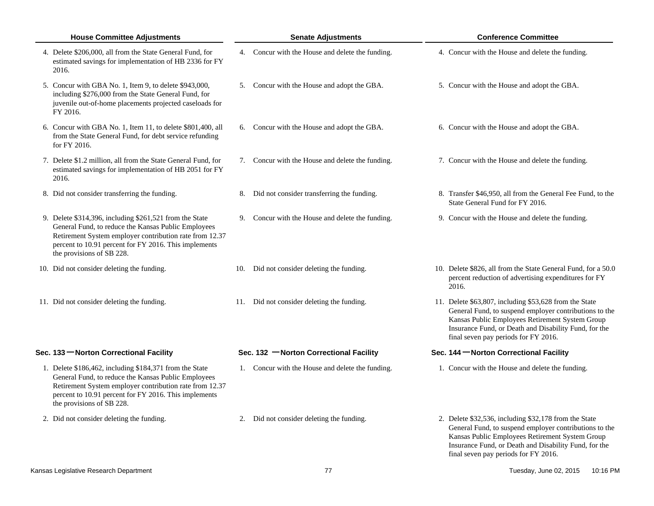| <b>House Committee Adjustments</b>                                                                                                                                                                                                                              | <b>Senate Adjustments</b>                        | <b>Conference Committee</b>                                                                                                                                                                                                                                          |
|-----------------------------------------------------------------------------------------------------------------------------------------------------------------------------------------------------------------------------------------------------------------|--------------------------------------------------|----------------------------------------------------------------------------------------------------------------------------------------------------------------------------------------------------------------------------------------------------------------------|
| 4. Delete \$206,000, all from the State General Fund, for<br>estimated savings for implementation of HB 2336 for FY<br>2016.                                                                                                                                    | 4. Concur with the House and delete the funding. | 4. Concur with the House and delete the funding.                                                                                                                                                                                                                     |
| 5. Concur with GBA No. 1, Item 9, to delete \$943,000,<br>including \$276,000 from the State General Fund, for<br>juvenile out-of-home placements projected caseloads for<br>FY 2016.                                                                           | 5. Concur with the House and adopt the GBA.      | 5. Concur with the House and adopt the GBA.                                                                                                                                                                                                                          |
| 6. Concur with GBA No. 1, Item 11, to delete \$801,400, all<br>from the State General Fund, for debt service refunding<br>for FY 2016.                                                                                                                          | 6. Concur with the House and adopt the GBA.      | 6. Concur with the House and adopt the GBA.                                                                                                                                                                                                                          |
| 7. Delete \$1.2 million, all from the State General Fund, for<br>estimated savings for implementation of HB 2051 for FY<br>2016.                                                                                                                                | 7. Concur with the House and delete the funding. | 7. Concur with the House and delete the funding.                                                                                                                                                                                                                     |
| 8. Did not consider transferring the funding.                                                                                                                                                                                                                   | 8. Did not consider transferring the funding.    | 8. Transfer \$46,950, all from the General Fee Fund, to the<br>State General Fund for FY 2016.                                                                                                                                                                       |
| 9. Delete \$314,396, including \$261,521 from the State<br>General Fund, to reduce the Kansas Public Employees<br>Retirement System employer contribution rate from 12.37<br>percent to 10.91 percent for FY 2016. This implements<br>the provisions of SB 228. | 9. Concur with the House and delete the funding. | 9. Concur with the House and delete the funding.                                                                                                                                                                                                                     |
| 10. Did not consider deleting the funding.                                                                                                                                                                                                                      | 10. Did not consider deleting the funding.       | 10. Delete \$826, all from the State General Fund, for a 50.0<br>percent reduction of advertising expenditures for FY<br>2016.                                                                                                                                       |
| 11. Did not consider deleting the funding.                                                                                                                                                                                                                      | 11. Did not consider deleting the funding.       | 11. Delete \$63,807, including \$53,628 from the State<br>General Fund, to suspend employer contributions to the<br>Kansas Public Employees Retirement System Group<br>Insurance Fund, or Death and Disability Fund, for the<br>final seven pay periods for FY 2016. |
| Sec. 133 - Norton Correctional Facility                                                                                                                                                                                                                         | Sec. 132 - Norton Correctional Facility          | Sec. 144 - Norton Correctional Facility                                                                                                                                                                                                                              |
| 1. Delete \$186,462, including \$184,371 from the State<br>General Fund, to reduce the Kansas Public Employees<br>Retirement System employer contribution rate from 12.37<br>percent to 10.91 percent for FY 2016. This implements<br>the provisions of SB 228. | 1. Concur with the House and delete the funding. | 1. Concur with the House and delete the funding.                                                                                                                                                                                                                     |
| 2. Did not consider deleting the funding.                                                                                                                                                                                                                       | 2. Did not consider deleting the funding.        | 2. Delete \$32,536, including \$32,178 from the State<br>General Fund, to suspend employer contributions to the<br>Kansas Public Employees Retirement System Group<br>Insurance Fund, or Death and Disability Fund, for the<br>final seven pay periods for FY 2016.  |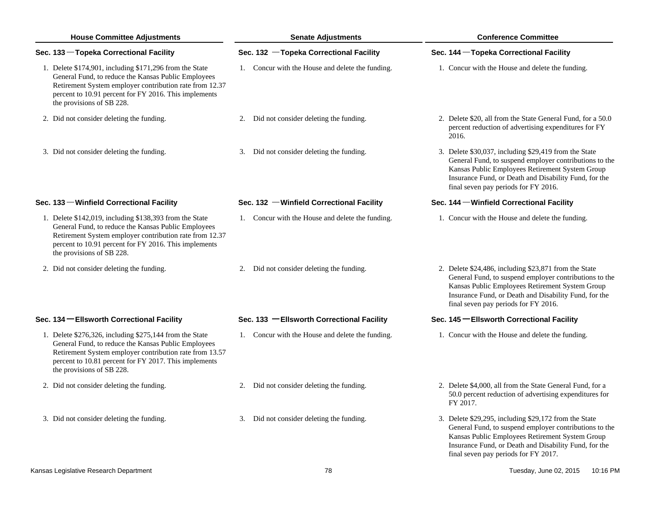| <b>House Committee Adjustments</b>                                                                                                                                                                                                                                 | <b>Senate Adjustments</b>                        | <b>Conference Committee</b>                                                                                                                                                                                                                                         |  |  |
|--------------------------------------------------------------------------------------------------------------------------------------------------------------------------------------------------------------------------------------------------------------------|--------------------------------------------------|---------------------------------------------------------------------------------------------------------------------------------------------------------------------------------------------------------------------------------------------------------------------|--|--|
| Sec. 133 – Topeka Correctional Facility                                                                                                                                                                                                                            | Sec. 132 - Topeka Correctional Facility          | Sec. 144 - Topeka Correctional Facility                                                                                                                                                                                                                             |  |  |
| 1. Delete \$174,901, including \$171,296 from the State<br>General Fund, to reduce the Kansas Public Employees<br>Retirement System employer contribution rate from 12.37<br>percent to 10.91 percent for FY 2016. This implements<br>the provisions of SB 228.    | 1. Concur with the House and delete the funding. | 1. Concur with the House and delete the funding.                                                                                                                                                                                                                    |  |  |
| 2. Did not consider deleting the funding.                                                                                                                                                                                                                          | 2. Did not consider deleting the funding.        | 2. Delete \$20, all from the State General Fund, for a 50.0<br>percent reduction of advertising expenditures for FY<br>2016.                                                                                                                                        |  |  |
| 3. Did not consider deleting the funding.                                                                                                                                                                                                                          | 3. Did not consider deleting the funding.        | 3. Delete \$30,037, including \$29,419 from the State<br>General Fund, to suspend employer contributions to the<br>Kansas Public Employees Retirement System Group<br>Insurance Fund, or Death and Disability Fund, for the<br>final seven pay periods for FY 2016. |  |  |
| Sec. 133 - Winfield Correctional Facility                                                                                                                                                                                                                          | Sec. 132 - Winfield Correctional Facility        | Sec. 144 - Winfield Correctional Facility                                                                                                                                                                                                                           |  |  |
| 1. Delete $$142,019$ , including $$138,393$ from the State<br>General Fund, to reduce the Kansas Public Employees<br>Retirement System employer contribution rate from 12.37<br>percent to 10.91 percent for FY 2016. This implements<br>the provisions of SB 228. | 1. Concur with the House and delete the funding. | 1. Concur with the House and delete the funding.                                                                                                                                                                                                                    |  |  |
| 2. Did not consider deleting the funding.                                                                                                                                                                                                                          | 2. Did not consider deleting the funding.        | 2. Delete \$24,486, including \$23,871 from the State<br>General Fund, to suspend employer contributions to the<br>Kansas Public Employees Retirement System Group<br>Insurance Fund, or Death and Disability Fund, for the<br>final seven pay periods for FY 2016. |  |  |
| Sec. 134 - Ellsworth Correctional Facility                                                                                                                                                                                                                         | Sec. 133 - Ellsworth Correctional Facility       | Sec. 145 – Ellsworth Correctional Facility                                                                                                                                                                                                                          |  |  |
| 1. Delete \$276,326, including \$275,144 from the State<br>General Fund, to reduce the Kansas Public Employees<br>Retirement System employer contribution rate from 13.57<br>percent to 10.81 percent for FY 2017. This implements<br>the provisions of SB 228.    | 1. Concur with the House and delete the funding. | 1. Concur with the House and delete the funding.                                                                                                                                                                                                                    |  |  |
| 2. Did not consider deleting the funding.                                                                                                                                                                                                                          | 2. Did not consider deleting the funding.        | 2. Delete \$4,000, all from the State General Fund, for a<br>50.0 percent reduction of advertising expenditures for<br>FY 2017.                                                                                                                                     |  |  |
| 3. Did not consider deleting the funding.                                                                                                                                                                                                                          | 3. Did not consider deleting the funding.        | 3. Delete \$29,295, including \$29,172 from the State<br>General Fund, to suspend employer contributions to the<br>Kansas Public Employees Retirement System Group<br>Insurance Fund, or Death and Disability Fund, for the<br>final seven pay periods for FY 2017. |  |  |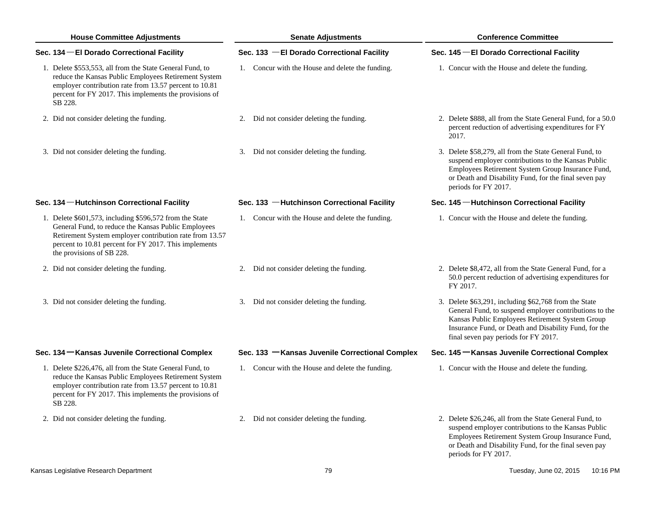| <b>House Committee Adjustments</b>                                                                                                                                                                                                                              | <b>Senate Adjustments</b>                        | <b>Conference Committee</b>                                                                                                                                                                                                                                         |  |
|-----------------------------------------------------------------------------------------------------------------------------------------------------------------------------------------------------------------------------------------------------------------|--------------------------------------------------|---------------------------------------------------------------------------------------------------------------------------------------------------------------------------------------------------------------------------------------------------------------------|--|
| Sec. 134 - El Dorado Correctional Facility                                                                                                                                                                                                                      | Sec. 133 - El Dorado Correctional Facility       | Sec. 145 - El Dorado Correctional Facility                                                                                                                                                                                                                          |  |
| 1. Delete \$553,553, all from the State General Fund, to<br>reduce the Kansas Public Employees Retirement System<br>employer contribution rate from 13.57 percent to 10.81<br>percent for FY 2017. This implements the provisions of<br>SB 228.                 | 1. Concur with the House and delete the funding. | 1. Concur with the House and delete the funding.                                                                                                                                                                                                                    |  |
| 2. Did not consider deleting the funding.                                                                                                                                                                                                                       | 2. Did not consider deleting the funding.        | 2. Delete \$888, all from the State General Fund, for a 50.0<br>percent reduction of advertising expenditures for FY<br>2017.                                                                                                                                       |  |
| 3. Did not consider deleting the funding.                                                                                                                                                                                                                       | 3. Did not consider deleting the funding.        | 3. Delete \$58,279, all from the State General Fund, to<br>suspend employer contributions to the Kansas Public<br>Employees Retirement System Group Insurance Fund,<br>or Death and Disability Fund, for the final seven pay<br>periods for FY 2017.                |  |
| Sec. 134 - Hutchinson Correctional Facility                                                                                                                                                                                                                     | Sec. 133 - Hutchinson Correctional Facility      | Sec. 145 - Hutchinson Correctional Facility                                                                                                                                                                                                                         |  |
| 1. Delete \$601,573, including \$596,572 from the State<br>General Fund, to reduce the Kansas Public Employees<br>Retirement System employer contribution rate from 13.57<br>percent to 10.81 percent for FY 2017. This implements<br>the provisions of SB 228. | 1. Concur with the House and delete the funding. | 1. Concur with the House and delete the funding.                                                                                                                                                                                                                    |  |
| 2. Did not consider deleting the funding.                                                                                                                                                                                                                       | 2. Did not consider deleting the funding.        | 2. Delete \$8,472, all from the State General Fund, for a<br>50.0 percent reduction of advertising expenditures for<br>FY 2017.                                                                                                                                     |  |
| 3. Did not consider deleting the funding.                                                                                                                                                                                                                       | 3. Did not consider deleting the funding.        | 3. Delete \$63,291, including \$62,768 from the State<br>General Fund, to suspend employer contributions to the<br>Kansas Public Employees Retirement System Group<br>Insurance Fund, or Death and Disability Fund, for the<br>final seven pay periods for FY 2017. |  |
| Sec. 134 – Kansas Juvenile Correctional Complex                                                                                                                                                                                                                 | Sec. 133 - Kansas Juvenile Correctional Complex  | Sec. 145 – Kansas Juvenile Correctional Complex                                                                                                                                                                                                                     |  |
| 1. Delete \$226,476, all from the State General Fund, to<br>reduce the Kansas Public Employees Retirement System<br>employer contribution rate from 13.57 percent to 10.81<br>percent for FY 2017. This implements the provisions of<br>SB 228.                 | 1. Concur with the House and delete the funding. | 1. Concur with the House and delete the funding.                                                                                                                                                                                                                    |  |
| 2. Did not consider deleting the funding.                                                                                                                                                                                                                       | 2. Did not consider deleting the funding.        | 2. Delete \$26,246, all from the State General Fund, to<br>suspend employer contributions to the Kansas Public<br>Employees Retirement System Group Insurance Fund,<br>or Death and Disability Fund, for the final seven pay                                        |  |

periods for FY 2017.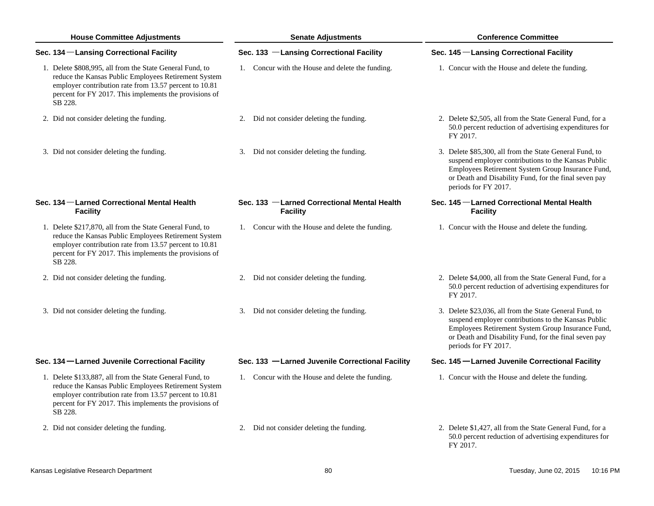| <b>House Committee Adjustments</b>                                                                                                                                                                                                              | <b>Senate Adjustments</b>                                      | <b>Conference Committee</b>                                                                                                                                                                                                                          |  |  |
|-------------------------------------------------------------------------------------------------------------------------------------------------------------------------------------------------------------------------------------------------|----------------------------------------------------------------|------------------------------------------------------------------------------------------------------------------------------------------------------------------------------------------------------------------------------------------------------|--|--|
| Sec. 134 - Lansing Correctional Facility                                                                                                                                                                                                        | Sec. 133 -Lansing Correctional Facility                        | Sec. 145 -Lansing Correctional Facility                                                                                                                                                                                                              |  |  |
| 1. Delete \$808,995, all from the State General Fund, to<br>reduce the Kansas Public Employees Retirement System<br>employer contribution rate from 13.57 percent to 10.81<br>percent for FY 2017. This implements the provisions of<br>SB 228. | 1. Concur with the House and delete the funding.               | 1. Concur with the House and delete the funding.                                                                                                                                                                                                     |  |  |
| 2. Did not consider deleting the funding.                                                                                                                                                                                                       | 2. Did not consider deleting the funding.                      | 2. Delete \$2,505, all from the State General Fund, for a<br>50.0 percent reduction of advertising expenditures for<br>FY 2017.                                                                                                                      |  |  |
| 3. Did not consider deleting the funding.                                                                                                                                                                                                       | 3. Did not consider deleting the funding.                      | 3. Delete \$85,300, all from the State General Fund, to<br>suspend employer contributions to the Kansas Public<br>Employees Retirement System Group Insurance Fund,<br>or Death and Disability Fund, for the final seven pay<br>periods for FY 2017. |  |  |
| Sec. 134 – Larned Correctional Mental Health<br><b>Facility</b>                                                                                                                                                                                 | Sec. 133 -Larned Correctional Mental Health<br><b>Facility</b> | Sec. 145 - Larned Correctional Mental Health<br><b>Facility</b>                                                                                                                                                                                      |  |  |
| 1. Delete \$217,870, all from the State General Fund, to<br>reduce the Kansas Public Employees Retirement System<br>employer contribution rate from 13.57 percent to 10.81<br>percent for FY 2017. This implements the provisions of<br>SB 228. | 1. Concur with the House and delete the funding.               | 1. Concur with the House and delete the funding.                                                                                                                                                                                                     |  |  |
| 2. Did not consider deleting the funding.                                                                                                                                                                                                       | 2. Did not consider deleting the funding.                      | 2. Delete \$4,000, all from the State General Fund, for a<br>50.0 percent reduction of advertising expenditures for<br>FY 2017.                                                                                                                      |  |  |
| 3. Did not consider deleting the funding.                                                                                                                                                                                                       | 3. Did not consider deleting the funding.                      | 3. Delete \$23,036, all from the State General Fund, to<br>suspend employer contributions to the Kansas Public<br>Employees Retirement System Group Insurance Fund,<br>or Death and Disability Fund, for the final seven pay<br>periods for FY 2017. |  |  |
| Sec. 134 - Larned Juvenile Correctional Facility                                                                                                                                                                                                | Sec. 133 -Larned Juvenile Correctional Facility                | Sec. 145 -Larned Juvenile Correctional Facility                                                                                                                                                                                                      |  |  |
| 1. Delete \$133,887, all from the State General Fund, to<br>reduce the Kansas Public Employees Retirement System<br>employer contribution rate from 13.57 percent to 10.81<br>percent for FY 2017. This implements the provisions of<br>SB 228. | 1. Concur with the House and delete the funding.               | 1. Concur with the House and delete the funding.                                                                                                                                                                                                     |  |  |
| 2. Did not consider deleting the funding.                                                                                                                                                                                                       | 2. Did not consider deleting the funding.                      | 2. Delete \$1,427, all from the State General Fund, for a<br>50.0 percent reduction of advertising expenditures for<br>FY 2017.                                                                                                                      |  |  |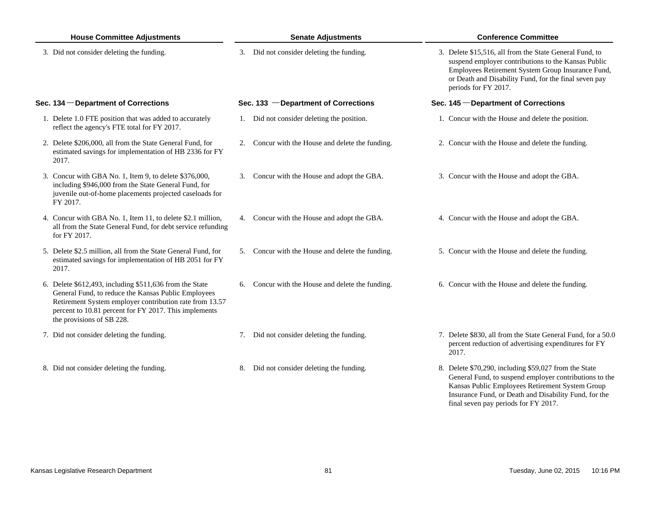| <b>House Committee Adjustments</b>                                                                                                                                                                                                                              | <b>Senate Adjustments</b>                        | <b>Conference Committee</b>                                                                                                                                                                                                                          |  |
|-----------------------------------------------------------------------------------------------------------------------------------------------------------------------------------------------------------------------------------------------------------------|--------------------------------------------------|------------------------------------------------------------------------------------------------------------------------------------------------------------------------------------------------------------------------------------------------------|--|
| 3. Did not consider deleting the funding.                                                                                                                                                                                                                       | 3. Did not consider deleting the funding.        | 3. Delete \$15,516, all from the State General Fund, to<br>suspend employer contributions to the Kansas Public<br>Employees Retirement System Group Insurance Fund,<br>or Death and Disability Fund, for the final seven pay<br>periods for FY 2017. |  |
| Sec. 134 – Department of Corrections                                                                                                                                                                                                                            | Sec. 133 - Department of Corrections             | Sec. 145 – Department of Corrections                                                                                                                                                                                                                 |  |
| 1. Delete 1.0 FTE position that was added to accurately<br>reflect the agency's FTE total for FY 2017.                                                                                                                                                          | 1. Did not consider deleting the position.       | 1. Concur with the House and delete the position.                                                                                                                                                                                                    |  |
| 2. Delete \$206,000, all from the State General Fund, for<br>estimated savings for implementation of HB 2336 for FY<br>2017.                                                                                                                                    | 2. Concur with the House and delete the funding. | 2. Concur with the House and delete the funding.                                                                                                                                                                                                     |  |
| 3. Concur with GBA No. 1, Item 9, to delete \$376,000,<br>including \$946,000 from the State General Fund, for<br>juvenile out-of-home placements projected caseloads for<br>FY 2017.                                                                           | 3. Concur with the House and adopt the GBA.      | 3. Concur with the House and adopt the GBA.                                                                                                                                                                                                          |  |
| 4. Concur with GBA No. 1, Item 11, to delete \$2.1 million,<br>all from the State General Fund, for debt service refunding<br>for FY 2017.                                                                                                                      | 4. Concur with the House and adopt the GBA.      | 4. Concur with the House and adopt the GBA.                                                                                                                                                                                                          |  |
| 5. Delete \$2.5 million, all from the State General Fund, for<br>estimated savings for implementation of HB 2051 for FY<br>2017.                                                                                                                                | 5. Concur with the House and delete the funding. | 5. Concur with the House and delete the funding.                                                                                                                                                                                                     |  |
| 6. Delete \$612,493, including \$511,636 from the State<br>General Fund, to reduce the Kansas Public Employees<br>Retirement System employer contribution rate from 13.57<br>percent to 10.81 percent for FY 2017. This implements<br>the provisions of SB 228. | 6. Concur with the House and delete the funding. | 6. Concur with the House and delete the funding.                                                                                                                                                                                                     |  |
| 7. Did not consider deleting the funding.                                                                                                                                                                                                                       | 7. Did not consider deleting the funding.        | 7. Delete \$830, all from the State General Fund, for a 50.0<br>percent reduction of advertising expenditures for FY<br>2017.                                                                                                                        |  |
| 8. Did not consider deleting the funding.                                                                                                                                                                                                                       | Did not consider deleting the funding.<br>8.     | 8. Delete \$70,290, including \$59,027 from the State<br>General Fund, to suspend employer contributions to the<br>Kansas Public Employees Retirement System Group                                                                                   |  |

Insurance Fund, or Death and Disability Fund, for the

final seven pay periods for FY 2017.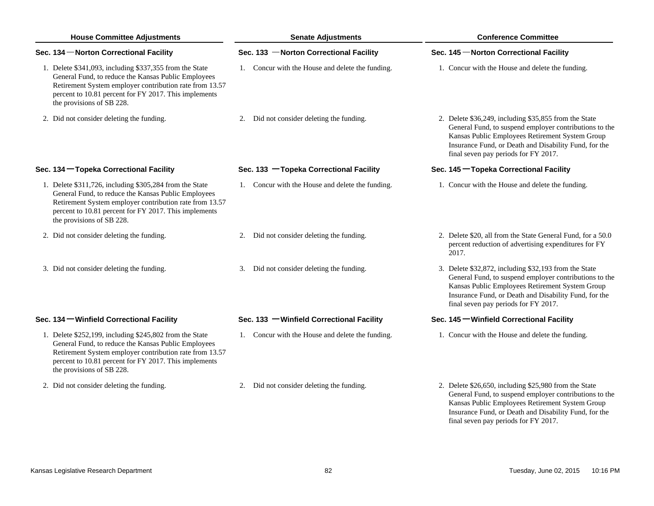| <b>House Committee Adjustments</b>                                                                                                                                                                                                                              | <b>Senate Adjustments</b>                        | <b>Conference Committee</b>                                                                                                                                                                                                                                         |  |
|-----------------------------------------------------------------------------------------------------------------------------------------------------------------------------------------------------------------------------------------------------------------|--------------------------------------------------|---------------------------------------------------------------------------------------------------------------------------------------------------------------------------------------------------------------------------------------------------------------------|--|
| Sec. 134 – Norton Correctional Facility                                                                                                                                                                                                                         | Sec. 133 - Norton Correctional Facility          | Sec. 145 - Norton Correctional Facility                                                                                                                                                                                                                             |  |
| 1. Delete \$341,093, including \$337,355 from the State<br>General Fund, to reduce the Kansas Public Employees<br>Retirement System employer contribution rate from 13.57<br>percent to 10.81 percent for FY 2017. This implements<br>the provisions of SB 228. | 1. Concur with the House and delete the funding. | 1. Concur with the House and delete the funding.                                                                                                                                                                                                                    |  |
| 2. Did not consider deleting the funding.                                                                                                                                                                                                                       | 2. Did not consider deleting the funding.        | 2. Delete \$36,249, including \$35,855 from the State<br>General Fund, to suspend employer contributions to the<br>Kansas Public Employees Retirement System Group<br>Insurance Fund, or Death and Disability Fund, for the<br>final seven pay periods for FY 2017. |  |
| Sec. 134 - Topeka Correctional Facility                                                                                                                                                                                                                         | Sec. 133 - Topeka Correctional Facility          | Sec. 145 - Topeka Correctional Facility                                                                                                                                                                                                                             |  |
| 1. Delete \$311,726, including \$305,284 from the State<br>General Fund, to reduce the Kansas Public Employees<br>Retirement System employer contribution rate from 13.57<br>percent to 10.81 percent for FY 2017. This implements<br>the provisions of SB 228. | 1. Concur with the House and delete the funding. | 1. Concur with the House and delete the funding.                                                                                                                                                                                                                    |  |
| 2. Did not consider deleting the funding.                                                                                                                                                                                                                       | 2. Did not consider deleting the funding.        | 2. Delete \$20, all from the State General Fund, for a 50.0<br>percent reduction of advertising expenditures for FY<br>2017.                                                                                                                                        |  |
| 3. Did not consider deleting the funding.                                                                                                                                                                                                                       | 3. Did not consider deleting the funding.        | 3. Delete \$32,872, including \$32,193 from the State<br>General Fund, to suspend employer contributions to the<br>Kansas Public Employees Retirement System Group<br>Insurance Fund, or Death and Disability Fund, for the<br>final seven pay periods for FY 2017. |  |
| Sec. 134 – Winfield Correctional Facility                                                                                                                                                                                                                       | Sec. 133 - Winfield Correctional Facility        | Sec. 145 – Winfield Correctional Facility                                                                                                                                                                                                                           |  |
| 1. Delete \$252,199, including \$245,802 from the State<br>General Fund, to reduce the Kansas Public Employees<br>Retirement System employer contribution rate from 13.57<br>percent to 10.81 percent for FY 2017. This implements<br>the provisions of SB 228. | 1. Concur with the House and delete the funding. | 1. Concur with the House and delete the funding.                                                                                                                                                                                                                    |  |
| 2. Did not consider deleting the funding.                                                                                                                                                                                                                       | 2. Did not consider deleting the funding.        | 2. Delete \$26,650, including \$25,980 from the State<br>General Fund, to suspend employer contributions to the<br>Kansas Public Employees Retirement System Group<br>Insurance Fund, or Death and Disability Fund, for the                                         |  |

final seven pay periods for FY 2017.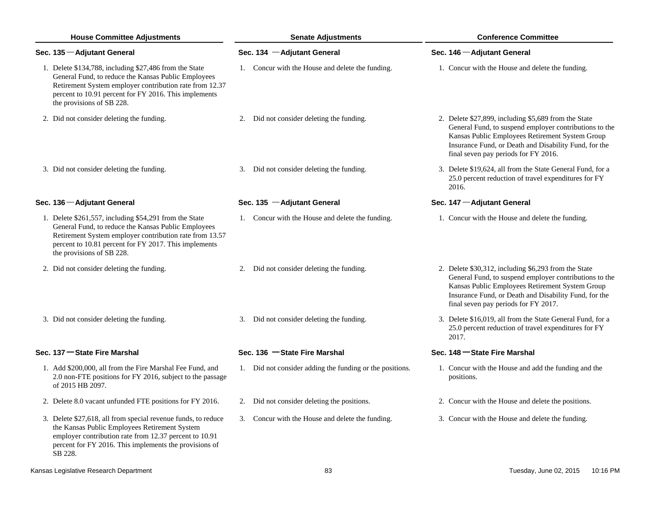| <b>House Committee Adjustments</b>                                                                                                                                                                                                                             | <b>Senate Adjustments</b>                                | <b>Conference Committee</b>                                                                                                                                                                                                                                        |
|----------------------------------------------------------------------------------------------------------------------------------------------------------------------------------------------------------------------------------------------------------------|----------------------------------------------------------|--------------------------------------------------------------------------------------------------------------------------------------------------------------------------------------------------------------------------------------------------------------------|
| Sec. 135 - Adjutant General                                                                                                                                                                                                                                    | Sec. 134 - Adjutant General                              | Sec. 146 - Adjutant General                                                                                                                                                                                                                                        |
| 1. Delete \$134,788, including \$27,486 from the State<br>General Fund, to reduce the Kansas Public Employees<br>Retirement System employer contribution rate from 12.37<br>percent to 10.91 percent for FY 2016. This implements<br>the provisions of SB 228. | 1. Concur with the House and delete the funding.         | 1. Concur with the House and delete the funding.                                                                                                                                                                                                                   |
| 2. Did not consider deleting the funding.                                                                                                                                                                                                                      | 2. Did not consider deleting the funding.                | 2. Delete \$27,899, including \$5,689 from the State<br>General Fund, to suspend employer contributions to the<br>Kansas Public Employees Retirement System Group<br>Insurance Fund, or Death and Disability Fund, for the<br>final seven pay periods for FY 2016. |
| 3. Did not consider deleting the funding.                                                                                                                                                                                                                      | 3. Did not consider deleting the funding.                | 3. Delete \$19,624, all from the State General Fund, for a<br>25.0 percent reduction of travel expenditures for FY<br>2016.                                                                                                                                        |
| Sec. 136 - Adjutant General                                                                                                                                                                                                                                    | Sec. 135 - Adjutant General                              | Sec. 147 - Adjutant General                                                                                                                                                                                                                                        |
| 1. Delete \$261,557, including \$54,291 from the State<br>General Fund, to reduce the Kansas Public Employees<br>Retirement System employer contribution rate from 13.57<br>percent to 10.81 percent for FY 2017. This implements<br>the provisions of SB 228. | 1. Concur with the House and delete the funding.         | 1. Concur with the House and delete the funding.                                                                                                                                                                                                                   |
| 2. Did not consider deleting the funding.                                                                                                                                                                                                                      | 2. Did not consider deleting the funding.                | 2. Delete \$30,312, including \$6,293 from the State<br>General Fund, to suspend employer contributions to the<br>Kansas Public Employees Retirement System Group<br>Insurance Fund, or Death and Disability Fund, for the<br>final seven pay periods for FY 2017. |
| 3. Did not consider deleting the funding.                                                                                                                                                                                                                      | 3. Did not consider deleting the funding.                | 3. Delete \$16,019, all from the State General Fund, for a<br>25.0 percent reduction of travel expenditures for FY<br>2017.                                                                                                                                        |
| Sec. 137 - State Fire Marshal                                                                                                                                                                                                                                  | Sec. 136 - State Fire Marshal                            | Sec. 148 – State Fire Marshal                                                                                                                                                                                                                                      |
| 1. Add \$200,000, all from the Fire Marshal Fee Fund, and<br>2.0 non-FTE positions for FY 2016, subject to the passage<br>of 2015 HB 2097.                                                                                                                     | 1. Did not consider adding the funding or the positions. | 1. Concur with the House and add the funding and the<br>positions.                                                                                                                                                                                                 |
| 2. Delete 8.0 vacant unfunded FTE positions for FY 2016.                                                                                                                                                                                                       | Did not consider deleting the positions.                 | 2. Concur with the House and delete the positions.                                                                                                                                                                                                                 |
| 3. Delete \$27,618, all from special revenue funds, to reduce<br>the Kansas Public Employees Retirement System<br>employer contribution rate from 12.37 percent to 10.91<br>percent for FY 2016. This implements the provisions of<br>SB 228.                  | 3. Concur with the House and delete the funding.         | 3. Concur with the House and delete the funding.                                                                                                                                                                                                                   |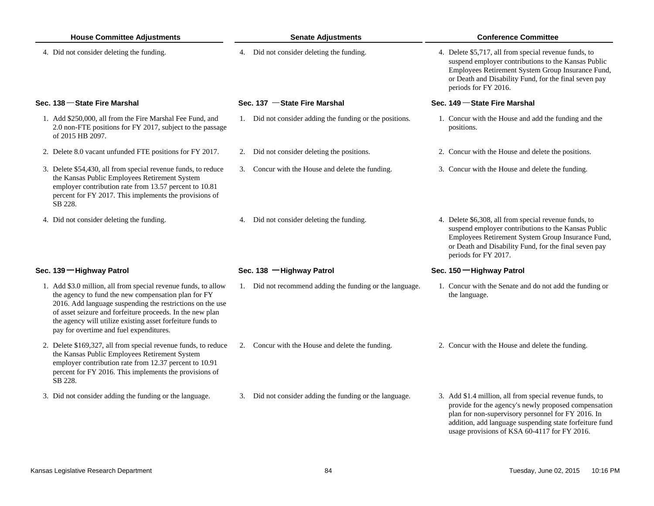| <b>House Committee Adjustments</b>                                                                                                                                                                                                                                                                                                                       | <b>Senate Adjustments</b>                                | <b>Conference Committee</b>                                                                                                                                                                                                                        |  |
|----------------------------------------------------------------------------------------------------------------------------------------------------------------------------------------------------------------------------------------------------------------------------------------------------------------------------------------------------------|----------------------------------------------------------|----------------------------------------------------------------------------------------------------------------------------------------------------------------------------------------------------------------------------------------------------|--|
| 4. Did not consider deleting the funding.                                                                                                                                                                                                                                                                                                                | 4. Did not consider deleting the funding.                | 4. Delete \$5,717, all from special revenue funds, to<br>suspend employer contributions to the Kansas Public<br>Employees Retirement System Group Insurance Fund,<br>or Death and Disability Fund, for the final seven pay<br>periods for FY 2016. |  |
| Sec. 138 - State Fire Marshal                                                                                                                                                                                                                                                                                                                            | Sec. 137 - State Fire Marshal                            | Sec. 149 - State Fire Marshal                                                                                                                                                                                                                      |  |
| 1. Add \$250,000, all from the Fire Marshal Fee Fund, and<br>2.0 non-FTE positions for FY 2017, subject to the passage<br>of 2015 HB 2097.                                                                                                                                                                                                               | 1. Did not consider adding the funding or the positions. | 1. Concur with the House and add the funding and the<br>positions.                                                                                                                                                                                 |  |
| 2. Delete 8.0 vacant unfunded FTE positions for FY 2017.                                                                                                                                                                                                                                                                                                 | 2. Did not consider deleting the positions.              | 2. Concur with the House and delete the positions.                                                                                                                                                                                                 |  |
| 3. Delete \$54,430, all from special revenue funds, to reduce<br>the Kansas Public Employees Retirement System<br>employer contribution rate from 13.57 percent to 10.81<br>percent for FY 2017. This implements the provisions of<br>SB 228.                                                                                                            | 3. Concur with the House and delete the funding.         | 3. Concur with the House and delete the funding.                                                                                                                                                                                                   |  |
| 4. Did not consider deleting the funding.                                                                                                                                                                                                                                                                                                                | 4. Did not consider deleting the funding.                | 4. Delete \$6,308, all from special revenue funds, to<br>suspend employer contributions to the Kansas Public<br>Employees Retirement System Group Insurance Fund,<br>or Death and Disability Fund, for the final seven pay<br>periods for FY 2017. |  |
| Sec. 139 - Highway Patrol                                                                                                                                                                                                                                                                                                                                | Sec. 138 -Highway Patrol                                 | Sec. 150 - Highway Patrol                                                                                                                                                                                                                          |  |
| 1. Add \$3.0 million, all from special revenue funds, to allow<br>the agency to fund the new compensation plan for FY<br>2016. Add language suspending the restrictions on the use<br>of asset seizure and forfeiture proceeds. In the new plan<br>the agency will utilize existing asset forfeiture funds to<br>pay for overtime and fuel expenditures. | 1. Did not recommend adding the funding or the language. | 1. Concur with the Senate and do not add the funding or<br>the language.                                                                                                                                                                           |  |
| 2. Delete \$169,327, all from special revenue funds, to reduce<br>the Kansas Public Employees Retirement System<br>employer contribution rate from 12.37 percent to 10.91<br>percent for FY 2016. This implements the provisions of<br>SB 228.                                                                                                           | 2. Concur with the House and delete the funding.         | 2. Concur with the House and delete the funding.                                                                                                                                                                                                   |  |
| 3. Did not consider adding the funding or the language.                                                                                                                                                                                                                                                                                                  | 3. Did not consider adding the funding or the language.  | 3. Add \$1.4 million, all from special revenue funds, to<br>provide for the agency's newly proposed compensation<br>plan for non-supervisory personnel for FY 2016. In<br>addition, add language suspending state forfeiture fund                  |  |

usage provisions of KSA 60-4117 for FY 2016.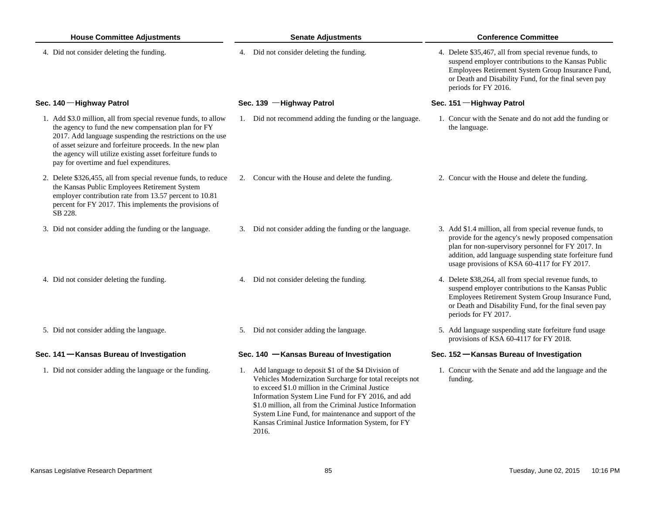| <b>House Committee Adjustments</b> |                                                                                                                                                                                                                                                                                                                                                          | <b>Senate Adjustments</b>                                                                                                                                                                                                                                                                                                                                                                          | <b>Conference Committee</b>                                                                                                                                                                                                                                                       |  |
|------------------------------------|----------------------------------------------------------------------------------------------------------------------------------------------------------------------------------------------------------------------------------------------------------------------------------------------------------------------------------------------------------|----------------------------------------------------------------------------------------------------------------------------------------------------------------------------------------------------------------------------------------------------------------------------------------------------------------------------------------------------------------------------------------------------|-----------------------------------------------------------------------------------------------------------------------------------------------------------------------------------------------------------------------------------------------------------------------------------|--|
|                                    | 4. Did not consider deleting the funding.                                                                                                                                                                                                                                                                                                                | 4. Did not consider deleting the funding.                                                                                                                                                                                                                                                                                                                                                          | 4. Delete \$35,467, all from special revenue funds, to<br>suspend employer contributions to the Kansas Public<br>Employees Retirement System Group Insurance Fund,<br>or Death and Disability Fund, for the final seven pay<br>periods for FY 2016.                               |  |
|                                    | Sec. 140 - Highway Patrol                                                                                                                                                                                                                                                                                                                                | Sec. 139 - Highway Patrol                                                                                                                                                                                                                                                                                                                                                                          | Sec. 151 - Highway Patrol                                                                                                                                                                                                                                                         |  |
|                                    | 1. Add \$3.0 million, all from special revenue funds, to allow<br>the agency to fund the new compensation plan for FY<br>2017. Add language suspending the restrictions on the use<br>of asset seizure and forfeiture proceeds. In the new plan<br>the agency will utilize existing asset forfeiture funds to<br>pay for overtime and fuel expenditures. | 1. Did not recommend adding the funding or the language.                                                                                                                                                                                                                                                                                                                                           | 1. Concur with the Senate and do not add the funding or<br>the language.                                                                                                                                                                                                          |  |
|                                    | 2. Delete \$326,455, all from special revenue funds, to reduce<br>the Kansas Public Employees Retirement System<br>employer contribution rate from 13.57 percent to 10.81<br>percent for FY 2017. This implements the provisions of<br>SB 228.                                                                                                           | 2. Concur with the House and delete the funding.                                                                                                                                                                                                                                                                                                                                                   | 2. Concur with the House and delete the funding.                                                                                                                                                                                                                                  |  |
|                                    | 3. Did not consider adding the funding or the language.                                                                                                                                                                                                                                                                                                  | 3. Did not consider adding the funding or the language.                                                                                                                                                                                                                                                                                                                                            | 3. Add \$1.4 million, all from special revenue funds, to<br>provide for the agency's newly proposed compensation<br>plan for non-supervisory personnel for FY 2017. In<br>addition, add language suspending state forfeiture fund<br>usage provisions of KSA 60-4117 for FY 2017. |  |
|                                    | 4. Did not consider deleting the funding.                                                                                                                                                                                                                                                                                                                | 4. Did not consider deleting the funding.                                                                                                                                                                                                                                                                                                                                                          | 4. Delete \$38,264, all from special revenue funds, to<br>suspend employer contributions to the Kansas Public<br>Employees Retirement System Group Insurance Fund,<br>or Death and Disability Fund, for the final seven pay<br>periods for FY 2017.                               |  |
|                                    | 5. Did not consider adding the language.                                                                                                                                                                                                                                                                                                                 | 5. Did not consider adding the language.                                                                                                                                                                                                                                                                                                                                                           | 5. Add language suspending state forfeiture fund usage<br>provisions of KSA 60-4117 for FY 2018.                                                                                                                                                                                  |  |
|                                    | Sec. 141 - Kansas Bureau of Investigation                                                                                                                                                                                                                                                                                                                | Sec. 140 - Kansas Bureau of Investigation                                                                                                                                                                                                                                                                                                                                                          | Sec. 152 – Kansas Bureau of Investigation                                                                                                                                                                                                                                         |  |
|                                    | 1. Did not consider adding the language or the funding.                                                                                                                                                                                                                                                                                                  | 1. Add language to deposit \$1 of the \$4 Division of<br>Vehicles Modernization Surcharge for total receipts not<br>to exceed \$1.0 million in the Criminal Justice<br>Information System Line Fund for FY 2016, and add<br>\$1.0 million, all from the Criminal Justice Information<br>System Line Fund, for maintenance and support of the<br>Kansas Criminal Justice Information System, for FY | 1. Concur with the Senate and add the language and the<br>funding.                                                                                                                                                                                                                |  |

2016.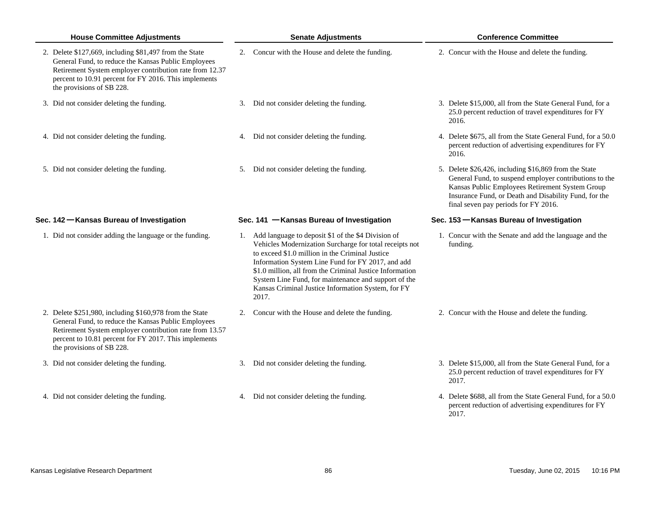| <b>House Committee Adjustments</b>                                                                                                                                                                                                                              |  | <b>Senate Adjustments</b>                                                                                                                                                                                                                                                                                                                                                                                   |  | <b>Conference Committee</b>                                                                                                                                                                                                                                         |  |
|-----------------------------------------------------------------------------------------------------------------------------------------------------------------------------------------------------------------------------------------------------------------|--|-------------------------------------------------------------------------------------------------------------------------------------------------------------------------------------------------------------------------------------------------------------------------------------------------------------------------------------------------------------------------------------------------------------|--|---------------------------------------------------------------------------------------------------------------------------------------------------------------------------------------------------------------------------------------------------------------------|--|
| 2. Delete \$127,669, including \$81,497 from the State<br>General Fund, to reduce the Kansas Public Employees<br>Retirement System employer contribution rate from 12.37<br>percent to 10.91 percent for FY 2016. This implements<br>the provisions of SB 228.  |  | 2. Concur with the House and delete the funding.                                                                                                                                                                                                                                                                                                                                                            |  | 2. Concur with the House and delete the funding.                                                                                                                                                                                                                    |  |
| 3. Did not consider deleting the funding.                                                                                                                                                                                                                       |  | 3. Did not consider deleting the funding.                                                                                                                                                                                                                                                                                                                                                                   |  | 3. Delete \$15,000, all from the State General Fund, for a<br>25.0 percent reduction of travel expenditures for FY<br>2016.                                                                                                                                         |  |
| 4. Did not consider deleting the funding.                                                                                                                                                                                                                       |  | 4. Did not consider deleting the funding.                                                                                                                                                                                                                                                                                                                                                                   |  | 4. Delete \$675, all from the State General Fund, for a 50.0<br>percent reduction of advertising expenditures for FY<br>2016.                                                                                                                                       |  |
| 5. Did not consider deleting the funding.                                                                                                                                                                                                                       |  | 5. Did not consider deleting the funding.                                                                                                                                                                                                                                                                                                                                                                   |  | 5. Delete \$26,426, including \$16,869 from the State<br>General Fund, to suspend employer contributions to the<br>Kansas Public Employees Retirement System Group<br>Insurance Fund, or Death and Disability Fund, for the<br>final seven pay periods for FY 2016. |  |
| Sec. 142 – Kansas Bureau of Investigation                                                                                                                                                                                                                       |  | Sec. 141 - Kansas Bureau of Investigation                                                                                                                                                                                                                                                                                                                                                                   |  | Sec. 153 – Kansas Bureau of Investigation                                                                                                                                                                                                                           |  |
| 1. Did not consider adding the language or the funding.                                                                                                                                                                                                         |  | 1. Add language to deposit \$1 of the \$4 Division of<br>Vehicles Modernization Surcharge for total receipts not<br>to exceed \$1.0 million in the Criminal Justice<br>Information System Line Fund for FY 2017, and add<br>\$1.0 million, all from the Criminal Justice Information<br>System Line Fund, for maintenance and support of the<br>Kansas Criminal Justice Information System, for FY<br>2017. |  | 1. Concur with the Senate and add the language and the<br>funding.                                                                                                                                                                                                  |  |
| 2. Delete \$251,980, including \$160,978 from the State<br>General Fund, to reduce the Kansas Public Employees<br>Retirement System employer contribution rate from 13.57<br>percent to 10.81 percent for FY 2017. This implements<br>the provisions of SB 228. |  | 2. Concur with the House and delete the funding.                                                                                                                                                                                                                                                                                                                                                            |  | 2. Concur with the House and delete the funding.                                                                                                                                                                                                                    |  |
| 3. Did not consider deleting the funding.                                                                                                                                                                                                                       |  | 3. Did not consider deleting the funding.                                                                                                                                                                                                                                                                                                                                                                   |  | 3. Delete \$15,000, all from the State General Fund, for a<br>25.0 percent reduction of travel expenditures for FY<br>2017.                                                                                                                                         |  |
| 4. Did not consider deleting the funding.                                                                                                                                                                                                                       |  | 4. Did not consider deleting the funding.                                                                                                                                                                                                                                                                                                                                                                   |  | 4. Delete \$688, all from the State General Fund, for a 50.0<br>percent reduction of advertising expenditures for FY                                                                                                                                                |  |

2017.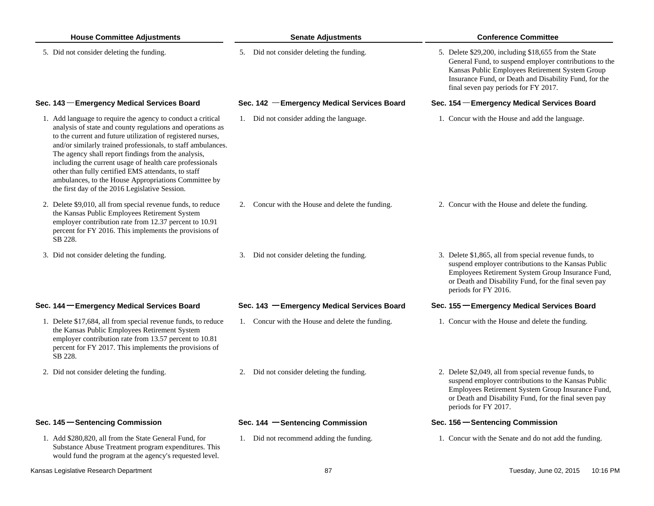| <b>House Committee Adjustments</b>                                                                                                                                                                                                                                                                                                                                                                                                                                                                                                           | <b>Senate Adjustments</b>                        | <b>Conference Committee</b>                                                                                                                                                                                                                                         |  |  |
|----------------------------------------------------------------------------------------------------------------------------------------------------------------------------------------------------------------------------------------------------------------------------------------------------------------------------------------------------------------------------------------------------------------------------------------------------------------------------------------------------------------------------------------------|--------------------------------------------------|---------------------------------------------------------------------------------------------------------------------------------------------------------------------------------------------------------------------------------------------------------------------|--|--|
| 5. Did not consider deleting the funding.                                                                                                                                                                                                                                                                                                                                                                                                                                                                                                    | 5. Did not consider deleting the funding.        | 5. Delete \$29,200, including \$18,655 from the State<br>General Fund, to suspend employer contributions to the<br>Kansas Public Employees Retirement System Group<br>Insurance Fund, or Death and Disability Fund, for the<br>final seven pay periods for FY 2017. |  |  |
| Sec. 143 - Emergency Medical Services Board                                                                                                                                                                                                                                                                                                                                                                                                                                                                                                  | Sec. 142 - Emergency Medical Services Board      | Sec. 154 - Emergency Medical Services Board                                                                                                                                                                                                                         |  |  |
| 1. Add language to require the agency to conduct a critical<br>analysis of state and county regulations and operations as<br>to the current and future utilization of registered nurses,<br>and/or similarly trained professionals, to staff ambulances.<br>The agency shall report findings from the analysis,<br>including the current usage of health care professionals<br>other than fully certified EMS attendants, to staff<br>ambulances, to the House Appropriations Committee by<br>the first day of the 2016 Legislative Session. | 1. Did not consider adding the language.         | 1. Concur with the House and add the language.                                                                                                                                                                                                                      |  |  |
| 2. Delete \$9,010, all from special revenue funds, to reduce<br>the Kansas Public Employees Retirement System<br>employer contribution rate from 12.37 percent to 10.91<br>percent for FY 2016. This implements the provisions of<br>SB 228.                                                                                                                                                                                                                                                                                                 | 2. Concur with the House and delete the funding. | 2. Concur with the House and delete the funding.                                                                                                                                                                                                                    |  |  |
| 3. Did not consider deleting the funding.                                                                                                                                                                                                                                                                                                                                                                                                                                                                                                    | 3. Did not consider deleting the funding.        | 3. Delete \$1,865, all from special revenue funds, to<br>suspend employer contributions to the Kansas Public<br>Employees Retirement System Group Insurance Fund,<br>or Death and Disability Fund, for the final seven pay<br>periods for FY 2016.                  |  |  |
| Sec. 144 - Emergency Medical Services Board                                                                                                                                                                                                                                                                                                                                                                                                                                                                                                  | Sec. 143 - Emergency Medical Services Board      | Sec. 155 - Emergency Medical Services Board                                                                                                                                                                                                                         |  |  |
| 1. Delete \$17,684, all from special revenue funds, to reduce<br>the Kansas Public Employees Retirement System<br>employer contribution rate from 13.57 percent to 10.81<br>percent for FY 2017. This implements the provisions of<br>SB 228.                                                                                                                                                                                                                                                                                                | 1. Concur with the House and delete the funding. | 1. Concur with the House and delete the funding.                                                                                                                                                                                                                    |  |  |
| 2. Did not consider deleting the funding.                                                                                                                                                                                                                                                                                                                                                                                                                                                                                                    | 2. Did not consider deleting the funding.        | 2. Delete \$2,049, all from special revenue funds, to<br>suspend employer contributions to the Kansas Public<br>Employees Retirement System Group Insurance Fund,<br>or Death and Disability Fund, for the final seven pay<br>periods for FY 2017.                  |  |  |
| Sec. 145 - Sentencing Commission                                                                                                                                                                                                                                                                                                                                                                                                                                                                                                             | Sec. 144 - Sentencing Commission                 | Sec. 156 – Sentencing Commission                                                                                                                                                                                                                                    |  |  |
| 1. Add \$280,820, all from the State General Fund, for<br>Substance Abuse Treatment program expenditures. This<br>would fund the program at the agency's requested level.                                                                                                                                                                                                                                                                                                                                                                    | 1. Did not recommend adding the funding.         | 1. Concur with the Senate and do not add the funding.                                                                                                                                                                                                               |  |  |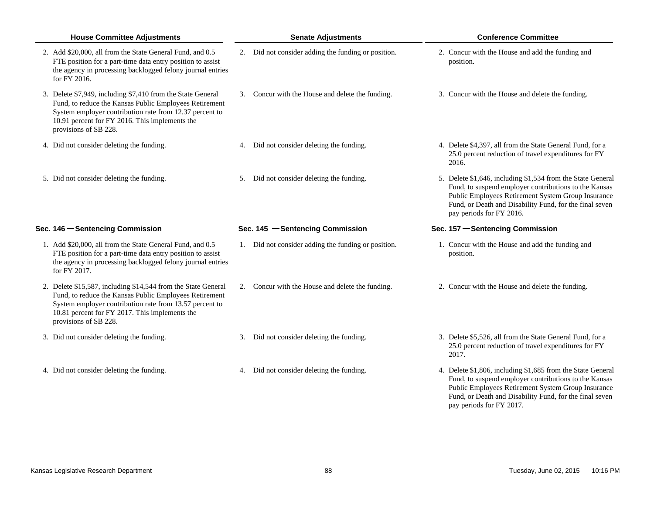| <b>House Committee Adjustments</b>                                                                                                                                                                                                                            | <b>Senate Adjustments</b>                           | <b>Conference Committee</b>                                                                                                                                                                                                                                       |  |
|---------------------------------------------------------------------------------------------------------------------------------------------------------------------------------------------------------------------------------------------------------------|-----------------------------------------------------|-------------------------------------------------------------------------------------------------------------------------------------------------------------------------------------------------------------------------------------------------------------------|--|
| 2. Add \$20,000, all from the State General Fund, and 0.5<br>FTE position for a part-time data entry position to assist<br>the agency in processing backlogged felony journal entries<br>for FY 2016.                                                         | 2. Did not consider adding the funding or position. | 2. Concur with the House and add the funding and<br>position.                                                                                                                                                                                                     |  |
| 3. Delete \$7,949, including \$7,410 from the State General<br>Fund, to reduce the Kansas Public Employees Retirement<br>System employer contribution rate from 12.37 percent to<br>10.91 percent for FY 2016. This implements the<br>provisions of SB 228.   | 3. Concur with the House and delete the funding.    | 3. Concur with the House and delete the funding.                                                                                                                                                                                                                  |  |
| 4. Did not consider deleting the funding.                                                                                                                                                                                                                     | 4. Did not consider deleting the funding.           | 4. Delete \$4,397, all from the State General Fund, for a<br>25.0 percent reduction of travel expenditures for FY<br>2016.                                                                                                                                        |  |
| 5. Did not consider deleting the funding.                                                                                                                                                                                                                     | 5. Did not consider deleting the funding.           | 5. Delete \$1,646, including \$1,534 from the State General<br>Fund, to suspend employer contributions to the Kansas<br>Public Employees Retirement System Group Insurance<br>Fund, or Death and Disability Fund, for the final seven<br>pay periods for FY 2016. |  |
| Sec. 146 Sentencing Commission                                                                                                                                                                                                                                | Sec. 145 - Sentencing Commission                    | Sec. 157 - Sentencing Commission                                                                                                                                                                                                                                  |  |
| 1. Add \$20,000, all from the State General Fund, and 0.5<br>FTE position for a part-time data entry position to assist<br>the agency in processing backlogged felony journal entries<br>for FY 2017.                                                         | 1. Did not consider adding the funding or position. | 1. Concur with the House and add the funding and<br>position.                                                                                                                                                                                                     |  |
| 2. Delete \$15,587, including \$14,544 from the State General<br>Fund, to reduce the Kansas Public Employees Retirement<br>System employer contribution rate from 13.57 percent to<br>10.81 percent for FY 2017. This implements the<br>provisions of SB 228. | 2. Concur with the House and delete the funding.    | 2. Concur with the House and delete the funding.                                                                                                                                                                                                                  |  |
| 3. Did not consider deleting the funding.                                                                                                                                                                                                                     | 3. Did not consider deleting the funding.           | 3. Delete \$5,526, all from the State General Fund, for a<br>25.0 percent reduction of travel expenditures for FY<br>2017.                                                                                                                                        |  |
| 4. Did not consider deleting the funding.                                                                                                                                                                                                                     | 4. Did not consider deleting the funding.           | 4. Delete \$1,806, including \$1,685 from the State General<br>Fund, to suspend employer contributions to the Kansas<br>Public Employees Retirement System Group Insurance<br>Fund, or Death and Disability Fund, for the final seven<br>pay periods for FY 2017. |  |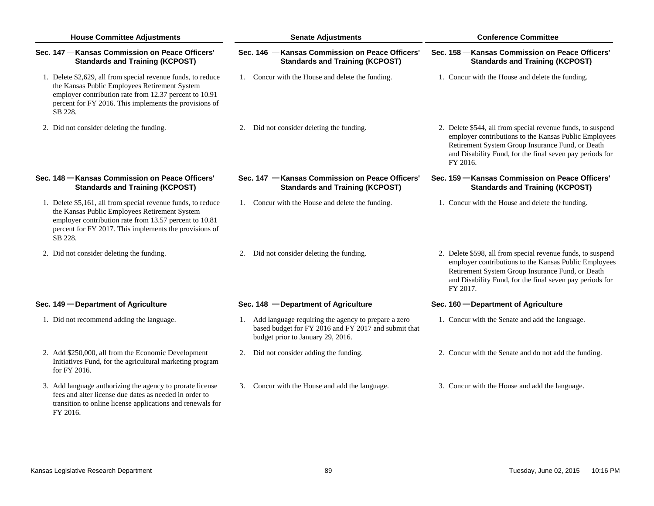| <b>House Committee Adjustments</b>                                                                                                                                                                                                           | <b>Senate Adjustments</b>                                                                                                                           | <b>Conference Committee</b><br>Sec. 158 – Kansas Commission on Peace Officers'<br><b>Standards and Training (KCPOST)</b>                                                                                                                         |  |
|----------------------------------------------------------------------------------------------------------------------------------------------------------------------------------------------------------------------------------------------|-----------------------------------------------------------------------------------------------------------------------------------------------------|--------------------------------------------------------------------------------------------------------------------------------------------------------------------------------------------------------------------------------------------------|--|
| Sec. 147 – Kansas Commission on Peace Officers'<br><b>Standards and Training (KCPOST)</b>                                                                                                                                                    | Sec. 146 - Kansas Commission on Peace Officers'<br><b>Standards and Training (KCPOST)</b>                                                           |                                                                                                                                                                                                                                                  |  |
| 1. Delete \$2,629, all from special revenue funds, to reduce<br>the Kansas Public Employees Retirement System<br>employer contribution rate from 12.37 percent to 10.91<br>percent for FY 2016. This implements the provisions of<br>SB 228. | 1. Concur with the House and delete the funding.                                                                                                    | 1. Concur with the House and delete the funding.                                                                                                                                                                                                 |  |
| 2. Did not consider deleting the funding.                                                                                                                                                                                                    | Did not consider deleting the funding.<br>2.                                                                                                        | 2. Delete \$544, all from special revenue funds, to suspend<br>employer contributions to the Kansas Public Employees<br>Retirement System Group Insurance Fund, or Death<br>and Disability Fund, for the final seven pay periods for<br>FY 2016. |  |
| Sec. 148 – Kansas Commission on Peace Officers'<br><b>Standards and Training (KCPOST)</b>                                                                                                                                                    | Sec. 147 - Kansas Commission on Peace Officers'<br><b>Standards and Training (KCPOST)</b>                                                           | Sec. 159 - Kansas Commission on Peace Officers'<br><b>Standards and Training (KCPOST)</b>                                                                                                                                                        |  |
| 1. Delete \$5,161, all from special revenue funds, to reduce<br>the Kansas Public Employees Retirement System<br>employer contribution rate from 13.57 percent to 10.81<br>percent for FY 2017. This implements the provisions of<br>SB 228. | 1. Concur with the House and delete the funding.                                                                                                    | 1. Concur with the House and delete the funding.                                                                                                                                                                                                 |  |
| 2. Did not consider deleting the funding.                                                                                                                                                                                                    | 2. Did not consider deleting the funding.                                                                                                           | 2. Delete \$598, all from special revenue funds, to suspend<br>employer contributions to the Kansas Public Employees<br>Retirement System Group Insurance Fund, or Death<br>and Disability Fund, for the final seven pay periods for<br>FY 2017. |  |
| Sec. 149 - Department of Agriculture                                                                                                                                                                                                         | Sec. 148 - Department of Agriculture                                                                                                                | Sec. 160 - Department of Agriculture                                                                                                                                                                                                             |  |
| 1. Did not recommend adding the language.                                                                                                                                                                                                    | 1. Add language requiring the agency to prepare a zero<br>based budget for FY 2016 and FY 2017 and submit that<br>budget prior to January 29, 2016. | 1. Concur with the Senate and add the language.                                                                                                                                                                                                  |  |
| 2. Add \$250,000, all from the Economic Development<br>Initiatives Fund, for the agricultural marketing program<br>for FY 2016.                                                                                                              | 2. Did not consider adding the funding.                                                                                                             | 2. Concur with the Senate and do not add the funding.                                                                                                                                                                                            |  |
| 3. Add language authorizing the agency to prorate license<br>fees and alter license due dates as needed in order to<br>transition to online license applications and renewals for<br>FY 2016.                                                | 3. Concur with the House and add the language.                                                                                                      | 3. Concur with the House and add the language.                                                                                                                                                                                                   |  |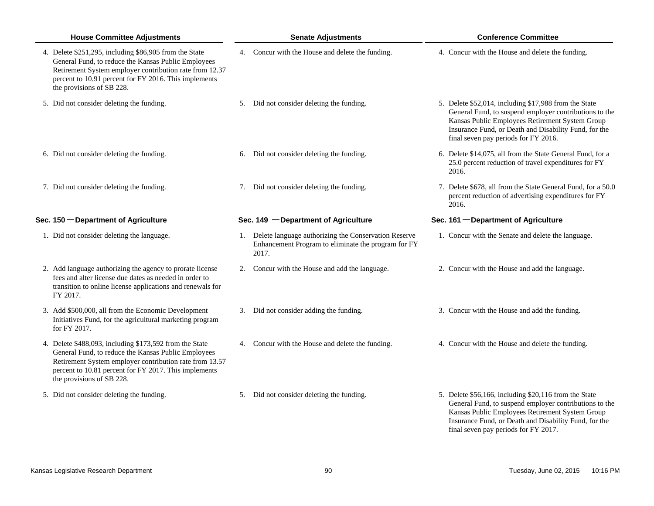| <b>House Committee Adjustments</b>                                                                                                                                                                                                                              | <b>Senate Adjustments</b>                                                                                               | <b>Conference Committee</b>                                                                                                                                                                                                                                         |
|-----------------------------------------------------------------------------------------------------------------------------------------------------------------------------------------------------------------------------------------------------------------|-------------------------------------------------------------------------------------------------------------------------|---------------------------------------------------------------------------------------------------------------------------------------------------------------------------------------------------------------------------------------------------------------------|
| 4. Delete \$251,295, including \$86,905 from the State<br>General Fund, to reduce the Kansas Public Employees<br>Retirement System employer contribution rate from 12.37<br>percent to 10.91 percent for FY 2016. This implements<br>the provisions of SB 228.  | 4. Concur with the House and delete the funding.                                                                        | 4. Concur with the House and delete the funding.                                                                                                                                                                                                                    |
| 5. Did not consider deleting the funding.                                                                                                                                                                                                                       | 5. Did not consider deleting the funding.                                                                               | 5. Delete \$52,014, including \$17,988 from the State<br>General Fund, to suspend employer contributions to the<br>Kansas Public Employees Retirement System Group<br>Insurance Fund, or Death and Disability Fund, for the<br>final seven pay periods for FY 2016. |
| 6. Did not consider deleting the funding.                                                                                                                                                                                                                       | 6. Did not consider deleting the funding.                                                                               | 6. Delete \$14,075, all from the State General Fund, for a<br>25.0 percent reduction of travel expenditures for FY<br>2016.                                                                                                                                         |
| 7. Did not consider deleting the funding.                                                                                                                                                                                                                       | 7. Did not consider deleting the funding.                                                                               | 7. Delete \$678, all from the State General Fund, for a 50.0<br>percent reduction of advertising expenditures for FY<br>2016.                                                                                                                                       |
| Sec. 150 - Department of Agriculture                                                                                                                                                                                                                            | Sec. 149 - Department of Agriculture                                                                                    | Sec. 161 - Department of Agriculture                                                                                                                                                                                                                                |
| 1. Did not consider deleting the language.                                                                                                                                                                                                                      | 1. Delete language authorizing the Conservation Reserve<br>Enhancement Program to eliminate the program for FY<br>2017. | 1. Concur with the Senate and delete the language.                                                                                                                                                                                                                  |
| 2. Add language authorizing the agency to prorate license<br>fees and alter license due dates as needed in order to<br>transition to online license applications and renewals for<br>FY 2017.                                                                   | 2. Concur with the House and add the language.                                                                          | 2. Concur with the House and add the language.                                                                                                                                                                                                                      |
| 3. Add \$500,000, all from the Economic Development<br>Initiatives Fund, for the agricultural marketing program<br>for FY 2017.                                                                                                                                 | 3. Did not consider adding the funding.                                                                                 | 3. Concur with the House and add the funding.                                                                                                                                                                                                                       |
| 4. Delete \$488,093, including \$173,592 from the State<br>General Fund, to reduce the Kansas Public Employees<br>Retirement System employer contribution rate from 13.57<br>percent to 10.81 percent for FY 2017. This implements<br>the provisions of SB 228. | 4. Concur with the House and delete the funding.                                                                        | 4. Concur with the House and delete the funding.                                                                                                                                                                                                                    |
| 5. Did not consider deleting the funding.                                                                                                                                                                                                                       | 5. Did not consider deleting the funding.                                                                               | 5. Delete \$56,166, including \$20,116 from the State<br>General Fund, to suspend employer contributions to the<br>Kansas Public Employees Retirement System Group                                                                                                  |

Insurance Fund, or Death and Disability Fund, for the

final seven pay periods for FY 2017.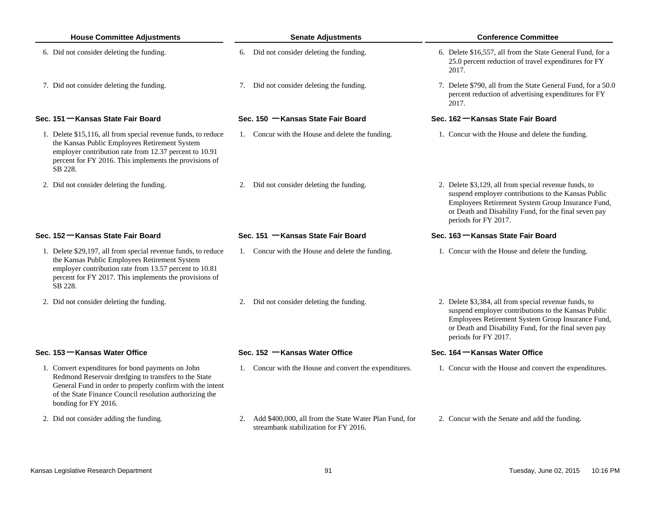| <b>House Committee Adjustments</b>                                                                                                                                                                                                                        |    | <b>Senate Adjustments</b>                                                                       | <b>Conference Committee</b>                                                                                                                                                                                                                        |
|-----------------------------------------------------------------------------------------------------------------------------------------------------------------------------------------------------------------------------------------------------------|----|-------------------------------------------------------------------------------------------------|----------------------------------------------------------------------------------------------------------------------------------------------------------------------------------------------------------------------------------------------------|
| 6. Did not consider deleting the funding.                                                                                                                                                                                                                 |    | 6. Did not consider deleting the funding.                                                       | 6. Delete \$16,557, all from the State General Fund, for a<br>25.0 percent reduction of travel expenditures for FY<br>2017.                                                                                                                        |
| 7. Did not consider deleting the funding.                                                                                                                                                                                                                 |    | 7. Did not consider deleting the funding.                                                       | 7. Delete \$790, all from the State General Fund, for a 50.0<br>percent reduction of advertising expenditures for FY<br>2017.                                                                                                                      |
| Sec. 151 – Kansas State Fair Board                                                                                                                                                                                                                        |    | Sec. 150 - Kansas State Fair Board                                                              | Sec. 162 – Kansas State Fair Board                                                                                                                                                                                                                 |
| 1. Delete \$15,116, all from special revenue funds, to reduce<br>the Kansas Public Employees Retirement System<br>employer contribution rate from 12.37 percent to 10.91<br>percent for FY 2016. This implements the provisions of<br>SB 228.             |    | 1. Concur with the House and delete the funding.                                                | 1. Concur with the House and delete the funding.                                                                                                                                                                                                   |
| 2. Did not consider deleting the funding.                                                                                                                                                                                                                 |    | 2. Did not consider deleting the funding.                                                       | 2. Delete \$3,129, all from special revenue funds, to<br>suspend employer contributions to the Kansas Public<br>Employees Retirement System Group Insurance Fund,<br>or Death and Disability Fund, for the final seven pay<br>periods for FY 2017. |
| Sec. 152 – Kansas State Fair Board                                                                                                                                                                                                                        |    | Sec. 151 - Kansas State Fair Board                                                              | Sec. 163 - Kansas State Fair Board                                                                                                                                                                                                                 |
| 1. Delete \$29,197, all from special revenue funds, to reduce<br>the Kansas Public Employees Retirement System<br>employer contribution rate from 13.57 percent to 10.81<br>percent for FY 2017. This implements the provisions of<br>SB 228.             |    | 1. Concur with the House and delete the funding.                                                | 1. Concur with the House and delete the funding.                                                                                                                                                                                                   |
| 2. Did not consider deleting the funding.                                                                                                                                                                                                                 |    | 2. Did not consider deleting the funding.                                                       | 2. Delete \$3,384, all from special revenue funds, to<br>suspend employer contributions to the Kansas Public<br>Employees Retirement System Group Insurance Fund,<br>or Death and Disability Fund, for the final seven pay<br>periods for FY 2017. |
| Sec. 153 – Kansas Water Office                                                                                                                                                                                                                            |    | Sec. 152 - Kansas Water Office                                                                  | Sec. 164 – Kansas Water Office                                                                                                                                                                                                                     |
| 1. Convert expenditures for bond payments on John<br>Redmond Reservoir dredging to transfers to the State<br>General Fund in order to properly confirm with the intent<br>of the State Finance Council resolution authorizing the<br>bonding for FY 2016. |    | 1. Concur with the House and convert the expenditures.                                          | 1. Concur with the House and convert the expenditures.                                                                                                                                                                                             |
| 2. Did not consider adding the funding.                                                                                                                                                                                                                   | 2. | Add \$400,000, all from the State Water Plan Fund, for<br>streambank stabilization for FY 2016. | 2. Concur with the Senate and add the funding.                                                                                                                                                                                                     |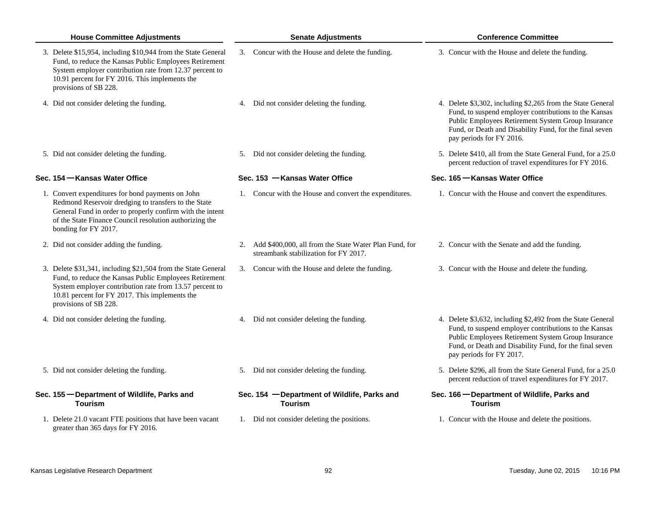| <b>House Committee Adjustments</b>                                                                                                                                                                                                                            | <b>Senate Adjustments</b>                                                                          | <b>Conference Committee</b>                                                                                                                                                                                                                                       |
|---------------------------------------------------------------------------------------------------------------------------------------------------------------------------------------------------------------------------------------------------------------|----------------------------------------------------------------------------------------------------|-------------------------------------------------------------------------------------------------------------------------------------------------------------------------------------------------------------------------------------------------------------------|
| 3. Delete \$15,954, including \$10,944 from the State General<br>Fund, to reduce the Kansas Public Employees Retirement<br>System employer contribution rate from 12.37 percent to<br>10.91 percent for FY 2016. This implements the<br>provisions of SB 228. | 3. Concur with the House and delete the funding.                                                   | 3. Concur with the House and delete the funding.                                                                                                                                                                                                                  |
| 4. Did not consider deleting the funding.                                                                                                                                                                                                                     | 4. Did not consider deleting the funding.                                                          | 4. Delete \$3,302, including \$2,265 from the State General<br>Fund, to suspend employer contributions to the Kansas<br>Public Employees Retirement System Group Insurance<br>Fund, or Death and Disability Fund, for the final seven<br>pay periods for FY 2016. |
| 5. Did not consider deleting the funding.                                                                                                                                                                                                                     | 5. Did not consider deleting the funding.                                                          | 5. Delete \$410, all from the State General Fund, for a 25.0<br>percent reduction of travel expenditures for FY 2016.                                                                                                                                             |
| Sec. 154 – Kansas Water Office                                                                                                                                                                                                                                | Sec. 153 - Kansas Water Office                                                                     | Sec. 165 – Kansas Water Office                                                                                                                                                                                                                                    |
| 1. Convert expenditures for bond payments on John<br>Redmond Reservoir dredging to transfers to the State<br>General Fund in order to properly confirm with the intent<br>of the State Finance Council resolution authorizing the<br>bonding for FY 2017.     | 1. Concur with the House and convert the expenditures.                                             | 1. Concur with the House and convert the expenditures.                                                                                                                                                                                                            |
| 2. Did not consider adding the funding.                                                                                                                                                                                                                       | 2. Add \$400,000, all from the State Water Plan Fund, for<br>streambank stabilization for FY 2017. | 2. Concur with the Senate and add the funding.                                                                                                                                                                                                                    |
| 3. Delete \$31,341, including \$21,504 from the State General<br>Fund, to reduce the Kansas Public Employees Retirement<br>System employer contribution rate from 13.57 percent to<br>10.81 percent for FY 2017. This implements the<br>provisions of SB 228. | 3. Concur with the House and delete the funding.                                                   | 3. Concur with the House and delete the funding.                                                                                                                                                                                                                  |
| 4. Did not consider deleting the funding.                                                                                                                                                                                                                     | 4. Did not consider deleting the funding.                                                          | 4. Delete \$3,632, including \$2,492 from the State General<br>Fund, to suspend employer contributions to the Kansas<br>Public Employees Retirement System Group Insurance<br>Fund, or Death and Disability Fund, for the final seven<br>pay periods for FY 2017. |
| 5. Did not consider deleting the funding.                                                                                                                                                                                                                     | 5. Did not consider deleting the funding.                                                          | 5. Delete \$296, all from the State General Fund, for a 25.0<br>percent reduction of travel expenditures for FY 2017.                                                                                                                                             |
| Sec. 155 - Department of Wildlife, Parks and<br><b>Tourism</b>                                                                                                                                                                                                | Sec. 154 - Department of Wildlife, Parks and<br><b>Tourism</b>                                     | Sec. 166 - Department of Wildlife, Parks and<br><b>Tourism</b>                                                                                                                                                                                                    |
| 1. Delete 21.0 vacant FTE positions that have been vacant<br>greater than 365 days for FY 2016.                                                                                                                                                               | 1. Did not consider deleting the positions.                                                        | 1. Concur with the House and delete the positions.                                                                                                                                                                                                                |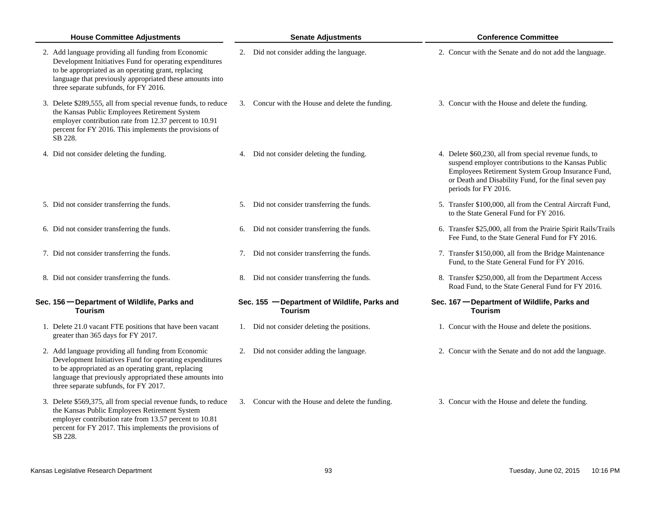| <b>House Committee Adjustments</b>                                                                                                                                                                                                                                         | <b>Senate Adjustments</b>                                      | <b>Conference Committee</b>                                                                                                                                                                                                                         |
|----------------------------------------------------------------------------------------------------------------------------------------------------------------------------------------------------------------------------------------------------------------------------|----------------------------------------------------------------|-----------------------------------------------------------------------------------------------------------------------------------------------------------------------------------------------------------------------------------------------------|
| 2. Add language providing all funding from Economic<br>Development Initiatives Fund for operating expenditures<br>to be appropriated as an operating grant, replacing<br>language that previously appropriated these amounts into<br>three separate subfunds, for FY 2016. | 2. Did not consider adding the language.                       | 2. Concur with the Senate and do not add the language.                                                                                                                                                                                              |
| 3. Delete \$289,555, all from special revenue funds, to reduce<br>the Kansas Public Employees Retirement System<br>employer contribution rate from 12.37 percent to 10.91<br>percent for FY 2016. This implements the provisions of<br>SB 228.                             | 3. Concur with the House and delete the funding.               | 3. Concur with the House and delete the funding.                                                                                                                                                                                                    |
| 4. Did not consider deleting the funding.                                                                                                                                                                                                                                  | Did not consider deleting the funding.<br>4.                   | 4. Delete \$60,230, all from special revenue funds, to<br>suspend employer contributions to the Kansas Public<br>Employees Retirement System Group Insurance Fund,<br>or Death and Disability Fund, for the final seven pay<br>periods for FY 2016. |
| 5. Did not consider transferring the funds.                                                                                                                                                                                                                                | Did not consider transferring the funds.<br>5.                 | 5. Transfer \$100,000, all from the Central Aircraft Fund,<br>to the State General Fund for FY 2016.                                                                                                                                                |
| 6. Did not consider transferring the funds.                                                                                                                                                                                                                                | Did not consider transferring the funds.<br>6.                 | 6. Transfer \$25,000, all from the Prairie Spirit Rails/Trails<br>Fee Fund, to the State General Fund for FY 2016.                                                                                                                                  |
| 7. Did not consider transferring the funds.                                                                                                                                                                                                                                | Did not consider transferring the funds.<br>7.                 | 7. Transfer \$150,000, all from the Bridge Maintenance<br>Fund, to the State General Fund for FY 2016.                                                                                                                                              |
| 8. Did not consider transferring the funds.                                                                                                                                                                                                                                | Did not consider transferring the funds.<br>8.                 | 8. Transfer \$250,000, all from the Department Access<br>Road Fund, to the State General Fund for FY 2016.                                                                                                                                          |
| Sec. 156 - Department of Wildlife, Parks and<br><b>Tourism</b>                                                                                                                                                                                                             | Sec. 155 - Department of Wildlife, Parks and<br><b>Tourism</b> | Sec. 167 - Department of Wildlife, Parks and<br><b>Tourism</b>                                                                                                                                                                                      |
| 1. Delete 21.0 vacant FTE positions that have been vacant<br>greater than 365 days for FY 2017.                                                                                                                                                                            | Did not consider deleting the positions.<br>1.                 | 1. Concur with the House and delete the positions.                                                                                                                                                                                                  |
| 2. Add language providing all funding from Economic<br>Development Initiatives Fund for operating expenditures<br>to be appropriated as an operating grant, replacing<br>language that previously appropriated these amounts into<br>three separate subfunds, for FY 2017. | Did not consider adding the language.<br>2.                    | 2. Concur with the Senate and do not add the language.                                                                                                                                                                                              |
| 3. Delete \$569,375, all from special revenue funds, to reduce<br>the Kansas Public Employees Retirement System<br>employer contribution rate from 13.57 percent to 10.81<br>percent for FY 2017. This implements the provisions of<br>SB 228.                             | 3. Concur with the House and delete the funding.               | 3. Concur with the House and delete the funding.                                                                                                                                                                                                    |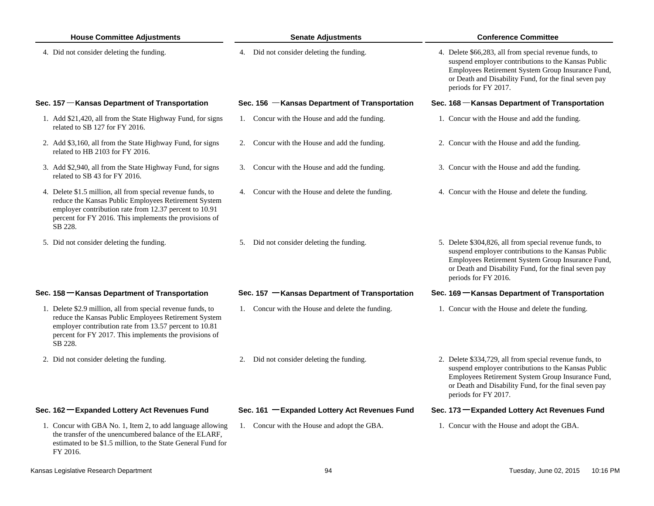| <b>House Committee Adjustments</b>                                                                                                                                                                                                                 | <b>Senate Adjustments</b>                        | <b>Conference Committee</b>                                                                                                                                                                                                                          |
|----------------------------------------------------------------------------------------------------------------------------------------------------------------------------------------------------------------------------------------------------|--------------------------------------------------|------------------------------------------------------------------------------------------------------------------------------------------------------------------------------------------------------------------------------------------------------|
| 4. Did not consider deleting the funding.                                                                                                                                                                                                          | 4. Did not consider deleting the funding.        | 4. Delete \$66,283, all from special revenue funds, to<br>suspend employer contributions to the Kansas Public<br>Employees Retirement System Group Insurance Fund,<br>or Death and Disability Fund, for the final seven pay<br>periods for FY 2017.  |
| Sec. 157 – Kansas Department of Transportation                                                                                                                                                                                                     | Sec. 156 - Kansas Department of Transportation   | Sec. 168 – Kansas Department of Transportation                                                                                                                                                                                                       |
| 1. Add \$21,420, all from the State Highway Fund, for signs<br>related to SB 127 for FY 2016.                                                                                                                                                      | 1. Concur with the House and add the funding.    | 1. Concur with the House and add the funding.                                                                                                                                                                                                        |
| 2. Add \$3,160, all from the State Highway Fund, for signs<br>related to HB 2103 for FY 2016.                                                                                                                                                      | 2. Concur with the House and add the funding.    | 2. Concur with the House and add the funding.                                                                                                                                                                                                        |
| 3. Add \$2,940, all from the State Highway Fund, for signs<br>related to SB 43 for FY 2016.                                                                                                                                                        | 3. Concur with the House and add the funding.    | 3. Concur with the House and add the funding.                                                                                                                                                                                                        |
| 4. Delete \$1.5 million, all from special revenue funds, to<br>reduce the Kansas Public Employees Retirement System<br>employer contribution rate from 12.37 percent to 10.91<br>percent for FY 2016. This implements the provisions of<br>SB 228. | 4. Concur with the House and delete the funding. | 4. Concur with the House and delete the funding.                                                                                                                                                                                                     |
| 5. Did not consider deleting the funding.                                                                                                                                                                                                          | 5. Did not consider deleting the funding.        | 5. Delete \$304,826, all from special revenue funds, to<br>suspend employer contributions to the Kansas Public<br>Employees Retirement System Group Insurance Fund,<br>or Death and Disability Fund, for the final seven pay<br>periods for FY 2016. |
| Sec. 158 – Kansas Department of Transportation                                                                                                                                                                                                     | Sec. 157 - Kansas Department of Transportation   | Sec. 169 – Kansas Department of Transportation                                                                                                                                                                                                       |
| 1. Delete \$2.9 million, all from special revenue funds, to<br>reduce the Kansas Public Employees Retirement System<br>employer contribution rate from 13.57 percent to 10.81<br>percent for FY 2017. This implements the provisions of<br>SB 228. | 1. Concur with the House and delete the funding. | 1. Concur with the House and delete the funding.                                                                                                                                                                                                     |
| 2. Did not consider deleting the funding.                                                                                                                                                                                                          | 2. Did not consider deleting the funding.        | 2. Delete \$334,729, all from special revenue funds, to<br>suspend employer contributions to the Kansas Public<br>Employees Retirement System Group Insurance Fund,<br>or Death and Disability Fund, for the final seven pay<br>periods for FY 2017. |
| Sec. 162 - Expanded Lottery Act Revenues Fund                                                                                                                                                                                                      | Sec. 161 - Expanded Lottery Act Revenues Fund    | Sec. 173 - Expanded Lottery Act Revenues Fund                                                                                                                                                                                                        |
| 1. Concur with GBA No. 1, Item 2, to add language allowing<br>the transfer of the unencumbered balance of the ELARF,<br>estimated to be \$1.5 million, to the State General Fund for<br>FY 2016.                                                   | 1. Concur with the House and adopt the GBA.      | 1. Concur with the House and adopt the GBA.                                                                                                                                                                                                          |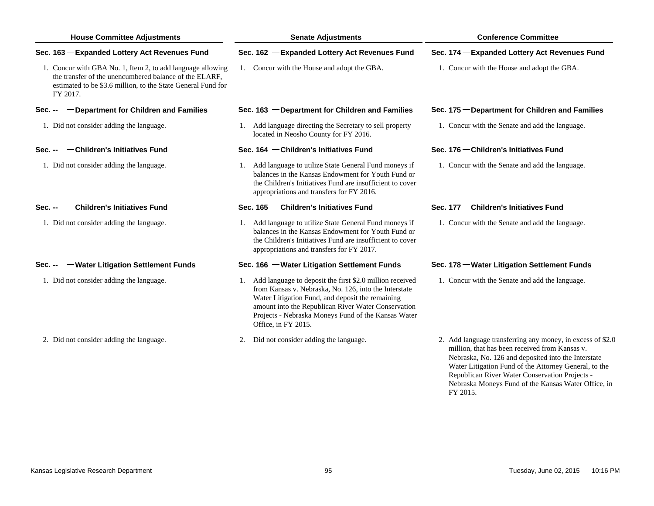# **House Committee Adjustments Senate Adjustments Conference Committee**

## **Sec. 163**

1. Concur with GBA No. 1, Item 2, to add language allowing 1. Concur with the House and adopt the GBA. 1. Concur with the House and adopt the GBA. the transfer of the unencumbered balance of the ELARF, estimated to be \$3.6 million, to the State General Fund for FY 2017.

# **Sec. --**

1. Did not consider adding the language.

### **Sec. --Children's Initiatives Fund**

1. Did not consider adding the language.

### **Sec. --Children's Initiatives Fund**

1. Did not consider adding the language.

# **Sec. --**

- 1. Did not consider adding the language.
- 2. Did not consider adding the language.

## **Expanded Lottery Act Revenues Fund Sec. 162 Expanded Lottery Act Revenues Fund Sec. 174 Expanded Lottery Act Revenues Fund**

### **Department for Children and Families Sec. 163 Department for Children and Families Sec. 175 Department for Children and Families**

Add language directing the Secretary to sell property and a Concur with the Senate and add the language.<br>
1. Add language directing the Secretary to sell property and all Concur with the Senate and add the language. located in Neosho County for FY 2016.

### **Sec. 164 Children's Initiatives Fund Sec. 176 Children's Initiatives Fund**

Did not consider adding the language. 1. Add language to utilize State General Fund moneys if 1. Concur with the Senate and add the language. balances in the Kansas Endowment for Youth Fund or the Children's Initiatives Fund are insufficient to cover appropriations and transfers for FY 2016.

### **Sec. 165 Children's Initiatives Fund**

Did not consider adding the language. 1. Add language to utilize State General Fund moneys if 1. Concur with the Senate and add the language. balances in the Kansas Endowment for Youth Fund or the Children's Initiatives Fund are insufficient to cover appropriations and transfers for FY 2017.

- Add language to deposit the first \$2.0 million received 1. Concur with the Senate and add the language. 1. Concur with the Senate and add the language. from Kansas v. Nebraska, No. 126, into the Interstate Water Litigation Fund, and deposit the remaining amount into the Republican River Water Conservation Projects - Nebraska Moneys Fund of the Kansas Water Office, in FY 2015.
	- 2. Did not consider adding the language.

# **Sec. 177 Children's Initiatives Fund**

### **Water Litigation Settlement Funds Sec. 166 Water Litigation Settlement Funds Sec. 178 Water Litigation Settlement Funds**

2. Add language transferring any money, in excess of \$2.0 million, that has been received from Kansas v. Nebraska, No. 126 and deposited into the Interstate Water Litigation Fund of the Attorney General, to the Republican River Water Conservation Projects - Nebraska Moneys Fund of the Kansas Water Office, in FY 2015.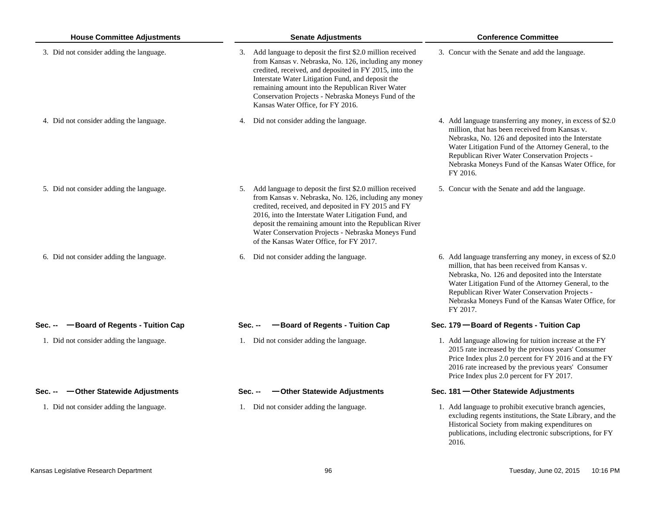| <b>House Committee Adjustments</b>         | <b>Senate Adjustments</b>                                                                                                                                                                                                                                                                                                                                                                       | <b>Conference Committee</b>                                                                                                                                                                                                                                                                                                                        |
|--------------------------------------------|-------------------------------------------------------------------------------------------------------------------------------------------------------------------------------------------------------------------------------------------------------------------------------------------------------------------------------------------------------------------------------------------------|----------------------------------------------------------------------------------------------------------------------------------------------------------------------------------------------------------------------------------------------------------------------------------------------------------------------------------------------------|
| 3. Did not consider adding the language.   | 3. Add language to deposit the first \$2.0 million received<br>from Kansas v. Nebraska, No. 126, including any money<br>credited, received, and deposited in FY 2015, into the<br>Interstate Water Litigation Fund, and deposit the<br>remaining amount into the Republican River Water<br>Conservation Projects - Nebraska Moneys Fund of the<br>Kansas Water Office, for FY 2016.             | 3. Concur with the Senate and add the language.                                                                                                                                                                                                                                                                                                    |
| 4. Did not consider adding the language.   | 4. Did not consider adding the language.                                                                                                                                                                                                                                                                                                                                                        | 4. Add language transferring any money, in excess of \$2.0<br>million, that has been received from Kansas v.<br>Nebraska, No. 126 and deposited into the Interstate<br>Water Litigation Fund of the Attorney General, to the<br>Republican River Water Conservation Projects -<br>Nebraska Moneys Fund of the Kansas Water Office, for<br>FY 2016. |
| 5. Did not consider adding the language.   | 5. Add language to deposit the first \$2.0 million received<br>from Kansas v. Nebraska, No. 126, including any money<br>credited, received, and deposited in FY 2015 and FY<br>2016, into the Interstate Water Litigation Fund, and<br>deposit the remaining amount into the Republican River<br>Water Conservation Projects - Nebraska Moneys Fund<br>of the Kansas Water Office, for FY 2017. | 5. Concur with the Senate and add the language.                                                                                                                                                                                                                                                                                                    |
| 6. Did not consider adding the language.   | Did not consider adding the language.<br>6.                                                                                                                                                                                                                                                                                                                                                     | 6. Add language transferring any money, in excess of \$2.0<br>million, that has been received from Kansas v.<br>Nebraska, No. 126 and deposited into the Interstate<br>Water Litigation Fund of the Attorney General, to the<br>Republican River Water Conservation Projects -<br>Nebraska Moneys Fund of the Kansas Water Office, for<br>FY 2017. |
| -Board of Regents - Tuition Cap<br>Sec. -- | -Board of Regents - Tuition Cap<br>Sec.                                                                                                                                                                                                                                                                                                                                                         | Sec. 179 - Board of Regents - Tuition Cap                                                                                                                                                                                                                                                                                                          |
| 1. Did not consider adding the language.   | 1. Did not consider adding the language.                                                                                                                                                                                                                                                                                                                                                        | 1. Add language allowing for tuition increase at the FY<br>2015 rate increased by the previous years' Consumer<br>Price Index plus 2.0 percent for FY 2016 and at the FY<br>2016 rate increased by the previous years' Consumer<br>Price Index plus 2.0 percent for FY 2017.                                                                       |
| -Other Statewide Adjustments<br>Sec. --    | -Other Statewide Adjustments<br>Sec. --                                                                                                                                                                                                                                                                                                                                                         | Sec. 181 - Other Statewide Adjustments                                                                                                                                                                                                                                                                                                             |
| 1. Did not consider adding the language.   | 1. Did not consider adding the language.                                                                                                                                                                                                                                                                                                                                                        | 1. Add language to prohibit executive branch agencies,<br>excluding regents institutions, the State Library, and the<br>Historical Society from making expenditures on<br>publications, including electronic subscriptions, for FY                                                                                                                 |

2016.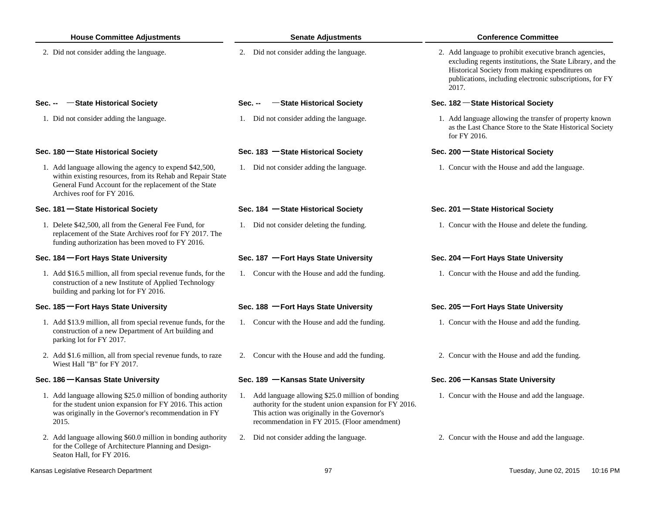| <b>House Committee Adjustments</b>                                                                                                                                                                           | <b>Senate Adjustments</b>                                                                                                                                                                                    | <b>Conference Committee</b>                                                                                                                                                                                                                 |
|--------------------------------------------------------------------------------------------------------------------------------------------------------------------------------------------------------------|--------------------------------------------------------------------------------------------------------------------------------------------------------------------------------------------------------------|---------------------------------------------------------------------------------------------------------------------------------------------------------------------------------------------------------------------------------------------|
| 2. Did not consider adding the language.                                                                                                                                                                     | 2. Did not consider adding the language.                                                                                                                                                                     | 2. Add language to prohibit executive branch agencies,<br>excluding regents institutions, the State Library, and the<br>Historical Society from making expenditures on<br>publications, including electronic subscriptions, for FY<br>2017. |
| -State Historical Society<br>Sec. --                                                                                                                                                                         | -State Historical Society<br><b>Sec. --</b>                                                                                                                                                                  | Sec. 182 – State Historical Society                                                                                                                                                                                                         |
| 1. Did not consider adding the language.                                                                                                                                                                     | 1. Did not consider adding the language.                                                                                                                                                                     | 1. Add language allowing the transfer of property known<br>as the Last Chance Store to the State Historical Society<br>for FY 2016.                                                                                                         |
| Sec. 180 State Historical Society                                                                                                                                                                            | Sec. 183 - State Historical Society                                                                                                                                                                          | Sec. 200 State Historical Society                                                                                                                                                                                                           |
| 1. Add language allowing the agency to expend \$42,500,<br>within existing resources, from its Rehab and Repair State<br>General Fund Account for the replacement of the State<br>Archives roof for FY 2016. | 1. Did not consider adding the language.                                                                                                                                                                     | 1. Concur with the House and add the language.                                                                                                                                                                                              |
| Sec. 181 - State Historical Society                                                                                                                                                                          | Sec. 184 - State Historical Society                                                                                                                                                                          | Sec. 201 – State Historical Society                                                                                                                                                                                                         |
| 1. Delete \$42,500, all from the General Fee Fund, for<br>replacement of the State Archives roof for FY 2017. The<br>funding authorization has been moved to FY 2016.                                        | 1. Did not consider deleting the funding.                                                                                                                                                                    | 1. Concur with the House and delete the funding.                                                                                                                                                                                            |
| Sec. 184 – Fort Hays State University                                                                                                                                                                        | Sec. 187 - Fort Hays State University                                                                                                                                                                        | Sec. 204 – Fort Hays State University                                                                                                                                                                                                       |
| 1. Add \$16.5 million, all from special revenue funds, for the<br>construction of a new Institute of Applied Technology<br>building and parking lot for FY 2016.                                             | 1. Concur with the House and add the funding.                                                                                                                                                                | 1. Concur with the House and add the funding.                                                                                                                                                                                               |
| Sec. 185 – Fort Hays State University                                                                                                                                                                        | Sec. 188 - Fort Hays State University                                                                                                                                                                        | Sec. 205 – Fort Hays State University                                                                                                                                                                                                       |
| 1. Add \$13.9 million, all from special revenue funds, for the<br>construction of a new Department of Art building and<br>parking lot for FY 2017.                                                           | 1. Concur with the House and add the funding.                                                                                                                                                                | 1. Concur with the House and add the funding.                                                                                                                                                                                               |
| 2. Add \$1.6 million, all from special revenue funds, to raze<br>Wiest Hall "B" for FY 2017.                                                                                                                 | 2. Concur with the House and add the funding.                                                                                                                                                                | 2. Concur with the House and add the funding.                                                                                                                                                                                               |
| Sec. 186 – Kansas State University                                                                                                                                                                           | Sec. 189 - Kansas State University                                                                                                                                                                           | Sec. 206 – Kansas State University                                                                                                                                                                                                          |
| 1. Add language allowing \$25.0 million of bonding authority<br>for the student union expansion for FY 2016. This action<br>was originally in the Governor's recommendation in FY<br>2015.                   | 1. Add language allowing \$25.0 million of bonding<br>authority for the student union expansion for FY 2016.<br>This action was originally in the Governor's<br>recommendation in FY 2015. (Floor amendment) | 1. Concur with the House and add the language.                                                                                                                                                                                              |
| 2. Add language allowing \$60.0 million in bonding authority<br>for the College of Architecture Planning and Design-<br>Seaton Hall, for FY 2016.                                                            | 2. Did not consider adding the language.                                                                                                                                                                     | 2. Concur with the House and add the language.                                                                                                                                                                                              |
| Kansas Legislative Research Department                                                                                                                                                                       | 97                                                                                                                                                                                                           | Tuesday, June 02, 2015<br>10:16 PM                                                                                                                                                                                                          |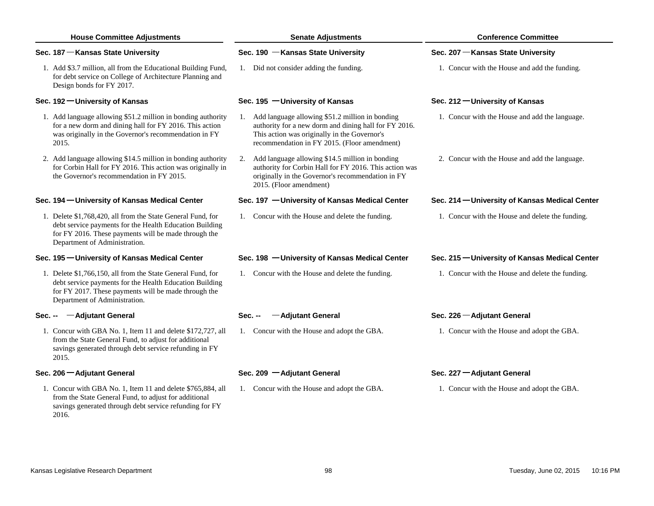| <b>House Committee Adjustments</b>                                                                                                                                                                              | <b>Senate Adjustments</b>                                                                                                                                                                                   | <b>Conference Committee</b>                      |
|-----------------------------------------------------------------------------------------------------------------------------------------------------------------------------------------------------------------|-------------------------------------------------------------------------------------------------------------------------------------------------------------------------------------------------------------|--------------------------------------------------|
| Sec. 187 – Kansas State University                                                                                                                                                                              | Sec. 190 - Kansas State University                                                                                                                                                                          | Sec. 207 – Kansas State University               |
| 1. Add \$3.7 million, all from the Educational Building Fund,<br>for debt service on College of Architecture Planning and<br>Design bonds for FY 2017.                                                          | 1. Did not consider adding the funding.                                                                                                                                                                     | 1. Concur with the House and add the funding.    |
| Sec. 192 - University of Kansas                                                                                                                                                                                 | Sec. 195 - University of Kansas                                                                                                                                                                             | Sec. 212 – University of Kansas                  |
| 1. Add language allowing \$51.2 million in bonding authority<br>for a new dorm and dining hall for FY 2016. This action<br>was originally in the Governor's recommendation in FY<br>2015.                       | 1. Add language allowing \$51.2 million in bonding<br>authority for a new dorm and dining hall for FY 2016.<br>This action was originally in the Governor's<br>recommendation in FY 2015. (Floor amendment) | 1. Concur with the House and add the language.   |
| 2. Add language allowing \$14.5 million in bonding authority<br>for Corbin Hall for FY 2016. This action was originally in<br>the Governor's recommendation in FY 2015.                                         | Add language allowing \$14.5 million in bonding<br>2.<br>authority for Corbin Hall for FY 2016. This action was<br>originally in the Governor's recommendation in FY<br>2015. (Floor amendment)             | 2. Concur with the House and add the language.   |
| Sec. 194 - University of Kansas Medical Center                                                                                                                                                                  | Sec. 197 - University of Kansas Medical Center                                                                                                                                                              | Sec. 214 - University of Kansas Medical Center   |
| 1. Delete \$1,768,420, all from the State General Fund, for<br>debt service payments for the Health Education Building<br>for FY 2016. These payments will be made through the<br>Department of Administration. | 1. Concur with the House and delete the funding.                                                                                                                                                            | 1. Concur with the House and delete the funding. |
| Sec. 195 - University of Kansas Medical Center                                                                                                                                                                  | Sec. 198 - University of Kansas Medical Center                                                                                                                                                              | Sec. 215 - University of Kansas Medical Center   |
| 1. Delete \$1,766,150, all from the State General Fund, for<br>debt service payments for the Health Education Building<br>for FY 2017. These payments will be made through the<br>Department of Administration. | 1. Concur with the House and delete the funding.                                                                                                                                                            | 1. Concur with the House and delete the funding. |
| -Adjutant General<br>$Sec. -$                                                                                                                                                                                   | -Adjutant General<br>Sec. --                                                                                                                                                                                | Sec. 226 - Adjutant General                      |
| 1. Concur with GBA No. 1, Item 11 and delete \$172,727, all<br>from the State General Fund, to adjust for additional<br>savings generated through debt service refunding in FY<br>2015.                         | 1. Concur with the House and adopt the GBA.                                                                                                                                                                 | 1. Concur with the House and adopt the GBA.      |
| Sec. 206 - Adjutant General                                                                                                                                                                                     | Sec. 209 - Adjutant General                                                                                                                                                                                 | Sec. 227 - Adjutant General                      |
| 1. Concur with GBA No. 1, Item 11 and delete \$765,884, all<br>from the State General Fund, to adjust for additional<br>savings generated through debt service refunding for FY<br>2016.                        | 1. Concur with the House and adopt the GBA.                                                                                                                                                                 | 1. Concur with the House and adopt the GBA.      |
|                                                                                                                                                                                                                 |                                                                                                                                                                                                             |                                                  |